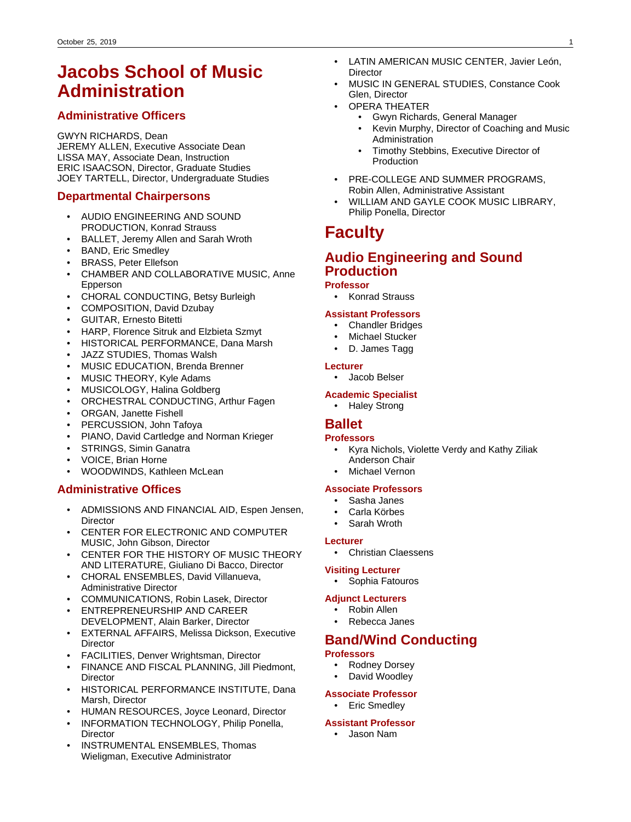## **Jacobs School of Music Administration**

### **Administrative Officers**

GWYN RICHARDS, Dean JEREMY ALLEN, Executive Associate Dean LISSA MAY, Associate Dean, Instruction ERIC ISAACSON, Director, Graduate Studies JOEY TARTELL, Director, Undergraduate Studies

### **Departmental Chairpersons**

- AUDIO ENGINEERING AND SOUND PRODUCTION, Konrad Strauss
- BALLET, Jeremy Allen and Sarah Wroth
- BAND, Eric Smedley
- BRASS, Peter Ellefson
- CHAMBER AND COLLABORATIVE MUSIC, Anne Epperson
- CHORAL CONDUCTING, Betsy Burleigh
- COMPOSITION, David Dzubay
- GUITAR, Ernesto Bitetti
- HARP, Florence Sitruk and Elzbieta Szmyt
- HISTORICAL PERFORMANCE, Dana Marsh
- JAZZ STUDIES, Thomas Walsh
- MUSIC EDUCATION, Brenda Brenner
- MUSIC THEORY, Kyle Adams
- MUSICOLOGY, Halina Goldberg
- ORCHESTRAL CONDUCTING, Arthur Fagen
- ORGAN, Janette Fishell
- PERCUSSION, John Tafoya
- PIANO, David Cartledge and Norman Krieger
- STRINGS, Simin Ganatra
- VOICE, Brian Horne
- WOODWINDS, Kathleen McLean

### **Administrative Offices**

- ADMISSIONS AND FINANCIAL AID, Espen Jensen, Director
- CENTER FOR ELECTRONIC AND COMPUTER MUSIC, John Gibson, Director
- CENTER FOR THE HISTORY OF MUSIC THEORY AND LITERATURE, Giuliano Di Bacco, Director
- CHORAL ENSEMBLES, David Villanueva, Administrative Director
- COMMUNICATIONS, Robin Lasek, Director
- ENTREPRENEURSHIP AND CAREER DEVELOPMENT, Alain Barker, Director
- EXTERNAL AFFAIRS, Melissa Dickson, Executive **Director**
- FACILITIES, Denver Wrightsman, Director
- FINANCE AND FISCAL PLANNING, Jill Piedmont, **Director**
- HISTORICAL PERFORMANCE INSTITUTE, Dana Marsh, Director
- HUMAN RESOURCES, Joyce Leonard, Director
- INFORMATION TECHNOLOGY, Philip Ponella, Director
- INSTRUMENTAL ENSEMBLES, Thomas Wieligman, Executive Administrator
- LATIN AMERICAN MUSIC CENTER, Javier León, **Director**
- MUSIC IN GENERAL STUDIES, Constance Cook Glen, Director
- OPERA THEATER
	- Gwyn Richards, General Manager
		- Kevin Murphy, Director of Coaching and Music Administration
	- Timothy Stebbins, Executive Director of Production
- PRE-COLLEGE AND SUMMER PROGRAMS, Robin Allen, Administrative Assistant
- WILLIAM AND GAYLE COOK MUSIC LIBRARY, Philip Ponella, Director

## **Faculty**

## **Audio Engineering and Sound Production**

### **Professor**

• Konrad Strauss

### **Assistant Professors**

- **Chandler Bridges**
- Michael Stucker
- D. James Tagg

#### **Lecturer**

• Jacob Belser

#### **Academic Specialist**

#### • Haley Strong

### **Ballet**

#### **Professors**

- Kyra Nichols, Violette Verdy and Kathy Ziliak Anderson Chair
- Michael Vernon

### **Associate Professors**

- Sasha Janes
- Carla Körbes
- Sarah Wroth

#### **Lecturer**

• Christian Claessens

#### **Visiting Lecturer**

• Sophia Fatouros

#### **Adjunct Lecturers**

- Robin Allen
- Rebecca Janes

## **Band/Wind Conducting**

### **Professors**

- Rodney Dorsey
- David Woodley

#### **Associate Professor**

• Eric Smedley

#### **Assistant Professor**

• Jason Nam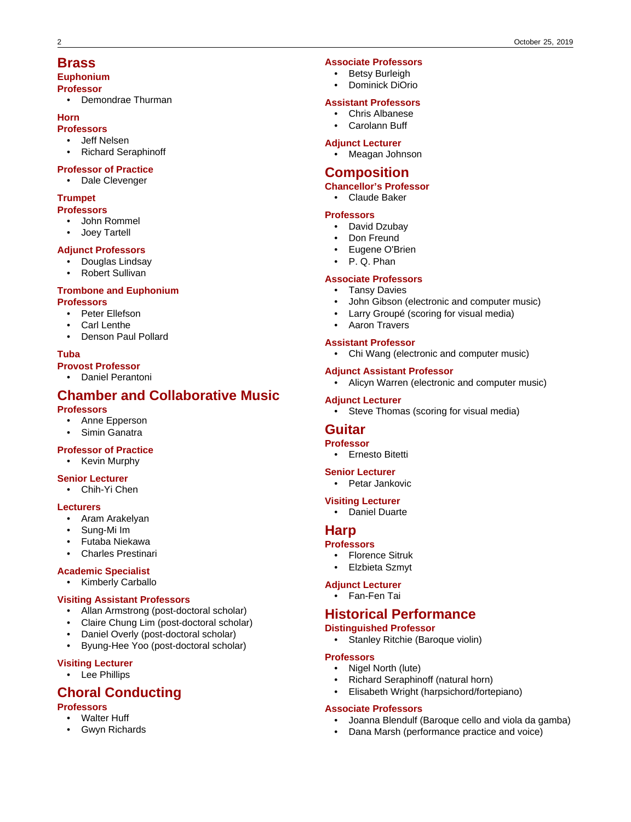### **Brass**

#### **Euphonium**

### **Professor**

• Demondrae Thurman

#### **Horn**

#### **Professors**

- Jeff Nelsen
- Richard Seraphinoff
- **Professor of Practice**
	- Dale Clevenger

#### **Trumpet**

#### **Professors**

- John Rommel
- Joey Tartell

#### **Adjunct Professors**

- Douglas Lindsay
- Robert Sullivan

### **Trombone and Euphonium**

- **Professors**
	- Peter Ellefson
	- Carl Lenthe
	- Denson Paul Pollard

#### **Tuba**

### **Provost Professor**

• Daniel Perantoni

#### **Chamber and Collaborative Music Professors**

- Anne Epperson
- Simin Ganatra

#### **Professor of Practice**

• Kevin Murphy

#### **Senior Lecturer**

• Chih-Yi Chen

#### **Lecturers**

- Aram Arakelyan
- Sung-Mi Im
- Futaba Niekawa
- Charles Prestinari

### **Academic Specialist**

• Kimberly Carballo

#### **Visiting Assistant Professors**

- Allan Armstrong (post-doctoral scholar)
- Claire Chung Lim (post-doctoral scholar)
- Daniel Overly (post-doctoral scholar)
- Byung-Hee Yoo (post-doctoral scholar)

#### **Visiting Lecturer**

• Lee Phillips

### **Choral Conducting**

#### **Professors**

- Walter Huff
- Gwyn Richards

#### **Associate Professors**

- Betsy Burleigh
- Dominick DiOrio

### **Assistant Professors**

- Chris Albanese
- Carolann Buff

### **Adjunct Lecturer**

• Meagan Johnson

### **Composition**

- **Chancellor's Professor**
- Claude Baker

#### **Professors**

- David Dzubay
- Don Freund
- Eugene O'Brien
- P. Q. Phan

#### **Associate Professors**

- Tansy Davies
- John Gibson (electronic and computer music)
- Larry Groupé (scoring for visual media)
- Aaron Travers

#### **Assistant Professor**

• Chi Wang (electronic and computer music)

#### **Adjunct Assistant Professor**

• Alicyn Warren (electronic and computer music)

#### **Adjunct Lecturer**

• Steve Thomas (scoring for visual media)

### **Guitar**

- **Professor**
	- Ernesto Bitetti

#### **Senior Lecturer**

• Petar Jankovic

#### **Visiting Lecturer**

• Daniel Duarte

### **Harp**

- **Professors**
	- Florence Sitruk
	- Elzbieta Szmyt

#### **Adjunct Lecturer**

• Fan-Fen Tai

### **Historical Performance**

### **Distinguished Professor**

• Stanley Ritchie (Baroque violin)

#### **Professors**

- Nigel North (lute)
- Richard Seraphinoff (natural horn)
- Elisabeth Wright (harpsichord/fortepiano)

• Dana Marsh (performance practice and voice)

#### **Associate Professors** • Joanna Blendulf (Baroque cello and viola da gamba)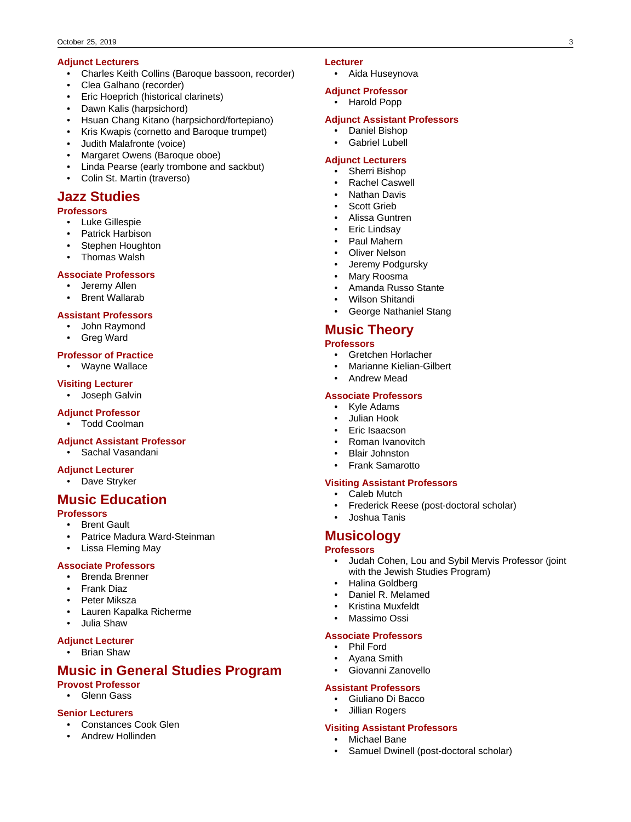#### **Adjunct Lecturers**

- Charles Keith Collins (Baroque bassoon, recorder)
- Clea Galhano (recorder)
- Eric Hoeprich (historical clarinets)<br>• Dawn Kalis (harpsichord)
- Dawn Kalis (harpsichord)
- Hsuan Chang Kitano (harpsichord/fortepiano)
- Kris Kwapis (cornetto and Baroque trumpet)
- Judith Malafronte (voice)
- Margaret Owens (Baroque oboe)
- Linda Pearse (early trombone and sackbut)
- Colin St. Martin (traverso)

### **Jazz Studies**

#### **Professors**

- Luke Gillespie
- Patrick Harbison
- Stephen Houghton
- Thomas Walsh

### **Associate Professors**

- Jeremy Allen
- Brent Wallarab

### **Assistant Professors**

- John Raymond
- **Greg Ward**

### **Professor of Practice**

• Wayne Wallace

#### **Visiting Lecturer**

• Joseph Galvin

#### **Adjunct Professor**

• Todd Coolman

#### **Adjunct Assistant Professor**

• Sachal Vasandani

### **Adjunct Lecturer**

• Dave Stryker

### **Music Education**

### **Professors**

- Brent Gault
- Patrice Madura Ward-Steinman
- Lissa Fleming May

#### **Associate Professors**

- Brenda Brenner
- Frank Diaz
- Peter Miksza
- Lauren Kapalka Richerme
- Julia Shaw

#### **Adjunct Lecturer**

• Brian Shaw

### **Music in General Studies Program**

- **Provost Professor**
- Glenn Gass

### **Senior Lecturers**

- Constances Cook Glen
- Andrew Hollinden

#### **Lecturer**

• Aida Huseynova

### **Adjunct Professor**

• Harold Popp

### **Adjunct Assistant Professors**

• Daniel Bishop **Gabriel Lubell** 

#### **Adjunct Lecturers**

- Sherri Bishop
- Rachel Caswell
- Nathan Davis
- Scott Grieb
- Alissa Guntren
- **Eric Lindsay**
- Paul Mahern
- Oliver Nelson
- Jeremy Podgursky
- Mary Roosma
- Amanda Russo Stante
- Wilson Shitandi
- George Nathaniel Stang

### **Music Theory**

### **Professors**

- Gretchen Horlacher
- Marianne Kielian-Gilbert
- Andrew Mead

#### **Associate Professors**

- Kyle Adams
- Julian Hook
- Eric Isaacson
- Roman Ivanovitch
- Blair Johnston
- Frank Samarotto

#### **Visiting Assistant Professors**

- Caleb Mutch
- Frederick Reese (post-doctoral scholar)
- Joshua Tanis

### **Musicology**

#### **Professors**

- Judah Cohen, Lou and Sybil Mervis Professor (joint with the Jewish Studies Program)
- Halina Goldberg
- Daniel R. Melamed
- Kristina Muxfeldt
- Massimo Ossi

#### **Associate Professors**

- Phil Ford
- Ayana Smith

**Assistant Professors** • Giuliano Di Bacco • Jillian Rogers

Giovanni Zanovello

**Visiting Assistant Professors** • Michael Bane

• Samuel Dwinell (post-doctoral scholar)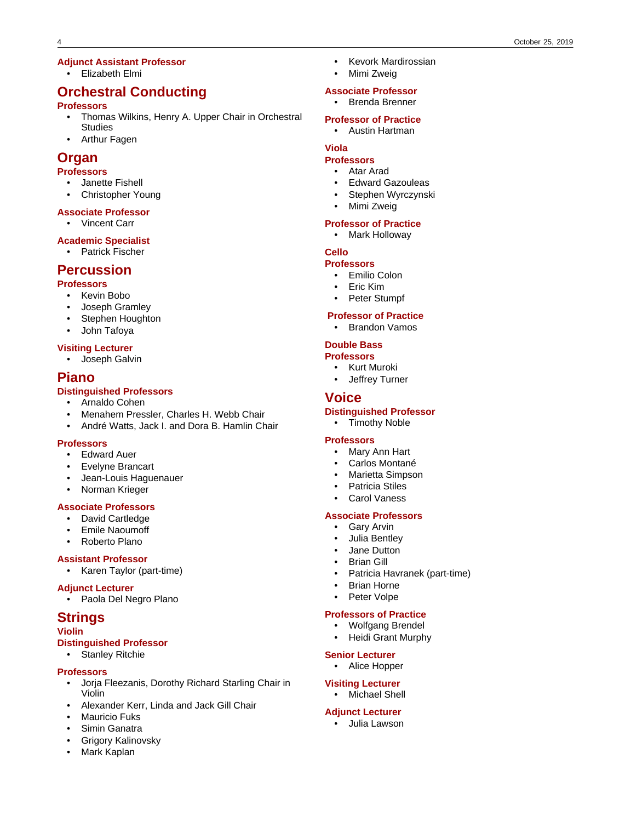#### **Adjunct Assistant Professor**

• Elizabeth Elmi

## **Orchestral Conducting**

#### **Professors**

- Thomas Wilkins, Henry A. Upper Chair in Orchestral **Studies**
- Arthur Fagen

### **Organ**

- **Professors**
	- Janette Fishell
	- Christopher Young

### **Associate Professor**

• Vincent Carr

### **Academic Specialist**

### • Patrick Fischer

## **Percussion**

### **Professors**

- Kevin Bobo
- Joseph Gramley
- Stephen Houghton
- John Tafoya

#### **Visiting Lecturer**

• Joseph Galvin

### **Piano**

#### **Distinguished Professors**

- Arnaldo Cohen
	- Menahem Pressler, Charles H. Webb Chair
- André Watts, Jack I. and Dora B. Hamlin Chair

#### **Professors**

- Edward Auer
- Evelyne Brancart
- Jean-Louis Haguenauer
- Norman Krieger

#### **Associate Professors**

- David Cartledge
- Emile Naoumoff
- Roberto Plano

#### **Assistant Professor**

• Karen Taylor (part-time)

#### **Adjunct Lecturer**

• Paola Del Negro Plano

### **Strings**

#### **Violin**

#### **Distinguished Professor**

• Stanley Ritchie

### **Professors**

- Jorja Fleezanis, Dorothy Richard Starling Chair in Violin
- Alexander Kerr, Linda and Jack Gill Chair
- Mauricio Fuks
- Simin Ganatra
- Grigory Kalinovsky
- Mark Kaplan
- Kevork Mardirossian
- Mimi Zweig

#### **Associate Professor**

• Brenda Brenner

### **Professor of Practice**

• Austin Hartman

### **Viola**

- **Professors**
	- Atar Arad
	- Edward Gazouleas
	- Stephen Wyrczynski
	- Mimi Zweig

#### **Professor of Practice**

• Mark Holloway

### **Cello**

### **Professors**

- Emilio Colon
- Eric Kim
- Peter Stumpf

#### **Professor of Practice**

• Brandon Vamos

#### **Double Bass**

### **Professors**

- Kurt Muroki
- **Jeffrey Turner**

### **Voice**

#### **Distinguished Professor**

• Timothy Noble

#### **Professors**

- Mary Ann Hart
- Carlos Montané
- Marietta Simpson
- Patricia Stiles
- Carol Vaness

### **Associate Professors**

- Gary Arvin
- Julia Bentley
- Jane Dutton
- Brian Gill
- Patricia Havranek (part-time)
- **Brian Horne**
- Peter Volpe

#### **Professors of Practice**

- Wolfgang Brendel
- Heidi Grant Murphy

#### **Senior Lecturer**

• Alice Hopper

• Michael Shell **Adjunct Lecturer** • Julia Lawson

**Visiting Lecturer**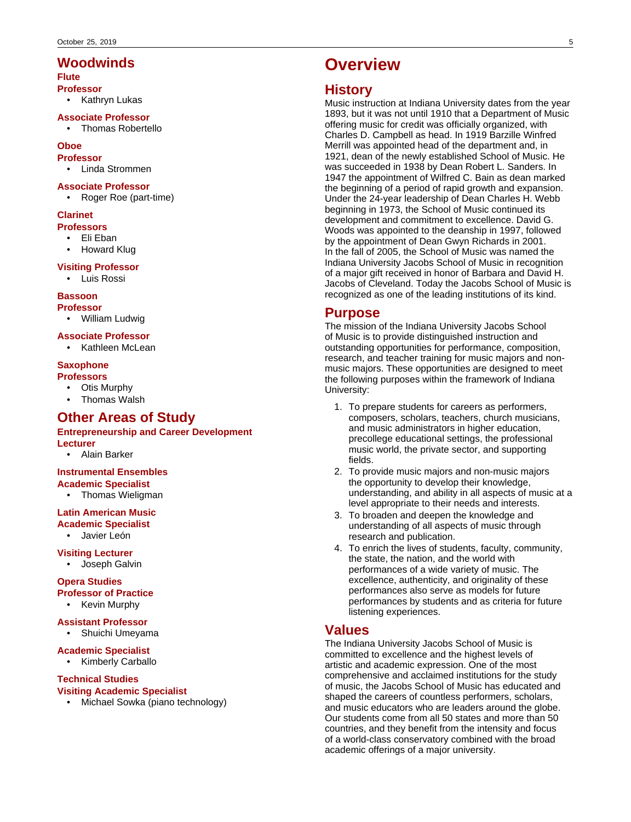### **Woodwinds**

#### **Flute**

**Professor**

## • Kathryn Lukas

- **Associate Professor**
- Thomas Robertello

### **Oboe**

**Professor** • Linda Strommen

### **Associate Professor**

• Roger Roe (part-time)

### **Clarinet**

- **Professors**
	- Eli Eban
	- Howard Klug

### **Visiting Professor**

• Luis Rossi

### **Bassoon**

- **Professor**
	- William Ludwig

### **Associate Professor**

• Kathleen McLean

### **Saxophone**

#### **Professors**

- Otis Murphy
- Thomas Walsh

## **Other Areas of Study**

#### **Entrepreneurship and Career Development Lecturer**

• Alain Barker

### **Instrumental Ensembles**

- **Academic Specialist**
	- Thomas Wieligman

### **Latin American Music**

- **Academic Specialist**
	- Javier León

### **Visiting Lecturer**

• Joseph Galvin

### **Opera Studies**

- **Professor of Practice**
	- Kevin Murphy

### **Assistant Professor**

• Shuichi Umeyama

### **Academic Specialist**

• Kimberly Carballo

## **Technical Studies**

## **Visiting Academic Specialist**

• Michael Sowka (piano technology)

## **Overview**

## **History**

Music instruction at Indiana University dates from the year 1893, but it was not until 1910 that a Department of Music offering music for credit was officially organized, with Charles D. Campbell as head. In 1919 Barzille Winfred Merrill was appointed head of the department and, in 1921, dean of the newly established School of Music. He was succeeded in 1938 by Dean Robert L. Sanders. In 1947 the appointment of Wilfred C. Bain as dean marked the beginning of a period of rapid growth and expansion. Under the 24-year leadership of Dean Charles H. Webb beginning in 1973, the School of Music continued its development and commitment to excellence. David G. Woods was appointed to the deanship in 1997, followed by the appointment of Dean Gwyn Richards in 2001. In the fall of 2005, the School of Music was named the Indiana University Jacobs School of Music in recognition of a major gift received in honor of Barbara and David H. Jacobs of Cleveland. Today the Jacobs School of Music is recognized as one of the leading institutions of its kind.

### **Purpose**

The mission of the Indiana University Jacobs School of Music is to provide distinguished instruction and outstanding opportunities for performance, composition, research, and teacher training for music majors and nonmusic majors. These opportunities are designed to meet the following purposes within the framework of Indiana University:

- 1. To prepare students for careers as performers, composers, scholars, teachers, church musicians, and music administrators in higher education, precollege educational settings, the professional music world, the private sector, and supporting fields.
- 2. To provide music majors and non-music majors the opportunity to develop their knowledge, understanding, and ability in all aspects of music at a level appropriate to their needs and interests.
- 3. To broaden and deepen the knowledge and understanding of all aspects of music through research and publication.
- 4. To enrich the lives of students, faculty, community, the state, the nation, and the world with performances of a wide variety of music. The excellence, authenticity, and originality of these performances also serve as models for future performances by students and as criteria for future listening experiences.

### **Values**

The Indiana University Jacobs School of Music is committed to excellence and the highest levels of artistic and academic expression. One of the most comprehensive and acclaimed institutions for the study of music, the Jacobs School of Music has educated and shaped the careers of countless performers, scholars, and music educators who are leaders around the globe. Our students come from all 50 states and more than 50 countries, and they benefit from the intensity and focus of a world-class conservatory combined with the broad academic offerings of a major university.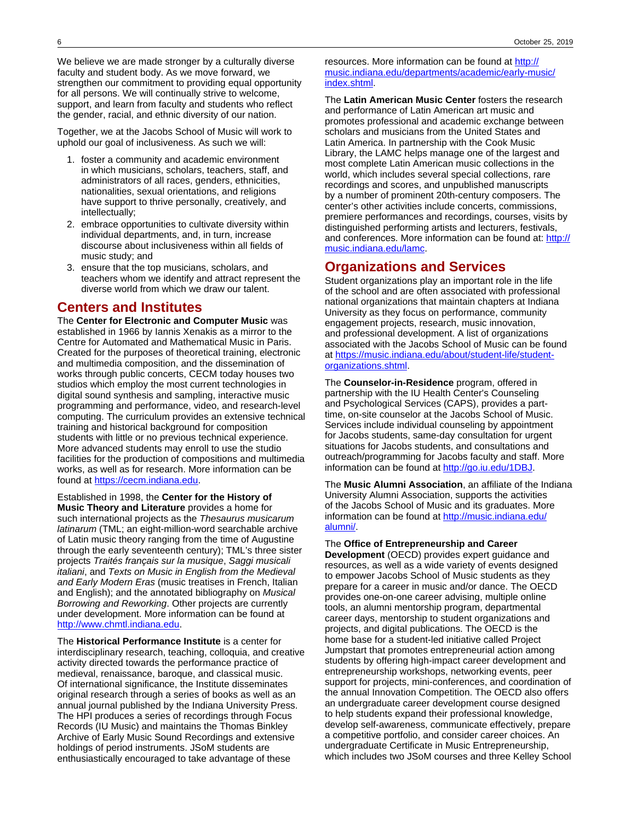We believe we are made stronger by a culturally diverse faculty and student body. As we move forward, we strengthen our commitment to providing equal opportunity for all persons. We will continually strive to welcome, support, and learn from faculty and students who reflect the gender, racial, and ethnic diversity of our nation.

Together, we at the Jacobs School of Music will work to uphold our goal of inclusiveness. As such we will:

- 1. foster a community and academic environment in which musicians, scholars, teachers, staff, and administrators of all races, genders, ethnicities, nationalities, sexual orientations, and religions have support to thrive personally, creatively, and intellectually;
- 2. embrace opportunities to cultivate diversity within individual departments, and, in turn, increase discourse about inclusiveness within all fields of music study; and
- 3. ensure that the top musicians, scholars, and teachers whom we identify and attract represent the diverse world from which we draw our talent.

### **Centers and Institutes**

The **Center for Electronic and Computer Music** was established in 1966 by Iannis Xenakis as a mirror to the Centre for Automated and Mathematical Music in Paris. Created for the purposes of theoretical training, electronic and multimedia composition, and the dissemination of works through public concerts, CECM today houses two studios which employ the most current technologies in digital sound synthesis and sampling, interactive music programming and performance, video, and research-level computing. The curriculum provides an extensive technical training and historical background for composition students with little or no previous technical experience. More advanced students may enroll to use the studio facilities for the production of compositions and multimedia works, as well as for research. More information can be found at [https://cecm.indiana.edu.](https://cecm.indiana.edu)

Established in 1998, the **Center for the History of Music Theory and Literature** provides a home for such international projects as the Thesaurus musicarum latinarum (TML; an eight-million-word searchable archive of Latin music theory ranging from the time of Augustine through the early seventeenth century); TML's three sister projects Traités français sur la musique, Saggi musicali italiani, and Texts on Music in English from the Medieval and Early Modern Eras (music treatises in French, Italian and English); and the annotated bibliography on Musical Borrowing and Reworking. Other projects are currently under development. More information can be found at <http://www.chmtl.indiana.edu>.

The **Historical Performance Institute** is a center for interdisciplinary research, teaching, colloquia, and creative activity directed towards the performance practice of medieval, renaissance, baroque, and classical music. Of international significance, the Institute disseminates original research through a series of books as well as an annual journal published by the Indiana University Press. The HPI produces a series of recordings through Focus Records (IU Music) and maintains the Thomas Binkley Archive of Early Music Sound Recordings and extensive holdings of period instruments. JSoM students are enthusiastically encouraged to take advantage of these

resources. More information can be found at [http://](http://music.indiana.edu/departments/academic/early-music/index.shtml) [music.indiana.edu/departments/academic/early-music/](http://music.indiana.edu/departments/academic/early-music/index.shtml) [index.shtml.](http://music.indiana.edu/departments/academic/early-music/index.shtml)

The **Latin American Music Center** fosters the research and performance of Latin American art music and promotes professional and academic exchange between scholars and musicians from the United States and Latin America. In partnership with the Cook Music Library, the LAMC helps manage one of the largest and most complete Latin American music collections in the world, which includes several special collections, rare recordings and scores, and unpublished manuscripts by a number of prominent 20th-century composers. The center's other activities include concerts, commissions, premiere performances and recordings, courses, visits by distinguished performing artists and lecturers, festivals, and conferences. More information can be found at: [http://](http://music.indiana.edu/lamc) [music.indiana.edu/lamc](http://music.indiana.edu/lamc).

### **Organizations and Services**

Student organizations play an important role in the life of the school and are often associated with professional national organizations that maintain chapters at Indiana University as they focus on performance, community engagement projects, research, music innovation, and professional development. A list of organizations associated with the Jacobs School of Music can be found at [https://music.indiana.edu/about/student-life/student](https://music.indiana.edu/about/student-life/student-organizations.shtml)[organizations.shtml.](https://music.indiana.edu/about/student-life/student-organizations.shtml)

The **Counselor-in-Residence** program, offered in partnership with the IU Health Center's Counseling and Psychological Services (CAPS), provides a parttime, on-site counselor at the Jacobs School of Music. Services include individual counseling by appointment for Jacobs students, same-day consultation for urgent situations for Jacobs students, and consultations and outreach/programming for Jacobs faculty and staff. More information can be found at [http://go.iu.edu/1DBJ.](http://go.iu.edu/1DBJ)

The **Music Alumni Association**, an affiliate of the Indiana University Alumni Association, supports the activities of the Jacobs School of Music and its graduates. More information can be found at [http://music.indiana.edu/](http://music.indiana.edu/alumni/) [alumni/](http://music.indiana.edu/alumni/).

The **Office of Entrepreneurship and Career Development** (OECD) provides expert guidance and resources, as well as a wide variety of events designed to empower Jacobs School of Music students as they prepare for a career in music and/or dance. The OECD provides one-on-one career advising, multiple online tools, an alumni mentorship program, departmental career days, mentorship to student organizations and projects, and digital publications. The OECD is the home base for a student-led initiative called Project Jumpstart that promotes entrepreneurial action among students by offering high-impact career development and entrepreneurship workshops, networking events, peer support for projects, mini-conferences, and coordination of the annual Innovation Competition. The OECD also offers an undergraduate career development course designed to help students expand their professional knowledge, develop self-awareness, communicate effectively, prepare a competitive portfolio, and consider career choices. An undergraduate Certificate in Music Entrepreneurship, which includes two JSoM courses and three Kelley School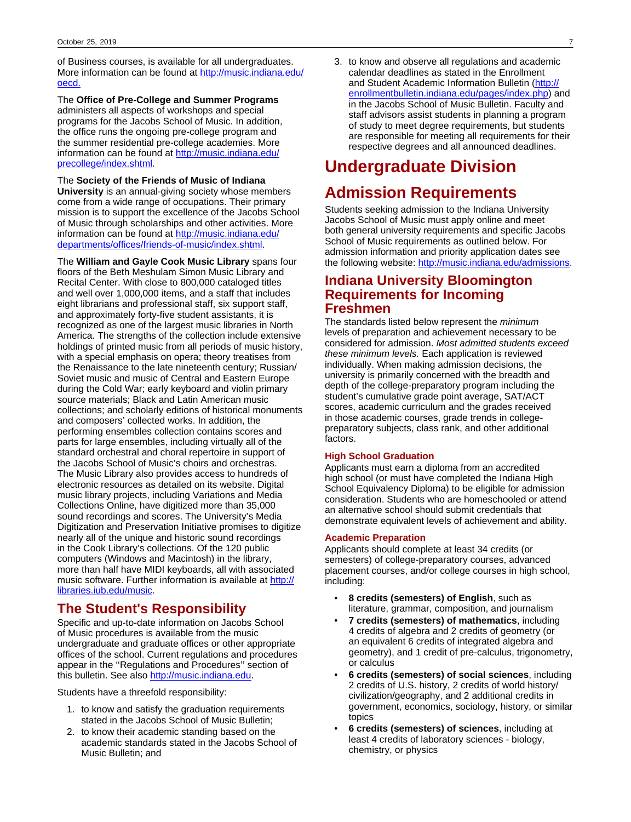of Business courses, is available for all undergraduates. More information can be found at [http://music.indiana.edu/](http://music.indiana.edu/oecd) [oecd.](http://music.indiana.edu/oecd)

The **Office of Pre-College and Summer Programs** administers all aspects of workshops and special programs for the Jacobs School of Music. In addition, the office runs the ongoing pre-college program and the summer residential pre-college academies. More information can be found at [http://music.indiana.edu/](http://music.indiana.edu/precollege/index.shtml) [precollege/index.shtml.](http://music.indiana.edu/precollege/index.shtml)

The **Society of the Friends of Music of Indiana University** is an annual-giving society whose members come from a wide range of occupations. Their primary mission is to support the excellence of the Jacobs School of Music through scholarships and other activities. More information can be found at [http://music.indiana.edu/](http://music.indiana.edu/departments/offices/friends-of-music/index.shtml) [departments/offices/friends-of-music/index.shtml](http://music.indiana.edu/departments/offices/friends-of-music/index.shtml).

The **William and Gayle Cook Music Library** spans four floors of the Beth Meshulam Simon Music Library and Recital Center. With close to 800,000 cataloged titles and well over 1,000,000 items, and a staff that includes eight librarians and professional staff, six support staff, and approximately forty-five student assistants, it is recognized as one of the largest music libraries in North America. The strengths of the collection include extensive holdings of printed music from all periods of music history, with a special emphasis on opera; theory treatises from the Renaissance to the late nineteenth century; Russian/ Soviet music and music of Central and Eastern Europe during the Cold War; early keyboard and violin primary source materials; Black and Latin American music collections; and scholarly editions of historical monuments and composers' collected works. In addition, the performing ensembles collection contains scores and parts for large ensembles, including virtually all of the standard orchestral and choral repertoire in support of the Jacobs School of Music's choirs and orchestras. The Music Library also provides access to hundreds of electronic resources as detailed on its website. Digital music library projects, including Variations and Media Collections Online, have digitized more than 35,000 sound recordings and scores. The University's Media Digitization and Preservation Initiative promises to digitize nearly all of the unique and historic sound recordings in the Cook Library's collections. Of the 120 public computers (Windows and Macintosh) in the library, more than half have MIDI keyboards, all with associated music software. Further information is available at [http://](http://libraries.iub.edu/music) [libraries.iub.edu/music.](http://libraries.iub.edu/music)

### **The Student's Responsibility**

Specific and up-to-date information on Jacobs School of Music procedures is available from the music undergraduate and graduate offices or other appropriate offices of the school. Current regulations and procedures appear in the ''Regulations and Procedures'' section of this bulletin. See also [http://music.indiana.edu.](http://music.indiana.edu)

Students have a threefold responsibility:

- 1. to know and satisfy the graduation requirements stated in the Jacobs School of Music Bulletin;
- 2. to know their academic standing based on the academic standards stated in the Jacobs School of Music Bulletin; and

3. to know and observe all regulations and academic calendar deadlines as stated in the Enrollment and Student Academic Information Bulletin [\(http://](http://enrollmentbulletin.indiana.edu/pages/index.php) [enrollmentbulletin.indiana.edu/pages/index.php\)](http://enrollmentbulletin.indiana.edu/pages/index.php) and in the Jacobs School of Music Bulletin. Faculty and staff advisors assist students in planning a program of study to meet degree requirements, but students are responsible for meeting all requirements for their respective degrees and all announced deadlines.

# **Undergraduate Division**

## **Admission Requirements**

Students seeking admission to the Indiana University Jacobs School of Music must apply online and meet both general university requirements and specific Jacobs School of Music requirements as outlined below. For admission information and priority application dates see the following website: [http://music.indiana.edu/admissions.](http://music.indiana.edu/admissions)

### **Indiana University Bloomington Requirements for Incoming Freshmen**

The standards listed below represent the minimum levels of preparation and achievement necessary to be considered for admission. Most admitted students exceed these minimum levels. Each application is reviewed individually. When making admission decisions, the university is primarily concerned with the breadth and depth of the college-preparatory program including the student's cumulative grade point average, SAT/ACT scores, academic curriculum and the grades received in those academic courses, grade trends in collegepreparatory subjects, class rank, and other additional factors.

#### **High School Graduation**

Applicants must earn a diploma from an accredited high school (or must have completed the Indiana High School Equivalency Diploma) to be eligible for admission consideration. Students who are homeschooled or attend an alternative school should submit credentials that demonstrate equivalent levels of achievement and ability.

#### **Academic Preparation**

Applicants should complete at least 34 credits (or semesters) of college-preparatory courses, advanced placement courses, and/or college courses in high school, including:

- **8 credits (semesters) of English**, such as literature, grammar, composition, and journalism
- **7 credits (semesters) of mathematics**, including 4 credits of algebra and 2 credits of geometry (or an equivalent 6 credits of integrated algebra and geometry), and 1 credit of pre-calculus, trigonometry, or calculus
- **6 credits (semesters) of social sciences**, including 2 credits of U.S. history, 2 credits of world history/ civilization/geography, and 2 additional credits in government, economics, sociology, history, or similar topics
- **6 credits (semesters) of sciences**, including at least 4 credits of laboratory sciences - biology, chemistry, or physics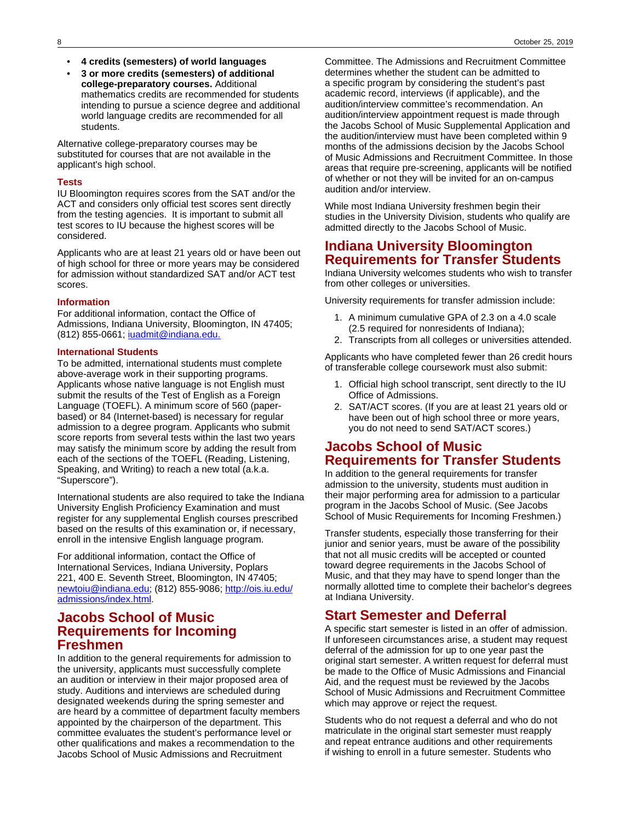- **4 credits (semesters) of world languages**
- **3 or more credits (semesters) of additional college-preparatory courses.** Additional mathematics credits are recommended for students intending to pursue a science degree and additional world language credits are recommended for all students.

Alternative college-preparatory courses may be substituted for courses that are not available in the applicant's high school.

#### **Tests**

IU Bloomington requires scores from the SAT and/or the ACT and considers only official test scores sent directly from the testing agencies. It is important to submit all test scores to IU because the highest scores will be considered.

Applicants who are at least 21 years old or have been out of high school for three or more years may be considered for admission without standardized SAT and/or ACT test scores.

#### **Information**

For additional information, contact the Office of Admissions, Indiana University, Bloomington, IN 47405; (812) 855-0661; [iuadmit@indiana.edu.](mailto:iuadmit@indiana.edu)

#### **International Students**

To be admitted, international students must complete above-average work in their supporting programs. Applicants whose native language is not English must submit the results of the Test of English as a Foreign Language (TOEFL). A minimum score of 560 (paperbased) or 84 (Internet-based) is necessary for regular admission to a degree program. Applicants who submit score reports from several tests within the last two years may satisfy the minimum score by adding the result from each of the sections of the TOEFL (Reading, Listening, Speaking, and Writing) to reach a new total (a.k.a. "Superscore").

International students are also required to take the Indiana University English Proficiency Examination and must register for any supplemental English courses prescribed based on the results of this examination or, if necessary, enroll in the intensive English language program.

For additional information, contact the Office of International Services, Indiana University, Poplars 221, 400 E. Seventh Street, Bloomington, IN 47405; [newtoiu@indiana.edu;](mailto:newtoiu@indiana.edu) (812) 855-9086; [http://ois.iu.edu/](http://ois.iu.edu/admissions/index.html) [admissions/index.html.](http://ois.iu.edu/admissions/index.html)

### **Jacobs School of Music Requirements for Incoming Freshmen**

In addition to the general requirements for admission to the university, applicants must successfully complete an audition or interview in their major proposed area of study. Auditions and interviews are scheduled during designated weekends during the spring semester and are heard by a committee of department faculty members appointed by the chairperson of the department. This committee evaluates the student's performance level or other qualifications and makes a recommendation to the Jacobs School of Music Admissions and Recruitment

Committee. The Admissions and Recruitment Committee determines whether the student can be admitted to a specific program by considering the student's past academic record, interviews (if applicable), and the audition/interview committee's recommendation. An audition/interview appointment request is made through the Jacobs School of Music Supplemental Application and the audition/interview must have been completed within 9 months of the admissions decision by the Jacobs School of Music Admissions and Recruitment Committee. In those areas that require pre-screening, applicants will be notified of whether or not they will be invited for an on-campus audition and/or interview.

While most Indiana University freshmen begin their studies in the University Division, students who qualify are admitted directly to the Jacobs School of Music.

### **Indiana University Bloomington Requirements for Transfer Students**

Indiana University welcomes students who wish to transfer from other colleges or universities.

University requirements for transfer admission include:

- 1. A minimum cumulative GPA of 2.3 on a 4.0 scale (2.5 required for nonresidents of Indiana);
- 2. Transcripts from all colleges or universities attended.

Applicants who have completed fewer than 26 credit hours of transferable college coursework must also submit:

- 1. Official high school transcript, sent directly to the IU Office of Admissions.
- 2. SAT/ACT scores. (If you are at least 21 years old or have been out of high school three or more years, you do not need to send SAT/ACT scores.)

## **Jacobs School of Music Requirements for Transfer Students**

In addition to the general requirements for transfer admission to the university, students must audition in their major performing area for admission to a particular program in the Jacobs School of Music. (See Jacobs School of Music Requirements for Incoming Freshmen.)

Transfer students, especially those transferring for their junior and senior years, must be aware of the possibility that not all music credits will be accepted or counted toward degree requirements in the Jacobs School of Music, and that they may have to spend longer than the normally allotted time to complete their bachelor's degrees at Indiana University.

### **Start Semester and Deferral**

A specific start semester is listed in an offer of admission. If unforeseen circumstances arise, a student may request deferral of the admission for up to one year past the original start semester. A written request for deferral must be made to the Office of Music Admissions and Financial Aid, and the request must be reviewed by the Jacobs School of Music Admissions and Recruitment Committee which may approve or reject the request.

Students who do not request a deferral and who do not matriculate in the original start semester must reapply and repeat entrance auditions and other requirements if wishing to enroll in a future semester. Students who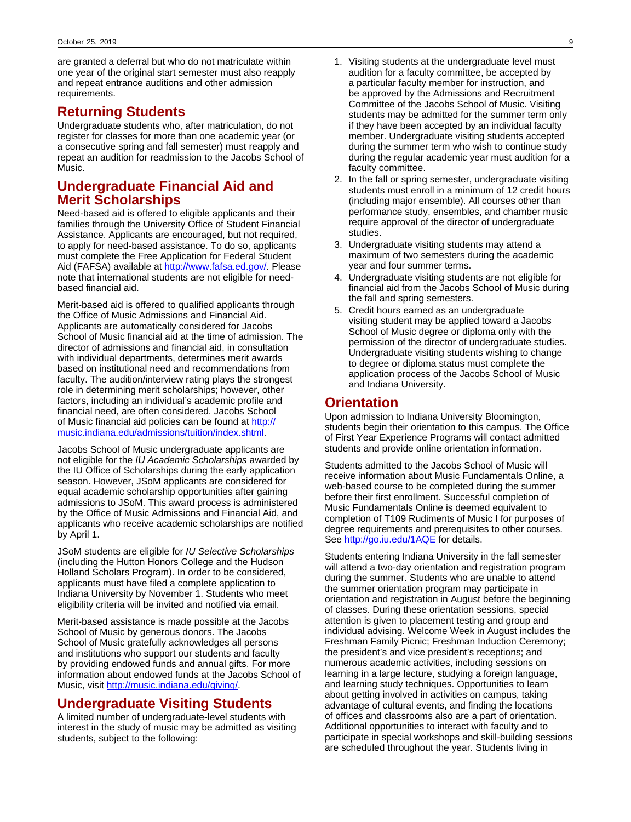are granted a deferral but who do not matriculate within one year of the original start semester must also reapply and repeat entrance auditions and other admission requirements.

### **Returning Students**

Undergraduate students who, after matriculation, do not register for classes for more than one academic year (or a consecutive spring and fall semester) must reapply and repeat an audition for readmission to the Jacobs School of Music.

### **Undergraduate Financial Aid and Merit Scholarships**

Need-based aid is offered to eligible applicants and their families through the University Office of Student Financial Assistance. Applicants are encouraged, but not required, to apply for need-based assistance. To do so, applicants must complete the Free Application for Federal Student Aid (FAFSA) available at<http://www.fafsa.ed.gov/>. Please note that international students are not eligible for needbased financial aid.

Merit-based aid is offered to qualified applicants through the Office of Music Admissions and Financial Aid. Applicants are automatically considered for Jacobs School of Music financial aid at the time of admission. The director of admissions and financial aid, in consultation with individual departments, determines merit awards based on institutional need and recommendations from faculty. The audition/interview rating plays the strongest role in determining merit scholarships; however, other factors, including an individual's academic profile and financial need, are often considered. Jacobs School of Music financial aid policies can be found at [http://](http://music.indiana.edu/admissions/tuition/index.shtml) [music.indiana.edu/admissions/tuition/index.shtml.](http://music.indiana.edu/admissions/tuition/index.shtml)

Jacobs School of Music undergraduate applicants are not eligible for the IU Academic Scholarships awarded by the IU Office of Scholarships during the early application season. However, JSoM applicants are considered for equal academic scholarship opportunities after gaining admissions to JSoM. This award process is administered by the Office of Music Admissions and Financial Aid, and applicants who receive academic scholarships are notified by April 1.

JSoM students are eligible for IU Selective Scholarships (including the Hutton Honors College and the Hudson Holland Scholars Program). In order to be considered, applicants must have filed a complete application to Indiana University by November 1. Students who meet eligibility criteria will be invited and notified via email.

Merit-based assistance is made possible at the Jacobs School of Music by generous donors. The Jacobs School of Music gratefully acknowledges all persons and institutions who support our students and faculty by providing endowed funds and annual gifts. For more information about endowed funds at the Jacobs School of Music, visit [http://music.indiana.edu/giving/](http://music.indiana.edu/giving/index.shtml).

### **Undergraduate Visiting Students**

A limited number of undergraduate-level students with interest in the study of music may be admitted as visiting students, subject to the following:

- 1. Visiting students at the undergraduate level must audition for a faculty committee, be accepted by a particular faculty member for instruction, and be approved by the Admissions and Recruitment Committee of the Jacobs School of Music. Visiting students may be admitted for the summer term only if they have been accepted by an individual faculty member. Undergraduate visiting students accepted during the summer term who wish to continue study during the regular academic year must audition for a faculty committee.
- 2. In the fall or spring semester, undergraduate visiting students must enroll in a minimum of 12 credit hours (including major ensemble). All courses other than performance study, ensembles, and chamber music require approval of the director of undergraduate studies.
- 3. Undergraduate visiting students may attend a maximum of two semesters during the academic year and four summer terms.
- 4. Undergraduate visiting students are not eligible for financial aid from the Jacobs School of Music during the fall and spring semesters.
- 5. Credit hours earned as an undergraduate visiting student may be applied toward a Jacobs School of Music degree or diploma only with the permission of the director of undergraduate studies. Undergraduate visiting students wishing to change to degree or diploma status must complete the application process of the Jacobs School of Music and Indiana University.

### **Orientation**

Upon admission to Indiana University Bloomington, students begin their orientation to this campus. The Office of First Year Experience Programs will contact admitted students and provide online orientation information.

Students admitted to the Jacobs School of Music will receive information about Music Fundamentals Online, a web-based course to be completed during the summer before their first enrollment. Successful completion of Music Fundamentals Online is deemed equivalent to completion of T109 Rudiments of Music I for purposes of degree requirements and prerequisites to other courses. See <http://go.iu.edu/1AQE>for details.

Students entering Indiana University in the fall semester will attend a two-day orientation and registration program during the summer. Students who are unable to attend the summer orientation program may participate in orientation and registration in August before the beginning of classes. During these orientation sessions, special attention is given to placement testing and group and individual advising. Welcome Week in August includes the Freshman Family Picnic; Freshman Induction Ceremony; the president's and vice president's receptions; and numerous academic activities, including sessions on learning in a large lecture, studying a foreign language, and learning study techniques. Opportunities to learn about getting involved in activities on campus, taking advantage of cultural events, and finding the locations of offices and classrooms also are a part of orientation. Additional opportunities to interact with faculty and to participate in special workshops and skill-building sessions are scheduled throughout the year. Students living in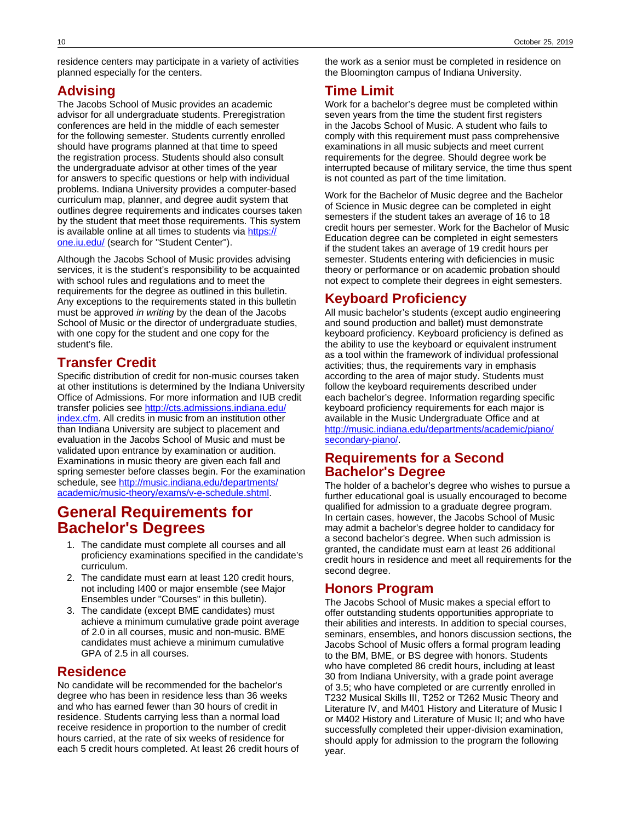residence centers may participate in a variety of activities planned especially for the centers.

### **Advising**

The Jacobs School of Music provides an academic advisor for all undergraduate students. Preregistration conferences are held in the middle of each semester for the following semester. Students currently enrolled should have programs planned at that time to speed the registration process. Students should also consult the undergraduate advisor at other times of the year for answers to specific questions or help with individual problems. Indiana University provides a computer-based curriculum map, planner, and degree audit system that outlines degree requirements and indicates courses taken by the student that meet those requirements. This system is available online at all times to students via [https://](https://one.iu.edu/) [one.iu.edu/](https://one.iu.edu/) (search for "Student Center").

Although the Jacobs School of Music provides advising services, it is the student's responsibility to be acquainted with school rules and regulations and to meet the requirements for the degree as outlined in this bulletin. Any exceptions to the requirements stated in this bulletin must be approved in writing by the dean of the Jacobs School of Music or the director of undergraduate studies, with one copy for the student and one copy for the student's file.

### **Transfer Credit**

Specific distribution of credit for non-music courses taken at other institutions is determined by the Indiana University Office of Admissions. For more information and IUB credit transfer policies see [http://cts.admissions.indiana.edu/](http://cts.admissions.indiana.edu/index.cfm) [index.cfm.](http://cts.admissions.indiana.edu/index.cfm) All credits in music from an institution other than Indiana University are subject to placement and evaluation in the Jacobs School of Music and must be validated upon entrance by examination or audition. Examinations in music theory are given each fall and spring semester before classes begin. For the examination schedule, see [http://music.indiana.edu/departments/](http://music.indiana.edu/departments/academic/music-theory/exams/v-e-schedule.shtml) [academic/music-theory/exams/v-e-schedule.shtml.](http://music.indiana.edu/departments/academic/music-theory/exams/v-e-schedule.shtml)

## **General Requirements for Bachelor's Degrees**

- 1. The candidate must complete all courses and all proficiency examinations specified in the candidate's curriculum.
- 2. The candidate must earn at least 120 credit hours, not including I400 or major ensemble (see Major Ensembles under "Courses" in this bulletin).
- 3. The candidate (except BME candidates) must achieve a minimum cumulative grade point average of 2.0 in all courses, music and non-music. BME candidates must achieve a minimum cumulative GPA of 2.5 in all courses.

### **Residence**

No candidate will be recommended for the bachelor's degree who has been in residence less than 36 weeks and who has earned fewer than 30 hours of credit in residence. Students carrying less than a normal load receive residence in proportion to the number of credit hours carried, at the rate of six weeks of residence for each 5 credit hours completed. At least 26 credit hours of

the work as a senior must be completed in residence on the Bloomington campus of Indiana University.

## **Time Limit**

Work for a bachelor's degree must be completed within seven years from the time the student first registers in the Jacobs School of Music. A student who fails to comply with this requirement must pass comprehensive examinations in all music subjects and meet current requirements for the degree. Should degree work be interrupted because of military service, the time thus spent is not counted as part of the time limitation.

Work for the Bachelor of Music degree and the Bachelor of Science in Music degree can be completed in eight semesters if the student takes an average of 16 to 18 credit hours per semester. Work for the Bachelor of Music Education degree can be completed in eight semesters if the student takes an average of 19 credit hours per semester. Students entering with deficiencies in music theory or performance or on academic probation should not expect to complete their degrees in eight semesters.

## **Keyboard Proficiency**

All music bachelor's students (except audio engineering and sound production and ballet) must demonstrate keyboard proficiency. Keyboard proficiency is defined as the ability to use the keyboard or equivalent instrument as a tool within the framework of individual professional activities; thus, the requirements vary in emphasis according to the area of major study. Students must follow the keyboard requirements described under each bachelor's degree. Information regarding specific keyboard proficiency requirements for each major is available in the Music Undergraduate Office and at [http://music.indiana.edu/departments/academic/piano/](http://music.indiana.edu/departments/academic/piano/secondary-piano/) [secondary-piano/](http://music.indiana.edu/departments/academic/piano/secondary-piano/).

### **Requirements for a Second Bachelor's Degree**

The holder of a bachelor's degree who wishes to pursue a further educational goal is usually encouraged to become qualified for admission to a graduate degree program. In certain cases, however, the Jacobs School of Music may admit a bachelor's degree holder to candidacy for a second bachelor's degree. When such admission is granted, the candidate must earn at least 26 additional credit hours in residence and meet all requirements for the second degree.

### **Honors Program**

The Jacobs School of Music makes a special effort to offer outstanding students opportunities appropriate to their abilities and interests. In addition to special courses, seminars, ensembles, and honors discussion sections, the Jacobs School of Music offers a formal program leading to the BM, BME, or BS degree with honors. Students who have completed 86 credit hours, including at least 30 from Indiana University, with a grade point average of 3.5; who have completed or are currently enrolled in T232 Musical Skills III, T252 or T262 Music Theory and Literature IV, and M401 History and Literature of Music I or M402 History and Literature of Music II; and who have successfully completed their upper-division examination, should apply for admission to the program the following year.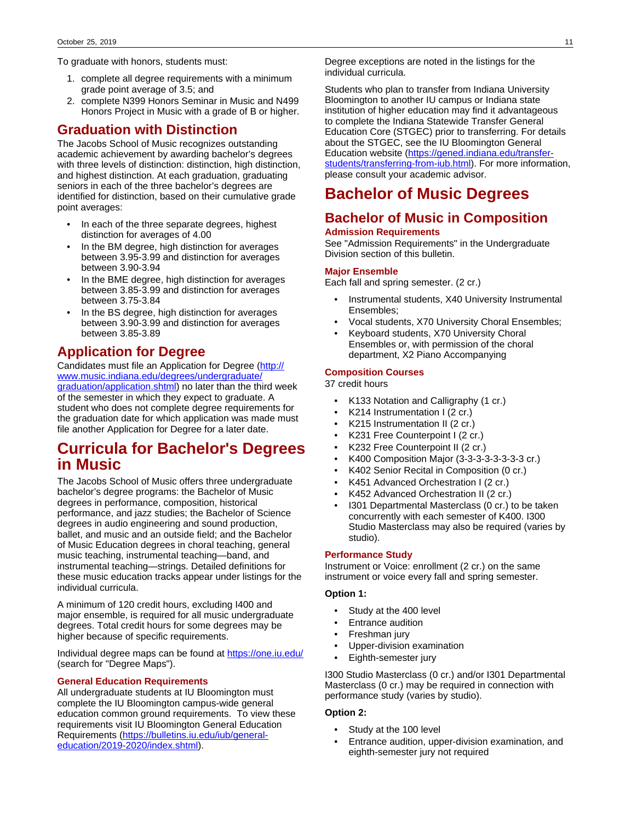To graduate with honors, students must:

- 1. complete all degree requirements with a minimum grade point average of 3.5; and
- 2. complete N399 Honors Seminar in Music and N499 Honors Project in Music with a grade of B or higher.

## **Graduation with Distinction**

The Jacobs School of Music recognizes outstanding academic achievement by awarding bachelor's degrees with three levels of distinction: distinction, high distinction, and highest distinction. At each graduation, graduating seniors in each of the three bachelor's degrees are identified for distinction, based on their cumulative grade point averages:

- In each of the three separate degrees, highest distinction for averages of 4.00
- In the BM degree, high distinction for averages between 3.95-3.99 and distinction for averages between 3.90-3.94
- In the BME degree, high distinction for averages between 3.85-3.99 and distinction for averages between 3.75-3.84
- In the BS degree, high distinction for averages between 3.90-3.99 and distinction for averages between 3.85-3.89

### **Application for Degree**

Candidates must file an Application for Degree [\(http://](http://www.music.indiana.edu/degrees/undergraduate/graduation/application.shtml) [www.music.indiana.edu/degrees/undergraduate/](http://www.music.indiana.edu/degrees/undergraduate/graduation/application.shtml) [graduation/application.shtml](http://www.music.indiana.edu/degrees/undergraduate/graduation/application.shtml)) no later than the third week of the semester in which they expect to graduate. A student who does not complete degree requirements for the graduation date for which application was made must file another Application for Degree for a later date.

## **Curricula for Bachelor's Degrees in Music**

The Jacobs School of Music offers three undergraduate bachelor's degree programs: the Bachelor of Music degrees in performance, composition, historical performance, and jazz studies; the Bachelor of Science degrees in audio engineering and sound production, ballet, and music and an outside field; and the Bachelor of Music Education degrees in choral teaching, general music teaching, instrumental teaching—band, and instrumental teaching—strings. Detailed definitions for these music education tracks appear under listings for the individual curricula.

A minimum of 120 credit hours, excluding I400 and major ensemble, is required for all music undergraduate degrees. Total credit hours for some degrees may be higher because of specific requirements.

Individual degree maps can be found at<https://one.iu.edu/> (search for "Degree Maps").

#### **General Education Requirements**

All undergraduate students at IU Bloomington must complete the IU Bloomington campus-wide general education common ground requirements. To view these requirements visit IU Bloomington General Education Requirements ([https://bulletins.iu.edu/iub/general](https://bulletins.iu.edu/iub/general-education/2019-2020/index.shtml)[education/2019-2020/index.shtml\)](https://bulletins.iu.edu/iub/general-education/2019-2020/index.shtml).

Degree exceptions are noted in the listings for the individual curricula.

Students who plan to transfer from Indiana University Bloomington to another IU campus or Indiana state institution of higher education may find it advantageous to complete the Indiana Statewide Transfer General Education Core (STGEC) prior to transferring. For details about the STGEC, see the IU Bloomington General Education website ([https://gened.indiana.edu/transfer](https://gened.indiana.edu/transfer-students/transferring-from-iub.html)[students/transferring-from-iub.html\)](https://gened.indiana.edu/transfer-students/transferring-from-iub.html). For more information, please consult your academic advisor.

## **Bachelor of Music Degrees**

### **Bachelor of Music in Composition Admission Requirements**

See "Admission Requirements" in the Undergraduate Division section of this bulletin.

#### **Major Ensemble**

Each fall and spring semester. (2 cr.)

- Instrumental students, X40 University Instrumental Ensembles;
- Vocal students, X70 University Choral Ensembles;
- Keyboard students, X70 University Choral Ensembles or, with permission of the choral department, X2 Piano Accompanying

#### **Composition Courses**

37 credit hours

- K133 Notation and Calligraphy (1 cr.)
- K214 Instrumentation I (2 cr.)
- K215 Instrumentation II (2 cr.)
- K231 Free Counterpoint I (2 cr.)
- K232 Free Counterpoint II (2 cr.)
- K400 Composition Major (3-3-3-3-3-3-3-3 cr.)
- K402 Senior Recital in Composition (0 cr.)
- K451 Advanced Orchestration I (2 cr.)
- K452 Advanced Orchestration II (2 cr.)
- I301 Departmental Masterclass (0 cr.) to be taken concurrently with each semester of K400. I300 Studio Masterclass may also be required (varies by studio).

#### **Performance Study**

Instrument or Voice: enrollment (2 cr.) on the same instrument or voice every fall and spring semester.

#### **Option 1:**

- Study at the 400 level
- Entrance audition
- Freshman jury
- Upper-division examination
- Eighth-semester jury

I300 Studio Masterclass (0 cr.) and/or I301 Departmental Masterclass (0 cr.) may be required in connection with performance study (varies by studio).

#### **Option 2:**

- Study at the 100 level
- Entrance audition, upper-division examination, and eighth-semester jury not required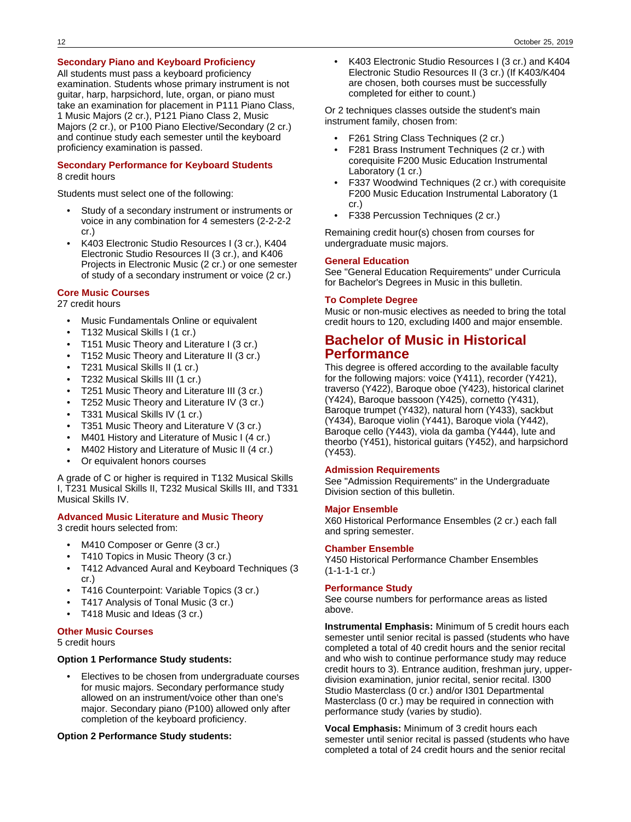#### **Secondary Piano and Keyboard Proficiency**

All students must pass a keyboard proficiency examination. Students whose primary instrument is not guitar, harp, harpsichord, lute, organ, or piano must take an examination for placement in P111 Piano Class, 1 Music Majors (2 cr.), P121 Piano Class 2, Music Majors (2 cr.), or P100 Piano Elective/Secondary (2 cr.) and continue study each semester until the keyboard proficiency examination is passed.

#### **Secondary Performance for Keyboard Students** 8 credit hours

Students must select one of the following:

- Study of a secondary instrument or instruments or voice in any combination for 4 semesters (2-2-2-2 cr.)
- K403 Electronic Studio Resources I (3 cr.), K404 Electronic Studio Resources II (3 cr.), and K406 Projects in Electronic Music (2 cr.) or one semester of study of a secondary instrument or voice (2 cr.)

#### **Core Music Courses**

27 credit hours

- Music Fundamentals Online or equivalent
- T132 Musical Skills I (1 cr.)
- T151 Music Theory and Literature I (3 cr.)
- T152 Music Theory and Literature II (3 cr.)
- T231 Musical Skills II (1 cr.)
- T232 Musical Skills III (1 cr.)
- T251 Music Theory and Literature III (3 cr.)
- T252 Music Theory and Literature IV (3 cr.)
- T331 Musical Skills IV (1 cr.)
- T351 Music Theory and Literature V (3 cr.)
- M401 History and Literature of Music I (4 cr.)
- M402 History and Literature of Music II (4 cr.)
- Or equivalent honors courses

A grade of C or higher is required in T132 Musical Skills I, T231 Musical Skills II, T232 Musical Skills III, and T331 Musical Skills IV.

### **Advanced Music Literature and Music Theory**

3 credit hours selected from:

- M410 Composer or Genre (3 cr.)
- T410 Topics in Music Theory (3 cr.)
- T412 Advanced Aural and Keyboard Techniques (3 cr.)
- T416 Counterpoint: Variable Topics (3 cr.)
- T417 Analysis of Tonal Music (3 cr.)
- T418 Music and Ideas (3 cr.)

#### **Other Music Courses**

5 credit hours

#### **Option 1 Performance Study students:**

• Electives to be chosen from undergraduate courses for music majors. Secondary performance study allowed on an instrument/voice other than one's major. Secondary piano (P100) allowed only after completion of the keyboard proficiency.

#### **Option 2 Performance Study students:**

• K403 Electronic Studio Resources I (3 cr.) and K404 Electronic Studio Resources II (3 cr.) (If K403/K404 are chosen, both courses must be successfully completed for either to count.)

Or 2 techniques classes outside the student's main instrument family, chosen from:

- F261 String Class Techniques (2 cr.)
- F281 Brass Instrument Techniques (2 cr.) with corequisite F200 Music Education Instrumental Laboratory (1 cr.)
- F337 Woodwind Techniques (2 cr.) with corequisite F200 Music Education Instrumental Laboratory (1 cr.)
- F338 Percussion Techniques (2 cr.)

Remaining credit hour(s) chosen from courses for undergraduate music majors.

#### **General Education**

See "General Education Requirements" under Curricula for Bachelor's Degrees in Music in this bulletin.

#### **To Complete Degree**

Music or non-music electives as needed to bring the total credit hours to 120, excluding I400 and major ensemble.

### **Bachelor of Music in Historical Performance**

This degree is offered according to the available faculty for the following majors: voice (Y411), recorder (Y421), traverso (Y422), Baroque oboe (Y423), historical clarinet (Y424), Baroque bassoon (Y425), cornetto (Y431), Baroque trumpet (Y432), natural horn (Y433), sackbut (Y434), Baroque violin (Y441), Baroque viola (Y442), Baroque cello (Y443), viola da gamba (Y444), lute and theorbo (Y451), historical guitars (Y452), and harpsichord (Y453).

#### **Admission Requirements**

See "Admission Requirements" in the Undergraduate Division section of this bulletin.

#### **Major Ensemble**

X60 Historical Performance Ensembles (2 cr.) each fall and spring semester.

#### **Chamber Ensemble**

Y450 Historical Performance Chamber Ensembles  $(1-1-1-1)$  cr.)

#### **Performance Study**

See course numbers for performance areas as listed above.

**Instrumental Emphasis:** Minimum of 5 credit hours each semester until senior recital is passed (students who have completed a total of 40 credit hours and the senior recital and who wish to continue performance study may reduce credit hours to 3). Entrance audition, freshman jury, upperdivision examination, junior recital, senior recital. I300 Studio Masterclass (0 cr.) and/or I301 Departmental Masterclass (0 cr.) may be required in connection with performance study (varies by studio).

**Vocal Emphasis:** Minimum of 3 credit hours each semester until senior recital is passed (students who have completed a total of 24 credit hours and the senior recital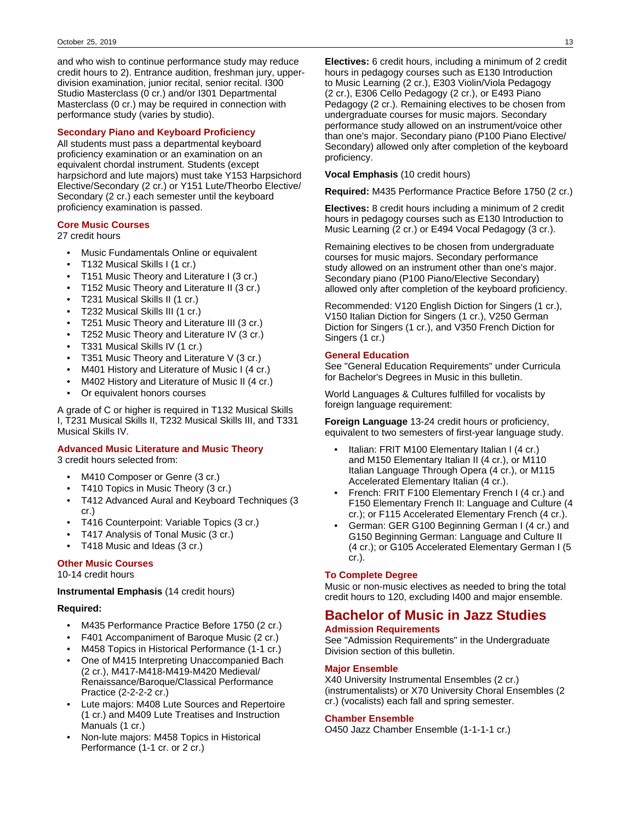and who wish to continue performance study may reduce credit hours to 2). Entrance audition, freshman jury, upperdivision examination, junior recital, senior recital. I300 Studio Masterclass (0 cr.) and/or I301 Departmental Masterclass (0 cr.) may be required in connection with performance study (varies by studio).

#### **Secondary Piano and Keyboard Proficiency**

All students must pass a departmental keyboard proficiency examination or an examination on an equivalent chordal instrument. Students (except harpsichord and lute majors) must take Y153 Harpsichord Elective/Secondary (2 cr.) or Y151 Lute/Theorbo Elective/ Secondary (2 cr.) each semester until the keyboard proficiency examination is passed.

#### **Core Music Courses**

27 credit hours

- Music Fundamentals Online or equivalent
- T132 Musical Skills I (1 cr.)
- T151 Music Theory and Literature I (3 cr.)
- T152 Music Theory and Literature II (3 cr.)
- T231 Musical Skills II (1 cr.)
- T232 Musical Skills III (1 cr.)
- T251 Music Theory and Literature III (3 cr.)
- T252 Music Theory and Literature IV (3 cr.)
- T331 Musical Skills IV (1 cr.)
- T351 Music Theory and Literature V (3 cr.)
- M401 History and Literature of Music I (4 cr.)
- M402 History and Literature of Music II (4 cr.)
- Or equivalent honors courses

A grade of C or higher is required in T132 Musical Skills I, T231 Musical Skills II, T232 Musical Skills III, and T331 Musical Skills IV.

### **Advanced Music Literature and Music Theory**

3 credit hours selected from:

- M410 Composer or Genre (3 cr.)
- T410 Topics in Music Theory (3 cr.)
- T412 Advanced Aural and Keyboard Techniques (3 cr.)
- T416 Counterpoint: Variable Topics (3 cr.)
- T417 Analysis of Tonal Music (3 cr.)
- T418 Music and Ideas (3 cr.)

#### **Other Music Courses**

10-14 credit hours

#### **Instrumental Emphasis** (14 credit hours)

#### **Required:**

- M435 Performance Practice Before 1750 (2 cr.)
- F401 Accompaniment of Baroque Music (2 cr.)
- M458 Topics in Historical Performance (1-1 cr.)
- One of M415 Interpreting Unaccompanied Bach (2 cr.), M417-M418-M419-M420 Medieval/ Renaissance/Baroque/Classical Performance Practice (2-2-2-2 cr.)
- Lute majors: M408 Lute Sources and Repertoire (1 cr.) and M409 Lute Treatises and Instruction Manuals (1 cr.)
- Non-lute majors: M458 Topics in Historical Performance (1-1 cr. or 2 cr.)

Pedagogy (2 cr.). Remaining electives to be chosen from undergraduate courses for music majors. Secondary performance study allowed on an instrument/voice other than one's major. Secondary piano (P100 Piano Elective/ Secondary) allowed only after completion of the keyboard proficiency.

#### **Vocal Emphasis** (10 credit hours)

**Required:** M435 Performance Practice Before 1750 (2 cr.)

**Electives:** 8 credit hours including a minimum of 2 credit hours in pedagogy courses such as E130 Introduction to Music Learning (2 cr.) or E494 Vocal Pedagogy (3 cr.).

Remaining electives to be chosen from undergraduate courses for music majors. Secondary performance study allowed on an instrument other than one's major. Secondary piano (P100 Piano/Elective Secondary) allowed only after completion of the keyboard proficiency.

Recommended: V120 English Diction for Singers (1 cr.), V150 Italian Diction for Singers (1 cr.), V250 German Diction for Singers (1 cr.), and V350 French Diction for Singers (1 cr.)

#### **General Education**

See "General Education Requirements" under Curricula for Bachelor's Degrees in Music in this bulletin.

World Languages & Cultures fulfilled for vocalists by foreign language requirement:

**Foreign Language** 13-24 credit hours or proficiency, equivalent to two semesters of first-year language study.

- Italian: FRIT M100 Elementary Italian I (4 cr.) and M150 Elementary Italian II (4 cr.), or M110 Italian Language Through Opera (4 cr.), or M115 Accelerated Elementary Italian (4 cr.).
- French: FRIT F100 Elementary French I (4 cr.) and F150 Elementary French II: Language and Culture (4 cr.); or F115 Accelerated Elementary French (4 cr.).
- German: GER G100 Beginning German I (4 cr.) and G150 Beginning German: Language and Culture II (4 cr.); or G105 Accelerated Elementary German I (5 cr.).

#### **To Complete Degree**

Music or non-music electives as needed to bring the total credit hours to 120, excluding I400 and major ensemble.

### **Bachelor of Music in Jazz Studies Admission Requirements**

See "Admission Requirements" in the Undergraduate Division section of this bulletin.

#### **Major Ensemble**

X40 University Instrumental Ensembles (2 cr.) (instrumentalists) or X70 University Choral Ensembles (2 cr.) (vocalists) each fall and spring semester.

#### **Chamber Ensemble**

O450 Jazz Chamber Ensemble (1-1-1-1 cr.)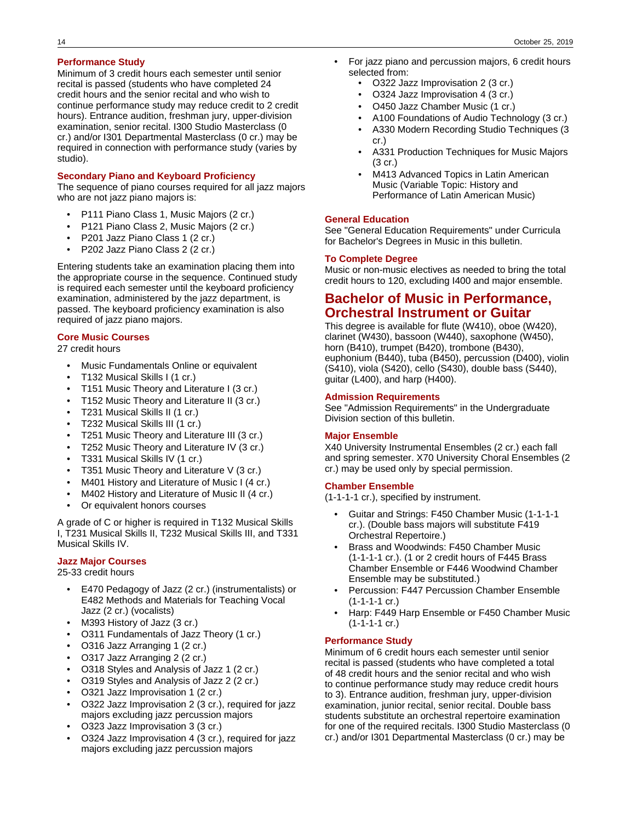### **Performance Study**

Minimum of 3 credit hours each semester until senior recital is passed (students who have completed 24 credit hours and the senior recital and who wish to continue performance study may reduce credit to 2 credit hours). Entrance audition, freshman jury, upper-division examination, senior recital. I300 Studio Masterclass (0 cr.) and/or I301 Departmental Masterclass (0 cr.) may be required in connection with performance study (varies by studio).

#### **Secondary Piano and Keyboard Proficiency**

The sequence of piano courses required for all jazz majors who are not jazz piano majors is:

- P111 Piano Class 1, Music Majors (2 cr.)
- P121 Piano Class 2, Music Majors (2 cr.)
- P201 Jazz Piano Class 1 (2 cr.)
- P202 Jazz Piano Class 2 (2 cr.)

Entering students take an examination placing them into the appropriate course in the sequence. Continued study is required each semester until the keyboard proficiency examination, administered by the jazz department, is passed. The keyboard proficiency examination is also required of jazz piano majors.

#### **Core Music Courses**

27 credit hours

- Music Fundamentals Online or equivalent
- T132 Musical Skills I (1 cr.)
- T151 Music Theory and Literature I (3 cr.)
- T152 Music Theory and Literature II (3 cr.)
- T231 Musical Skills II (1 cr.)
- T232 Musical Skills III (1 cr.)
- T251 Music Theory and Literature III (3 cr.)
- T252 Music Theory and Literature IV (3 cr.)
- T331 Musical Skills IV (1 cr.)
- T351 Music Theory and Literature V (3 cr.)
- M401 History and Literature of Music I (4 cr.)
- M402 History and Literature of Music II (4 cr.)
- Or equivalent honors courses

A grade of C or higher is required in T132 Musical Skills I, T231 Musical Skills II, T232 Musical Skills III, and T331 Musical Skills IV.

#### **Jazz Major Courses**

25-33 credit hours

- E470 Pedagogy of Jazz (2 cr.) (instrumentalists) or E482 Methods and Materials for Teaching Vocal Jazz (2 cr.) (vocalists)
- M393 History of Jazz (3 cr.)
- O311 Fundamentals of Jazz Theory (1 cr.)
- O316 Jazz Arranging 1 (2 cr.)
- O317 Jazz Arranging 2 (2 cr.)
- O318 Styles and Analysis of Jazz 1 (2 cr.)
- O319 Styles and Analysis of Jazz 2 (2 cr.)
- O321 Jazz Improvisation 1 (2 cr.)
- O322 Jazz Improvisation 2 (3 cr.), required for jazz majors excluding jazz percussion majors
- O323 Jazz Improvisation 3 (3 cr.)
- O324 Jazz Improvisation 4 (3 cr.), required for jazz majors excluding jazz percussion majors
- For jazz piano and percussion majors, 6 credit hours selected from:
	- O322 Jazz Improvisation 2 (3 cr.)
	- O324 Jazz Improvisation 4 (3 cr.)
	- O450 Jazz Chamber Music (1 cr.)
	- A100 Foundations of Audio Technology (3 cr.) • A330 Modern Recording Studio Techniques (3
	- cr.)
	- A331 Production Techniques for Music Majors (3 cr.)
	- M413 Advanced Topics in Latin American Music (Variable Topic: History and Performance of Latin American Music)

#### **General Education**

See "General Education Requirements" under Curricula for Bachelor's Degrees in Music in this bulletin.

#### **To Complete Degree**

Music or non-music electives as needed to bring the total credit hours to 120, excluding I400 and major ensemble.

### **Bachelor of Music in Performance, Orchestral Instrument or Guitar**

This degree is available for flute (W410), oboe (W420), clarinet (W430), bassoon (W440), saxophone (W450), horn (B410), trumpet (B420), trombone (B430), euphonium (B440), tuba (B450), percussion (D400), violin (S410), viola (S420), cello (S430), double bass (S440), guitar (L400), and harp (H400).

#### **Admission Requirements**

See "Admission Requirements" in the Undergraduate Division section of this bulletin.

#### **Major Ensemble**

X40 University Instrumental Ensembles (2 cr.) each fall and spring semester. X70 University Choral Ensembles (2 cr.) may be used only by special permission.

#### **Chamber Ensemble**

(1-1-1-1 cr.), specified by instrument.

- Guitar and Strings: F450 Chamber Music (1-1-1-1 cr.). (Double bass majors will substitute F419 Orchestral Repertoire.)
- Brass and Woodwinds: F450 Chamber Music (1-1-1-1 cr.). (1 or 2 credit hours of F445 Brass Chamber Ensemble or F446 Woodwind Chamber Ensemble may be substituted.)
- Percussion: F447 Percussion Chamber Ensemble  $(1-1-1-1)$  cr.)
- Harp: F449 Harp Ensemble or F450 Chamber Music  $(1-1-1-1)$  cr.)

### **Performance Study**

Minimum of 6 credit hours each semester until senior recital is passed (students who have completed a total of 48 credit hours and the senior recital and who wish to continue performance study may reduce credit hours to 3). Entrance audition, freshman jury, upper-division examination, junior recital, senior recital. Double bass students substitute an orchestral repertoire examination for one of the required recitals. I300 Studio Masterclass (0 cr.) and/or I301 Departmental Masterclass (0 cr.) may be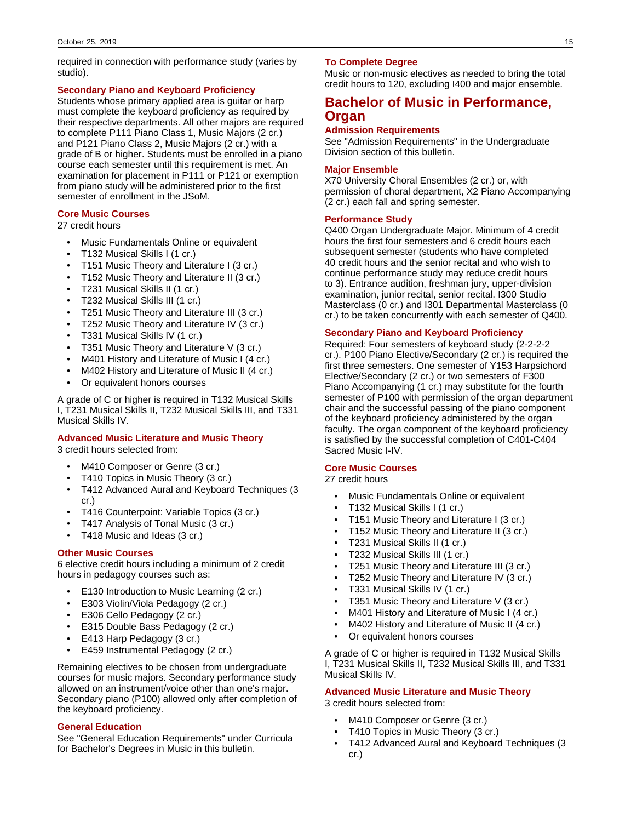required in connection with performance study (varies by studio).

#### **Secondary Piano and Keyboard Proficiency**

Students whose primary applied area is guitar or harp must complete the keyboard proficiency as required by their respective departments. All other majors are required to complete P111 Piano Class 1, Music Majors (2 cr.) and P121 Piano Class 2, Music Majors (2 cr.) with a grade of B or higher. Students must be enrolled in a piano course each semester until this requirement is met. An examination for placement in P111 or P121 or exemption from piano study will be administered prior to the first semester of enrollment in the JSoM.

#### **Core Music Courses**

27 credit hours

- Music Fundamentals Online or equivalent
- T132 Musical Skills I (1 cr.)
- T151 Music Theory and Literature I (3 cr.)
- T152 Music Theory and Literature II (3 cr.)
- T231 Musical Skills II (1 cr.)
- T232 Musical Skills III (1 cr.)
- T251 Music Theory and Literature III (3 cr.)
- T252 Music Theory and Literature IV (3 cr.)
- T331 Musical Skills IV (1 cr.)
- T351 Music Theory and Literature V (3 cr.)
- M401 History and Literature of Music I (4 cr.)
- M402 History and Literature of Music II (4 cr.)
- Or equivalent honors courses

A grade of C or higher is required in T132 Musical Skills I, T231 Musical Skills II, T232 Musical Skills III, and T331 Musical Skills IV.

#### **Advanced Music Literature and Music Theory**

3 credit hours selected from:

- M410 Composer or Genre (3 cr.)
- T410 Topics in Music Theory (3 cr.)
- T412 Advanced Aural and Keyboard Techniques (3 cr.)
- T416 Counterpoint: Variable Topics (3 cr.)
- T417 Analysis of Tonal Music (3 cr.)
- T418 Music and Ideas (3 cr.)

#### **Other Music Courses**

6 elective credit hours including a minimum of 2 credit hours in pedagogy courses such as:

- E130 Introduction to Music Learning (2 cr.)
- E303 Violin/Viola Pedagogy (2 cr.)
- E306 Cello Pedagogy (2 cr.)
- E315 Double Bass Pedagogy (2 cr.)
- E413 Harp Pedagogy (3 cr.)
- E459 Instrumental Pedagogy (2 cr.)

Remaining electives to be chosen from undergraduate courses for music majors. Secondary performance study allowed on an instrument/voice other than one's major. Secondary piano (P100) allowed only after completion of the keyboard proficiency.

#### **General Education**

See "General Education Requirements" under Curricula for Bachelor's Degrees in Music in this bulletin.

#### **To Complete Degree**

Music or non-music electives as needed to bring the total credit hours to 120, excluding I400 and major ensemble.

### **Bachelor of Music in Performance, Organ**

#### **Admission Requirements**

See "Admission Requirements" in the Undergraduate Division section of this bulletin.

#### **Major Ensemble**

X70 University Choral Ensembles (2 cr.) or, with permission of choral department, X2 Piano Accompanying (2 cr.) each fall and spring semester.

#### **Performance Study**

Q400 Organ Undergraduate Major. Minimum of 4 credit hours the first four semesters and 6 credit hours each subsequent semester (students who have completed 40 credit hours and the senior recital and who wish to continue performance study may reduce credit hours to 3). Entrance audition, freshman jury, upper-division examination, junior recital, senior recital. I300 Studio Masterclass (0 cr.) and I301 Departmental Masterclass (0 cr.) to be taken concurrently with each semester of Q400.

#### **Secondary Piano and Keyboard Proficiency**

Required: Four semesters of keyboard study (2-2-2-2 cr.). P100 Piano Elective/Secondary (2 cr.) is required the first three semesters. One semester of Y153 Harpsichord Elective/Secondary (2 cr.) or two semesters of F300 Piano Accompanying (1 cr.) may substitute for the fourth semester of P100 with permission of the organ department chair and the successful passing of the piano component of the keyboard proficiency administered by the organ faculty. The organ component of the keyboard proficiency is satisfied by the successful completion of C401-C404 Sacred Music I-IV.

#### **Core Music Courses**

27 credit hours

- Music Fundamentals Online or equivalent
- T132 Musical Skills I (1 cr.)
- T151 Music Theory and Literature I (3 cr.)
- T152 Music Theory and Literature II (3 cr.)
- T231 Musical Skills II (1 cr.)
- T232 Musical Skills III (1 cr.)
- T251 Music Theory and Literature III (3 cr.)
- T252 Music Theory and Literature IV (3 cr.)
- T331 Musical Skills IV (1 cr.)
- T351 Music Theory and Literature V (3 cr.)
- M401 History and Literature of Music I (4 cr.)
- M402 History and Literature of Music II (4 cr.)
- Or equivalent honors courses

A grade of C or higher is required in T132 Musical Skills I, T231 Musical Skills II, T232 Musical Skills III, and T331 Musical Skills IV.

### **Advanced Music Literature and Music Theory**

3 credit hours selected from:

- M410 Composer or Genre (3 cr.)
- T410 Topics in Music Theory (3 cr.)
- T412 Advanced Aural and Keyboard Techniques (3 cr.)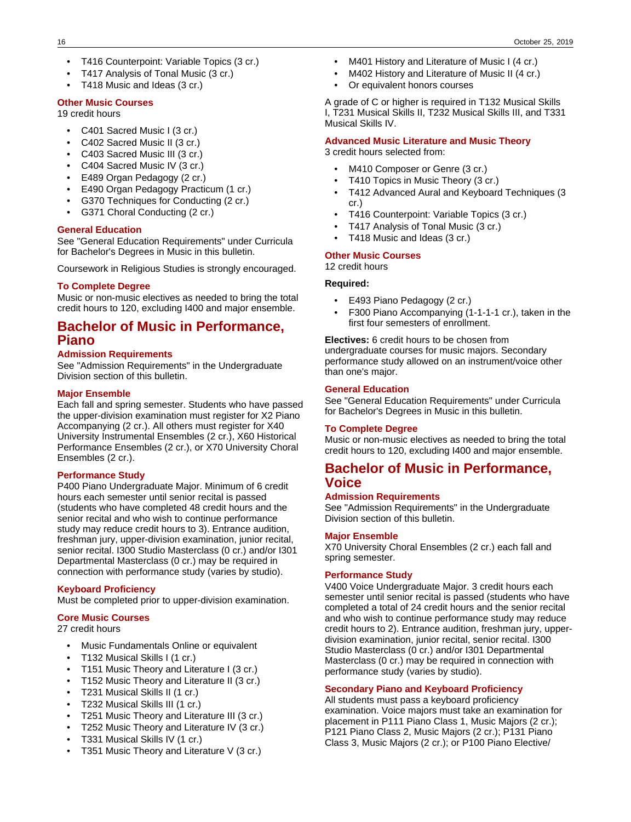- T416 Counterpoint: Variable Topics (3 cr.)
- T417 Analysis of Tonal Music (3 cr.)
- T418 Music and Ideas (3 cr.)

#### **Other Music Courses**

19 credit hours

- C401 Sacred Music I (3 cr.)
- C402 Sacred Music II (3 cr.)
- C403 Sacred Music III (3 cr.)
- C404 Sacred Music IV (3 cr.)
- E489 Organ Pedagogy (2 cr.)
- E490 Organ Pedagogy Practicum (1 cr.)
- G370 Techniques for Conducting (2 cr.)
- G371 Choral Conducting (2 cr.)

#### **General Education**

See "General Education Requirements" under Curricula for Bachelor's Degrees in Music in this bulletin.

Coursework in Religious Studies is strongly encouraged.

#### **To Complete Degree**

Music or non-music electives as needed to bring the total credit hours to 120, excluding I400 and major ensemble.

### **Bachelor of Music in Performance, Piano**

#### **Admission Requirements**

See "Admission Requirements" in the Undergraduate Division section of this bulletin.

#### **Major Ensemble**

Each fall and spring semester. Students who have passed the upper-division examination must register for X2 Piano Accompanying (2 cr.). All others must register for X40 University Instrumental Ensembles (2 cr.), X60 Historical Performance Ensembles (2 cr.), or X70 University Choral Ensembles (2 cr.).

#### **Performance Study**

P400 Piano Undergraduate Major. Minimum of 6 credit hours each semester until senior recital is passed (students who have completed 48 credit hours and the senior recital and who wish to continue performance study may reduce credit hours to 3). Entrance audition, freshman jury, upper-division examination, junior recital, senior recital. I300 Studio Masterclass (0 cr.) and/or I301 Departmental Masterclass (0 cr.) may be required in connection with performance study (varies by studio).

#### **Keyboard Proficiency**

Must be completed prior to upper-division examination.

#### **Core Music Courses**

27 credit hours

- Music Fundamentals Online or equivalent
- T132 Musical Skills I (1 cr.)
- T151 Music Theory and Literature I (3 cr.)
- T152 Music Theory and Literature II (3 cr.)
- T231 Musical Skills II (1 cr.)
- T232 Musical Skills III (1 cr.)
- T251 Music Theory and Literature III (3 cr.)
- T252 Music Theory and Literature IV (3 cr.)
- T331 Musical Skills IV (1 cr.)
- T351 Music Theory and Literature V (3 cr.)
- M401 History and Literature of Music I (4 cr.)
- M402 History and Literature of Music II (4 cr.)
- Or equivalent honors courses

A grade of C or higher is required in T132 Musical Skills I, T231 Musical Skills II, T232 Musical Skills III, and T331 Musical Skills IV.

#### **Advanced Music Literature and Music Theory**

3 credit hours selected from:

- M410 Composer or Genre (3 cr.)
- T410 Topics in Music Theory (3 cr.)
- T412 Advanced Aural and Keyboard Techniques (3 cr.)
- T416 Counterpoint: Variable Topics (3 cr.)
- T417 Analysis of Tonal Music (3 cr.)
- T418 Music and Ideas (3 cr.)

#### **Other Music Courses**

12 credit hours

#### **Required:**

- E493 Piano Pedagogy (2 cr.)
- F300 Piano Accompanying (1-1-1-1 cr.), taken in the first four semesters of enrollment.

**Electives:** 6 credit hours to be chosen from undergraduate courses for music majors. Secondary performance study allowed on an instrument/voice other than one's major.

#### **General Education**

See "General Education Requirements" under Curricula for Bachelor's Degrees in Music in this bulletin.

#### **To Complete Degree**

Music or non-music electives as needed to bring the total credit hours to 120, excluding I400 and major ensemble.

## **Bachelor of Music in Performance, Voice**

### **Admission Requirements**

See "Admission Requirements" in the Undergraduate Division section of this bulletin.

#### **Major Ensemble**

X70 University Choral Ensembles (2 cr.) each fall and spring semester.

#### **Performance Study**

V400 Voice Undergraduate Major. 3 credit hours each semester until senior recital is passed (students who have completed a total of 24 credit hours and the senior recital and who wish to continue performance study may reduce credit hours to 2). Entrance audition, freshman jury, upperdivision examination, junior recital, senior recital. I300 Studio Masterclass (0 cr.) and/or I301 Departmental Masterclass (0 cr.) may be required in connection with performance study (varies by studio).

#### **Secondary Piano and Keyboard Proficiency**

All students must pass a keyboard proficiency examination. Voice majors must take an examination for placement in P111 Piano Class 1, Music Majors (2 cr.); P121 Piano Class 2, Music Majors (2 cr.); P131 Piano Class 3, Music Majors (2 cr.); or P100 Piano Elective/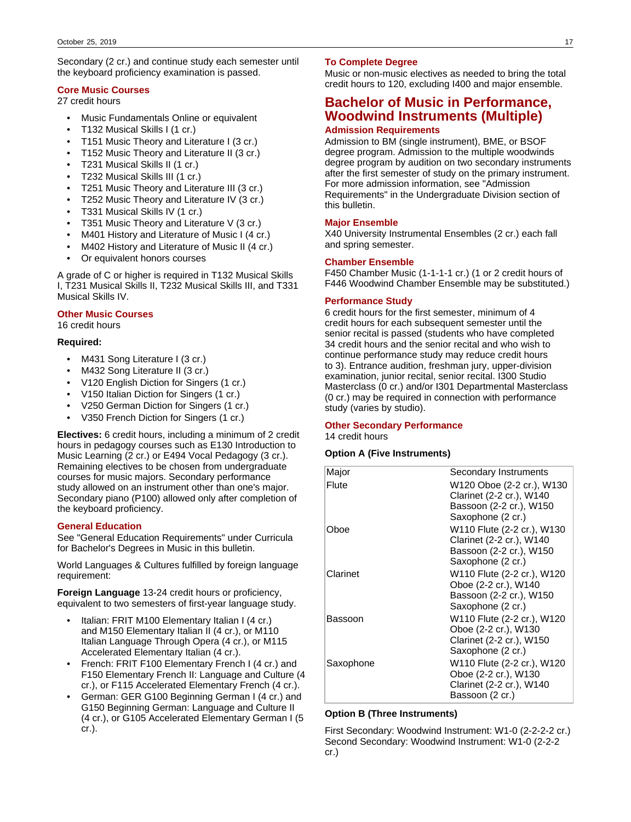Secondary (2 cr.) and continue study each semester until the keyboard proficiency examination is passed.

#### **Core Music Courses**

27 credit hours

- Music Fundamentals Online or equivalent
- T132 Musical Skills I (1 cr.)
- T151 Music Theory and Literature I (3 cr.)
- T152 Music Theory and Literature II (3 cr.)
- T231 Musical Skills II (1 cr.)
- T232 Musical Skills III (1 cr.)
- T251 Music Theory and Literature III (3 cr.)
- T252 Music Theory and Literature IV (3 cr.)
- T331 Musical Skills IV (1 cr.)
- T351 Music Theory and Literature V (3 cr.)
- M401 History and Literature of Music I (4 cr.)
- M402 History and Literature of Music II (4 cr.)
- Or equivalent honors courses

A grade of C or higher is required in T132 Musical Skills I, T231 Musical Skills II, T232 Musical Skills III, and T331 Musical Skills IV.

#### **Other Music Courses**

16 credit hours

#### **Required:**

- M431 Song Literature I (3 cr.)
- M432 Song Literature II (3 cr.)
- V120 English Diction for Singers (1 cr.)
- V150 Italian Diction for Singers (1 cr.)
- V250 German Diction for Singers (1 cr.)
- V350 French Diction for Singers (1 cr.)

**Electives:** 6 credit hours, including a minimum of 2 credit hours in pedagogy courses such as E130 Introduction to Music Learning (2 cr.) or E494 Vocal Pedagogy (3 cr.). Remaining electives to be chosen from undergraduate courses for music majors. Secondary performance study allowed on an instrument other than one's major. Secondary piano (P100) allowed only after completion of the keyboard proficiency.

#### **General Education**

See "General Education Requirements" under Curricula for Bachelor's Degrees in Music in this bulletin.

World Languages & Cultures fulfilled by foreign language requirement:

**Foreign Language** 13-24 credit hours or proficiency, equivalent to two semesters of first-year language study.

- Italian: FRIT M100 Elementary Italian I (4 cr.) and M150 Elementary Italian II (4 cr.), or M110 Italian Language Through Opera (4 cr.), or M115 Accelerated Elementary Italian (4 cr.).
- French: FRIT F100 Elementary French I (4 cr.) and F150 Elementary French II: Language and Culture (4 cr.), or F115 Accelerated Elementary French (4 cr.).
- German: GER G100 Beginning German I (4 cr.) and G150 Beginning German: Language and Culture II (4 cr.), or G105 Accelerated Elementary German I (5 cr.).

#### **To Complete Degree**

Music or non-music electives as needed to bring the total credit hours to 120, excluding I400 and major ensemble.

### **Bachelor of Music in Performance, Woodwind Instruments (Multiple) Admission Requirements**

Admission to BM (single instrument), BME, or BSOF degree program. Admission to the multiple woodwinds degree program by audition on two secondary instruments after the first semester of study on the primary instrument. For more admission information, see "Admission Requirements" in the Undergraduate Division section of this bulletin.

#### **Major Ensemble**

X40 University Instrumental Ensembles (2 cr.) each fall and spring semester.

#### **Chamber Ensemble**

F450 Chamber Music (1-1-1-1 cr.) (1 or 2 credit hours of F446 Woodwind Chamber Ensemble may be substituted.)

#### **Performance Study**

6 credit hours for the first semester, minimum of 4 credit hours for each subsequent semester until the senior recital is passed (students who have completed 34 credit hours and the senior recital and who wish to continue performance study may reduce credit hours to 3). Entrance audition, freshman jury, upper-division examination, junior recital, senior recital. I300 Studio Masterclass (0 cr.) and/or I301 Departmental Masterclass (0 cr.) may be required in connection with performance study (varies by studio).

#### **Other Secondary Performance**

14 credit hours

#### **Option A (Five Instruments)**

| Major     | Secondary Instruments                                                                                  |
|-----------|--------------------------------------------------------------------------------------------------------|
| Flute     | W120 Oboe (2-2 cr.), W130<br>Clarinet (2-2 cr.), W140<br>Bassoon (2-2 cr.), W150<br>Saxophone (2 cr.)  |
| Oboe      | W110 Flute (2-2 cr.), W130<br>Clarinet (2-2 cr.), W140<br>Bassoon (2-2 cr.), W150<br>Saxophone (2 cr.) |
| Clarinet  | W110 Flute (2-2 cr.), W120<br>Oboe (2-2 cr.), W140<br>Bassoon (2-2 cr.), W150<br>Saxophone (2 cr.)     |
| Bassoon   | W110 Flute (2-2 cr.), W120<br>Oboe (2-2 cr.), W130<br>Clarinet (2-2 cr.), W150<br>Saxophone (2 cr.)    |
| Saxophone | W110 Flute (2-2 cr.), W120<br>Oboe (2-2 cr.), W130<br>Clarinet (2-2 cr.), W140<br>Bassoon (2 cr.)      |

#### **Option B (Three Instruments)**

First Secondary: Woodwind Instrument: W1-0 (2-2-2-2 cr.) Second Secondary: Woodwind Instrument: W1-0 (2-2-2 cr.)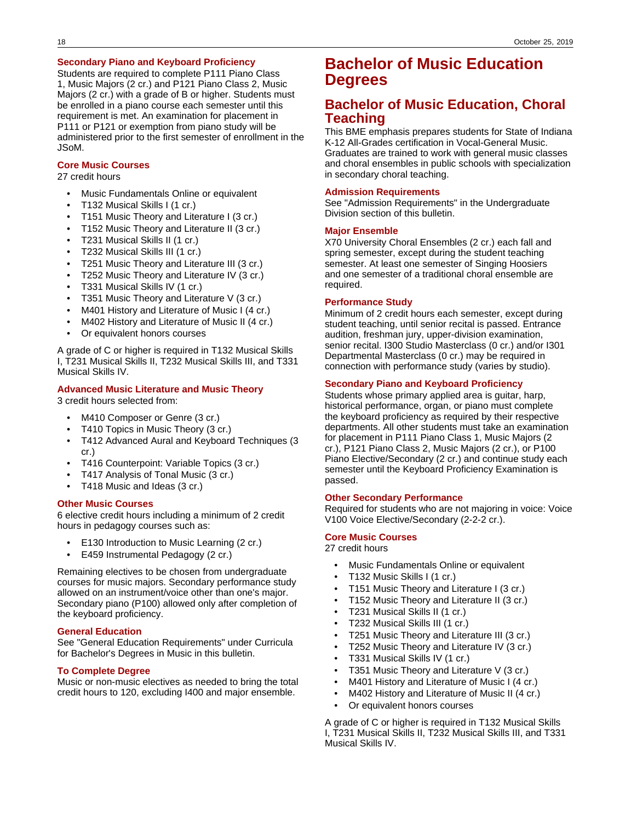### **Secondary Piano and Keyboard Proficiency**

Students are required to complete P111 Piano Class 1, Music Majors (2 cr.) and P121 Piano Class 2, Music Majors (2 cr.) with a grade of B or higher. Students must be enrolled in a piano course each semester until this requirement is met. An examination for placement in P111 or P121 or exemption from piano study will be administered prior to the first semester of enrollment in the JSoM.

#### **Core Music Courses**

### 27 credit hours

- Music Fundamentals Online or equivalent
- T132 Musical Skills I (1 cr.)
- T151 Music Theory and Literature I (3 cr.)
- T152 Music Theory and Literature II (3 cr.)
- T231 Musical Skills II (1 cr.)
- T232 Musical Skills III (1 cr.)
- T251 Music Theory and Literature III (3 cr.)
- T252 Music Theory and Literature IV (3 cr.)
- T331 Musical Skills IV (1 cr.)
- T351 Music Theory and Literature V (3 cr.)
- M401 History and Literature of Music I (4 cr.)
- M402 History and Literature of Music II (4 cr.)
- Or equivalent honors courses

A grade of C or higher is required in T132 Musical Skills I, T231 Musical Skills II, T232 Musical Skills III, and T331 Musical Skills IV.

#### **Advanced Music Literature and Music Theory**

3 credit hours selected from:

- M410 Composer or Genre (3 cr.)
- T410 Topics in Music Theory (3 cr.)
- T412 Advanced Aural and Keyboard Techniques (3 cr.)
- T416 Counterpoint: Variable Topics (3 cr.)
- T417 Analysis of Tonal Music (3 cr.)
- T418 Music and Ideas (3 cr.)

#### **Other Music Courses**

6 elective credit hours including a minimum of 2 credit hours in pedagogy courses such as:

- E130 Introduction to Music Learning (2 cr.)
- E459 Instrumental Pedagogy (2 cr.)

Remaining electives to be chosen from undergraduate courses for music majors. Secondary performance study allowed on an instrument/voice other than one's major. Secondary piano (P100) allowed only after completion of the keyboard proficiency.

#### **General Education**

See "General Education Requirements" under Curricula for Bachelor's Degrees in Music in this bulletin.

#### **To Complete Degree**

Music or non-music electives as needed to bring the total credit hours to 120, excluding I400 and major ensemble.

## **Bachelor of Music Education Degrees**

### **Bachelor of Music Education, Choral Teaching**

This BME emphasis prepares students for State of Indiana K-12 All-Grades certification in Vocal-General Music. Graduates are trained to work with general music classes and choral ensembles in public schools with specialization in secondary choral teaching.

#### **Admission Requirements**

See "Admission Requirements" in the Undergraduate Division section of this bulletin.

#### **Major Ensemble**

X70 University Choral Ensembles (2 cr.) each fall and spring semester, except during the student teaching semester. At least one semester of Singing Hoosiers and one semester of a traditional choral ensemble are required.

#### **Performance Study**

Minimum of 2 credit hours each semester, except during student teaching, until senior recital is passed. Entrance audition, freshman jury, upper-division examination, senior recital. I300 Studio Masterclass (0 cr.) and/or I301 Departmental Masterclass (0 cr.) may be required in connection with performance study (varies by studio).

#### **Secondary Piano and Keyboard Proficiency**

Students whose primary applied area is guitar, harp, historical performance, organ, or piano must complete the keyboard proficiency as required by their respective departments. All other students must take an examination for placement in P111 Piano Class 1, Music Majors (2 cr.), P121 Piano Class 2, Music Majors (2 cr.), or P100 Piano Elective/Secondary (2 cr.) and continue study each semester until the Keyboard Proficiency Examination is passed.

#### **Other Secondary Performance**

Required for students who are not majoring in voice: Voice V100 Voice Elective/Secondary (2-2-2 cr.).

#### **Core Music Courses**

27 credit hours

- Music Fundamentals Online or equivalent
- T132 Music Skills I (1 cr.)
- T151 Music Theory and Literature I (3 cr.)
- T152 Music Theory and Literature II (3 cr.)
- T231 Musical Skills II (1 cr.)
- T232 Musical Skills III (1 cr.)
- T251 Music Theory and Literature III (3 cr.)
- T252 Music Theory and Literature IV (3 cr.)
- T331 Musical Skills IV (1 cr.)
- T351 Music Theory and Literature V (3 cr.)
- M401 History and Literature of Music I (4 cr.)
- M402 History and Literature of Music II (4 cr.)
- Or equivalent honors courses

A grade of C or higher is required in T132 Musical Skills I, T231 Musical Skills II, T232 Musical Skills III, and T331 Musical Skills IV.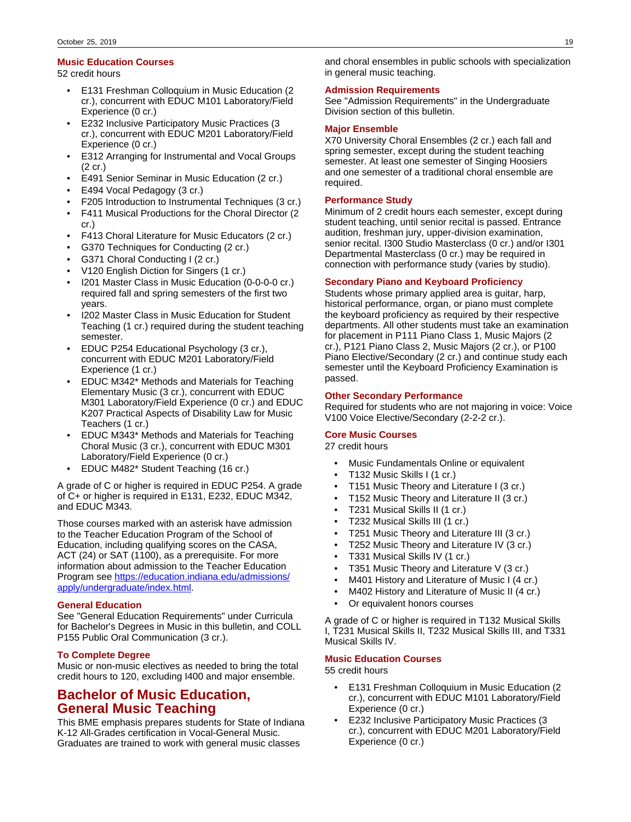#### **Music Education Courses**

52 credit hours

- E131 Freshman Colloquium in Music Education (2 cr.), concurrent with EDUC M101 Laboratory/Field Experience (0 cr.)
- E232 Inclusive Participatory Music Practices (3 cr.), concurrent with EDUC M201 Laboratory/Field Experience (0 cr.)
- E312 Arranging for Instrumental and Vocal Groups (2 cr.)
- E491 Senior Seminar in Music Education (2 cr.)
- E494 Vocal Pedagogy (3 cr.)
- F205 Introduction to Instrumental Techniques (3 cr.)
- F411 Musical Productions for the Choral Director (2 cr.)
- F413 Choral Literature for Music Educators (2 cr.)
- G370 Techniques for Conducting (2 cr.)
- G371 Choral Conducting I (2 cr.)
- V120 English Diction for Singers (1 cr.)
- I201 Master Class in Music Education (0-0-0-0 cr.) required fall and spring semesters of the first two years.
- I202 Master Class in Music Education for Student Teaching (1 cr.) required during the student teaching semester.
- EDUC P254 Educational Psychology (3 cr.), concurrent with EDUC M201 Laboratory/Field Experience (1 cr.)
- EDUC M342\* Methods and Materials for Teaching Elementary Music (3 cr.), concurrent with EDUC M301 Laboratory/Field Experience (0 cr.) and EDUC K207 Practical Aspects of Disability Law for Music Teachers (1 cr.)
- EDUC M343\* Methods and Materials for Teaching Choral Music (3 cr.), concurrent with EDUC M301 Laboratory/Field Experience (0 cr.)
- EDUC M482\* Student Teaching (16 cr.)

A grade of C or higher is required in EDUC P254. A grade of C+ or higher is required in E131, E232, EDUC M342, and EDUC M343.

Those courses marked with an asterisk have admission to the Teacher Education Program of the School of Education, including qualifying scores on the CASA, ACT (24) or SAT (1100), as a prerequisite. For more information about admission to the Teacher Education Program see [https://education.indiana.edu/admissions/](https://education.indiana.edu/admissions/apply/undergraduate/index.html) [apply/undergraduate/index.html](https://education.indiana.edu/admissions/apply/undergraduate/index.html).

#### **General Education**

See "General Education Requirements" under Curricula for Bachelor's Degrees in Music in this bulletin, and COLL P155 Public Oral Communication (3 cr.).

#### **To Complete Degree**

Music or non-music electives as needed to bring the total credit hours to 120, excluding I400 and major ensemble.

## **Bachelor of Music Education, General Music Teaching**

This BME emphasis prepares students for State of Indiana K-12 All-Grades certification in Vocal-General Music. Graduates are trained to work with general music classes

and choral ensembles in public schools with specialization in general music teaching.

#### **Admission Requirements**

See "Admission Requirements" in the Undergraduate Division section of this bulletin.

#### **Major Ensemble**

X70 University Choral Ensembles (2 cr.) each fall and spring semester, except during the student teaching semester. At least one semester of Singing Hoosiers and one semester of a traditional choral ensemble are required.

#### **Performance Study**

Minimum of 2 credit hours each semester, except during student teaching, until senior recital is passed. Entrance audition, freshman jury, upper-division examination, senior recital. I300 Studio Masterclass (0 cr.) and/or I301 Departmental Masterclass (0 cr.) may be required in connection with performance study (varies by studio).

#### **Secondary Piano and Keyboard Proficiency**

Students whose primary applied area is guitar, harp, historical performance, organ, or piano must complete the keyboard proficiency as required by their respective departments. All other students must take an examination for placement in P111 Piano Class 1, Music Majors (2 cr.), P121 Piano Class 2, Music Majors (2 cr.), or P100 Piano Elective/Secondary (2 cr.) and continue study each semester until the Keyboard Proficiency Examination is passed.

#### **Other Secondary Performance**

Required for students who are not majoring in voice: Voice V100 Voice Elective/Secondary (2-2-2 cr.).

#### **Core Music Courses**

27 credit hours

- Music Fundamentals Online or equivalent
- T132 Music Skills I (1 cr.)
- T151 Music Theory and Literature I (3 cr.)
- T152 Music Theory and Literature II (3 cr.)
- T231 Musical Skills II (1 cr.)
- T232 Musical Skills III (1 cr.)
- T251 Music Theory and Literature III (3 cr.)
- T252 Music Theory and Literature IV (3 cr.)
- T331 Musical Skills IV (1 cr.)
- T351 Music Theory and Literature V (3 cr.)
- M401 History and Literature of Music I (4 cr.)
- M402 History and Literature of Music II (4 cr.)
- Or equivalent honors courses

A grade of C or higher is required in T132 Musical Skills I, T231 Musical Skills II, T232 Musical Skills III, and T331 Musical Skills IV.

#### **Music Education Courses**

55 credit hours

- E131 Freshman Colloquium in Music Education (2 cr.), concurrent with EDUC M101 Laboratory/Field Experience (0 cr.)
- E232 Inclusive Participatory Music Practices (3 cr.), concurrent with EDUC M201 Laboratory/Field Experience (0 cr.)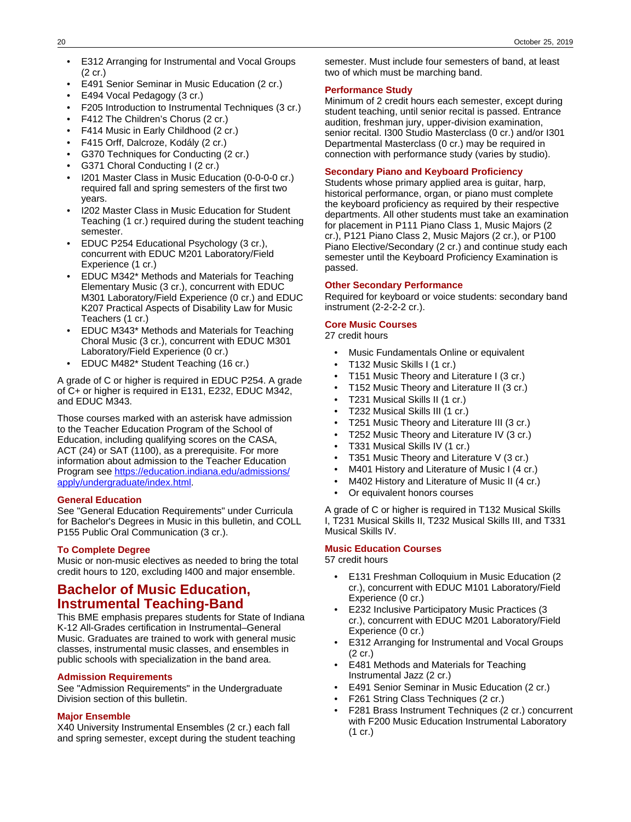- E312 Arranging for Instrumental and Vocal Groups (2 cr.)
- E491 Senior Seminar in Music Education (2 cr.)
- E494 Vocal Pedagogy (3 cr.)
- F205 Introduction to Instrumental Techniques (3 cr.)
- F412 The Children's Chorus (2 cr.)
- F414 Music in Early Childhood (2 cr.)
- F415 Orff, Dalcroze, Kodály (2 cr.)
- G370 Techniques for Conducting (2 cr.)
- G371 Choral Conducting I (2 cr.)
- I201 Master Class in Music Education (0-0-0-0 cr.) required fall and spring semesters of the first two years.
- I202 Master Class in Music Education for Student Teaching (1 cr.) required during the student teaching semester.
- EDUC P254 Educational Psychology (3 cr.), concurrent with EDUC M201 Laboratory/Field Experience (1 cr.)
- EDUC M342\* Methods and Materials for Teaching Elementary Music (3 cr.), concurrent with EDUC M301 Laboratory/Field Experience (0 cr.) and EDUC K207 Practical Aspects of Disability Law for Music Teachers (1 cr.)
- EDUC M343\* Methods and Materials for Teaching Choral Music (3 cr.), concurrent with EDUC M301 Laboratory/Field Experience (0 cr.)
- EDUC M482\* Student Teaching (16 cr.)

A grade of C or higher is required in EDUC P254. A grade of C+ or higher is required in E131, E232, EDUC M342, and EDUC M343.

Those courses marked with an asterisk have admission to the Teacher Education Program of the School of Education, including qualifying scores on the CASA, ACT (24) or SAT (1100), as a prerequisite. For more information about admission to the Teacher Education Program see [https://education.indiana.edu/admissions/](https://education.indiana.edu/admissions/apply/undergraduate/index.html) [apply/undergraduate/index.html](https://education.indiana.edu/admissions/apply/undergraduate/index.html).

#### **General Education**

See "General Education Requirements" under Curricula for Bachelor's Degrees in Music in this bulletin, and COLL P155 Public Oral Communication (3 cr.).

#### **To Complete Degree**

Music or non-music electives as needed to bring the total credit hours to 120, excluding I400 and major ensemble.

## **Bachelor of Music Education, Instrumental Teaching-Band**

This BME emphasis prepares students for State of Indiana K-12 All-Grades certification in Instrumental–General Music. Graduates are trained to work with general music classes, instrumental music classes, and ensembles in public schools with specialization in the band area.

#### **Admission Requirements**

See "Admission Requirements" in the Undergraduate Division section of this bulletin.

#### **Major Ensemble**

X40 University Instrumental Ensembles (2 cr.) each fall and spring semester, except during the student teaching

semester. Must include four semesters of band, at least two of which must be marching band.

#### **Performance Study**

Minimum of 2 credit hours each semester, except during student teaching, until senior recital is passed. Entrance audition, freshman jury, upper-division examination, senior recital. I300 Studio Masterclass (0 cr.) and/or I301 Departmental Masterclass (0 cr.) may be required in connection with performance study (varies by studio).

#### **Secondary Piano and Keyboard Proficiency**

Students whose primary applied area is guitar, harp, historical performance, organ, or piano must complete the keyboard proficiency as required by their respective departments. All other students must take an examination for placement in P111 Piano Class 1, Music Majors (2 cr.), P121 Piano Class 2, Music Majors (2 cr.), or P100 Piano Elective/Secondary (2 cr.) and continue study each semester until the Keyboard Proficiency Examination is passed.

#### **Other Secondary Performance**

Required for keyboard or voice students: secondary band instrument (2-2-2-2 cr.).

#### **Core Music Courses**

27 credit hours

- Music Fundamentals Online or equivalent
- T132 Music Skills I (1 cr.)
- T151 Music Theory and Literature I (3 cr.)
- T152 Music Theory and Literature II (3 cr.)
- T231 Musical Skills II (1 cr.)
- T232 Musical Skills III (1 cr.)
- T251 Music Theory and Literature III (3 cr.)
- T252 Music Theory and Literature IV (3 cr.)
- T331 Musical Skills IV (1 cr.)
- T351 Music Theory and Literature V (3 cr.)
- M401 History and Literature of Music I (4 cr.)
- M402 History and Literature of Music II (4 cr.)
- Or equivalent honors courses

A grade of C or higher is required in T132 Musical Skills I, T231 Musical Skills II, T232 Musical Skills III, and T331 Musical Skills IV.

#### **Music Education Courses**

57 credit hours

- E131 Freshman Colloquium in Music Education (2 cr.), concurrent with EDUC M101 Laboratory/Field Experience (0 cr.)
- E232 Inclusive Participatory Music Practices (3 cr.), concurrent with EDUC M201 Laboratory/Field Experience (0 cr.)
- E312 Arranging for Instrumental and Vocal Groups (2 cr.)
- E481 Methods and Materials for Teaching Instrumental Jazz (2 cr.)
- E491 Senior Seminar in Music Education (2 cr.)
- F261 String Class Techniques (2 cr.)
- F281 Brass Instrument Techniques (2 cr.) concurrent with F200 Music Education Instrumental Laboratory (1 cr.)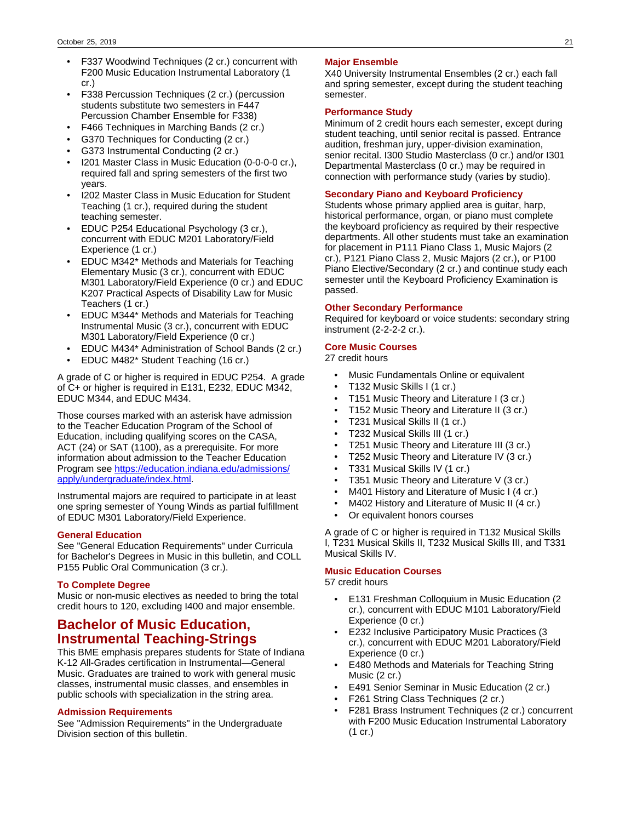- F337 Woodwind Techniques (2 cr.) concurrent with F200 Music Education Instrumental Laboratory (1 cr.)
- F338 Percussion Techniques (2 cr.) (percussion students substitute two semesters in F447 Percussion Chamber Ensemble for F338)
- F466 Techniques in Marching Bands (2 cr.)
- G370 Techniques for Conducting (2 cr.)
- G373 Instrumental Conducting (2 cr.)
- I201 Master Class in Music Education (0-0-0-0 cr.), required fall and spring semesters of the first two years.
- 1202 Master Class in Music Education for Student Teaching (1 cr.), required during the student teaching semester.
- EDUC P254 Educational Psychology (3 cr.), concurrent with EDUC M201 Laboratory/Field Experience (1 cr.)
- EDUC M342\* Methods and Materials for Teaching Elementary Music (3 cr.), concurrent with EDUC M301 Laboratory/Field Experience (0 cr.) and EDUC K207 Practical Aspects of Disability Law for Music Teachers (1 cr.)
- EDUC M344\* Methods and Materials for Teaching Instrumental Music (3 cr.), concurrent with EDUC M301 Laboratory/Field Experience (0 cr.)
- EDUC M434\* Administration of School Bands (2 cr.)
- EDUC M482\* Student Teaching (16 cr.)

A grade of C or higher is required in EDUC P254. A grade of C+ or higher is required in E131, E232, EDUC M342, EDUC M344, and EDUC M434.

Those courses marked with an asterisk have admission to the Teacher Education Program of the School of Education, including qualifying scores on the CASA, ACT (24) or SAT (1100), as a prerequisite. For more information about admission to the Teacher Education Program see [https://education.indiana.edu/admissions/](https://education.indiana.edu/admissions/apply/undergraduate/index.html) [apply/undergraduate/index.html](https://education.indiana.edu/admissions/apply/undergraduate/index.html).

Instrumental majors are required to participate in at least one spring semester of Young Winds as partial fulfillment of EDUC M301 Laboratory/Field Experience.

#### **General Education**

See "General Education Requirements" under Curricula for Bachelor's Degrees in Music in this bulletin, and COLL P155 Public Oral Communication (3 cr.).

#### **To Complete Degree**

Music or non-music electives as needed to bring the total credit hours to 120, excluding I400 and major ensemble.

### **Bachelor of Music Education, Instrumental Teaching-Strings**

This BME emphasis prepares students for State of Indiana K-12 All-Grades certification in Instrumental—General Music. Graduates are trained to work with general music classes, instrumental music classes, and ensembles in public schools with specialization in the string area.

#### **Admission Requirements**

See "Admission Requirements" in the Undergraduate Division section of this bulletin.

#### **Major Ensemble**

X40 University Instrumental Ensembles (2 cr.) each fall and spring semester, except during the student teaching semester.

#### **Performance Study**

Minimum of 2 credit hours each semester, except during student teaching, until senior recital is passed. Entrance audition, freshman jury, upper-division examination, senior recital. I300 Studio Masterclass (0 cr.) and/or I301 Departmental Masterclass (0 cr.) may be required in connection with performance study (varies by studio).

#### **Secondary Piano and Keyboard Proficiency**

Students whose primary applied area is guitar, harp, historical performance, organ, or piano must complete the keyboard proficiency as required by their respective departments. All other students must take an examination for placement in P111 Piano Class 1, Music Majors (2 cr.), P121 Piano Class 2, Music Majors (2 cr.), or P100 Piano Elective/Secondary (2 cr.) and continue study each semester until the Keyboard Proficiency Examination is passed.

#### **Other Secondary Performance**

Required for keyboard or voice students: secondary string instrument (2-2-2-2 cr.).

#### **Core Music Courses**

27 credit hours

- Music Fundamentals Online or equivalent
- T132 Music Skills I (1 cr.)
- T151 Music Theory and Literature I (3 cr.)
- T152 Music Theory and Literature II (3 cr.)
- T231 Musical Skills II (1 cr.)
- T232 Musical Skills III (1 cr.)
- T251 Music Theory and Literature III (3 cr.)
- T252 Music Theory and Literature IV (3 cr.)
- T331 Musical Skills IV (1 cr.)
- T351 Music Theory and Literature V (3 cr.)
- M401 History and Literature of Music I (4 cr.)
- M402 History and Literature of Music II (4 cr.)
- Or equivalent honors courses

A grade of C or higher is required in T132 Musical Skills I, T231 Musical Skills II, T232 Musical Skills III, and T331 Musical Skills IV.

#### **Music Education Courses**

57 credit hours

- E131 Freshman Colloquium in Music Education (2 cr.), concurrent with EDUC M101 Laboratory/Field Experience (0 cr.)
- E232 Inclusive Participatory Music Practices (3 cr.), concurrent with EDUC M201 Laboratory/Field Experience (0 cr.)
- E480 Methods and Materials for Teaching String Music (2 cr.)
- E491 Senior Seminar in Music Education (2 cr.)
- F261 String Class Techniques (2 cr.)
- F281 Brass Instrument Techniques (2 cr.) concurrent with F200 Music Education Instrumental Laboratory (1 cr.)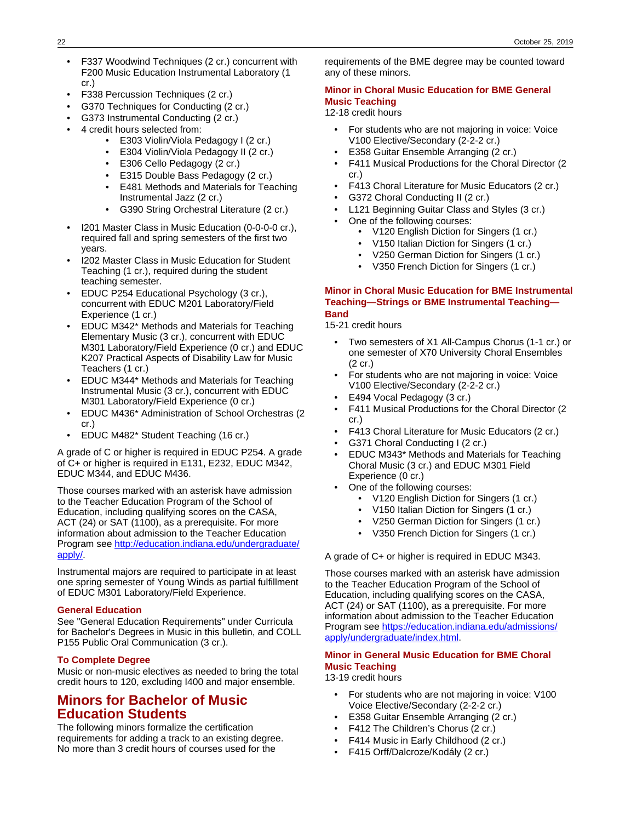- F337 Woodwind Techniques (2 cr.) concurrent with F200 Music Education Instrumental Laboratory (1 cr.)
- F338 Percussion Techniques (2 cr.)
- G370 Techniques for Conducting (2 cr.)
- G373 Instrumental Conducting (2 cr.)
- 4 credit hours selected from:
	- E303 Violin/Viola Pedagogy I (2 cr.)
	- E304 Violin/Viola Pedagogy II (2 cr.)
	- E306 Cello Pedagogy (2 cr.)
	- E315 Double Bass Pedagogy (2 cr.)
	- E481 Methods and Materials for Teaching Instrumental Jazz (2 cr.)
	- G390 String Orchestral Literature (2 cr.)
- I201 Master Class in Music Education (0-0-0-0 cr.), required fall and spring semesters of the first two years.
- I202 Master Class in Music Education for Student Teaching (1 cr.), required during the student teaching semester.
- EDUC P254 Educational Psychology (3 cr.), concurrent with EDUC M201 Laboratory/Field Experience (1 cr.)
- EDUC M342\* Methods and Materials for Teaching Elementary Music (3 cr.), concurrent with EDUC M301 Laboratory/Field Experience (0 cr.) and EDUC K207 Practical Aspects of Disability Law for Music Teachers (1 cr.)
- EDUC M344\* Methods and Materials for Teaching Instrumental Music (3 cr.), concurrent with EDUC M301 Laboratory/Field Experience (0 cr.)
- EDUC M436\* Administration of School Orchestras (2 cr.)
- EDUC M482\* Student Teaching (16 cr.)

A grade of C or higher is required in EDUC P254. A grade of C+ or higher is required in E131, E232, EDUC M342, EDUC M344, and EDUC M436.

Those courses marked with an asterisk have admission to the Teacher Education Program of the School of Education, including qualifying scores on the CASA, ACT (24) or SAT (1100), as a prerequisite. For more information about admission to the Teacher Education Program see [http://education.indiana.edu/undergraduate/](http://education.indiana.edu/undergraduate/apply/) [apply/](http://education.indiana.edu/undergraduate/apply/).

Instrumental majors are required to participate in at least one spring semester of Young Winds as partial fulfillment of EDUC M301 Laboratory/Field Experience.

#### **General Education**

See "General Education Requirements" under Curricula for Bachelor's Degrees in Music in this bulletin, and COLL P155 Public Oral Communication (3 cr.).

#### **To Complete Degree**

Music or non-music electives as needed to bring the total credit hours to 120, excluding I400 and major ensemble.

### **Minors for Bachelor of Music Education Students**

The following minors formalize the certification requirements for adding a track to an existing degree. No more than 3 credit hours of courses used for the

requirements of the BME degree may be counted toward any of these minors.

### **Minor in Choral Music Education for BME General Music Teaching**

12-18 credit hours

- For students who are not majoring in voice: Voice V100 Elective/Secondary (2-2-2 cr.)
- E358 Guitar Ensemble Arranging (2 cr.)
- F411 Musical Productions for the Choral Director (2 cr.)
- F413 Choral Literature for Music Educators (2 cr.)
- G372 Choral Conducting II (2 cr.)
- L121 Beginning Guitar Class and Styles (3 cr.)
- One of the following courses:
	- V120 English Diction for Singers (1 cr.)
	- V150 Italian Diction for Singers (1 cr.)
	- V250 German Diction for Singers (1 cr.)
	- V350 French Diction for Singers (1 cr.)

#### **Minor in Choral Music Education for BME Instrumental Teaching—Strings or BME Instrumental Teaching— Band**

15-21 credit hours

- Two semesters of X1 All-Campus Chorus (1-1 cr.) or one semester of X70 University Choral Ensembles (2 cr.)
- For students who are not majoring in voice: Voice V100 Elective/Secondary (2-2-2 cr.)
- E494 Vocal Pedagogy (3 cr.)
- F411 Musical Productions for the Choral Director (2 cr.)
- F413 Choral Literature for Music Educators (2 cr.)
- G371 Choral Conducting I (2 cr.)
- EDUC M343\* Methods and Materials for Teaching Choral Music (3 cr.) and EDUC M301 Field Experience (0 cr.)
- One of the following courses:
	- V120 English Diction for Singers (1 cr.)
	- V150 Italian Diction for Singers (1 cr.)
	- V250 German Diction for Singers (1 cr.)
	- V350 French Diction for Singers (1 cr.)

A grade of C+ or higher is required in EDUC M343.

Those courses marked with an asterisk have admission to the Teacher Education Program of the School of Education, including qualifying scores on the CASA, ACT (24) or SAT (1100), as a prerequisite. For more information about admission to the Teacher Education Program see [https://education.indiana.edu/admissions/](https://education.indiana.edu/admissions/apply/undergraduate/index.html) [apply/undergraduate/index.html](https://education.indiana.edu/admissions/apply/undergraduate/index.html).

### **Minor in General Music Education for BME Choral Music Teaching**

13-19 credit hours

- For students who are not majoring in voice: V100 Voice Elective/Secondary (2-2-2 cr.)
- E358 Guitar Ensemble Arranging (2 cr.)
- F412 The Children's Chorus (2 cr.)
- F414 Music in Early Childhood (2 cr.)
- F415 Orff/Dalcroze/Kodály (2 cr.)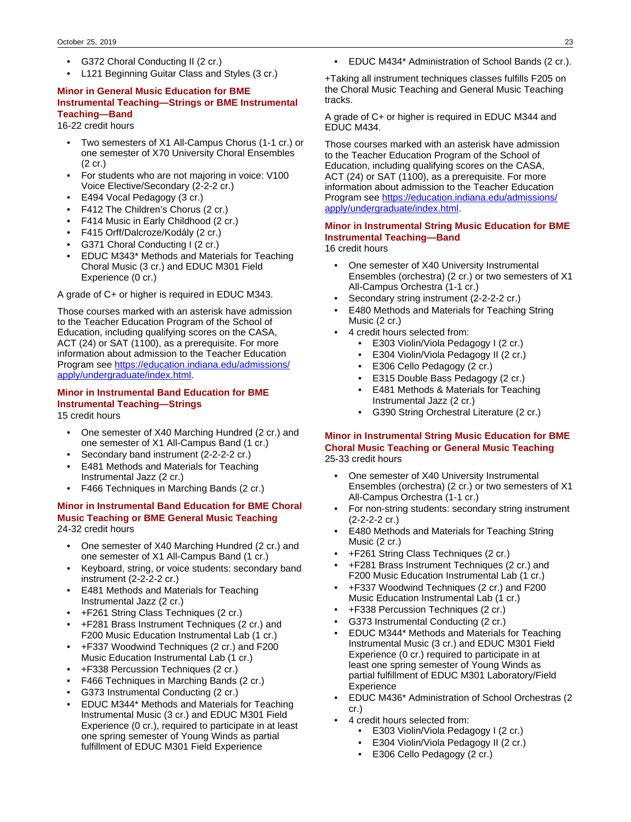- G372 Choral Conducting II (2 cr.)
- L121 Beginning Guitar Class and Styles (3 cr.)

### **Minor in General Music Education for BME Instrumental Teaching—Strings or BME Instrumental Teaching—Band**

16-22 credit hours

- Two semesters of X1 All-Campus Chorus (1-1 cr.) or one semester of X70 University Choral Ensembles (2 cr.)
- For students who are not majoring in voice: V100 Voice Elective/Secondary (2-2-2 cr.)
- E494 Vocal Pedagogy (3 cr.)
- F412 The Children's Chorus (2 cr.)
- F414 Music in Early Childhood (2 cr.)
- F415 Orff/Dalcroze/Kodály (2 cr.)
- G371 Choral Conducting I (2 cr.)
- EDUC M343\* Methods and Materials for Teaching Choral Music (3 cr.) and EDUC M301 Field Experience (0 cr.)

A grade of C+ or higher is required in EDUC M343.

Those courses marked with an asterisk have admission to the Teacher Education Program of the School of Education, including qualifying scores on the CASA, ACT (24) or SAT (1100), as a prerequisite. For more information about admission to the Teacher Education Program see [https://education.indiana.edu/admissions/](https://education.indiana.edu/admissions/apply/undergraduate/index.html) [apply/undergraduate/index.html](https://education.indiana.edu/admissions/apply/undergraduate/index.html).

### **Minor in Instrumental Band Education for BME Instrumental Teaching—Strings**

15 credit hours

- One semester of X40 Marching Hundred (2 cr.) and one semester of X1 All-Campus Band (1 cr.)
- Secondary band instrument (2-2-2-2 cr.)
- E481 Methods and Materials for Teaching Instrumental Jazz (2 cr.)
- F466 Techniques in Marching Bands (2 cr.)

#### **Minor in Instrumental Band Education for BME Choral Music Teaching or BME General Music Teaching** 24-32 credit hours

- One semester of X40 Marching Hundred (2 cr.) and one semester of X1 All-Campus Band (1 cr.)
- Keyboard, string, or voice students: secondary band instrument (2-2-2-2 cr.)
- E481 Methods and Materials for Teaching Instrumental Jazz (2 cr.)
- +F261 String Class Techniques (2 cr.)
- +F281 Brass Instrument Techniques (2 cr.) and F200 Music Education Instrumental Lab (1 cr.)
- +F337 Woodwind Techniques (2 cr.) and F200 Music Education Instrumental Lab (1 cr.)
- +F338 Percussion Techniques (2 cr.)
- F466 Techniques in Marching Bands (2 cr.)
- G373 Instrumental Conducting (2 cr.)
- EDUC M344\* Methods and Materials for Teaching Instrumental Music (3 cr.) and EDUC M301 Field Experience (0 cr.), required to participate in at least one spring semester of Young Winds as partial fulfillment of EDUC M301 Field Experience

• EDUC M434\* Administration of School Bands (2 cr.).

+Taking all instrument techniques classes fulfills F205 on the Choral Music Teaching and General Music Teaching tracks.

A grade of C+ or higher is required in EDUC M344 and EDUC M434.

Those courses marked with an asterisk have admission to the Teacher Education Program of the School of Education, including qualifying scores on the CASA, ACT (24) or SAT (1100), as a prerequisite. For more information about admission to the Teacher Education Program see [https://education.indiana.edu/admissions/](https://education.indiana.edu/admissions/apply/undergraduate/index.html) [apply/undergraduate/index.html](https://education.indiana.edu/admissions/apply/undergraduate/index.html).

#### **Minor in Instrumental String Music Education for BME Instrumental Teaching—Band**

16 credit hours

- One semester of X40 University Instrumental Ensembles (orchestra) (2 cr.) or two semesters of X1 All-Campus Orchestra (1-1 cr.)
- Secondary string instrument (2-2-2-2 cr.)
- E480 Methods and Materials for Teaching String Music (2 cr.)
- 4 credit hours selected from:
	- E303 Violin/Viola Pedagogy I (2 cr.)
	- E304 Violin/Viola Pedagogy II (2 cr.)
	- E306 Cello Pedagogy (2 cr.)
	- E315 Double Bass Pedagogy (2 cr.)
	- E481 Methods & Materials for Teaching Instrumental Jazz (2 cr.)
	- G390 String Orchestral Literature (2 cr.)

#### **Minor in Instrumental String Music Education for BME Choral Music Teaching or General Music Teaching** 25-33 credit hours

• One semester of X40 University Instrumental Ensembles (orchestra) (2 cr.) or two semesters of X1 All-Campus Orchestra (1-1 cr.)

- For non-string students: secondary string instrument (2-2-2-2 cr.)
- E480 Methods and Materials for Teaching String Music (2 cr.)
- +F261 String Class Techniques (2 cr.)
- +F281 Brass Instrument Techniques (2 cr.) and F200 Music Education Instrumental Lab (1 cr.)
- +F337 Woodwind Techniques (2 cr.) and F200 Music Education Instrumental Lab (1 cr.)
- +F338 Percussion Techniques (2 cr.)
- G373 Instrumental Conducting (2 cr.)
- EDUC M344\* Methods and Materials for Teaching Instrumental Music (3 cr.) and EDUC M301 Field Experience (0 cr.) required to participate in at least one spring semester of Young Winds as partial fulfillment of EDUC M301 Laboratory/Field **Experience**
- EDUC M436\* Administration of School Orchestras (2 cr.)
- 4 credit hours selected from:
	- E303 Violin/Viola Pedagogy I (2 cr.)
	- E304 Violin/Viola Pedagogy II (2 cr.)
	- E306 Cello Pedagogy (2 cr.)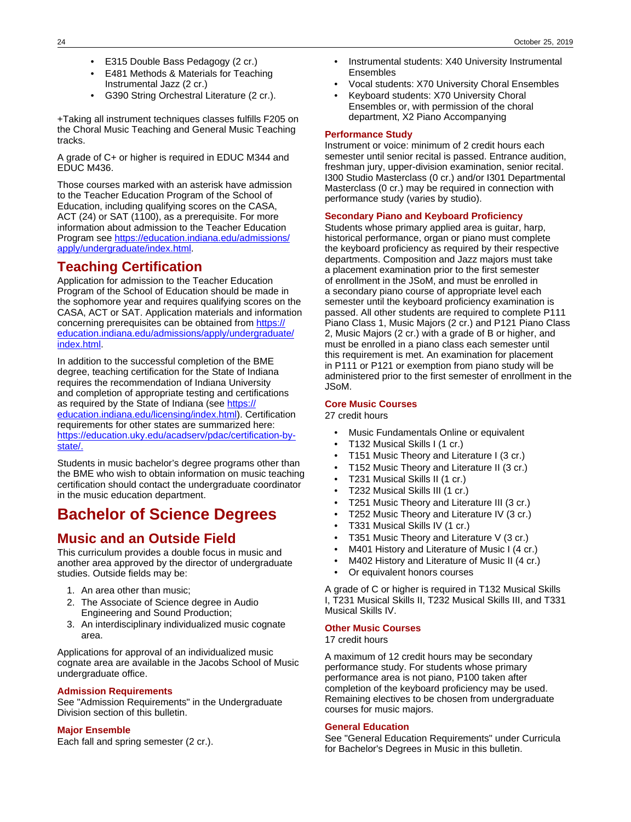- E315 Double Bass Pedagogy (2 cr.)
- E481 Methods & Materials for Teaching Instrumental Jazz (2 cr.)
- G390 String Orchestral Literature (2 cr.).

+Taking all instrument techniques classes fulfills F205 on the Choral Music Teaching and General Music Teaching tracks.

A grade of C+ or higher is required in EDUC M344 and EDUC M436.

Those courses marked with an asterisk have admission to the Teacher Education Program of the School of Education, including qualifying scores on the CASA, ACT (24) or SAT (1100), as a prerequisite. For more information about admission to the Teacher Education Program see [https://education.indiana.edu/admissions/](https://education.indiana.edu/admissions/apply/undergraduate/index.html) [apply/undergraduate/index.html](https://education.indiana.edu/admissions/apply/undergraduate/index.html).

### **Teaching Certification**

Application for admission to the Teacher Education Program of the School of Education should be made in the sophomore year and requires qualifying scores on the CASA, ACT or SAT. Application materials and information concerning prerequisites can be obtained from [https://](https://education.indiana.edu/admissions/apply/undergraduate/index.html) [education.indiana.edu/admissions/apply/undergraduate/](https://education.indiana.edu/admissions/apply/undergraduate/index.html) [index.html](https://education.indiana.edu/admissions/apply/undergraduate/index.html).

In addition to the successful completion of the BME degree, teaching certification for the State of Indiana requires the recommendation of Indiana University and completion of appropriate testing and certifications as required by the State of Indiana (see [https://](https://education.indiana.edu/licensing/index.html) [education.indiana.edu/licensing/index.html](https://education.indiana.edu/licensing/index.html)). Certification requirements for other states are summarized here: [https://education.uky.edu/acadserv/pdac/certification-by](https://education.uky.edu/acadserv/pdac/certification-by-state/)[state/.](https://education.uky.edu/acadserv/pdac/certification-by-state/)

Students in music bachelor's degree programs other than the BME who wish to obtain information on music teaching certification should contact the undergraduate coordinator in the music education department.

## **Bachelor of Science Degrees**

### **Music and an Outside Field**

This curriculum provides a double focus in music and another area approved by the director of undergraduate studies. Outside fields may be:

- 1. An area other than music;
- 2. The Associate of Science degree in Audio Engineering and Sound Production;
- 3. An interdisciplinary individualized music cognate area.

Applications for approval of an individualized music cognate area are available in the Jacobs School of Music undergraduate office.

#### **Admission Requirements**

See "Admission Requirements" in the Undergraduate Division section of this bulletin.

#### **Major Ensemble**

Each fall and spring semester (2 cr.).

- Instrumental students: X40 University Instrumental Ensembles
- Vocal students: X70 University Choral Ensembles
- Keyboard students: X70 University Choral Ensembles or, with permission of the choral department, X2 Piano Accompanying

#### **Performance Study**

Instrument or voice: minimum of 2 credit hours each semester until senior recital is passed. Entrance audition, freshman jury, upper-division examination, senior recital. I300 Studio Masterclass (0 cr.) and/or I301 Departmental Masterclass (0 cr.) may be required in connection with performance study (varies by studio).

#### **Secondary Piano and Keyboard Proficiency**

Students whose primary applied area is guitar, harp, historical performance, organ or piano must complete the keyboard proficiency as required by their respective departments. Composition and Jazz majors must take a placement examination prior to the first semester of enrollment in the JSoM, and must be enrolled in a secondary piano course of appropriate level each semester until the keyboard proficiency examination is passed. All other students are required to complete P111 Piano Class 1, Music Majors (2 cr.) and P121 Piano Class 2, Music Majors (2 cr.) with a grade of B or higher, and must be enrolled in a piano class each semester until this requirement is met. An examination for placement in P111 or P121 or exemption from piano study will be administered prior to the first semester of enrollment in the JSoM.

#### **Core Music Courses**

27 credit hours

- Music Fundamentals Online or equivalent
- T132 Musical Skills I (1 cr.)
- T151 Music Theory and Literature I (3 cr.)
- T152 Music Theory and Literature II (3 cr.)
- T231 Musical Skills II (1 cr.)
- T232 Musical Skills III (1 cr.)
- T251 Music Theory and Literature III (3 cr.)
- T252 Music Theory and Literature IV (3 cr.)
- T331 Musical Skills IV (1 cr.)
- T351 Music Theory and Literature V (3 cr.)
- M401 History and Literature of Music I (4 cr.)
- M402 History and Literature of Music II (4 cr.)
- Or equivalent honors courses

A grade of C or higher is required in T132 Musical Skills I, T231 Musical Skills II, T232 Musical Skills III, and T331 Musical Skills IV.

#### **Other Music Courses**

#### 17 credit hours

A maximum of 12 credit hours may be secondary performance study. For students whose primary performance area is not piano, P100 taken after completion of the keyboard proficiency may be used. Remaining electives to be chosen from undergraduate courses for music majors.

#### **General Education**

See "General Education Requirements" under Curricula for Bachelor's Degrees in Music in this bulletin.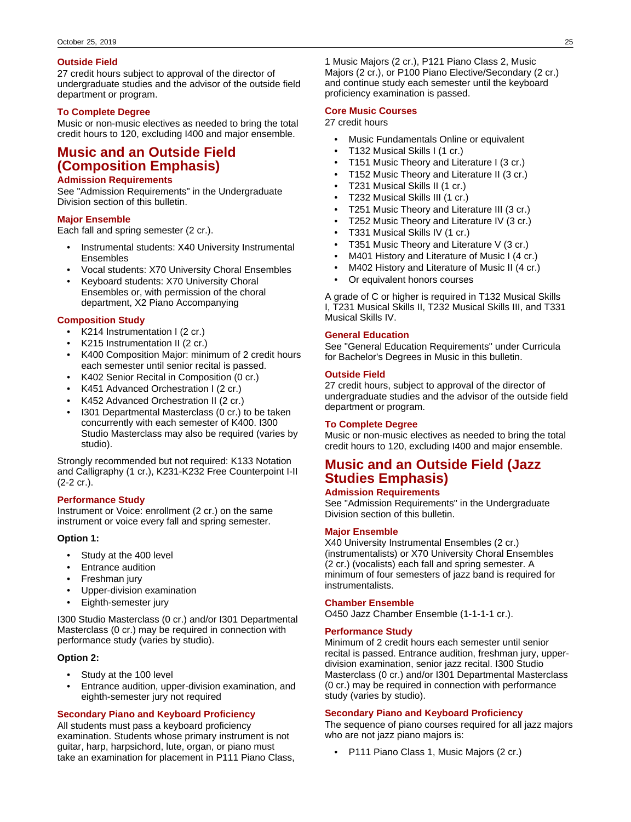#### **Outside Field**

27 credit hours subject to approval of the director of undergraduate studies and the advisor of the outside field department or program.

#### **To Complete Degree**

Music or non-music electives as needed to bring the total credit hours to 120, excluding I400 and major ensemble.

### **Music and an Outside Field (Composition Emphasis)**

#### **Admission Requirements**

See "Admission Requirements" in the Undergraduate Division section of this bulletin.

#### **Major Ensemble**

Each fall and spring semester (2 cr.).

- Instrumental students: X40 University Instrumental Ensembles
- Vocal students: X70 University Choral Ensembles
- Keyboard students: X70 University Choral Ensembles or, with permission of the choral department, X2 Piano Accompanying

#### **Composition Study**

- K214 Instrumentation I (2 cr.)
- K215 Instrumentation II (2 cr.)
- K400 Composition Major: minimum of 2 credit hours each semester until senior recital is passed.
- K402 Senior Recital in Composition (0 cr.)
- K451 Advanced Orchestration I (2 cr.)
- K452 Advanced Orchestration II (2 cr.)
- I301 Departmental Masterclass (0 cr.) to be taken concurrently with each semester of K400. I300 Studio Masterclass may also be required (varies by studio).

Strongly recommended but not required: K133 Notation and Calligraphy (1 cr.), K231-K232 Free Counterpoint I-II (2-2 cr.).

#### **Performance Study**

Instrument or Voice: enrollment (2 cr.) on the same instrument or voice every fall and spring semester.

#### **Option 1:**

- Study at the 400 level
- Entrance audition
- Freshman jury
- Upper-division examination
- Eighth-semester jury

I300 Studio Masterclass (0 cr.) and/or I301 Departmental Masterclass (0 cr.) may be required in connection with performance study (varies by studio).

#### **Option 2:**

- Study at the 100 level
- Entrance audition, upper-division examination, and eighth-semester jury not required

#### **Secondary Piano and Keyboard Proficiency**

All students must pass a keyboard proficiency examination. Students whose primary instrument is not guitar, harp, harpsichord, lute, organ, or piano must take an examination for placement in P111 Piano Class,

1 Music Majors (2 cr.), P121 Piano Class 2, Music Majors (2 cr.), or P100 Piano Elective/Secondary (2 cr.) and continue study each semester until the keyboard proficiency examination is passed.

#### **Core Music Courses**

27 credit hours

- Music Fundamentals Online or equivalent
- T132 Musical Skills I (1 cr.)
- T151 Music Theory and Literature I (3 cr.)
- T152 Music Theory and Literature II (3 cr.)
- T231 Musical Skills II (1 cr.)
- T232 Musical Skills III (1 cr.)
- T251 Music Theory and Literature III (3 cr.)
- T252 Music Theory and Literature IV (3 cr.)
- T331 Musical Skills IV (1 cr.)
- T351 Music Theory and Literature V (3 cr.)
- M401 History and Literature of Music I (4 cr.)
- M402 History and Literature of Music II (4 cr.)
- Or equivalent honors courses

A grade of C or higher is required in T132 Musical Skills I, T231 Musical Skills II, T232 Musical Skills III, and T331 Musical Skills IV.

#### **General Education**

See "General Education Requirements" under Curricula for Bachelor's Degrees in Music in this bulletin.

#### **Outside Field**

27 credit hours, subject to approval of the director of undergraduate studies and the advisor of the outside field department or program.

#### **To Complete Degree**

Music or non-music electives as needed to bring the total credit hours to 120, excluding I400 and major ensemble.

## **Music and an Outside Field (Jazz Studies Emphasis)**

### **Admission Requirements**

See "Admission Requirements" in the Undergraduate Division section of this bulletin.

#### **Major Ensemble**

X40 University Instrumental Ensembles (2 cr.) (instrumentalists) or X70 University Choral Ensembles (2 cr.) (vocalists) each fall and spring semester. A minimum of four semesters of jazz band is required for instrumentalists.

#### **Chamber Ensemble**

O450 Jazz Chamber Ensemble (1-1-1-1 cr.).

#### **Performance Study**

Minimum of 2 credit hours each semester until senior recital is passed. Entrance audition, freshman jury, upperdivision examination, senior jazz recital. I300 Studio Masterclass (0 cr.) and/or I301 Departmental Masterclass (0 cr.) may be required in connection with performance study (varies by studio).

#### **Secondary Piano and Keyboard Proficiency**

The sequence of piano courses required for all jazz majors who are not jazz piano majors is:

• P111 Piano Class 1, Music Majors (2 cr.)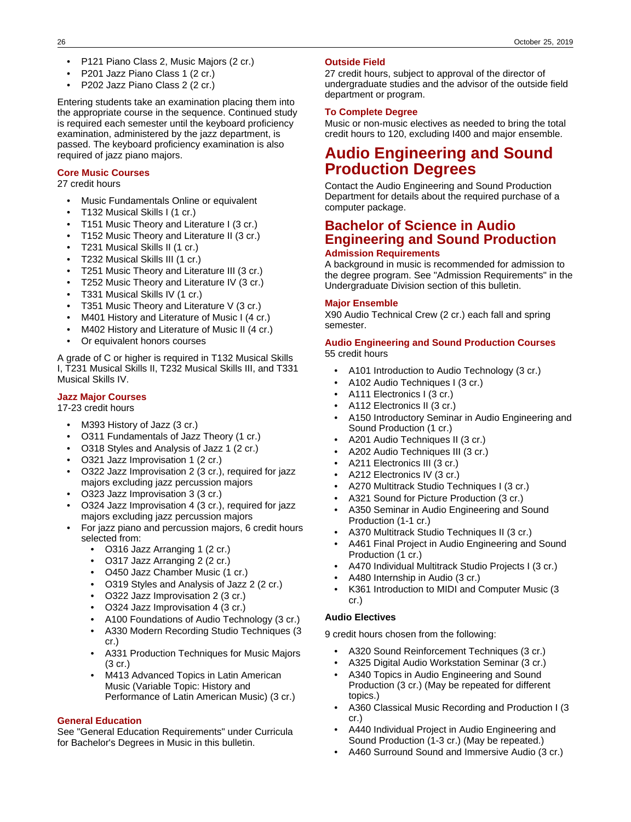- P121 Piano Class 2, Music Majors (2 cr.)
- P201 Jazz Piano Class 1 (2 cr.)
- P202 Jazz Piano Class 2 (2 cr.)

Entering students take an examination placing them into the appropriate course in the sequence. Continued study is required each semester until the keyboard proficiency examination, administered by the jazz department, is passed. The keyboard proficiency examination is also required of jazz piano majors.

#### **Core Music Courses**

27 credit hours

- Music Fundamentals Online or equivalent
- T132 Musical Skills I (1 cr.)
- T151 Music Theory and Literature I (3 cr.)
- T152 Music Theory and Literature II (3 cr.)
- T231 Musical Skills II (1 cr.)
- T232 Musical Skills III (1 cr.)
- T251 Music Theory and Literature III (3 cr.)
- T252 Music Theory and Literature IV (3 cr.)
- T331 Musical Skills IV (1 cr.)
- T351 Music Theory and Literature V (3 cr.)
- M401 History and Literature of Music I (4 cr.)
- M402 History and Literature of Music II (4 cr.)
- Or equivalent honors courses

A grade of C or higher is required in T132 Musical Skills I, T231 Musical Skills II, T232 Musical Skills III, and T331 Musical Skills IV.

#### **Jazz Major Courses**

17-23 credit hours

- M393 History of Jazz (3 cr.)
- O311 Fundamentals of Jazz Theory (1 cr.)
- O318 Styles and Analysis of Jazz 1 (2 cr.)
- O321 Jazz Improvisation 1 (2 cr.)
- O322 Jazz Improvisation 2 (3 cr.), required for jazz majors excluding jazz percussion majors
- O323 Jazz Improvisation 3 (3 cr.)
- O324 Jazz Improvisation 4 (3 cr.), required for jazz majors excluding jazz percussion majors
- For jazz piano and percussion majors, 6 credit hours selected from:
	- O316 Jazz Arranging 1 (2 cr.)
	- O317 Jazz Arranging 2 (2 cr.)
	- O450 Jazz Chamber Music (1 cr.)
	- O319 Styles and Analysis of Jazz 2 (2 cr.)
	- O322 Jazz Improvisation 2 (3 cr.)
	- O324 Jazz Improvisation 4 (3 cr.)
	- A100 Foundations of Audio Technology (3 cr.)
	- A330 Modern Recording Studio Techniques (3 cr.)
	- A331 Production Techniques for Music Majors (3 cr.)
	- M413 Advanced Topics in Latin American Music (Variable Topic: History and Performance of Latin American Music) (3 cr.)

#### **General Education**

See "General Education Requirements" under Curricula for Bachelor's Degrees in Music in this bulletin.

#### **Outside Field**

27 credit hours, subject to approval of the director of undergraduate studies and the advisor of the outside field department or program.

#### **To Complete Degree**

Music or non-music electives as needed to bring the total credit hours to 120, excluding I400 and major ensemble.

## **Audio Engineering and Sound Production Degrees**

Contact the Audio Engineering and Sound Production Department for details about the required purchase of a computer package.

### **Bachelor of Science in Audio Engineering and Sound Production Admission Requirements**

A background in music is recommended for admission to the degree program. See "Admission Requirements" in the Undergraduate Division section of this bulletin.

#### **Major Ensemble**

X90 Audio Technical Crew (2 cr.) each fall and spring semester.

**Audio Engineering and Sound Production Courses** 55 credit hours

- A101 Introduction to Audio Technology (3 cr.)
- A102 Audio Techniques I (3 cr.)
- A111 Electronics I (3 cr.)
- A112 Electronics II (3 cr.)
- A150 Introductory Seminar in Audio Engineering and Sound Production (1 cr.)
- A201 Audio Techniques II (3 cr.)
- A202 Audio Techniques III (3 cr.)
- A211 Electronics III (3 cr.)
- A212 Electronics IV (3 cr.)
- A270 Multitrack Studio Techniques I (3 cr.)
- A321 Sound for Picture Production (3 cr.)
- A350 Seminar in Audio Engineering and Sound Production (1-1 cr.)
- A370 Multitrack Studio Techniques II (3 cr.)
- A461 Final Project in Audio Engineering and Sound Production (1 cr.)
- A470 Individual Multitrack Studio Projects I (3 cr.)
- A480 Internship in Audio (3 cr.)
- K361 Introduction to MIDI and Computer Music (3 cr.)

#### **Audio Electives**

9 credit hours chosen from the following:

- A320 Sound Reinforcement Techniques (3 cr.)
- A325 Digital Audio Workstation Seminar (3 cr.)
- A340 Topics in Audio Engineering and Sound Production (3 cr.) (May be repeated for different topics.)
- A360 Classical Music Recording and Production I (3 cr.)
- A440 Individual Project in Audio Engineering and Sound Production (1-3 cr.) (May be repeated.)
- A460 Surround Sound and Immersive Audio (3 cr.)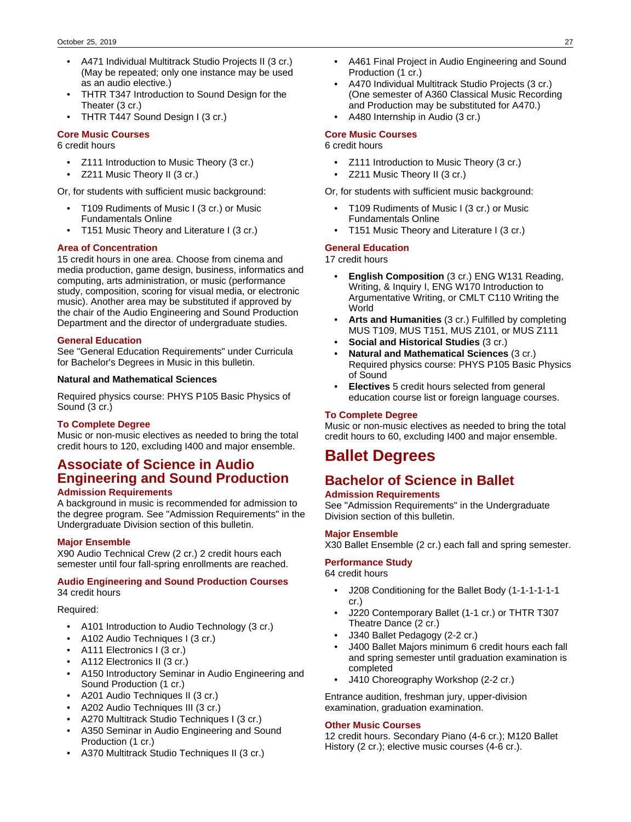- A471 Individual Multitrack Studio Projects II (3 cr.) (May be repeated; only one instance may be used as an audio elective.)
- THTR T347 Introduction to Sound Design for the Theater (3 cr.)
- THTR T447 Sound Design I (3 cr.)

### **Core Music Courses**

6 credit hours

- Z111 Introduction to Music Theory (3 cr.)
- Z211 Music Theory II (3 cr.)

Or, for students with sufficient music background:

- T109 Rudiments of Music I (3 cr.) or Music Fundamentals Online
- T151 Music Theory and Literature I (3 cr.)

### **Area of Concentration**

15 credit hours in one area. Choose from cinema and media production, game design, business, informatics and computing, arts administration, or music (performance study, composition, scoring for visual media, or electronic music). Another area may be substituted if approved by the chair of the Audio Engineering and Sound Production Department and the director of undergraduate studies.

### **General Education**

See "General Education Requirements" under Curricula for Bachelor's Degrees in Music in this bulletin.

### **Natural and Mathematical Sciences**

Required physics course: PHYS P105 Basic Physics of Sound (3 cr.)

#### **To Complete Degree**

Music or non-music electives as needed to bring the total credit hours to 120, excluding I400 and major ensemble.

### **Associate of Science in Audio Engineering and Sound Production Admission Requirements**

A background in music is recommended for admission to the degree program. See "Admission Requirements" in the Undergraduate Division section of this bulletin.

#### **Major Ensemble**

X90 Audio Technical Crew (2 cr.) 2 credit hours each semester until four fall-spring enrollments are reached.

#### **Audio Engineering and Sound Production Courses** 34 credit hours

Required:

- A101 Introduction to Audio Technology (3 cr.)
- A102 Audio Techniques I (3 cr.)
- A111 Electronics I (3 cr.)
- A112 Electronics II (3 cr.)
- A150 Introductory Seminar in Audio Engineering and Sound Production (1 cr.)
- A201 Audio Techniques II (3 cr.)
- A202 Audio Techniques III (3 cr.)
- A270 Multitrack Studio Techniques I (3 cr.)
- A350 Seminar in Audio Engineering and Sound Production (1 cr.)
- A370 Multitrack Studio Techniques II (3 cr.)
- A461 Final Project in Audio Engineering and Sound Production (1 cr.)
- A470 Individual Multitrack Studio Projects (3 cr.) (One semester of A360 Classical Music Recording and Production may be substituted for A470.)
- A480 Internship in Audio (3 cr.)

#### **Core Music Courses**

#### 6 credit hours

- Z111 Introduction to Music Theory (3 cr.)
- Z211 Music Theory II (3 cr.)

Or, for students with sufficient music background:

- T109 Rudiments of Music I (3 cr.) or Music Fundamentals Online
- T151 Music Theory and Literature I (3 cr.)

#### **General Education**

17 credit hours

- **English Composition** (3 cr.) ENG W131 Reading, Writing, & Inquiry I, ENG W170 Introduction to Argumentative Writing, or CMLT C110 Writing the World
- **Arts and Humanities** (3 cr.) Fulfilled by completing MUS T109, MUS T151, MUS Z101, or MUS Z111
- **Social and Historical Studies** (3 cr.)
- **Natural and Mathematical Sciences** (3 cr.) Required physics course: PHYS P105 Basic Physics of Sound
- **Electives** 5 credit hours selected from general education course list or foreign language courses.

#### **To Complete Degree**

Music or non-music electives as needed to bring the total credit hours to 60, excluding I400 and major ensemble.

## **Ballet Degrees**

## **Bachelor of Science in Ballet**

#### **Admission Requirements**

See "Admission Requirements" in the Undergraduate Division section of this bulletin.

#### **Major Ensemble**

X30 Ballet Ensemble (2 cr.) each fall and spring semester.

#### **Performance Study**

64 credit hours

- J208 Conditioning for the Ballet Body (1-1-1-1-1-1 cr.)
- J220 Contemporary Ballet (1-1 cr.) or THTR T307 Theatre Dance (2 cr.)
- J340 Ballet Pedagogy (2-2 cr.)
- J400 Ballet Majors minimum 6 credit hours each fall and spring semester until graduation examination is completed
- J410 Choreography Workshop (2-2 cr.)

Entrance audition, freshman jury, upper-division examination, graduation examination.

#### **Other Music Courses**

12 credit hours. Secondary Piano (4-6 cr.); M120 Ballet History (2 cr.); elective music courses (4-6 cr.).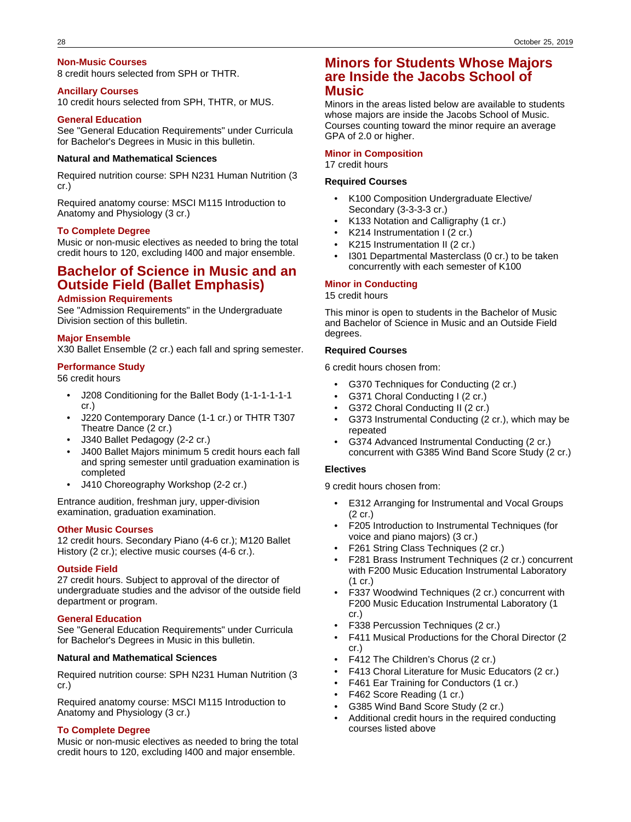#### **Non-Music Courses**

8 credit hours selected from SPH or THTR.

#### **Ancillary Courses**

10 credit hours selected from SPH, THTR, or MUS.

#### **General Education**

See "General Education Requirements" under Curricula for Bachelor's Degrees in Music in this bulletin.

#### **Natural and Mathematical Sciences**

Required nutrition course: SPH N231 Human Nutrition (3 cr.)

Required anatomy course: MSCI M115 Introduction to Anatomy and Physiology (3 cr.)

#### **To Complete Degree**

Music or non-music electives as needed to bring the total credit hours to 120, excluding I400 and major ensemble.

### **Bachelor of Science in Music and an Outside Field (Ballet Emphasis)**

### **Admission Requirements**

See "Admission Requirements" in the Undergraduate Division section of this bulletin.

#### **Major Ensemble**

X30 Ballet Ensemble (2 cr.) each fall and spring semester.

#### **Performance Study**

56 credit hours

- J208 Conditioning for the Ballet Body (1-1-1-1-1-1 cr.)
- J220 Contemporary Dance (1-1 cr.) or THTR T307 Theatre Dance (2 cr.)
- J340 Ballet Pedagogy (2-2 cr.)
- J400 Ballet Majors minimum 5 credit hours each fall and spring semester until graduation examination is completed
- J410 Choreography Workshop (2-2 cr.)

Entrance audition, freshman jury, upper-division examination, graduation examination.

#### **Other Music Courses**

12 credit hours. Secondary Piano (4-6 cr.); M120 Ballet History (2 cr.); elective music courses (4-6 cr.).

#### **Outside Field**

27 credit hours. Subject to approval of the director of undergraduate studies and the advisor of the outside field department or program.

#### **General Education**

See "General Education Requirements" under Curricula for Bachelor's Degrees in Music in this bulletin.

#### **Natural and Mathematical Sciences**

Required nutrition course: SPH N231 Human Nutrition (3 cr.)

Required anatomy course: MSCI M115 Introduction to Anatomy and Physiology (3 cr.)

#### **To Complete Degree**

Music or non-music electives as needed to bring the total credit hours to 120, excluding I400 and major ensemble.

### **Minors for Students Whose Majors are Inside the Jacobs School of Music**

Minors in the areas listed below are available to students whose majors are inside the Jacobs School of Music. Courses counting toward the minor require an average GPA of 2.0 or higher.

#### **Minor in Composition**

17 credit hours

#### **Required Courses**

- K100 Composition Undergraduate Elective/ Secondary (3-3-3-3 cr.)
- K133 Notation and Calligraphy (1 cr.)
- K214 Instrumentation I (2 cr.)
- K215 Instrumentation II (2 cr.)
- I301 Departmental Masterclass (0 cr.) to be taken concurrently with each semester of K100

#### **Minor in Conducting**

15 credit hours

This minor is open to students in the Bachelor of Music and Bachelor of Science in Music and an Outside Field degrees.

#### **Required Courses**

6 credit hours chosen from:

- G370 Techniques for Conducting (2 cr.)
- G371 Choral Conducting I (2 cr.)
- G372 Choral Conducting II (2 cr.)
- G373 Instrumental Conducting (2 cr.), which may be repeated
- G374 Advanced Instrumental Conducting (2 cr.) concurrent with G385 Wind Band Score Study (2 cr.)

#### **Electives**

9 credit hours chosen from:

- E312 Arranging for Instrumental and Vocal Groups (2 cr.)
- F205 Introduction to Instrumental Techniques (for voice and piano majors) (3 cr.)
- F261 String Class Techniques (2 cr.)
- F281 Brass Instrument Techniques (2 cr.) concurrent with F200 Music Education Instrumental Laboratory (1 cr.)
- F337 Woodwind Techniques (2 cr.) concurrent with F200 Music Education Instrumental Laboratory (1 cr.)
- F338 Percussion Techniques (2 cr.)
- F411 Musical Productions for the Choral Director (2 cr.)
- F412 The Children's Chorus (2 cr.)
- F413 Choral Literature for Music Educators (2 cr.)
- F461 Ear Training for Conductors (1 cr.)
- F462 Score Reading (1 cr.)
- G385 Wind Band Score Study (2 cr.)
- Additional credit hours in the required conducting courses listed above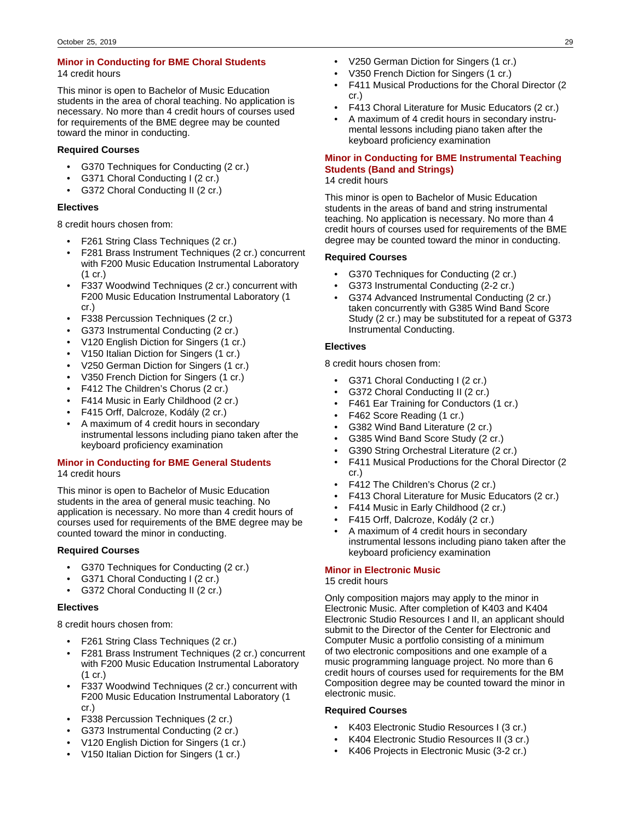### **Minor in Conducting for BME Choral Students**

14 credit hours

This minor is open to Bachelor of Music Education students in the area of choral teaching. No application is necessary. No more than 4 credit hours of courses used for requirements of the BME degree may be counted toward the minor in conducting.

#### **Required Courses**

- G370 Techniques for Conducting (2 cr.)
- G371 Choral Conducting I (2 cr.)
- G372 Choral Conducting II (2 cr.)

#### **Electives**

8 credit hours chosen from:

- F261 String Class Techniques (2 cr.)
- F281 Brass Instrument Techniques (2 cr.) concurrent with F200 Music Education Instrumental Laboratory (1 cr.)
- F337 Woodwind Techniques (2 cr.) concurrent with F200 Music Education Instrumental Laboratory (1 cr.)
- F338 Percussion Techniques (2 cr.)
- G373 Instrumental Conducting (2 cr.)
- V120 English Diction for Singers (1 cr.)
- V150 Italian Diction for Singers (1 cr.)
- V250 German Diction for Singers (1 cr.)
- V350 French Diction for Singers (1 cr.)
- F412 The Children's Chorus (2 cr.)
- F414 Music in Early Childhood (2 cr.)
- F415 Orff, Dalcroze, Kodály (2 cr.)
- A maximum of 4 credit hours in secondary instrumental lessons including piano taken after the keyboard proficiency examination

#### **Minor in Conducting for BME General Students** 14 credit hours

This minor is open to Bachelor of Music Education students in the area of general music teaching. No application is necessary. No more than 4 credit hours of courses used for requirements of the BME degree may be counted toward the minor in conducting.

#### **Required Courses**

- G370 Techniques for Conducting (2 cr.)
- G371 Choral Conducting I (2 cr.)
- G372 Choral Conducting II (2 cr.)

#### **Electives**

8 credit hours chosen from:

- F261 String Class Techniques (2 cr.)
- F281 Brass Instrument Techniques (2 cr.) concurrent with F200 Music Education Instrumental Laboratory (1 cr.)
- F337 Woodwind Techniques (2 cr.) concurrent with F200 Music Education Instrumental Laboratory (1 cr.)
- F338 Percussion Techniques (2 cr.)
- G373 Instrumental Conducting (2 cr.)
- V120 English Diction for Singers (1 cr.)
- V150 Italian Diction for Singers (1 cr.)
- V250 German Diction for Singers (1 cr.)
- V350 French Diction for Singers (1 cr.)
- F411 Musical Productions for the Choral Director (2 cr.)
- F413 Choral Literature for Music Educators (2 cr.)
- A maximum of 4 credit hours in secondary instrumental lessons including piano taken after the keyboard proficiency examination

### **Minor in Conducting for BME Instrumental Teaching Students (Band and Strings)**

### 14 credit hours

This minor is open to Bachelor of Music Education students in the areas of band and string instrumental teaching. No application is necessary. No more than 4 credit hours of courses used for requirements of the BME degree may be counted toward the minor in conducting.

#### **Required Courses**

- G370 Techniques for Conducting (2 cr.)
- G373 Instrumental Conducting (2-2 cr.)
- G374 Advanced Instrumental Conducting (2 cr.) taken concurrently with G385 Wind Band Score Study (2 cr.) may be substituted for a repeat of G373 Instrumental Conducting.

#### **Electives**

8 credit hours chosen from:

- G371 Choral Conducting I (2 cr.)
- G372 Choral Conducting II (2 cr.)
- F461 Ear Training for Conductors (1 cr.)
- F462 Score Reading (1 cr.)
- G382 Wind Band Literature (2 cr.)
- G385 Wind Band Score Study (2 cr.)
- G390 String Orchestral Literature (2 cr.)
- F411 Musical Productions for the Choral Director (2 cr.)
- F412 The Children's Chorus (2 cr.)
- F413 Choral Literature for Music Educators (2 cr.)
- F414 Music in Early Childhood (2 cr.)
- F415 Orff, Dalcroze, Kodály (2 cr.)
- A maximum of 4 credit hours in secondary instrumental lessons including piano taken after the keyboard proficiency examination

#### **Minor in Electronic Music**

#### 15 credit hours

Only composition majors may apply to the minor in Electronic Music. After completion of K403 and K404 Electronic Studio Resources I and II, an applicant should submit to the Director of the Center for Electronic and Computer Music a portfolio consisting of a minimum of two electronic compositions and one example of a music programming language project. No more than 6 credit hours of courses used for requirements for the BM Composition degree may be counted toward the minor in electronic music.

#### **Required Courses**

- K403 Electronic Studio Resources I (3 cr.)
- K404 Electronic Studio Resources II (3 cr.)
- K406 Projects in Electronic Music (3-2 cr.)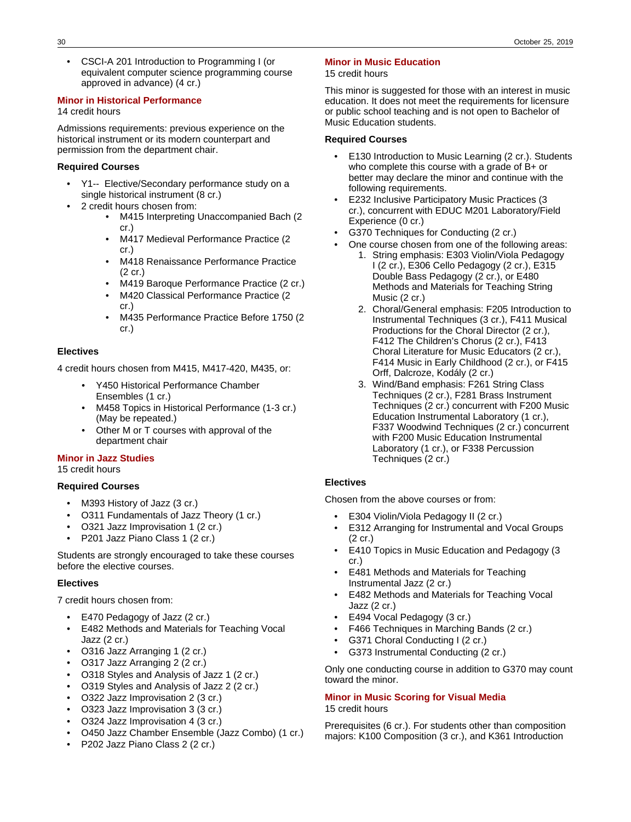• CSCI-A 201 Introduction to Programming I (or equivalent computer science programming course approved in advance) (4 cr.)

### **Minor in Historical Performance**

14 credit hours

Admissions requirements: previous experience on the historical instrument or its modern counterpart and permission from the department chair.

#### **Required Courses**

- Y1-- Elective/Secondary performance study on a single historical instrument (8 cr.)
- 2 credit hours chosen from:
	- M415 Interpreting Unaccompanied Bach (2 cr.)
		- M417 Medieval Performance Practice (2 cr.)
		- M418 Renaissance Performance Practice (2 cr.)
		- M419 Baroque Performance Practice (2 cr.)
	- M420 Classical Performance Practice (2 cr.)
	- M435 Performance Practice Before 1750 (2 cr.)

### **Electives**

4 credit hours chosen from M415, M417-420, M435, or:

- Y450 Historical Performance Chamber Ensembles (1 cr.)
- M458 Topics in Historical Performance (1-3 cr.) (May be repeated.)
- Other M or T courses with approval of the department chair

#### **Minor in Jazz Studies**

15 credit hours

### **Required Courses**

- M393 History of Jazz (3 cr.)
- O311 Fundamentals of Jazz Theory (1 cr.)
- O321 Jazz Improvisation 1 (2 cr.)
- P201 Jazz Piano Class 1 (2 cr.)

Students are strongly encouraged to take these courses before the elective courses.

#### **Electives**

7 credit hours chosen from:

- E470 Pedagogy of Jazz (2 cr.)
- E482 Methods and Materials for Teaching Vocal Jazz (2 cr.)
- O316 Jazz Arranging 1 (2 cr.)
- O317 Jazz Arranging 2 (2 cr.)
- O318 Styles and Analysis of Jazz 1 (2 cr.)
- O319 Styles and Analysis of Jazz 2 (2 cr.)
- O322 Jazz Improvisation 2 (3 cr.)
- O323 Jazz Improvisation 3 (3 cr.)
- O324 Jazz Improvisation 4 (3 cr.)
- O450 Jazz Chamber Ensemble (Jazz Combo) (1 cr.)
- P202 Jazz Piano Class 2 (2 cr.)

### **Minor in Music Education**

### 15 credit hours

This minor is suggested for those with an interest in music education. It does not meet the requirements for licensure or public school teaching and is not open to Bachelor of Music Education students.

#### **Required Courses**

- E130 Introduction to Music Learning (2 cr.). Students who complete this course with a grade of B+ or better may declare the minor and continue with the following requirements.
- E232 Inclusive Participatory Music Practices (3 cr.), concurrent with EDUC M201 Laboratory/Field Experience (0 cr.)
- G370 Techniques for Conducting (2 cr.)
- One course chosen from one of the following areas: 1. String emphasis: E303 Violin/Viola Pedagogy
	- I (2 cr.), E306 Cello Pedagogy (2 cr.), E315 Double Bass Pedagogy (2 cr.), or E480 Methods and Materials for Teaching String Music (2 cr.)
	- 2. Choral/General emphasis: F205 Introduction to Instrumental Techniques (3 cr.), F411 Musical Productions for the Choral Director (2 cr.), F412 The Children's Chorus (2 cr.), F413 Choral Literature for Music Educators (2 cr.), F414 Music in Early Childhood (2 cr.), or F415 Orff, Dalcroze, Kodály (2 cr.)
	- 3. Wind/Band emphasis: F261 String Class Techniques (2 cr.), F281 Brass Instrument Techniques (2 cr.) concurrent with F200 Music Education Instrumental Laboratory (1 cr.), F337 Woodwind Techniques (2 cr.) concurrent with F200 Music Education Instrumental Laboratory (1 cr.), or F338 Percussion Techniques (2 cr.)

### **Electives**

Chosen from the above courses or from:

- E304 Violin/Viola Pedagogy II (2 cr.)
- E312 Arranging for Instrumental and Vocal Groups (2 cr.)
- E410 Topics in Music Education and Pedagogy (3 cr.)
- E481 Methods and Materials for Teaching Instrumental Jazz (2 cr.)
- E482 Methods and Materials for Teaching Vocal Jazz (2 cr.)
- E494 Vocal Pedagogy (3 cr.)
- F466 Techniques in Marching Bands (2 cr.)
- G371 Choral Conducting I (2 cr.)
- G373 Instrumental Conducting (2 cr.)

Only one conducting course in addition to G370 may count toward the minor.

### **Minor in Music Scoring for Visual Media**

15 credit hours

Prerequisites (6 cr.). For students other than composition majors: K100 Composition (3 cr.), and K361 Introduction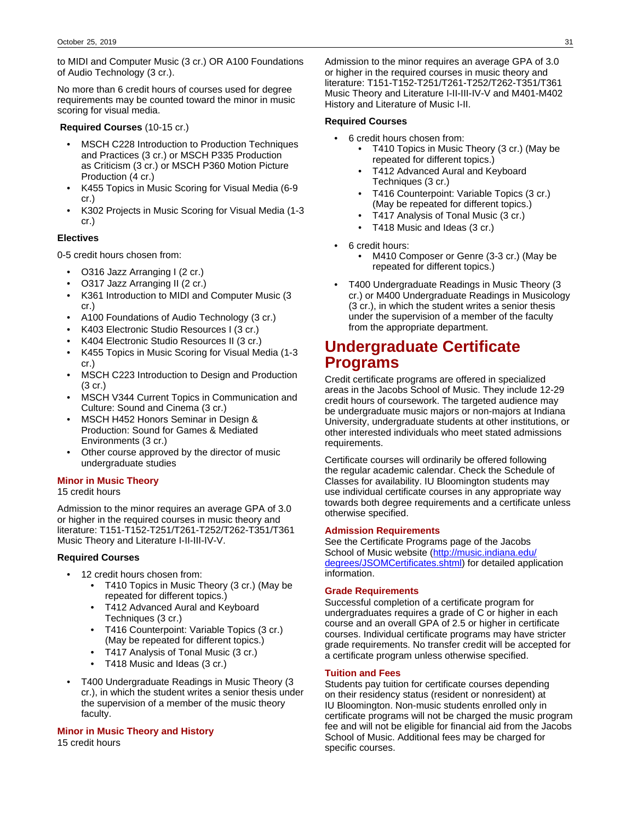to MIDI and Computer Music (3 cr.) OR A100 Foundations of Audio Technology (3 cr.).

No more than 6 credit hours of courses used for degree requirements may be counted toward the minor in music scoring for visual media.

#### **Required Courses** (10-15 cr.)

- MSCH C228 Introduction to Production Techniques and Practices (3 cr.) or MSCH P335 Production as Criticism (3 cr.) or MSCH P360 Motion Picture Production (4 cr.)
- K455 Topics in Music Scoring for Visual Media (6-9 cr.)
- K302 Projects in Music Scoring for Visual Media (1-3 cr.)

#### **Electives**

0-5 credit hours chosen from:

- O316 Jazz Arranging I (2 cr.)
- O317 Jazz Arranging II (2 cr.)
- K361 Introduction to MIDI and Computer Music (3 cr.)
- A100 Foundations of Audio Technology (3 cr.)
- K403 Electronic Studio Resources I (3 cr.)
- K404 Electronic Studio Resources II (3 cr.)
- K455 Topics in Music Scoring for Visual Media (1-3 cr.)
- MSCH C223 Introduction to Design and Production (3 cr.)
- MSCH V344 Current Topics in Communication and Culture: Sound and Cinema (3 cr.)
- MSCH H452 Honors Seminar in Design & Production: Sound for Games & Mediated Environments (3 cr.)
- Other course approved by the director of music undergraduate studies

#### **Minor in Music Theory**

15 credit hours

Admission to the minor requires an average GPA of 3.0 or higher in the required courses in music theory and literature: T151-T152-T251/T261-T252/T262-T351/T361 Music Theory and Literature I-II-III-IV-V.

#### **Required Courses**

- 12 credit hours chosen from:
	- T410 Topics in Music Theory (3 cr.) (May be repeated for different topics.)
	- T412 Advanced Aural and Keyboard Techniques (3 cr.)
	- T416 Counterpoint: Variable Topics (3 cr.) (May be repeated for different topics.)
	- T417 Analysis of Tonal Music (3 cr.)
	- T418 Music and Ideas (3 cr.)
- T400 Undergraduate Readings in Music Theory (3 cr.), in which the student writes a senior thesis under the supervision of a member of the music theory faculty.

#### **Minor in Music Theory and History**

15 credit hours

Admission to the minor requires an average GPA of 3.0 or higher in the required courses in music theory and literature: T151-T152-T251/T261-T252/T262-T351/T361 Music Theory and Literature I-II-III-IV-V and M401-M402 History and Literature of Music I-II.

#### **Required Courses**

- 6 credit hours chosen from:
	- T410 Topics in Music Theory (3 cr.) (May be repeated for different topics.)
	- T412 Advanced Aural and Keyboard Techniques (3 cr.)
	- T416 Counterpoint: Variable Topics (3 cr.) (May be repeated for different topics.)
	- T417 Analysis of Tonal Music (3 cr.)
	- T418 Music and Ideas (3 cr.)
- 6 credit hours:
	- M410 Composer or Genre (3-3 cr.) (May be repeated for different topics.)
- T400 Undergraduate Readings in Music Theory (3 cr.) or M400 Undergraduate Readings in Musicology (3 cr.), in which the student writes a senior thesis under the supervision of a member of the faculty from the appropriate department.

## **Undergraduate Certificate Programs**

Credit certificate programs are offered in specialized areas in the Jacobs School of Music. They include 12-29 credit hours of coursework. The targeted audience may be undergraduate music majors or non-majors at Indiana University, undergraduate students at other institutions, or other interested individuals who meet stated admissions requirements.

Certificate courses will ordinarily be offered following the regular academic calendar. Check the Schedule of Classes for availability. IU Bloomington students may use individual certificate courses in any appropriate way towards both degree requirements and a certificate unless otherwise specified.

#### **Admission Requirements**

See the Certificate Programs page of the Jacobs School of Music website [\(http://music.indiana.edu/](http://music.indiana.edu/degrees/JSOMCertificates.shtml) [degrees/JSOMCertificates.shtml](http://music.indiana.edu/degrees/JSOMCertificates.shtml)) for detailed application information.

#### **Grade Requirements**

Successful completion of a certificate program for undergraduates requires a grade of C or higher in each course and an overall GPA of 2.5 or higher in certificate courses. Individual certificate programs may have stricter grade requirements. No transfer credit will be accepted for a certificate program unless otherwise specified.

#### **Tuition and Fees**

Students pay tuition for certificate courses depending on their residency status (resident or nonresident) at IU Bloomington. Non-music students enrolled only in certificate programs will not be charged the music program fee and will not be eligible for financial aid from the Jacobs School of Music. Additional fees may be charged for specific courses.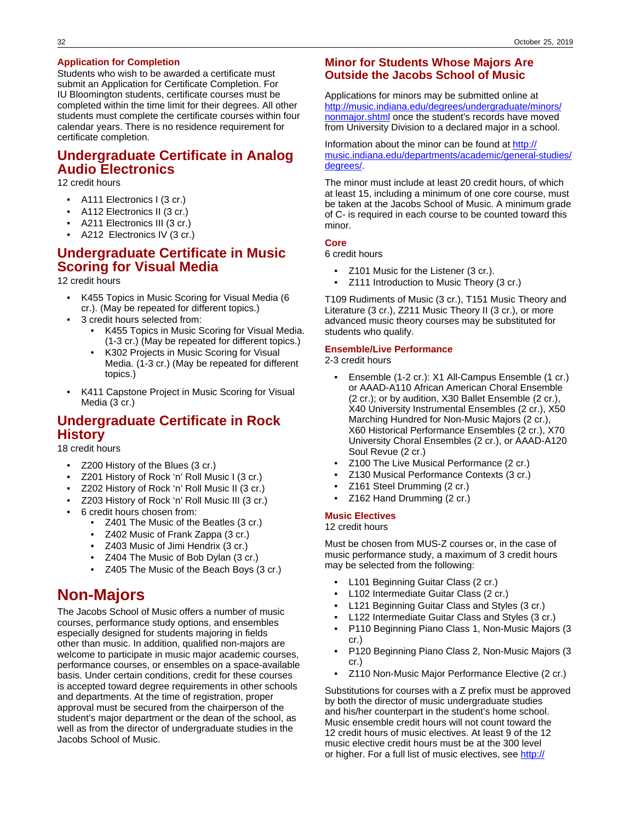#### **Application for Completion**

Students who wish to be awarded a certificate must submit an Application for Certificate Completion. For IU Bloomington students, certificate courses must be completed within the time limit for their degrees. All other students must complete the certificate courses within four calendar years. There is no residence requirement for certificate completion.

### **Undergraduate Certificate in Analog Audio Electronics**

12 credit hours

- A111 Electronics I (3 cr.)
- A112 Electronics II (3 cr.)
- A211 Electronics III (3 cr.)
- A212 Electronics IV (3 cr.)

### **Undergraduate Certificate in Music Scoring for Visual Media**

12 credit hours

- K455 Topics in Music Scoring for Visual Media (6 cr.). (May be repeated for different topics.)
- 3 credit hours selected from:
	- K455 Topics in Music Scoring for Visual Media. (1-3 cr.) (May be repeated for different topics.)
	- K302 Projects in Music Scoring for Visual Media. (1-3 cr.) (May be repeated for different topics.)
- K411 Capstone Project in Music Scoring for Visual Media (3 cr.)

## **Undergraduate Certificate in Rock History**

18 credit hours

- Z200 History of the Blues (3 cr.)
- Z201 History of Rock 'n' Roll Music I (3 cr.)
- Z202 History of Rock 'n' Roll Music II (3 cr.)
- Z203 History of Rock 'n' Roll Music III (3 cr.)
- 6 credit hours chosen from:
	- Z401 The Music of the Beatles (3 cr.)
	- Z402 Music of Frank Zappa (3 cr.)
	- Z403 Music of Jimi Hendrix (3 cr.)
	- Z404 The Music of Bob Dylan (3 cr.)
	- Z405 The Music of the Beach Boys (3 cr.)

## **Non-Majors**

The Jacobs School of Music offers a number of music courses, performance study options, and ensembles especially designed for students majoring in fields other than music. In addition, qualified non-majors are welcome to participate in music major academic courses, performance courses, or ensembles on a space-available basis. Under certain conditions, credit for these courses is accepted toward degree requirements in other schools and departments. At the time of registration, proper approval must be secured from the chairperson of the student's major department or the dean of the school, as well as from the director of undergraduate studies in the Jacobs School of Music.

### **Minor for Students Whose Majors Are Outside the Jacobs School of Music**

Applications for minors may be submitted online at [http://music.indiana.edu/degrees/undergraduate/minors/](http://music.indiana.edu/degrees/undergraduate/minors/nonmajor.shtml) [nonmajor.shtml](http://music.indiana.edu/degrees/undergraduate/minors/nonmajor.shtml) once the student's records have moved from University Division to a declared major in a school.

Information about the minor can be found at [http://](http://music.indiana.edu/departments/academic/general-studies/degrees/) [music.indiana.edu/departments/academic/general-studies/](http://music.indiana.edu/departments/academic/general-studies/degrees/) [degrees/](http://music.indiana.edu/departments/academic/general-studies/degrees/).

The minor must include at least 20 credit hours, of which at least 15, including a minimum of one core course, must be taken at the Jacobs School of Music. A minimum grade of C- is required in each course to be counted toward this minor.

#### **Core**

6 credit hours

- Z101 Music for the Listener (3 cr.).
- Z111 Introduction to Music Theory (3 cr.)

T109 Rudiments of Music (3 cr.), T151 Music Theory and Literature (3 cr.), Z211 Music Theory II (3 cr.), or more advanced music theory courses may be substituted for students who qualify.

#### **Ensemble/Live Performance**

2-3 credit hours

- Ensemble (1-2 cr.): X1 All-Campus Ensemble (1 cr.) or AAAD-A110 African American Choral Ensemble (2 cr.); or by audition, X30 Ballet Ensemble (2 cr.), X40 University Instrumental Ensembles (2 cr.), X50 Marching Hundred for Non-Music Majors (2 cr.), X60 Historical Performance Ensembles (2 cr.), X70 University Choral Ensembles (2 cr.), or AAAD-A120 Soul Revue (2 cr.)
- Z100 The Live Musical Performance (2 cr.)
- Z130 Musical Performance Contexts (3 cr.)
- Z161 Steel Drumming (2 cr.)
- Z162 Hand Drumming (2 cr.)

#### **Music Electives**

#### 12 credit hours

Must be chosen from MUS-Z courses or, in the case of music performance study, a maximum of 3 credit hours may be selected from the following:

- L101 Beginning Guitar Class (2 cr.)
- L102 Intermediate Guitar Class (2 cr.)
- L121 Beginning Guitar Class and Styles (3 cr.)
- L122 Intermediate Guitar Class and Styles (3 cr.)
- P110 Beginning Piano Class 1, Non-Music Majors (3 cr.)
- P120 Beginning Piano Class 2, Non-Music Majors (3 cr.)
- Z110 Non-Music Major Performance Elective (2 cr.)

Substitutions for courses with a Z prefix must be approved by both the director of music undergraduate studies and his/her counterpart in the student's home school. Music ensemble credit hours will not count toward the 12 credit hours of music electives. At least 9 of the 12 music elective credit hours must be at the 300 level or higher. For a full list of music electives, see [http://](http://www.music.indiana.edu/departments/academic/general-studies/courses/index.shtml)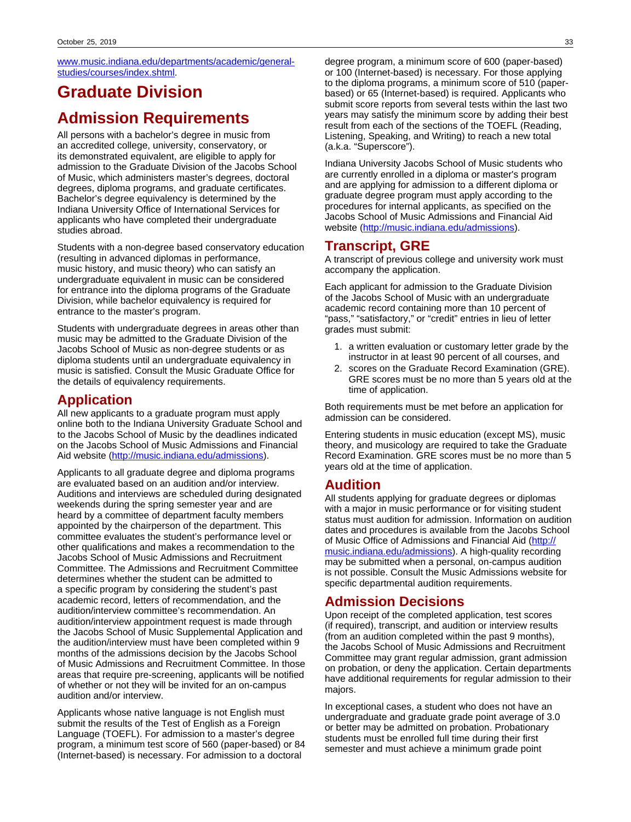[www.music.indiana.edu/departments/academic/general](http://www.music.indiana.edu/departments/academic/general-studies/courses/index.shtml)[studies/courses/index.shtml.](http://www.music.indiana.edu/departments/academic/general-studies/courses/index.shtml)

## **Graduate Division Admission Requirements**

All persons with a bachelor's degree in music from an accredited college, university, conservatory, or its demonstrated equivalent, are eligible to apply for admission to the Graduate Division of the Jacobs School of Music, which administers master's degrees, doctoral degrees, diploma programs, and graduate certificates. Bachelor's degree equivalency is determined by the Indiana University Office of International Services for applicants who have completed their undergraduate studies abroad.

Students with a non-degree based conservatory education (resulting in advanced diplomas in performance, music history, and music theory) who can satisfy an undergraduate equivalent in music can be considered for entrance into the diploma programs of the Graduate Division, while bachelor equivalency is required for entrance to the master's program.

Students with undergraduate degrees in areas other than music may be admitted to the Graduate Division of the Jacobs School of Music as non-degree students or as diploma students until an undergraduate equivalency in music is satisfied. Consult the Music Graduate Office for the details of equivalency requirements.

### **Application**

All new applicants to a graduate program must apply online both to the Indiana University Graduate School and to the Jacobs School of Music by the deadlines indicated on the Jacobs School of Music Admissions and Financial Aid website (<http://music.indiana.edu/admissions>).

Applicants to all graduate degree and diploma programs are evaluated based on an audition and/or interview. Auditions and interviews are scheduled during designated weekends during the spring semester year and are heard by a committee of department faculty members appointed by the chairperson of the department. This committee evaluates the student's performance level or other qualifications and makes a recommendation to the Jacobs School of Music Admissions and Recruitment Committee. The Admissions and Recruitment Committee determines whether the student can be admitted to a specific program by considering the student's past academic record, letters of recommendation, and the audition/interview committee's recommendation. An audition/interview appointment request is made through the Jacobs School of Music Supplemental Application and the audition/interview must have been completed within 9 months of the admissions decision by the Jacobs School of Music Admissions and Recruitment Committee. In those areas that require pre-screening, applicants will be notified of whether or not they will be invited for an on-campus audition and/or interview.

Applicants whose native language is not English must submit the results of the Test of English as a Foreign Language (TOEFL). For admission to a master's degree program, a minimum test score of 560 (paper-based) or 84 (Internet-based) is necessary. For admission to a doctoral

degree program, a minimum score of 600 (paper-based) or 100 (Internet-based) is necessary. For those applying to the diploma programs, a minimum score of 510 (paperbased) or 65 (Internet-based) is required. Applicants who submit score reports from several tests within the last two years may satisfy the minimum score by adding their best result from each of the sections of the TOEFL (Reading, Listening, Speaking, and Writing) to reach a new total (a.k.a. "Superscore").

Indiana University Jacobs School of Music students who are currently enrolled in a diploma or master's program and are applying for admission to a different diploma or graduate degree program must apply according to the procedures for internal applicants, as specified on the Jacobs School of Music Admissions and Financial Aid website [\(http://music.indiana.edu/admissions\)](http://music.indiana.edu/admissions).

### **Transcript, GRE**

A transcript of previous college and university work must accompany the application.

Each applicant for admission to the Graduate Division of the Jacobs School of Music with an undergraduate academic record containing more than 10 percent of "pass," "satisfactory," or "credit" entries in lieu of letter grades must submit:

- 1. a written evaluation or customary letter grade by the instructor in at least 90 percent of all courses, and
- 2. scores on the Graduate Record Examination (GRE). GRE scores must be no more than 5 years old at the time of application.

Both requirements must be met before an application for admission can be considered.

Entering students in music education (except MS), music theory, and musicology are required to take the Graduate Record Examination. GRE scores must be no more than 5 years old at the time of application.

### **Audition**

All students applying for graduate degrees or diplomas with a major in music performance or for visiting student status must audition for admission. Information on audition dates and procedures is available from the Jacobs School of Music Office of Admissions and Financial Aid [\(http://](http://music.indiana.edu/admissions) [music.indiana.edu/admissions](http://music.indiana.edu/admissions)). A high-quality recording may be submitted when a personal, on-campus audition is not possible. Consult the Music Admissions website for specific departmental audition requirements.

### **Admission Decisions**

Upon receipt of the completed application, test scores (if required), transcript, and audition or interview results (from an audition completed within the past 9 months), the Jacobs School of Music Admissions and Recruitment Committee may grant regular admission, grant admission on probation, or deny the application. Certain departments have additional requirements for regular admission to their majors.

In exceptional cases, a student who does not have an undergraduate and graduate grade point average of 3.0 or better may be admitted on probation. Probationary students must be enrolled full time during their first semester and must achieve a minimum grade point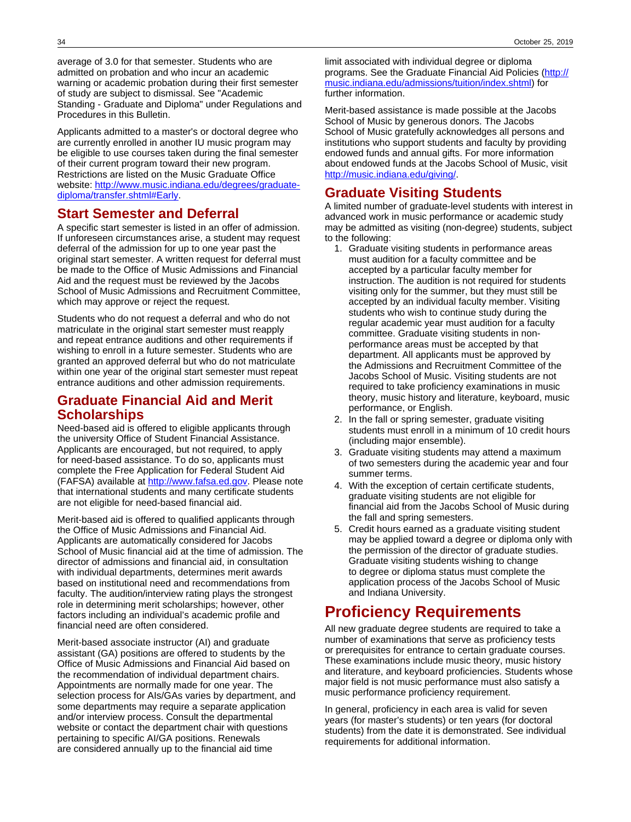average of 3.0 for that semester. Students who are admitted on probation and who incur an academic warning or academic probation during their first semester of study are subject to dismissal. See "Academic Standing - Graduate and Diploma" under Regulations and Procedures in this Bulletin.

Applicants admitted to a master's or doctoral degree who are currently enrolled in another IU music program may be eligible to use courses taken during the final semester of their current program toward their new program. Restrictions are listed on the Music Graduate Office website: [http://www.music.indiana.edu/degrees/graduate](http://www.music.indiana.edu/degrees/graduate-diploma/transfer.shtml#Early)[diploma/transfer.shtml#Early](http://www.music.indiana.edu/degrees/graduate-diploma/transfer.shtml#Early).

### **Start Semester and Deferral**

A specific start semester is listed in an offer of admission. If unforeseen circumstances arise, a student may request deferral of the admission for up to one year past the original start semester. A written request for deferral must be made to the Office of Music Admissions and Financial Aid and the request must be reviewed by the Jacobs School of Music Admissions and Recruitment Committee, which may approve or reject the request.

Students who do not request a deferral and who do not matriculate in the original start semester must reapply and repeat entrance auditions and other requirements if wishing to enroll in a future semester. Students who are granted an approved deferral but who do not matriculate within one year of the original start semester must repeat entrance auditions and other admission requirements.

### **Graduate Financial Aid and Merit Scholarships**

Need-based aid is offered to eligible applicants through the university Office of Student Financial Assistance. Applicants are encouraged, but not required, to apply for need-based assistance. To do so, applicants must complete the Free Application for Federal Student Aid (FAFSA) available at <http://www.fafsa.ed.gov>. Please note that international students and many certificate students are not eligible for need-based financial aid.

Merit-based aid is offered to qualified applicants through the Office of Music Admissions and Financial Aid. Applicants are automatically considered for Jacobs School of Music financial aid at the time of admission. The director of admissions and financial aid, in consultation with individual departments, determines merit awards based on institutional need and recommendations from faculty. The audition/interview rating plays the strongest role in determining merit scholarships; however, other factors including an individual's academic profile and financial need are often considered.

Merit-based associate instructor (AI) and graduate assistant (GA) positions are offered to students by the Office of Music Admissions and Financial Aid based on the recommendation of individual department chairs. Appointments are normally made for one year. The selection process for AIs/GAs varies by department, and some departments may require a separate application and/or interview process. Consult the departmental website or contact the department chair with questions pertaining to specific AI/GA positions. Renewals are considered annually up to the financial aid time

limit associated with individual degree or diploma programs. See the Graduate Financial Aid Policies [\(http://](http://music.indiana.edu/admissions/tuition/index.shtml) [music.indiana.edu/admissions/tuition/index.shtml\)](http://music.indiana.edu/admissions/tuition/index.shtml) for further information.

Merit-based assistance is made possible at the Jacobs School of Music by generous donors. The Jacobs School of Music gratefully acknowledges all persons and institutions who support students and faculty by providing endowed funds and annual gifts. For more information about endowed funds at the Jacobs School of Music, visit [http://music.indiana.edu/giving/.](http://music.indiana.edu/giving/)

## **Graduate Visiting Students**

A limited number of graduate-level students with interest in advanced work in music performance or academic study may be admitted as visiting (non-degree) students, subject to the following:

- 1. Graduate visiting students in performance areas must audition for a faculty committee and be accepted by a particular faculty member for instruction. The audition is not required for students visiting only for the summer, but they must still be accepted by an individual faculty member. Visiting students who wish to continue study during the regular academic year must audition for a faculty committee. Graduate visiting students in nonperformance areas must be accepted by that department. All applicants must be approved by the Admissions and Recruitment Committee of the Jacobs School of Music. Visiting students are not required to take proficiency examinations in music theory, music history and literature, keyboard, music performance, or English.
- 2. In the fall or spring semester, graduate visiting students must enroll in a minimum of 10 credit hours (including major ensemble).
- 3. Graduate visiting students may attend a maximum of two semesters during the academic year and four summer terms.
- 4. With the exception of certain certificate students, graduate visiting students are not eligible for financial aid from the Jacobs School of Music during the fall and spring semesters.
- 5. Credit hours earned as a graduate visiting student may be applied toward a degree or diploma only with the permission of the director of graduate studies. Graduate visiting students wishing to change to degree or diploma status must complete the application process of the Jacobs School of Music and Indiana University.

## **Proficiency Requirements**

All new graduate degree students are required to take a number of examinations that serve as proficiency tests or prerequisites for entrance to certain graduate courses. These examinations include music theory, music history and literature, and keyboard proficiencies. Students whose major field is not music performance must also satisfy a music performance proficiency requirement.

In general, proficiency in each area is valid for seven years (for master's students) or ten years (for doctoral students) from the date it is demonstrated. See individual requirements for additional information.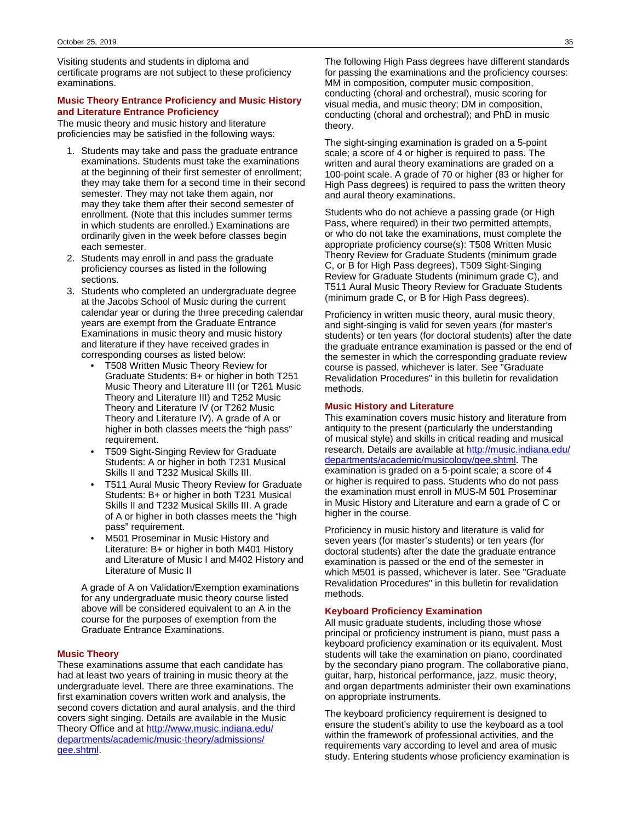Visiting students and students in diploma and certificate programs are not subject to these proficiency examinations.

#### **Music Theory Entrance Proficiency and Music History and Literature Entrance Proficiency**

The music theory and music history and literature proficiencies may be satisfied in the following ways:

- 1. Students may take and pass the graduate entrance examinations. Students must take the examinations at the beginning of their first semester of enrollment; they may take them for a second time in their second semester. They may not take them again, nor may they take them after their second semester of enrollment. (Note that this includes summer terms in which students are enrolled.) Examinations are ordinarily given in the week before classes begin each semester.
- 2. Students may enroll in and pass the graduate proficiency courses as listed in the following sections.
- 3. Students who completed an undergraduate degree at the Jacobs School of Music during the current calendar year or during the three preceding calendar years are exempt from the Graduate Entrance Examinations in music theory and music history and literature if they have received grades in corresponding courses as listed below:
	- T508 Written Music Theory Review for Graduate Students: B+ or higher in both T251 Music Theory and Literature III (or T261 Music Theory and Literature III) and T252 Music Theory and Literature IV (or T262 Music Theory and Literature IV). A grade of A or higher in both classes meets the "high pass" requirement.
	- T509 Sight-Singing Review for Graduate Students: A or higher in both T231 Musical Skills II and T232 Musical Skills III.
	- T511 Aural Music Theory Review for Graduate Students: B+ or higher in both T231 Musical Skills II and T232 Musical Skills III. A grade of A or higher in both classes meets the "high pass" requirement.
	- M501 Proseminar in Music History and Literature: B+ or higher in both M401 History and Literature of Music I and M402 History and Literature of Music II

A grade of A on Validation/Exemption examinations for any undergraduate music theory course listed above will be considered equivalent to an A in the course for the purposes of exemption from the Graduate Entrance Examinations.

#### **Music Theory**

These examinations assume that each candidate has had at least two years of training in music theory at the undergraduate level. There are three examinations. The first examination covers written work and analysis, the second covers dictation and aural analysis, and the third covers sight singing. Details are available in the Music Theory Office and at [http://www.music.indiana.edu/](http://www.music.indiana.edu/departments/academic/music-theory/admissions/gee.shtml) [departments/academic/music-theory/admissions/](http://www.music.indiana.edu/departments/academic/music-theory/admissions/gee.shtml) [gee.shtml](http://www.music.indiana.edu/departments/academic/music-theory/admissions/gee.shtml).

The following High Pass degrees have different standards for passing the examinations and the proficiency courses: MM in composition, computer music composition, conducting (choral and orchestral), music scoring for visual media, and music theory; DM in composition, conducting (choral and orchestral); and PhD in music theory.

The sight-singing examination is graded on a 5-point scale; a score of 4 or higher is required to pass. The written and aural theory examinations are graded on a 100-point scale. A grade of 70 or higher (83 or higher for High Pass degrees) is required to pass the written theory and aural theory examinations.

Students who do not achieve a passing grade (or High Pass, where required) in their two permitted attempts, or who do not take the examinations, must complete the appropriate proficiency course(s): T508 Written Music Theory Review for Graduate Students (minimum grade C, or B for High Pass degrees), T509 Sight-Singing Review for Graduate Students (minimum grade C), and T511 Aural Music Theory Review for Graduate Students (minimum grade C, or B for High Pass degrees).

Proficiency in written music theory, aural music theory, and sight-singing is valid for seven years (for master's students) or ten years (for doctoral students) after the date the graduate entrance examination is passed or the end of the semester in which the corresponding graduate review course is passed, whichever is later. See "Graduate Revalidation Procedures" in this bulletin for revalidation methods.

#### **Music History and Literature**

This examination covers music history and literature from antiquity to the present (particularly the understanding of musical style) and skills in critical reading and musical research. Details are available at [http://music.indiana.edu/](http://music.indiana.edu/departments/academic/musicology/gee.shtml) [departments/academic/musicology/gee.shtml](http://music.indiana.edu/departments/academic/musicology/gee.shtml). The examination is graded on a 5-point scale; a score of 4 or higher is required to pass. Students who do not pass the examination must enroll in MUS-M 501 Proseminar in Music History and Literature and earn a grade of C or higher in the course.

Proficiency in music history and literature is valid for seven years (for master's students) or ten years (for doctoral students) after the date the graduate entrance examination is passed or the end of the semester in which M501 is passed, whichever is later. See "Graduate Revalidation Procedures" in this bulletin for revalidation methods.

#### **Keyboard Proficiency Examination**

All music graduate students, including those whose principal or proficiency instrument is piano, must pass a keyboard proficiency examination or its equivalent. Most students will take the examination on piano, coordinated by the secondary piano program. The collaborative piano, guitar, harp, historical performance, jazz, music theory, and organ departments administer their own examinations on appropriate instruments.

The keyboard proficiency requirement is designed to ensure the student's ability to use the keyboard as a tool within the framework of professional activities, and the requirements vary according to level and area of music study. Entering students whose proficiency examination is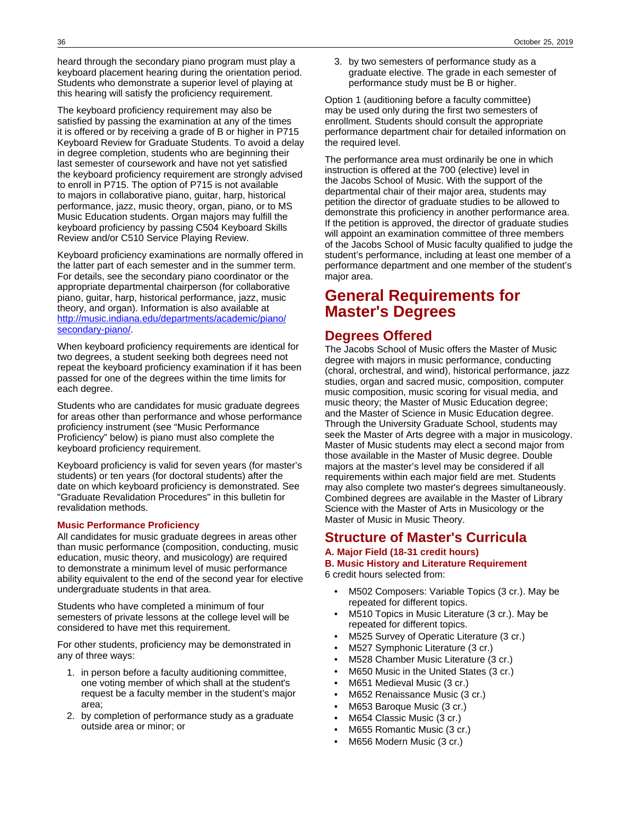heard through the secondary piano program must play a keyboard placement hearing during the orientation period. Students who demonstrate a superior level of playing at this hearing will satisfy the proficiency requirement.

The keyboard proficiency requirement may also be satisfied by passing the examination at any of the times it is offered or by receiving a grade of B or higher in P715 Keyboard Review for Graduate Students. To avoid a delay in degree completion, students who are beginning their last semester of coursework and have not yet satisfied the keyboard proficiency requirement are strongly advised to enroll in P715. The option of P715 is not available to majors in collaborative piano, guitar, harp, historical performance, jazz, music theory, organ, piano, or to MS Music Education students. Organ majors may fulfill the keyboard proficiency by passing C504 Keyboard Skills Review and/or C510 Service Playing Review.

Keyboard proficiency examinations are normally offered in the latter part of each semester and in the summer term. For details, see the secondary piano coordinator or the appropriate departmental chairperson (for collaborative piano, guitar, harp, historical performance, jazz, music theory, and organ). Information is also available at [http://music.indiana.edu/departments/academic/piano/](http://music.indiana.edu/departments/academic/piano/secondary-piano/) [secondary-piano/](http://music.indiana.edu/departments/academic/piano/secondary-piano/).

When keyboard proficiency requirements are identical for two degrees, a student seeking both degrees need not repeat the keyboard proficiency examination if it has been passed for one of the degrees within the time limits for each degree.

Students who are candidates for music graduate degrees for areas other than performance and whose performance proficiency instrument (see "Music Performance Proficiency" below) is piano must also complete the keyboard proficiency requirement.

Keyboard proficiency is valid for seven years (for master's students) or ten years (for doctoral students) after the date on which keyboard proficiency is demonstrated. See "Graduate Revalidation Procedures" in this bulletin for revalidation methods.

#### **Music Performance Proficiency**

All candidates for music graduate degrees in areas other than music performance (composition, conducting, music education, music theory, and musicology) are required to demonstrate a minimum level of music performance ability equivalent to the end of the second year for elective undergraduate students in that area.

Students who have completed a minimum of four semesters of private lessons at the college level will be considered to have met this requirement.

For other students, proficiency may be demonstrated in any of three ways:

- 1. in person before a faculty auditioning committee, one voting member of which shall at the student's request be a faculty member in the student's major area;
- 2. by completion of performance study as a graduate outside area or minor; or

3. by two semesters of performance study as a graduate elective. The grade in each semester of performance study must be B or higher.

Option 1 (auditioning before a faculty committee) may be used only during the first two semesters of enrollment. Students should consult the appropriate performance department chair for detailed information on the required level.

The performance area must ordinarily be one in which instruction is offered at the 700 (elective) level in the Jacobs School of Music. With the support of the departmental chair of their major area, students may petition the director of graduate studies to be allowed to demonstrate this proficiency in another performance area. If the petition is approved, the director of graduate studies will appoint an examination committee of three members of the Jacobs School of Music faculty qualified to judge the student's performance, including at least one member of a performance department and one member of the student's major area.

## **General Requirements for Master's Degrees**

## **Degrees Offered**

The Jacobs School of Music offers the Master of Music degree with majors in music performance, conducting (choral, orchestral, and wind), historical performance, jazz studies, organ and sacred music, composition, computer music composition, music scoring for visual media, and music theory; the Master of Music Education degree; and the Master of Science in Music Education degree. Through the University Graduate School, students may seek the Master of Arts degree with a major in musicology. Master of Music students may elect a second major from those available in the Master of Music degree. Double majors at the master's level may be considered if all requirements within each major field are met. Students may also complete two master's degrees simultaneously. Combined degrees are available in the Master of Library Science with the Master of Arts in Musicology or the Master of Music in Music Theory.

### **Structure of Master's Curricula**

#### **A. Major Field (18-31 credit hours)**

**B. Music History and Literature Requirement** 6 credit hours selected from:

- M502 Composers: Variable Topics (3 cr.). May be repeated for different topics.
- M510 Topics in Music Literature (3 cr.). May be repeated for different topics.
- M525 Survey of Operatic Literature (3 cr.)
- M527 Symphonic Literature (3 cr.)
- M528 Chamber Music Literature (3 cr.)
- M650 Music in the United States (3 cr.)
- M651 Medieval Music (3 cr.)
- M652 Renaissance Music (3 cr.)
- M653 Baroque Music (3 cr.)
- M654 Classic Music (3 cr.)
- M655 Romantic Music (3 cr.)
- M656 Modern Music (3 cr.)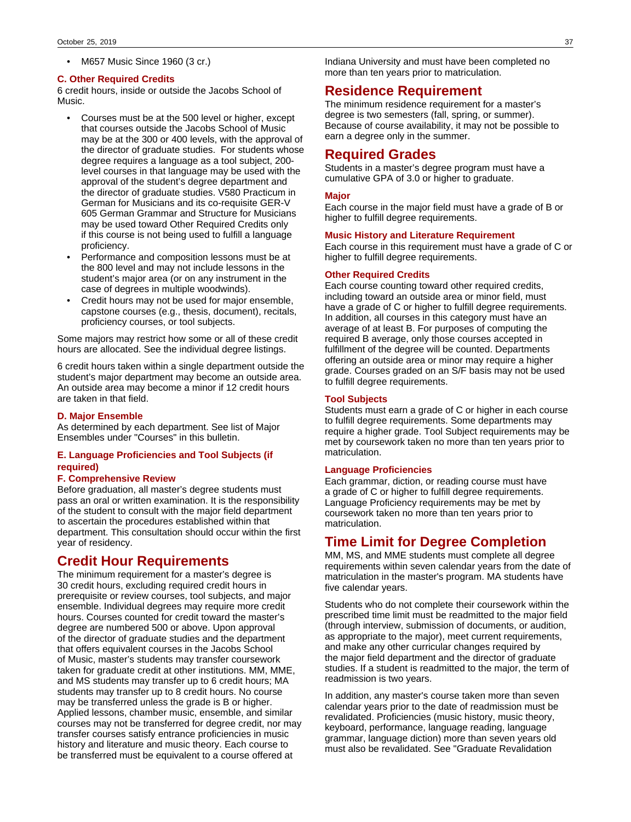• M657 Music Since 1960 (3 cr.)

#### **C. Other Required Credits**

6 credit hours, inside or outside the Jacobs School of Music.

- Courses must be at the 500 level or higher, except that courses outside the Jacobs School of Music may be at the 300 or 400 levels, with the approval of the director of graduate studies. For students whose degree requires a language as a tool subject, 200 level courses in that language may be used with the approval of the student's degree department and the director of graduate studies. V580 Practicum in German for Musicians and its co-requisite GER-V 605 German Grammar and Structure for Musicians may be used toward Other Required Credits only if this course is not being used to fulfill a language proficiency.
- Performance and composition lessons must be at the 800 level and may not include lessons in the student's major area (or on any instrument in the case of degrees in multiple woodwinds).
- Credit hours may not be used for major ensemble, capstone courses (e.g., thesis, document), recitals, proficiency courses, or tool subjects.

Some majors may restrict how some or all of these credit hours are allocated. See the individual degree listings.

6 credit hours taken within a single department outside the student's major department may become an outside area. An outside area may become a minor if 12 credit hours are taken in that field.

#### **D. Major Ensemble**

As determined by each department. See list of Major Ensembles under "Courses" in this bulletin.

## **E. Language Proficiencies and Tool Subjects (if required)**

## **F. Comprehensive Review**

Before graduation, all master's degree students must pass an oral or written examination. It is the responsibility of the student to consult with the major field department to ascertain the procedures established within that department. This consultation should occur within the first year of residency.

# **Credit Hour Requirements**

The minimum requirement for a master's degree is 30 credit hours, excluding required credit hours in prerequisite or review courses, tool subjects, and major ensemble. Individual degrees may require more credit hours. Courses counted for credit toward the master's degree are numbered 500 or above. Upon approval of the director of graduate studies and the department that offers equivalent courses in the Jacobs School of Music, master's students may transfer coursework taken for graduate credit at other institutions. MM, MME, and MS students may transfer up to 6 credit hours; MA students may transfer up to 8 credit hours. No course may be transferred unless the grade is B or higher. Applied lessons, chamber music, ensemble, and similar courses may not be transferred for degree credit, nor may transfer courses satisfy entrance proficiencies in music history and literature and music theory. Each course to be transferred must be equivalent to a course offered at

Indiana University and must have been completed no more than ten years prior to matriculation.

# **Residence Requirement**

The minimum residence requirement for a master's degree is two semesters (fall, spring, or summer). Because of course availability, it may not be possible to earn a degree only in the summer.

# **Required Grades**

Students in a master's degree program must have a cumulative GPA of 3.0 or higher to graduate.

#### **Major**

Each course in the major field must have a grade of B or higher to fulfill degree requirements.

## **Music History and Literature Requirement**

Each course in this requirement must have a grade of C or higher to fulfill degree requirements.

## **Other Required Credits**

Each course counting toward other required credits, including toward an outside area or minor field, must have a grade of C or higher to fulfill degree requirements. In addition, all courses in this category must have an average of at least B. For purposes of computing the required B average, only those courses accepted in fulfillment of the degree will be counted. Departments offering an outside area or minor may require a higher grade. Courses graded on an S/F basis may not be used to fulfill degree requirements.

#### **Tool Subjects**

Students must earn a grade of C or higher in each course to fulfill degree requirements. Some departments may require a higher grade. Tool Subject requirements may be met by coursework taken no more than ten years prior to matriculation.

## **Language Proficiencies**

Each grammar, diction, or reading course must have a grade of C or higher to fulfill degree requirements. Language Proficiency requirements may be met by coursework taken no more than ten years prior to matriculation.

# **Time Limit for Degree Completion**

MM, MS, and MME students must complete all degree requirements within seven calendar years from the date of matriculation in the master's program. MA students have five calendar years.

Students who do not complete their coursework within the prescribed time limit must be readmitted to the major field (through interview, submission of documents, or audition, as appropriate to the major), meet current requirements, and make any other curricular changes required by the major field department and the director of graduate studies. If a student is readmitted to the major, the term of readmission is two years.

In addition, any master's course taken more than seven calendar years prior to the date of readmission must be revalidated. Proficiencies (music history, music theory, keyboard, performance, language reading, language grammar, language diction) more than seven years old must also be revalidated. See "Graduate Revalidation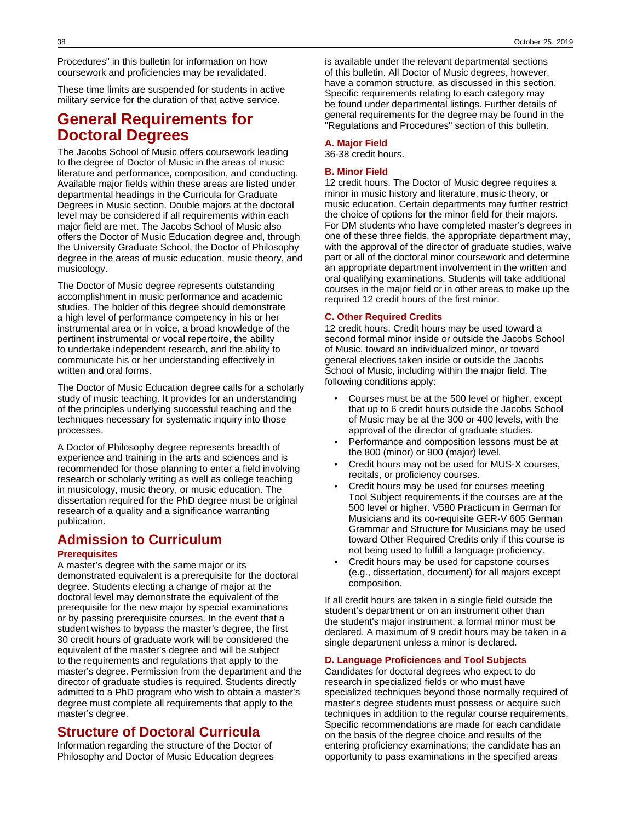Procedures" in this bulletin for information on how coursework and proficiencies may be revalidated.

These time limits are suspended for students in active military service for the duration of that active service.

# **General Requirements for Doctoral Degrees**

The Jacobs School of Music offers coursework leading to the degree of Doctor of Music in the areas of music literature and performance, composition, and conducting. Available major fields within these areas are listed under departmental headings in the Curricula for Graduate Degrees in Music section. Double majors at the doctoral level may be considered if all requirements within each major field are met. The Jacobs School of Music also offers the Doctor of Music Education degree and, through the University Graduate School, the Doctor of Philosophy degree in the areas of music education, music theory, and musicology.

The Doctor of Music degree represents outstanding accomplishment in music performance and academic studies. The holder of this degree should demonstrate a high level of performance competency in his or her instrumental area or in voice, a broad knowledge of the pertinent instrumental or vocal repertoire, the ability to undertake independent research, and the ability to communicate his or her understanding effectively in written and oral forms.

The Doctor of Music Education degree calls for a scholarly study of music teaching. It provides for an understanding of the principles underlying successful teaching and the techniques necessary for systematic inquiry into those processes.

A Doctor of Philosophy degree represents breadth of experience and training in the arts and sciences and is recommended for those planning to enter a field involving research or scholarly writing as well as college teaching in musicology, music theory, or music education. The dissertation required for the PhD degree must be original research of a quality and a significance warranting publication.

# **Admission to Curriculum**

# **Prerequisites**

A master's degree with the same major or its demonstrated equivalent is a prerequisite for the doctoral degree. Students electing a change of major at the doctoral level may demonstrate the equivalent of the prerequisite for the new major by special examinations or by passing prerequisite courses. In the event that a student wishes to bypass the master's degree, the first 30 credit hours of graduate work will be considered the equivalent of the master's degree and will be subject to the requirements and regulations that apply to the master's degree. Permission from the department and the director of graduate studies is required. Students directly admitted to a PhD program who wish to obtain a master's degree must complete all requirements that apply to the master's degree.

# **Structure of Doctoral Curricula**

Information regarding the structure of the Doctor of Philosophy and Doctor of Music Education degrees

is available under the relevant departmental sections of this bulletin. All Doctor of Music degrees, however, have a common structure, as discussed in this section. Specific requirements relating to each category may be found under departmental listings. Further details of general requirements for the degree may be found in the "Regulations and Procedures" section of this bulletin.

## **A. Major Field**

36-38 credit hours.

### **B. Minor Field**

12 credit hours. The Doctor of Music degree requires a minor in music history and literature, music theory, or music education. Certain departments may further restrict the choice of options for the minor field for their majors. For DM students who have completed master's degrees in one of these three fields, the appropriate department may, with the approval of the director of graduate studies, waive part or all of the doctoral minor coursework and determine an appropriate department involvement in the written and oral qualifying examinations. Students will take additional courses in the major field or in other areas to make up the required 12 credit hours of the first minor.

## **C. Other Required Credits**

12 credit hours. Credit hours may be used toward a second formal minor inside or outside the Jacobs School of Music, toward an individualized minor, or toward general electives taken inside or outside the Jacobs School of Music, including within the major field. The following conditions apply:

- Courses must be at the 500 level or higher, except that up to 6 credit hours outside the Jacobs School of Music may be at the 300 or 400 levels, with the approval of the director of graduate studies.
- Performance and composition lessons must be at the 800 (minor) or 900 (major) level.
- Credit hours may not be used for MUS-X courses, recitals, or proficiency courses.
- Credit hours may be used for courses meeting Tool Subject requirements if the courses are at the 500 level or higher. V580 Practicum in German for Musicians and its co-requisite GER-V 605 German Grammar and Structure for Musicians may be used toward Other Required Credits only if this course is not being used to fulfill a language proficiency.
- Credit hours may be used for capstone courses (e.g., dissertation, document) for all majors except composition.

If all credit hours are taken in a single field outside the student's department or on an instrument other than the student's major instrument, a formal minor must be declared. A maximum of 9 credit hours may be taken in a single department unless a minor is declared.

## **D. Language Proficiences and Tool Subjects**

Candidates for doctoral degrees who expect to do research in specialized fields or who must have specialized techniques beyond those normally required of master's degree students must possess or acquire such techniques in addition to the regular course requirements. Specific recommendations are made for each candidate on the basis of the degree choice and results of the entering proficiency examinations; the candidate has an opportunity to pass examinations in the specified areas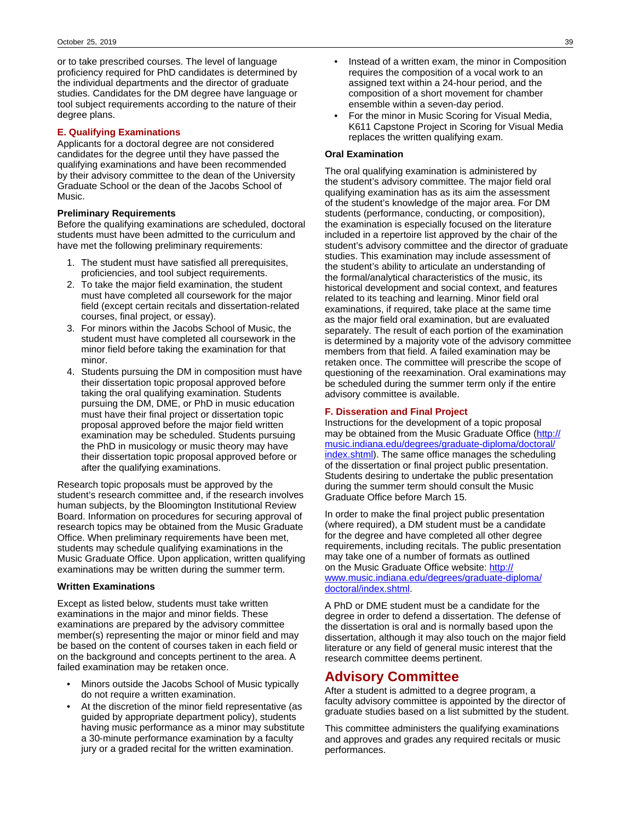or to take prescribed courses. The level of language proficiency required for PhD candidates is determined by the individual departments and the director of graduate studies. Candidates for the DM degree have language or tool subject requirements according to the nature of their degree plans.

## **E. Qualifying Examinations**

Applicants for a doctoral degree are not considered candidates for the degree until they have passed the qualifying examinations and have been recommended by their advisory committee to the dean of the University Graduate School or the dean of the Jacobs School of Music.

#### **Preliminary Requirements**

Before the qualifying examinations are scheduled, doctoral students must have been admitted to the curriculum and have met the following preliminary requirements:

- 1. The student must have satisfied all prerequisites, proficiencies, and tool subject requirements.
- 2. To take the major field examination, the student must have completed all coursework for the major field (except certain recitals and dissertation-related courses, final project, or essay).
- 3. For minors within the Jacobs School of Music, the student must have completed all coursework in the minor field before taking the examination for that minor.
- 4. Students pursuing the DM in composition must have their dissertation topic proposal approved before taking the oral qualifying examination. Students pursuing the DM, DME, or PhD in music education must have their final project or dissertation topic proposal approved before the major field written examination may be scheduled. Students pursuing the PhD in musicology or music theory may have their dissertation topic proposal approved before or after the qualifying examinations.

Research topic proposals must be approved by the student's research committee and, if the research involves human subjects, by the Bloomington Institutional Review Board. Information on procedures for securing approval of research topics may be obtained from the Music Graduate Office. When preliminary requirements have been met, students may schedule qualifying examinations in the Music Graduate Office. Upon application, written qualifying examinations may be written during the summer term.

#### **Written Examinations**

Except as listed below, students must take written examinations in the major and minor fields. These examinations are prepared by the advisory committee member(s) representing the major or minor field and may be based on the content of courses taken in each field or on the background and concepts pertinent to the area. A failed examination may be retaken once.

- Minors outside the Jacobs School of Music typically do not require a written examination.
- At the discretion of the minor field representative (as guided by appropriate department policy), students having music performance as a minor may substitute a 30-minute performance examination by a faculty jury or a graded recital for the written examination.
- Instead of a written exam, the minor in Composition requires the composition of a vocal work to an assigned text within a 24-hour period, and the composition of a short movement for chamber ensemble within a seven-day period.
- For the minor in Music Scoring for Visual Media, K611 Capstone Project in Scoring for Visual Media replaces the written qualifying exam.

#### **Oral Examination**

The oral qualifying examination is administered by the student's advisory committee. The major field oral qualifying examination has as its aim the assessment of the student's knowledge of the major area. For DM students (performance, conducting, or composition), the examination is especially focused on the literature included in a repertoire list approved by the chair of the student's advisory committee and the director of graduate studies. This examination may include assessment of the student's ability to articulate an understanding of the formal/analytical characteristics of the music, its historical development and social context, and features related to its teaching and learning. Minor field oral examinations, if required, take place at the same time as the major field oral examination, but are evaluated separately. The result of each portion of the examination is determined by a majority vote of the advisory committee members from that field. A failed examination may be retaken once. The committee will prescribe the scope of questioning of the reexamination. Oral examinations may be scheduled during the summer term only if the entire advisory committee is available.

## **F. Disseration and Final Project**

Instructions for the development of a topic proposal may be obtained from the Music Graduate Office ([http://](http://music.indiana.edu/degrees/graduate-diploma/doctoral/index.shtml) [music.indiana.edu/degrees/graduate-diploma/doctoral/](http://music.indiana.edu/degrees/graduate-diploma/doctoral/index.shtml) [index.shtml\)](http://music.indiana.edu/degrees/graduate-diploma/doctoral/index.shtml). The same office manages the scheduling of the dissertation or final project public presentation. Students desiring to undertake the public presentation during the summer term should consult the Music Graduate Office before March 15.

In order to make the final project public presentation (where required), a DM student must be a candidate for the degree and have completed all other degree requirements, including recitals. The public presentation may take one of a number of formats as outlined on the Music Graduate Office website: [http://](http://www.music.indiana.edu/degrees/graduate-diploma/doctoral/index.shtml) [www.music.indiana.edu/degrees/graduate-diploma/](http://www.music.indiana.edu/degrees/graduate-diploma/doctoral/index.shtml) [doctoral/index.shtml](http://www.music.indiana.edu/degrees/graduate-diploma/doctoral/index.shtml).

A PhD or DME student must be a candidate for the degree in order to defend a dissertation. The defense of the dissertation is oral and is normally based upon the dissertation, although it may also touch on the major field literature or any field of general music interest that the research committee deems pertinent.

# **Advisory Committee**

After a student is admitted to a degree program, a faculty advisory committee is appointed by the director of graduate studies based on a list submitted by the student.

This committee administers the qualifying examinations and approves and grades any required recitals or music performances.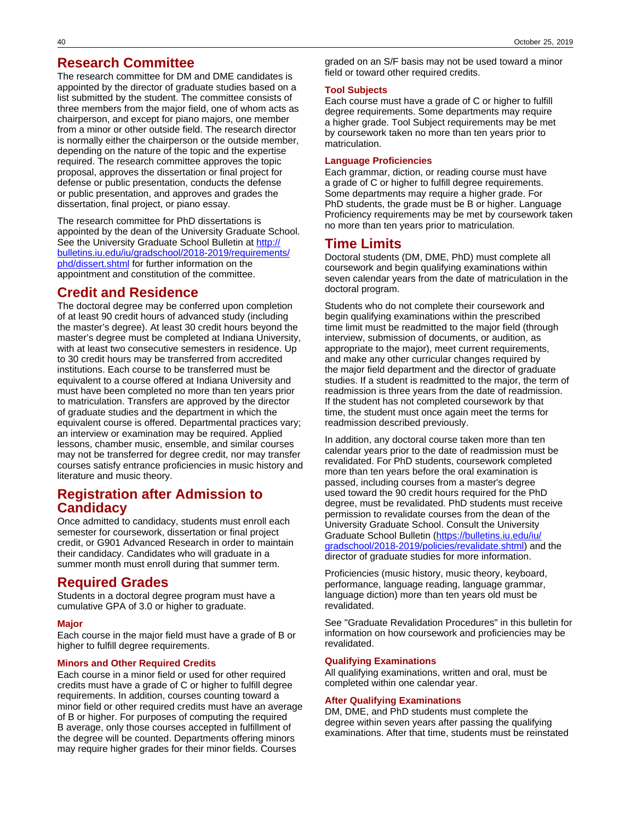# **Research Committee**

The research committee for DM and DME candidates is appointed by the director of graduate studies based on a list submitted by the student. The committee consists of three members from the major field, one of whom acts as chairperson, and except for piano majors, one member from a minor or other outside field. The research director is normally either the chairperson or the outside member, depending on the nature of the topic and the expertise required. The research committee approves the topic proposal, approves the dissertation or final project for defense or public presentation, conducts the defense or public presentation, and approves and grades the dissertation, final project, or piano essay.

The research committee for PhD dissertations is appointed by the dean of the University Graduate School. See the University Graduate School Bulletin at [http://](https://bulletins.iu.edu/iu/gradschool/2018-2019/requirements/phd/research.shtml) [bulletins.iu.edu/iu/gradschool/2018-2019/requirements/](https://bulletins.iu.edu/iu/gradschool/2018-2019/requirements/phd/research.shtml) [phd/dissert.shtml](https://bulletins.iu.edu/iu/gradschool/2018-2019/requirements/phd/research.shtml) for further information on the appointment and constitution of the committee.

# **Credit and Residence**

The doctoral degree may be conferred upon completion of at least 90 credit hours of advanced study (including the master's degree). At least 30 credit hours beyond the master's degree must be completed at Indiana University, with at least two consecutive semesters in residence. Up to 30 credit hours may be transferred from accredited institutions. Each course to be transferred must be equivalent to a course offered at Indiana University and must have been completed no more than ten years prior to matriculation. Transfers are approved by the director of graduate studies and the department in which the equivalent course is offered. Departmental practices vary; an interview or examination may be required. Applied lessons, chamber music, ensemble, and similar courses may not be transferred for degree credit, nor may transfer courses satisfy entrance proficiencies in music history and literature and music theory.

# **Registration after Admission to Candidacy**

Once admitted to candidacy, students must enroll each semester for coursework, dissertation or final project credit, or G901 Advanced Research in order to maintain their candidacy. Candidates who will graduate in a summer month must enroll during that summer term.

# **Required Grades**

Students in a doctoral degree program must have a cumulative GPA of 3.0 or higher to graduate.

# **Major**

Each course in the major field must have a grade of B or higher to fulfill degree requirements.

# **Minors and Other Required Credits**

Each course in a minor field or used for other required credits must have a grade of C or higher to fulfill degree requirements. In addition, courses counting toward a minor field or other required credits must have an average of B or higher. For purposes of computing the required B average, only those courses accepted in fulfillment of the degree will be counted. Departments offering minors may require higher grades for their minor fields. Courses

graded on an S/F basis may not be used toward a minor field or toward other required credits.

### **Tool Subjects**

Each course must have a grade of C or higher to fulfill degree requirements. Some departments may require a higher grade. Tool Subject requirements may be met by coursework taken no more than ten years prior to matriculation.

### **Language Proficiencies**

Each grammar, diction, or reading course must have a grade of C or higher to fulfill degree requirements. Some departments may require a higher grade. For PhD students, the grade must be B or higher. Language Proficiency requirements may be met by coursework taken no more than ten years prior to matriculation.

# **Time Limits**

Doctoral students (DM, DME, PhD) must complete all coursework and begin qualifying examinations within seven calendar years from the date of matriculation in the doctoral program.

Students who do not complete their coursework and begin qualifying examinations within the prescribed time limit must be readmitted to the major field (through interview, submission of documents, or audition, as appropriate to the major), meet current requirements, and make any other curricular changes required by the major field department and the director of graduate studies. If a student is readmitted to the major, the term of readmission is three years from the date of readmission. If the student has not completed coursework by that time, the student must once again meet the terms for readmission described previously.

In addition, any doctoral course taken more than ten calendar years prior to the date of readmission must be revalidated. For PhD students, coursework completed more than ten years before the oral examination is passed, including courses from a master's degree used toward the 90 credit hours required for the PhD degree, must be revalidated. PhD students must receive permission to revalidate courses from the dean of the University Graduate School. Consult the University Graduate School Bulletin [\(https://bulletins.iu.edu/iu/](https://bulletins.iu.edu/iu/gradschool/2018-2019/policies/revalidate.shtml) [gradschool/2018-2019/policies/revalidate.shtml\)](https://bulletins.iu.edu/iu/gradschool/2018-2019/policies/revalidate.shtml) and the director of graduate studies for more information.

Proficiencies (music history, music theory, keyboard, performance, language reading, language grammar, language diction) more than ten years old must be revalidated.

See "Graduate Revalidation Procedures" in this bulletin for information on how coursework and proficiencies may be revalidated.

## **Qualifying Examinations**

All qualifying examinations, written and oral, must be completed within one calendar year.

#### **After Qualifying Examinations**

DM, DME, and PhD students must complete the degree within seven years after passing the qualifying examinations. After that time, students must be reinstated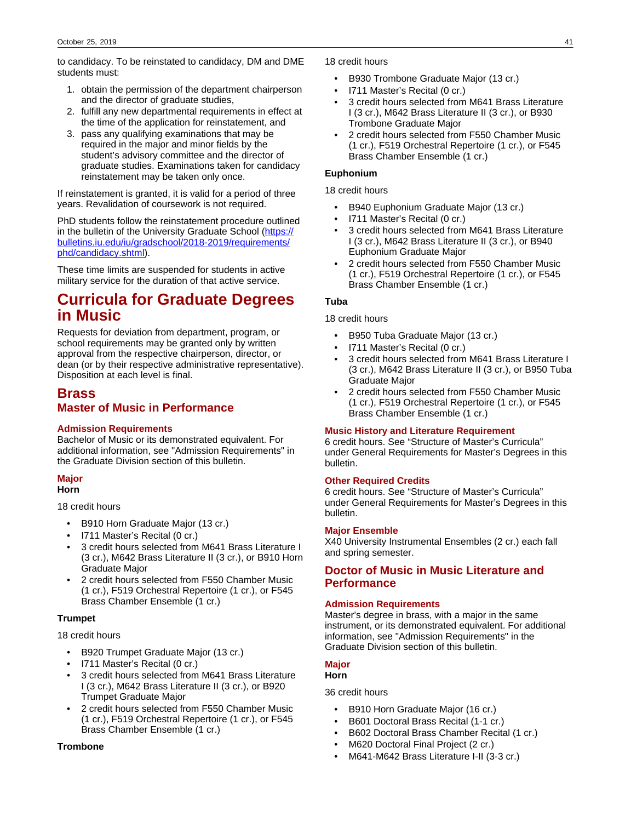to candidacy. To be reinstated to candidacy, DM and DME students must:

- 1. obtain the permission of the department chairperson and the director of graduate studies,
- 2. fulfill any new departmental requirements in effect at the time of the application for reinstatement, and
- 3. pass any qualifying examinations that may be required in the major and minor fields by the student's advisory committee and the director of graduate studies. Examinations taken for candidacy reinstatement may be taken only once.

If reinstatement is granted, it is valid for a period of three years. Revalidation of coursework is not required.

PhD students follow the reinstatement procedure outlined in the bulletin of the University Graduate School ([https://](https://bulletins.iu.edu/iu/gradschool/2018-2019/requirements/phd/candidacy.shtml) [bulletins.iu.edu/iu/gradschool/2018-2019/requirements/](https://bulletins.iu.edu/iu/gradschool/2018-2019/requirements/phd/candidacy.shtml) [phd/candidacy.shtml](https://bulletins.iu.edu/iu/gradschool/2018-2019/requirements/phd/candidacy.shtml)).

These time limits are suspended for students in active military service for the duration of that active service.

# **Curricula for Graduate Degrees in Music**

Requests for deviation from department, program, or school requirements may be granted only by written approval from the respective chairperson, director, or dean (or by their respective administrative representative). Disposition at each level is final.

# **Brass Master of Music in Performance**

# **Admission Requirements**

Bachelor of Music or its demonstrated equivalent. For additional information, see "Admission Requirements" in the Graduate Division section of this bulletin.

# **Major**

# **Horn**

18 credit hours

- B910 Horn Graduate Major (13 cr.)
- I711 Master's Recital (0 cr.)
- 3 credit hours selected from M641 Brass Literature I (3 cr.), M642 Brass Literature II (3 cr.), or B910 Horn Graduate Major
- 2 credit hours selected from F550 Chamber Music (1 cr.), F519 Orchestral Repertoire (1 cr.), or F545 Brass Chamber Ensemble (1 cr.)

# **Trumpet**

# 18 credit hours

- B920 Trumpet Graduate Major (13 cr.)
- I711 Master's Recital (0 cr.)
- 3 credit hours selected from M641 Brass Literature I (3 cr.), M642 Brass Literature II (3 cr.), or B920 Trumpet Graduate Major
- 2 credit hours selected from F550 Chamber Music (1 cr.), F519 Orchestral Repertoire (1 cr.), or F545 Brass Chamber Ensemble (1 cr.)

# **Trombone**

## 18 credit hours

- B930 Trombone Graduate Major (13 cr.)
- I711 Master's Recital (0 cr.)
- 3 credit hours selected from M641 Brass Literature I (3 cr.), M642 Brass Literature II (3 cr.), or B930 Trombone Graduate Major
- 2 credit hours selected from F550 Chamber Music (1 cr.), F519 Orchestral Repertoire (1 cr.), or F545 Brass Chamber Ensemble (1 cr.)

# **Euphonium**

# 18 credit hours

- B940 Euphonium Graduate Major (13 cr.)
- I711 Master's Recital (0 cr.)
- 3 credit hours selected from M641 Brass Literature I (3 cr.), M642 Brass Literature II (3 cr.), or B940 Euphonium Graduate Major
- 2 credit hours selected from F550 Chamber Music (1 cr.), F519 Orchestral Repertoire (1 cr.), or F545 Brass Chamber Ensemble (1 cr.)

# **Tuba**

# 18 credit hours

- B950 Tuba Graduate Major (13 cr.)
- I711 Master's Recital (0 cr.)
- 3 credit hours selected from M641 Brass Literature I (3 cr.), M642 Brass Literature II (3 cr.), or B950 Tuba Graduate Major
- 2 credit hours selected from F550 Chamber Music (1 cr.), F519 Orchestral Repertoire (1 cr.), or F545 Brass Chamber Ensemble (1 cr.)

# **Music History and Literature Requirement**

6 credit hours. See "Structure of Master's Curricula" under General Requirements for Master's Degrees in this bulletin.

# **Other Required Credits**

6 credit hours. See "Structure of Master's Curricula" under General Requirements for Master's Degrees in this bulletin.

# **Major Ensemble**

X40 University Instrumental Ensembles (2 cr.) each fall and spring semester.

# **Doctor of Music in Music Literature and Performance**

# **Admission Requirements**

Master's degree in brass, with a major in the same instrument, or its demonstrated equivalent. For additional information, see "Admission Requirements" in the Graduate Division section of this bulletin.

# **Major**

# **Horn**

- B910 Horn Graduate Major (16 cr.)
- B601 Doctoral Brass Recital (1-1 cr.)
- B602 Doctoral Brass Chamber Recital (1 cr.)
- M620 Doctoral Final Project (2 cr.)
- M641-M642 Brass Literature I-II (3-3 cr.)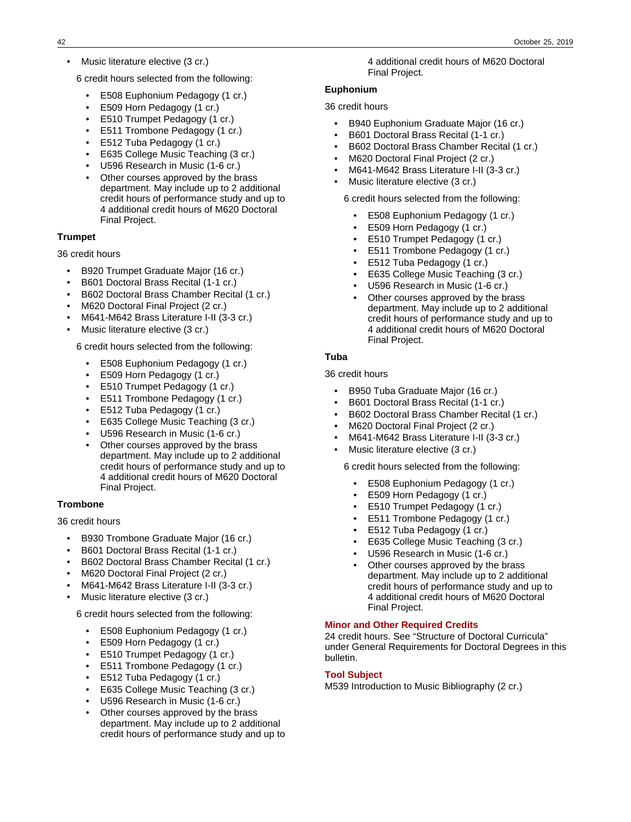• Music literature elective (3 cr.)

6 credit hours selected from the following:

- E508 Euphonium Pedagogy (1 cr.)
- E509 Horn Pedagogy (1 cr.)
- E510 Trumpet Pedagogy (1 cr.)
- E511 Trombone Pedagogy (1 cr.)
- E512 Tuba Pedagogy (1 cr.)
- E635 College Music Teaching (3 cr.)
- U596 Research in Music (1-6 cr.)
- Other courses approved by the brass department. May include up to 2 additional credit hours of performance study and up to 4 additional credit hours of M620 Doctoral Final Project.

## **Trumpet**

36 credit hours

- B920 Trumpet Graduate Major (16 cr.)
- B601 Doctoral Brass Recital (1-1 cr.)
- B602 Doctoral Brass Chamber Recital (1 cr.)
- M620 Doctoral Final Project (2 cr.)
- M641-M642 Brass Literature I-II (3-3 cr.)
- Music literature elective (3 cr.)

# 6 credit hours selected from the following:

- E508 Euphonium Pedagogy (1 cr.)
- E509 Horn Pedagogy (1 cr.)
- E510 Trumpet Pedagogy (1 cr.)
- E511 Trombone Pedagogy (1 cr.)
- E512 Tuba Pedagogy (1 cr.)
- E635 College Music Teaching (3 cr.)
- U596 Research in Music (1-6 cr.)
- Other courses approved by the brass department. May include up to 2 additional credit hours of performance study and up to 4 additional credit hours of M620 Doctoral Final Project.

# **Trombone**

36 credit hours

- B930 Trombone Graduate Major (16 cr.)
- B601 Doctoral Brass Recital (1-1 cr.)
- B602 Doctoral Brass Chamber Recital (1 cr.)
- M620 Doctoral Final Project (2 cr.)
- M641-M642 Brass Literature I-II (3-3 cr.)
- Music literature elective (3 cr.)

# 6 credit hours selected from the following:

- E508 Euphonium Pedagogy (1 cr.)
- E509 Horn Pedagogy (1 cr.)
- E510 Trumpet Pedagogy (1 cr.)
- E511 Trombone Pedagogy (1 cr.)
- E512 Tuba Pedagogy (1 cr.)
- E635 College Music Teaching (3 cr.)
- U596 Research in Music (1-6 cr.)
- Other courses approved by the brass department. May include up to 2 additional credit hours of performance study and up to

4 additional credit hours of M620 Doctoral Final Project.

# **Euphonium**

## 36 credit hours

- B940 Euphonium Graduate Major (16 cr.)
- B601 Doctoral Brass Recital (1-1 cr.)
- B602 Doctoral Brass Chamber Recital (1 cr.)
- M620 Doctoral Final Project (2 cr.)
- M641-M642 Brass Literature I-II (3-3 cr.)
- Music literature elective (3 cr.)

# 6 credit hours selected from the following:

- E508 Euphonium Pedagogy (1 cr.)
- E509 Horn Pedagogy (1 cr.)
- E510 Trumpet Pedagogy (1 cr.)
- E511 Trombone Pedagogy (1 cr.)
- E512 Tuba Pedagogy (1 cr.)
- E635 College Music Teaching (3 cr.)
- U596 Research in Music (1-6 cr.)
- Other courses approved by the brass department. May include up to 2 additional credit hours of performance study and up to 4 additional credit hours of M620 Doctoral Final Project.

#### **Tuba**

36 credit hours

- B950 Tuba Graduate Major (16 cr.)
- B601 Doctoral Brass Recital (1-1 cr.)
- B602 Doctoral Brass Chamber Recital (1 cr.)
- M620 Doctoral Final Project (2 cr.)
- M641-M642 Brass Literature I-II (3-3 cr.)
- Music literature elective (3 cr.)

## 6 credit hours selected from the following:

- E508 Euphonium Pedagogy (1 cr.)
- E509 Horn Pedagogy (1 cr.)
- E510 Trumpet Pedagogy (1 cr.)
- E511 Trombone Pedagogy (1 cr.)
- E512 Tuba Pedagogy (1 cr.)
- E635 College Music Teaching (3 cr.)
- U596 Research in Music (1-6 cr.)
- Other courses approved by the brass department. May include up to 2 additional credit hours of performance study and up to 4 additional credit hours of M620 Doctoral Final Project.

## **Minor and Other Required Credits**

24 credit hours. See "Structure of Doctoral Curricula" under General Requirements for Doctoral Degrees in this bulletin.

# **Tool Subject**

M539 Introduction to Music Bibliography (2 cr.)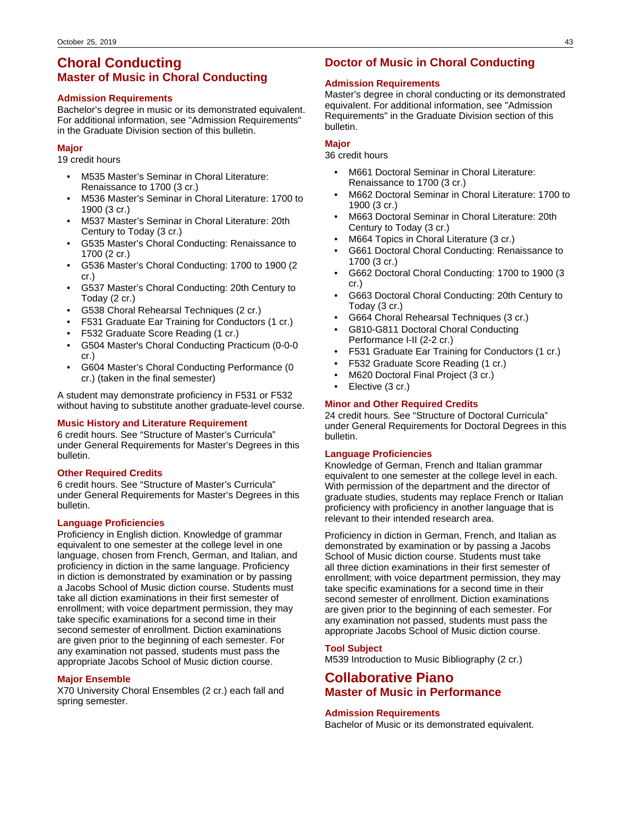# **Choral Conducting Master of Music in Choral Conducting**

#### **Admission Requirements**

Bachelor's degree in music or its demonstrated equivalent. For additional information, see "Admission Requirements" in the Graduate Division section of this bulletin.

#### **Major**

19 credit hours

- M535 Master's Seminar in Choral Literature: Renaissance to 1700 (3 cr.)
- M536 Master's Seminar in Choral Literature: 1700 to 1900 (3 cr.)
- M537 Master's Seminar in Choral Literature: 20th Century to Today (3 cr.)
- G535 Master's Choral Conducting: Renaissance to 1700 (2 cr.)
- G536 Master's Choral Conducting: 1700 to 1900 (2 cr.)
- G537 Master's Choral Conducting: 20th Century to Today (2 cr.)
- G538 Choral Rehearsal Techniques (2 cr.)
- F531 Graduate Ear Training for Conductors (1 cr.)
- F532 Graduate Score Reading (1 cr.)
- G504 Master's Choral Conducting Practicum (0-0-0 cr.)
- G604 Master's Choral Conducting Performance (0 cr.) (taken in the final semester)

A student may demonstrate proficiency in F531 or F532 without having to substitute another graduate-level course.

#### **Music History and Literature Requirement**

6 credit hours. See "Structure of Master's Curricula" under General Requirements for Master's Degrees in this bulletin.

#### **Other Required Credits**

6 credit hours. See "Structure of Master's Curricula" under General Requirements for Master's Degrees in this bulletin.

## **Language Proficiencies**

Proficiency in English diction. Knowledge of grammar equivalent to one semester at the college level in one language, chosen from French, German, and Italian, and proficiency in diction in the same language. Proficiency in diction is demonstrated by examination or by passing a Jacobs School of Music diction course. Students must take all diction examinations in their first semester of enrollment; with voice department permission, they may take specific examinations for a second time in their second semester of enrollment. Diction examinations are given prior to the beginning of each semester. For any examination not passed, students must pass the appropriate Jacobs School of Music diction course.

## **Major Ensemble**

X70 University Choral Ensembles (2 cr.) each fall and spring semester.

# **Doctor of Music in Choral Conducting**

# **Admission Requirements**

Master's degree in choral conducting or its demonstrated equivalent. For additional information, see "Admission Requirements" in the Graduate Division section of this bulletin.

## **Major**

36 credit hours

- M661 Doctoral Seminar in Choral Literature: Renaissance to 1700 (3 cr.)
- M662 Doctoral Seminar in Choral Literature: 1700 to 1900 (3 cr.)
- M663 Doctoral Seminar in Choral Literature: 20th Century to Today (3 cr.)
- M664 Topics in Choral Literature (3 cr.)
- G661 Doctoral Choral Conducting: Renaissance to 1700 (3 cr.)
- G662 Doctoral Choral Conducting: 1700 to 1900 (3 cr.)
- G663 Doctoral Choral Conducting: 20th Century to Today (3 cr.)
- G664 Choral Rehearsal Techniques (3 cr.)
- G810-G811 Doctoral Choral Conducting Performance I-II (2-2 cr.)
- F531 Graduate Ear Training for Conductors (1 cr.)
- F532 Graduate Score Reading (1 cr.)
- M620 Doctoral Final Project (3 cr.)
- Elective (3 cr.)

# **Minor and Other Required Credits**

24 credit hours. See "Structure of Doctoral Curricula" under General Requirements for Doctoral Degrees in this bulletin.

#### **Language Proficiencies**

Knowledge of German, French and Italian grammar equivalent to one semester at the college level in each. With permission of the department and the director of graduate studies, students may replace French or Italian proficiency with proficiency in another language that is relevant to their intended research area.

Proficiency in diction in German, French, and Italian as demonstrated by examination or by passing a Jacobs School of Music diction course. Students must take all three diction examinations in their first semester of enrollment; with voice department permission, they may take specific examinations for a second time in their second semester of enrollment. Diction examinations are given prior to the beginning of each semester. For any examination not passed, students must pass the appropriate Jacobs School of Music diction course.

#### **Tool Subject**

M539 Introduction to Music Bibliography (2 cr.)

# **Collaborative Piano Master of Music in Performance**

## **Admission Requirements**

Bachelor of Music or its demonstrated equivalent.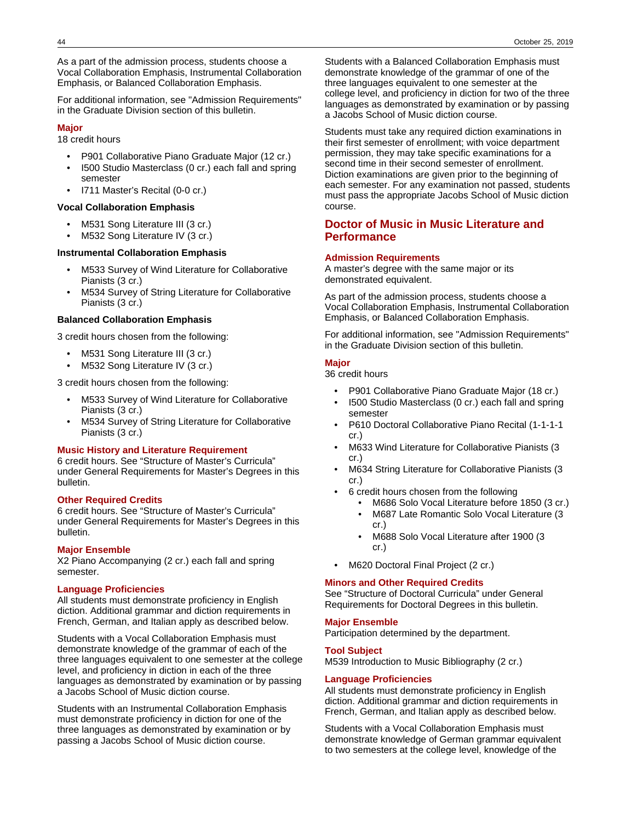As a part of the admission process, students choose a Vocal Collaboration Emphasis, Instrumental Collaboration Emphasis, or Balanced Collaboration Emphasis.

For additional information, see "Admission Requirements" in the Graduate Division section of this bulletin.

## **Major**

18 credit hours

- P901 Collaborative Piano Graduate Major (12 cr.)
- I500 Studio Masterclass (0 cr.) each fall and spring semester
- I711 Master's Recital (0-0 cr.)

## **Vocal Collaboration Emphasis**

- M531 Song Literature III (3 cr.)
- M532 Song Literature IV (3 cr.)

### **Instrumental Collaboration Emphasis**

- M533 Survey of Wind Literature for Collaborative Pianists (3 cr.)
- M534 Survey of String Literature for Collaborative Pianists (3 cr.)

#### **Balanced Collaboration Emphasis**

3 credit hours chosen from the following:

- M531 Song Literature III (3 cr.)
- M532 Song Literature IV (3 cr.)

3 credit hours chosen from the following:

- M533 Survey of Wind Literature for Collaborative Pianists (3 cr.)
- M534 Survey of String Literature for Collaborative Pianists (3 cr.)

## **Music History and Literature Requirement**

6 credit hours. See "Structure of Master's Curricula" under General Requirements for Master's Degrees in this bulletin.

### **Other Required Credits**

6 credit hours. See "Structure of Master's Curricula" under General Requirements for Master's Degrees in this bulletin.

#### **Major Ensemble**

X2 Piano Accompanying (2 cr.) each fall and spring semester.

## **Language Proficiencies**

All students must demonstrate proficiency in English diction. Additional grammar and diction requirements in French, German, and Italian apply as described below.

Students with a Vocal Collaboration Emphasis must demonstrate knowledge of the grammar of each of the three languages equivalent to one semester at the college level, and proficiency in diction in each of the three languages as demonstrated by examination or by passing a Jacobs School of Music diction course.

Students with an Instrumental Collaboration Emphasis must demonstrate proficiency in diction for one of the three languages as demonstrated by examination or by passing a Jacobs School of Music diction course.

Students with a Balanced Collaboration Emphasis must demonstrate knowledge of the grammar of one of the three languages equivalent to one semester at the college level, and proficiency in diction for two of the three languages as demonstrated by examination or by passing a Jacobs School of Music diction course.

Students must take any required diction examinations in their first semester of enrollment; with voice department permission, they may take specific examinations for a second time in their second semester of enrollment. Diction examinations are given prior to the beginning of each semester. For any examination not passed, students must pass the appropriate Jacobs School of Music diction course.

# **Doctor of Music in Music Literature and Performance**

#### **Admission Requirements**

A master's degree with the same major or its demonstrated equivalent.

As part of the admission process, students choose a Vocal Collaboration Emphasis, Instrumental Collaboration Emphasis, or Balanced Collaboration Emphasis.

For additional information, see "Admission Requirements" in the Graduate Division section of this bulletin.

#### **Major**

36 credit hours

- P901 Collaborative Piano Graduate Major (18 cr.)
- I500 Studio Masterclass (0 cr.) each fall and spring semester
- P610 Doctoral Collaborative Piano Recital (1-1-1-1 cr.)
- M633 Wind Literature for Collaborative Pianists (3 cr.)
- M634 String Literature for Collaborative Pianists (3 cr.)
- 6 credit hours chosen from the following
	- M686 Solo Vocal Literature before 1850 (3 cr.)
	- M687 Late Romantic Solo Vocal Literature (3 cr.)
	- M688 Solo Vocal Literature after 1900 (3 cr.)
- M620 Doctoral Final Project (2 cr.)

## **Minors and Other Required Credits**

See "Structure of Doctoral Curricula" under General Requirements for Doctoral Degrees in this bulletin.

# **Major Ensemble**

Participation determined by the department.

#### **Tool Subject**

M539 Introduction to Music Bibliography (2 cr.)

# **Language Proficiencies**

All students must demonstrate proficiency in English diction. Additional grammar and diction requirements in French, German, and Italian apply as described below.

Students with a Vocal Collaboration Emphasis must demonstrate knowledge of German grammar equivalent to two semesters at the college level, knowledge of the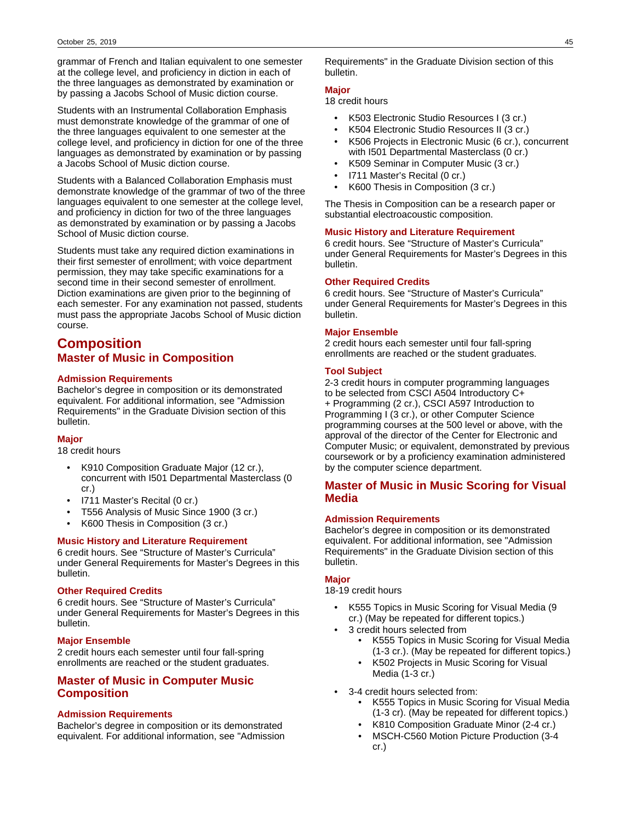grammar of French and Italian equivalent to one semester at the college level, and proficiency in diction in each of the three languages as demonstrated by examination or by passing a Jacobs School of Music diction course.

Students with an Instrumental Collaboration Emphasis must demonstrate knowledge of the grammar of one of the three languages equivalent to one semester at the college level, and proficiency in diction for one of the three languages as demonstrated by examination or by passing a Jacobs School of Music diction course.

Students with a Balanced Collaboration Emphasis must demonstrate knowledge of the grammar of two of the three languages equivalent to one semester at the college level, and proficiency in diction for two of the three languages as demonstrated by examination or by passing a Jacobs School of Music diction course.

Students must take any required diction examinations in their first semester of enrollment; with voice department permission, they may take specific examinations for a second time in their second semester of enrollment. Diction examinations are given prior to the beginning of each semester. For any examination not passed, students must pass the appropriate Jacobs School of Music diction course.

# **Composition Master of Music in Composition**

## **Admission Requirements**

Bachelor's degree in composition or its demonstrated equivalent. For additional information, see "Admission Requirements" in the Graduate Division section of this bulletin.

## **Major**

18 credit hours

- K910 Composition Graduate Major (12 cr.), concurrent with I501 Departmental Masterclass (0 cr.)
- I711 Master's Recital (0 cr.)
- T556 Analysis of Music Since 1900 (3 cr.)
- K600 Thesis in Composition (3 cr.)

# **Music History and Literature Requirement**

6 credit hours. See "Structure of Master's Curricula" under General Requirements for Master's Degrees in this bulletin.

#### **Other Required Credits**

6 credit hours. See "Structure of Master's Curricula" under General Requirements for Master's Degrees in this bulletin.

# **Major Ensemble**

2 credit hours each semester until four fall-spring enrollments are reached or the student graduates.

# **Master of Music in Computer Music Composition**

## **Admission Requirements**

Bachelor's degree in composition or its demonstrated equivalent. For additional information, see "Admission Requirements" in the Graduate Division section of this bulletin.

## **Major**

#### 18 credit hours

- K503 Electronic Studio Resources I (3 cr.)
- K504 Electronic Studio Resources II (3 cr.)
- K506 Projects in Electronic Music (6 cr.), concurrent with I501 Departmental Masterclass (0 cr.)
- K509 Seminar in Computer Music (3 cr.)
- I711 Master's Recital (0 cr.)
- K600 Thesis in Composition (3 cr.)

The Thesis in Composition can be a research paper or substantial electroacoustic composition.

#### **Music History and Literature Requirement**

6 credit hours. See "Structure of Master's Curricula" under General Requirements for Master's Degrees in this bulletin.

#### **Other Required Credits**

6 credit hours. See "Structure of Master's Curricula" under General Requirements for Master's Degrees in this bulletin.

# **Major Ensemble**

2 credit hours each semester until four fall-spring enrollments are reached or the student graduates.

#### **Tool Subject**

2-3 credit hours in computer programming languages to be selected from CSCI A504 Introductory C+ + Programming (2 cr.), CSCI A597 Introduction to Programming I (3 cr.), or other Computer Science programming courses at the 500 level or above, with the approval of the director of the Center for Electronic and Computer Music; or equivalent, demonstrated by previous coursework or by a proficiency examination administered by the computer science department.

# **Master of Music in Music Scoring for Visual Media**

#### **Admission Requirements**

Bachelor's degree in composition or its demonstrated equivalent. For additional information, see "Admission Requirements" in the Graduate Division section of this bulletin.

#### **Major**

18-19 credit hours

- K555 Topics in Music Scoring for Visual Media (9 cr.) (May be repeated for different topics.)
- 3 credit hours selected from
	- K555 Topics in Music Scoring for Visual Media (1-3 cr.). (May be repeated for different topics.)
	- K502 Projects in Music Scoring for Visual Media (1-3 cr.)
- 3-4 credit hours selected from:
	- K555 Topics in Music Scoring for Visual Media (1-3 cr). (May be repeated for different topics.)
	- K810 Composition Graduate Minor (2-4 cr.)
	- MSCH-C560 Motion Picture Production (3-4 cr.)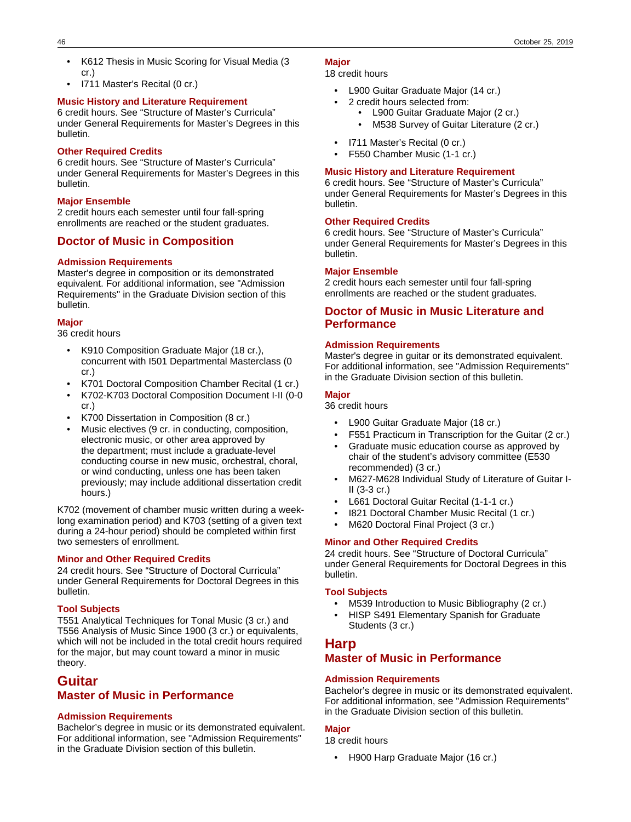- K612 Thesis in Music Scoring for Visual Media (3 cr.)
- I711 Master's Recital (0 cr.)

# **Music History and Literature Requirement**

6 credit hours. See "Structure of Master's Curricula" under General Requirements for Master's Degrees in this bulletin.

## **Other Required Credits**

6 credit hours. See "Structure of Master's Curricula" under General Requirements for Master's Degrees in this bulletin.

## **Major Ensemble**

2 credit hours each semester until four fall-spring enrollments are reached or the student graduates.

# **Doctor of Music in Composition**

#### **Admission Requirements**

Master's degree in composition or its demonstrated equivalent. For additional information, see "Admission Requirements" in the Graduate Division section of this bulletin.

#### **Major**

36 credit hours

- K910 Composition Graduate Major (18 cr.), concurrent with I501 Departmental Masterclass (0 cr.)
- K701 Doctoral Composition Chamber Recital (1 cr.)
- K702-K703 Doctoral Composition Document I-II (0-0 cr.)
- K700 Dissertation in Composition (8 cr.)
- Music electives (9 cr. in conducting, composition, electronic music, or other area approved by the department; must include a graduate-level conducting course in new music, orchestral, choral, or wind conducting, unless one has been taken previously; may include additional dissertation credit hours.)

K702 (movement of chamber music written during a weeklong examination period) and K703 (setting of a given text during a 24-hour period) should be completed within first two semesters of enrollment.

#### **Minor and Other Required Credits**

24 credit hours. See "Structure of Doctoral Curricula" under General Requirements for Doctoral Degrees in this bulletin.

#### **Tool Subjects**

T551 Analytical Techniques for Tonal Music (3 cr.) and T556 Analysis of Music Since 1900 (3 cr.) or equivalents, which will not be included in the total credit hours required for the major, but may count toward a minor in music theory.

# **Guitar Master of Music in Performance**

#### **Admission Requirements**

Bachelor's degree in music or its demonstrated equivalent. For additional information, see "Admission Requirements" in the Graduate Division section of this bulletin.

# **Major**

# 18 credit hours

- L900 Guitar Graduate Major (14 cr.)
- 2 credit hours selected from:
	- L900 Guitar Graduate Major (2 cr.)
	- M538 Survey of Guitar Literature (2 cr.)
- I711 Master's Recital (0 cr.)
- F550 Chamber Music (1-1 cr.)

## **Music History and Literature Requirement**

6 credit hours. See "Structure of Master's Curricula" under General Requirements for Master's Degrees in this bulletin.

#### **Other Required Credits**

6 credit hours. See "Structure of Master's Curricula" under General Requirements for Master's Degrees in this bulletin.

#### **Major Ensemble**

2 credit hours each semester until four fall-spring enrollments are reached or the student graduates.

# **Doctor of Music in Music Literature and Performance**

#### **Admission Requirements**

Master's degree in guitar or its demonstrated equivalent. For additional information, see "Admission Requirements" in the Graduate Division section of this bulletin.

#### **Major**

36 credit hours

- L900 Guitar Graduate Major (18 cr.)
- F551 Practicum in Transcription for the Guitar (2 cr.)
- Graduate music education course as approved by chair of the student's advisory committee (E530 recommended) (3 cr.)
- M627-M628 Individual Study of Literature of Guitar I-II (3-3 cr.)
- L661 Doctoral Guitar Recital (1-1-1 cr.)
- I821 Doctoral Chamber Music Recital (1 cr.)
- M620 Doctoral Final Project (3 cr.)

#### **Minor and Other Required Credits**

24 credit hours. See "Structure of Doctoral Curricula" under General Requirements for Doctoral Degrees in this bulletin.

### **Tool Subjects**

- M539 Introduction to Music Bibliography (2 cr.)
- HISP S491 Elementary Spanish for Graduate Students (3 cr.)

# **Harp**

# **Master of Music in Performance**

# **Admission Requirements**

Bachelor's degree in music or its demonstrated equivalent. For additional information, see "Admission Requirements" in the Graduate Division section of this bulletin.

# **Major**

18 credit hours

• H900 Harp Graduate Major (16 cr.)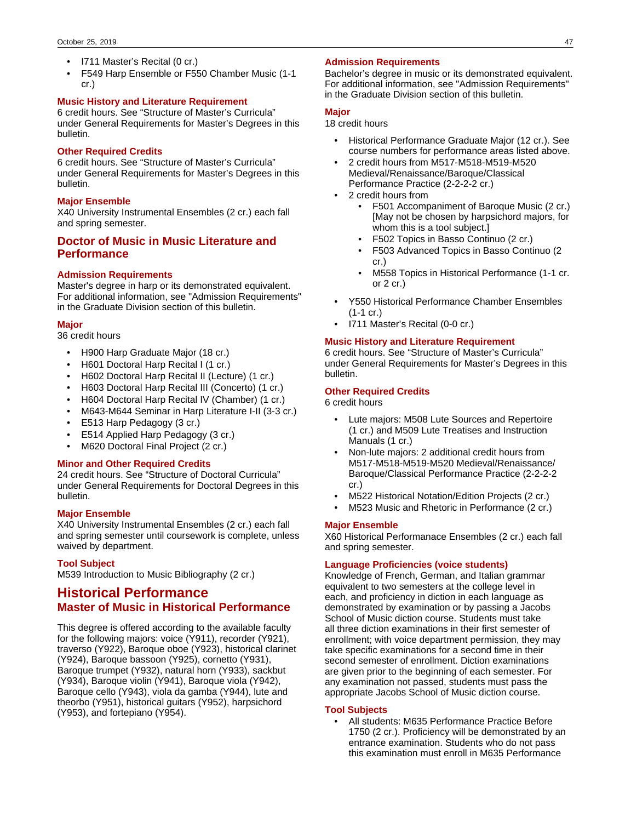- I711 Master's Recital (0 cr.)
- F549 Harp Ensemble or F550 Chamber Music (1-1 cr.)

# **Music History and Literature Requirement**

6 credit hours. See "Structure of Master's Curricula" under General Requirements for Master's Degrees in this bulletin.

## **Other Required Credits**

6 credit hours. See "Structure of Master's Curricula" under General Requirements for Master's Degrees in this bulletin.

## **Major Ensemble**

X40 University Instrumental Ensembles (2 cr.) each fall and spring semester.

# **Doctor of Music in Music Literature and Performance**

## **Admission Requirements**

Master's degree in harp or its demonstrated equivalent. For additional information, see "Admission Requirements" in the Graduate Division section of this bulletin.

## **Major**

36 credit hours

- H900 Harp Graduate Major (18 cr.)
- H601 Doctoral Harp Recital I (1 cr.)
- H602 Doctoral Harp Recital II (Lecture) (1 cr.)
- H603 Doctoral Harp Recital III (Concerto) (1 cr.)
- H604 Doctoral Harp Recital IV (Chamber) (1 cr.)
- M643-M644 Seminar in Harp Literature I-II (3-3 cr.)
- E513 Harp Pedagogy (3 cr.)
- E514 Applied Harp Pedagogy (3 cr.)
- M620 Doctoral Final Project (2 cr.)

#### **Minor and Other Required Credits**

24 credit hours. See "Structure of Doctoral Curricula" under General Requirements for Doctoral Degrees in this bulletin.

## **Major Ensemble**

X40 University Instrumental Ensembles (2 cr.) each fall and spring semester until coursework is complete, unless waived by department.

#### **Tool Subject**

M539 Introduction to Music Bibliography (2 cr.)

# **Historical Performance Master of Music in Historical Performance**

This degree is offered according to the available faculty for the following majors: voice (Y911), recorder (Y921), traverso (Y922), Baroque oboe (Y923), historical clarinet (Y924), Baroque bassoon (Y925), cornetto (Y931), Baroque trumpet (Y932), natural horn (Y933), sackbut (Y934), Baroque violin (Y941), Baroque viola (Y942), Baroque cello (Y943), viola da gamba (Y944), lute and theorbo (Y951), historical guitars (Y952), harpsichord (Y953), and fortepiano (Y954).

#### **Admission Requirements**

Bachelor's degree in music or its demonstrated equivalent. For additional information, see "Admission Requirements" in the Graduate Division section of this bulletin.

#### **Major**

18 credit hours

- Historical Performance Graduate Major (12 cr.). See course numbers for performance areas listed above.
- 2 credit hours from M517-M518-M519-M520 Medieval/Renaissance/Baroque/Classical Performance Practice (2-2-2-2 cr.)
- 2 credit hours from
	- F501 Accompaniment of Baroque Music (2 cr.) [May not be chosen by harpsichord majors, for whom this is a tool subject.]
	- F502 Topics in Basso Continuo (2 cr.)
	- F503 Advanced Topics in Basso Continuo (2 cr.)
	- M558 Topics in Historical Performance (1-1 cr. or 2 cr.)
- Y550 Historical Performance Chamber Ensembles (1-1 cr.)
- I711 Master's Recital (0-0 cr.)

# **Music History and Literature Requirement**

6 credit hours. See "Structure of Master's Curricula" under General Requirements for Master's Degrees in this bulletin.

## **Other Required Credits**

6 credit hours

- Lute majors: M508 Lute Sources and Repertoire (1 cr.) and M509 Lute Treatises and Instruction Manuals (1 cr.)
- Non-lute majors: 2 additional credit hours from M517-M518-M519-M520 Medieval/Renaissance/ Baroque/Classical Performance Practice (2-2-2-2 cr.)
- M522 Historical Notation/Edition Projects (2 cr.)
- M523 Music and Rhetoric in Performance (2 cr.)

#### **Major Ensemble**

X60 Historical Performanace Ensembles (2 cr.) each fall and spring semester.

## **Language Proficiencies (voice students)**

Knowledge of French, German, and Italian grammar equivalent to two semesters at the college level in each, and proficiency in diction in each language as demonstrated by examination or by passing a Jacobs School of Music diction course. Students must take all three diction examinations in their first semester of enrollment; with voice department permission, they may take specific examinations for a second time in their second semester of enrollment. Diction examinations are given prior to the beginning of each semester. For any examination not passed, students must pass the appropriate Jacobs School of Music diction course.

#### **Tool Subjects**

• All students: M635 Performance Practice Before 1750 (2 cr.). Proficiency will be demonstrated by an entrance examination. Students who do not pass this examination must enroll in M635 Performance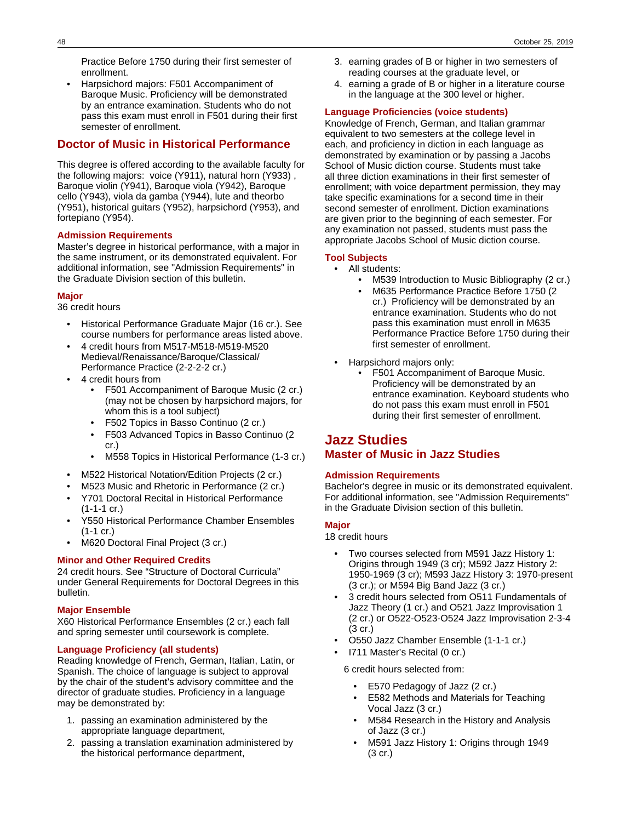Practice Before 1750 during their first semester of enrollment.

• Harpsichord majors: F501 Accompaniment of Baroque Music. Proficiency will be demonstrated by an entrance examination. Students who do not pass this exam must enroll in F501 during their first semester of enrollment.

# **Doctor of Music in Historical Performance**

This degree is offered according to the available faculty for the following majors: voice (Y911), natural horn (Y933) , Baroque violin (Y941), Baroque viola (Y942), Baroque cello (Y943), viola da gamba (Y944), lute and theorbo (Y951), historical guitars (Y952), harpsichord (Y953), and fortepiano (Y954).

# **Admission Requirements**

Master's degree in historical performance, with a major in the same instrument, or its demonstrated equivalent. For additional information, see "Admission Requirements" in the Graduate Division section of this bulletin.

## **Major**

36 credit hours

- Historical Performance Graduate Major (16 cr.). See course numbers for performance areas listed above.
- 4 credit hours from M517-M518-M519-M520 Medieval/Renaissance/Baroque/Classical/ Performance Practice (2-2-2-2 cr.)
- 4 credit hours from
	- F501 Accompaniment of Baroque Music (2 cr.) (may not be chosen by harpsichord majors, for whom this is a tool subject)
	- F502 Topics in Basso Continuo (2 cr.)
	- F503 Advanced Topics in Basso Continuo (2 cr.)
	- M558 Topics in Historical Performance (1-3 cr.)
- M522 Historical Notation/Edition Projects (2 cr.)
- M523 Music and Rhetoric in Performance (2 cr.)
- Y701 Doctoral Recital in Historical Performance (1-1-1 cr.)
- Y550 Historical Performance Chamber Ensembles (1-1 cr.)
- M620 Doctoral Final Project (3 cr.)

# **Minor and Other Required Credits**

24 credit hours. See "Structure of Doctoral Curricula" under General Requirements for Doctoral Degrees in this bulletin.

#### **Major Ensemble**

X60 Historical Performance Ensembles (2 cr.) each fall and spring semester until coursework is complete.

# **Language Proficiency (all students)**

Reading knowledge of French, German, Italian, Latin, or Spanish. The choice of language is subject to approval by the chair of the student's advisory committee and the director of graduate studies. Proficiency in a language may be demonstrated by:

- 1. passing an examination administered by the appropriate language department,
- 2. passing a translation examination administered by the historical performance department,
- 3. earning grades of B or higher in two semesters of reading courses at the graduate level, or
- 4. earning a grade of B or higher in a literature course in the language at the 300 level or higher.

### **Language Proficiencies (voice students)**

Knowledge of French, German, and Italian grammar equivalent to two semesters at the college level in each, and proficiency in diction in each language as demonstrated by examination or by passing a Jacobs School of Music diction course. Students must take all three diction examinations in their first semester of enrollment; with voice department permission, they may take specific examinations for a second time in their second semester of enrollment. Diction examinations are given prior to the beginning of each semester. For any examination not passed, students must pass the appropriate Jacobs School of Music diction course.

#### **Tool Subjects**

- All students:
	- M539 Introduction to Music Bibliography (2 cr.)
	- M635 Performance Practice Before 1750 (2 cr.) Proficiency will be demonstrated by an entrance examination. Students who do not pass this examination must enroll in M635 Performance Practice Before 1750 during their first semester of enrollment.
- Harpsichord majors only:
	- F501 Accompaniment of Baroque Music. Proficiency will be demonstrated by an entrance examination. Keyboard students who do not pass this exam must enroll in F501 during their first semester of enrollment.

# **Jazz Studies Master of Music in Jazz Studies**

#### **Admission Requirements**

Bachelor's degree in music or its demonstrated equivalent. For additional information, see "Admission Requirements" in the Graduate Division section of this bulletin.

#### **Major**

18 credit hours

- Two courses selected from M591 Jazz History 1: Origins through 1949 (3 cr); M592 Jazz History 2: 1950-1969 (3 cr); M593 Jazz History 3: 1970-present (3 cr.); or M594 Big Band Jazz (3 cr.)
- 3 credit hours selected from O511 Fundamentals of Jazz Theory (1 cr.) and O521 Jazz Improvisation 1 (2 cr.) or O522-O523-O524 Jazz Improvisation 2-3-4 (3 cr.)
- O550 Jazz Chamber Ensemble (1-1-1 cr.)
- I711 Master's Recital (0 cr.)

6 credit hours selected from:

- E570 Pedagogy of Jazz (2 cr.)
- E582 Methods and Materials for Teaching Vocal Jazz (3 cr.)
- M584 Research in the History and Analysis of Jazz (3 cr.)
- M591 Jazz History 1: Origins through 1949 (3 cr.)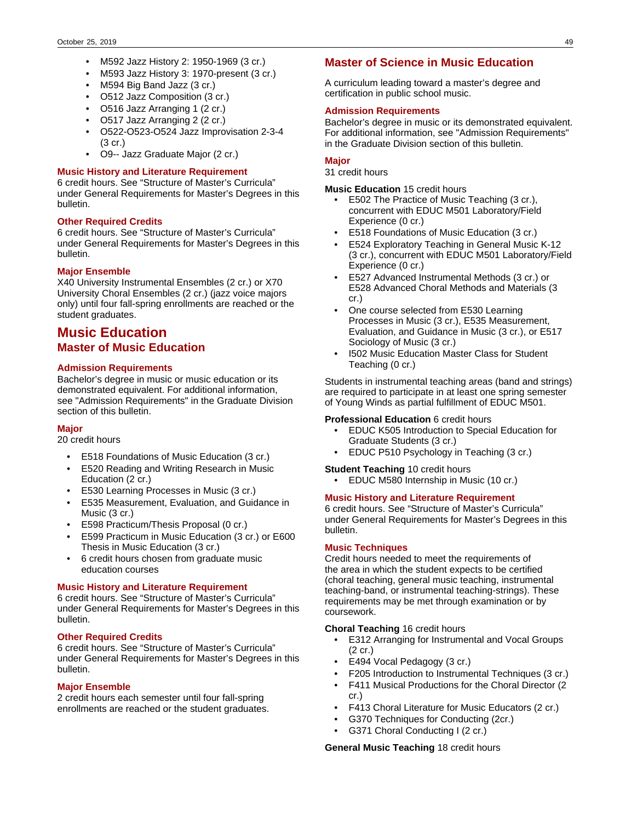- M592 Jazz History 2: 1950-1969 (3 cr.)
- M593 Jazz History 3: 1970-present (3 cr.)
- M594 Big Band Jazz (3 cr.)
- O512 Jazz Composition (3 cr.)
- O516 Jazz Arranging 1 (2 cr.)
- O517 Jazz Arranging 2 (2 cr.)
- O522-O523-O524 Jazz Improvisation 2-3-4 (3 cr.)
- O9-- Jazz Graduate Major (2 cr.)

#### **Music History and Literature Requirement**

6 credit hours. See "Structure of Master's Curricula" under General Requirements for Master's Degrees in this bulletin.

#### **Other Required Credits**

6 credit hours. See "Structure of Master's Curricula" under General Requirements for Master's Degrees in this bulletin.

## **Major Ensemble**

X40 University Instrumental Ensembles (2 cr.) or X70 University Choral Ensembles (2 cr.) (jazz voice majors only) until four fall-spring enrollments are reached or the student graduates.

# **Music Education Master of Music Education**

## **Admission Requirements**

Bachelor's degree in music or music education or its demonstrated equivalent. For additional information, see "Admission Requirements" in the Graduate Division section of this bulletin.

#### **Major**

20 credit hours

- E518 Foundations of Music Education (3 cr.)
- E520 Reading and Writing Research in Music Education (2 cr.)
- E530 Learning Processes in Music (3 cr.)
- E535 Measurement, Evaluation, and Guidance in Music (3 cr.)
- E598 Practicum/Thesis Proposal (0 cr.)
- E599 Practicum in Music Education (3 cr.) or E600 Thesis in Music Education (3 cr.)
- 6 credit hours chosen from graduate music education courses

# **Music History and Literature Requirement**

6 credit hours. See "Structure of Master's Curricula" under General Requirements for Master's Degrees in this bulletin.

### **Other Required Credits**

6 credit hours. See "Structure of Master's Curricula" under General Requirements for Master's Degrees in this bulletin.

#### **Major Ensemble**

2 credit hours each semester until four fall-spring enrollments are reached or the student graduates.

# **Master of Science in Music Education**

A curriculum leading toward a master's degree and certification in public school music.

#### **Admission Requirements**

Bachelor's degree in music or its demonstrated equivalent. For additional information, see "Admission Requirements" in the Graduate Division section of this bulletin.

# **Major**

31 credit hours

**Music Education** 15 credit hours

- E502 The Practice of Music Teaching (3 cr.), concurrent with EDUC M501 Laboratory/Field Experience (0 cr.)
- E518 Foundations of Music Education (3 cr.)
- E524 Exploratory Teaching in General Music K-12 (3 cr.), concurrent with EDUC M501 Laboratory/Field Experience (0 cr.)
- E527 Advanced Instrumental Methods (3 cr.) or E528 Advanced Choral Methods and Materials (3 cr.)
- One course selected from E530 Learning Processes in Music (3 cr.), E535 Measurement, Evaluation, and Guidance in Music (3 cr.), or E517 Sociology of Music (3 cr.)
- I502 Music Education Master Class for Student Teaching (0 cr.)

Students in instrumental teaching areas (band and strings) are required to participate in at least one spring semester of Young Winds as partial fulfillment of EDUC M501.

#### **Professional Education** 6 credit hours

- EDUC K505 Introduction to Special Education for Graduate Students (3 cr.)
- EDUC P510 Psychology in Teaching (3 cr.)

## **Student Teaching 10 credit hours**

• EDUC M580 Internship in Music (10 cr.)

#### **Music History and Literature Requirement**

6 credit hours. See "Structure of Master's Curricula" under General Requirements for Master's Degrees in this bulletin.

### **Music Techniques**

Credit hours needed to meet the requirements of the area in which the student expects to be certified (choral teaching, general music teaching, instrumental teaching-band, or instrumental teaching-strings). These requirements may be met through examination or by coursework.

#### **Choral Teaching** 16 credit hours

- E312 Arranging for Instrumental and Vocal Groups (2 cr.)
- E494 Vocal Pedagogy (3 cr.)
- F205 Introduction to Instrumental Techniques (3 cr.)
- F411 Musical Productions for the Choral Director (2 cr.)
- F413 Choral Literature for Music Educators (2 cr.)
- G370 Techniques for Conducting (2cr.)
- G371 Choral Conducting I (2 cr.)

# **General Music Teaching** 18 credit hours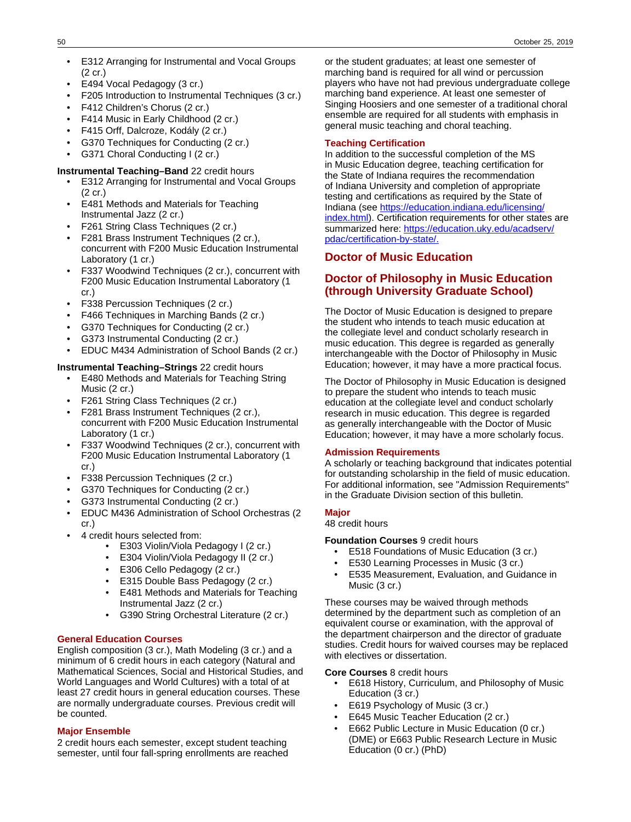- E312 Arranging for Instrumental and Vocal Groups (2 cr.)
- E494 Vocal Pedagogy (3 cr.)
- F205 Introduction to Instrumental Techniques (3 cr.)
- F412 Children's Chorus (2 cr.)
- F414 Music in Early Childhood (2 cr.)
- F415 Orff, Dalcroze, Kodály (2 cr.)
- G370 Techniques for Conducting (2 cr.)
- G371 Choral Conducting I (2 cr.)

#### **Instrumental Teaching–Band** 22 credit hours

- E312 Arranging for Instrumental and Vocal Groups (2 cr.)
- E481 Methods and Materials for Teaching Instrumental Jazz (2 cr.)
- F261 String Class Techniques (2 cr.)
- F281 Brass Instrument Techniques (2 cr.), concurrent with F200 Music Education Instrumental Laboratory (1 cr.)
- F337 Woodwind Techniques (2 cr.), concurrent with F200 Music Education Instrumental Laboratory (1 cr.)
- F338 Percussion Techniques (2 cr.)
- F466 Techniques in Marching Bands (2 cr.)
- G370 Techniques for Conducting (2 cr.)
- G373 Instrumental Conducting (2 cr.)
- EDUC M434 Administration of School Bands (2 cr.)

#### **Instrumental Teaching–Strings** 22 credit hours

- E480 Methods and Materials for Teaching String Music (2 cr.)
- F261 String Class Techniques (2 cr.)
- F281 Brass Instrument Techniques (2 cr.), concurrent with F200 Music Education Instrumental Laboratory (1 cr.)
- F337 Woodwind Techniques (2 cr.), concurrent with F200 Music Education Instrumental Laboratory (1 cr.)
- F338 Percussion Techniques (2 cr.)
- G370 Techniques for Conducting (2 cr.)
- G373 Instrumental Conducting (2 cr.)
- EDUC M436 Administration of School Orchestras (2 cr.)
- 4 credit hours selected from:
	- E303 Violin/Viola Pedagogy I (2 cr.)
	- E304 Violin/Viola Pedagogy II (2 cr.)
	- E306 Cello Pedagogy (2 cr.)
	- E315 Double Bass Pedagogy (2 cr.)
	- E481 Methods and Materials for Teaching Instrumental Jazz (2 cr.)
	- G390 String Orchestral Literature (2 cr.)

#### **General Education Courses**

English composition (3 cr.), Math Modeling (3 cr.) and a minimum of 6 credit hours in each category (Natural and Mathematical Sciences, Social and Historical Studies, and World Languages and World Cultures) with a total of at least 27 credit hours in general education courses. These are normally undergraduate courses. Previous credit will be counted.

#### **Major Ensemble**

2 credit hours each semester, except student teaching semester, until four fall-spring enrollments are reached

or the student graduates; at least one semester of marching band is required for all wind or percussion players who have not had previous undergraduate college marching band experience. At least one semester of Singing Hoosiers and one semester of a traditional choral ensemble are required for all students with emphasis in general music teaching and choral teaching.

## **Teaching Certification**

In addition to the successful completion of the MS in Music Education degree, teaching certification for the State of Indiana requires the recommendation of Indiana University and completion of appropriate testing and certifications as required by the State of Indiana (see [https://education.indiana.edu/licensing/](https://education.indiana.edu/licensing/index.html) [index.html](https://education.indiana.edu/licensing/index.html)). Certification requirements for other states are summarized here: [https://education.uky.edu/acadserv/](https://education.uky.edu/acadserv/pdac/certification-by-state/) [pdac/certification-by-state/.](https://education.uky.edu/acadserv/pdac/certification-by-state/)

# **Doctor of Music Education**

# **Doctor of Philosophy in Music Education (through University Graduate School)**

The Doctor of Music Education is designed to prepare the student who intends to teach music education at the collegiate level and conduct scholarly research in music education. This degree is regarded as generally interchangeable with the Doctor of Philosophy in Music Education; however, it may have a more practical focus.

The Doctor of Philosophy in Music Education is designed to prepare the student who intends to teach music education at the collegiate level and conduct scholarly research in music education. This degree is regarded as generally interchangeable with the Doctor of Music Education; however, it may have a more scholarly focus.

#### **Admission Requirements**

A scholarly or teaching background that indicates potential for outstanding scholarship in the field of music education. For additional information, see "Admission Requirements" in the Graduate Division section of this bulletin.

#### **Major**

48 credit hours

# **Foundation Courses** 9 credit hours

- E518 Foundations of Music Education (3 cr.)
- E530 Learning Processes in Music (3 cr.)
- E535 Measurement, Evaluation, and Guidance in Music (3 cr.)

These courses may be waived through methods determined by the department such as completion of an equivalent course or examination, with the approval of the department chairperson and the director of graduate studies. Credit hours for waived courses may be replaced with electives or dissertation.

#### **Core Courses** 8 credit hours

- E618 History, Curriculum, and Philosophy of Music Education (3 cr.)
- E619 Psychology of Music (3 cr.)
- E645 Music Teacher Education (2 cr.)
- E662 Public Lecture in Music Education (0 cr.) (DME) or E663 Public Research Lecture in Music Education (0 cr.) (PhD)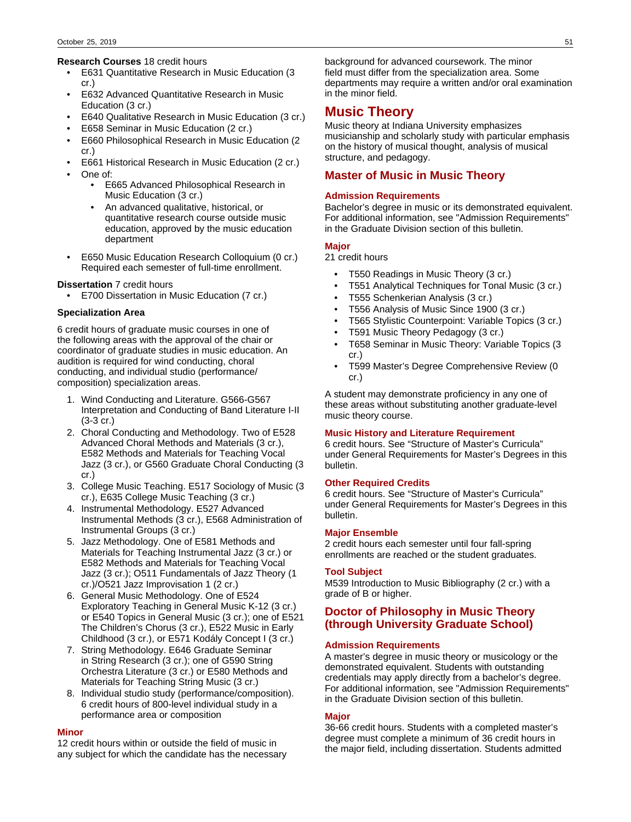# **Research Courses** 18 credit hours

- E631 Quantitative Research in Music Education (3 cr.)
- E632 Advanced Quantitative Research in Music Education (3 cr.)
- E640 Qualitative Research in Music Education (3 cr.)
- E658 Seminar in Music Education (2 cr.)
- E660 Philosophical Research in Music Education (2 cr.)
- E661 Historical Research in Music Education (2 cr.)
- One of:
	- E665 Advanced Philosophical Research in Music Education (3 cr.)
	- An advanced qualitative, historical, or quantitative research course outside music education, approved by the music education department
- E650 Music Education Research Colloquium (0 cr.) Required each semester of full-time enrollment.

#### **Dissertation** 7 credit hours

• E700 Dissertation in Music Education (7 cr.)

# **Specialization Area**

6 credit hours of graduate music courses in one of the following areas with the approval of the chair or coordinator of graduate studies in music education. An audition is required for wind conducting, choral conducting, and individual studio (performance/ composition) specialization areas.

- 1. Wind Conducting and Literature. G566-G567 Interpretation and Conducting of Band Literature I-II (3-3 cr.)
- 2. Choral Conducting and Methodology. Two of E528 Advanced Choral Methods and Materials (3 cr.), E582 Methods and Materials for Teaching Vocal Jazz (3 cr.), or G560 Graduate Choral Conducting (3 cr.)
- 3. College Music Teaching. E517 Sociology of Music (3 cr.), E635 College Music Teaching (3 cr.)
- 4. Instrumental Methodology. E527 Advanced Instrumental Methods (3 cr.), E568 Administration of Instrumental Groups (3 cr.)
- 5. Jazz Methodology. One of E581 Methods and Materials for Teaching Instrumental Jazz (3 cr.) or E582 Methods and Materials for Teaching Vocal Jazz (3 cr.); O511 Fundamentals of Jazz Theory (1 cr.)/O521 Jazz Improvisation 1 (2 cr.)
- 6. General Music Methodology. One of E524 Exploratory Teaching in General Music K-12 (3 cr.) or E540 Topics in General Music (3 cr.); one of E521 The Children's Chorus (3 cr.), E522 Music in Early Childhood (3 cr.), or E571 Kodály Concept I (3 cr.)
- 7. String Methodology. E646 Graduate Seminar in String Research (3 cr.); one of G590 String Orchestra Literature (3 cr.) or E580 Methods and Materials for Teaching String Music (3 cr.)
- 8. Individual studio study (performance/composition). 6 credit hours of 800-level individual study in a performance area or composition

#### **Minor**

12 credit hours within or outside the field of music in any subject for which the candidate has the necessary

background for advanced coursework. The minor field must differ from the specialization area. Some departments may require a written and/or oral examination in the minor field.

# **Music Theory**

Music theory at Indiana University emphasizes musicianship and scholarly study with particular emphasis on the history of musical thought, analysis of musical structure, and pedagogy.

# **Master of Music in Music Theory**

## **Admission Requirements**

Bachelor's degree in music or its demonstrated equivalent. For additional information, see "Admission Requirements" in the Graduate Division section of this bulletin.

# **Major**

21 credit hours

- T550 Readings in Music Theory (3 cr.)
- T551 Analytical Techniques for Tonal Music (3 cr.)
- T555 Schenkerian Analysis (3 cr.)
- T556 Analysis of Music Since 1900 (3 cr.)
- T565 Stylistic Counterpoint: Variable Topics (3 cr.)
- T591 Music Theory Pedagogy (3 cr.)
- T658 Seminar in Music Theory: Variable Topics (3 cr.)
- T599 Master's Degree Comprehensive Review (0 cr.)

A student may demonstrate proficiency in any one of these areas without substituting another graduate-level music theory course.

# **Music History and Literature Requirement**

6 credit hours. See "Structure of Master's Curricula" under General Requirements for Master's Degrees in this bulletin.

# **Other Required Credits**

6 credit hours. See "Structure of Master's Curricula" under General Requirements for Master's Degrees in this bulletin.

## **Major Ensemble**

2 credit hours each semester until four fall-spring enrollments are reached or the student graduates.

#### **Tool Subject**

M539 Introduction to Music Bibliography (2 cr.) with a grade of B or higher.

# **Doctor of Philosophy in Music Theory (through University Graduate School)**

### **Admission Requirements**

A master's degree in music theory or musicology or the demonstrated equivalent. Students with outstanding credentials may apply directly from a bachelor's degree. For additional information, see "Admission Requirements" in the Graduate Division section of this bulletin.

#### **Major**

36-66 credit hours. Students with a completed master's degree must complete a minimum of 36 credit hours in the major field, including dissertation. Students admitted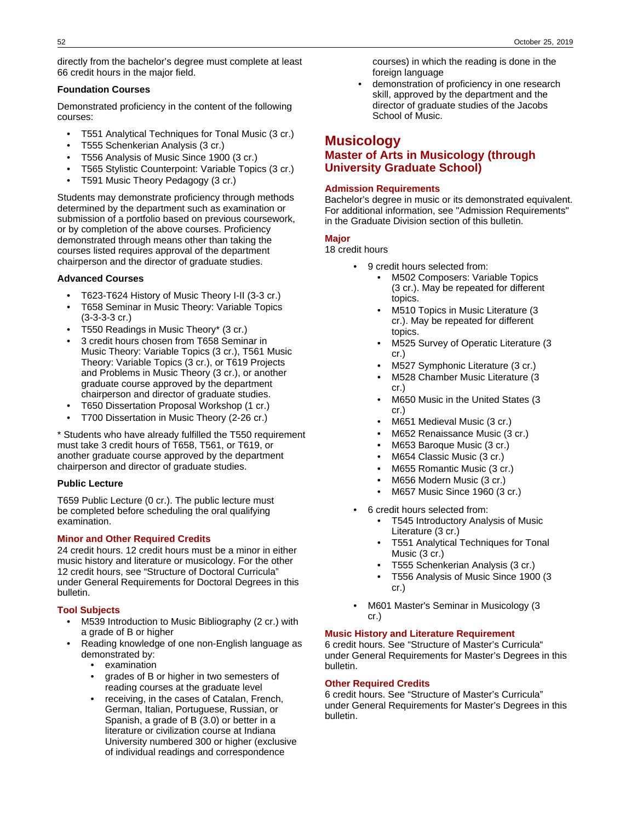directly from the bachelor's degree must complete at least 66 credit hours in the major field.

## **Foundation Courses**

Demonstrated proficiency in the content of the following courses:

- T551 Analytical Techniques for Tonal Music (3 cr.)
- T555 Schenkerian Analysis (3 cr.)
- T556 Analysis of Music Since 1900 (3 cr.)
- T565 Stylistic Counterpoint: Variable Topics (3 cr.)
- T591 Music Theory Pedagogy (3 cr.)

Students may demonstrate proficiency through methods determined by the department such as examination or submission of a portfolio based on previous coursework, or by completion of the above courses. Proficiency demonstrated through means other than taking the courses listed requires approval of the department chairperson and the director of graduate studies.

## **Advanced Courses**

- T623-T624 History of Music Theory I-II (3-3 cr.)
- T658 Seminar in Music Theory: Variable Topics (3-3-3-3 cr.)
- T550 Readings in Music Theory\* (3 cr.)
- 3 credit hours chosen from T658 Seminar in Music Theory: Variable Topics (3 cr.), T561 Music Theory: Variable Topics (3 cr.), or T619 Projects and Problems in Music Theory (3 cr.), or another graduate course approved by the department chairperson and director of graduate studies.
- T650 Dissertation Proposal Workshop (1 cr.)
- T700 Dissertation in Music Theory (2-26 cr.)

\* Students who have already fulfilled the T550 requirement must take 3 credit hours of T658, T561, or T619, or another graduate course approved by the department chairperson and director of graduate studies.

# **Public Lecture**

T659 Public Lecture (0 cr.). The public lecture must be completed before scheduling the oral qualifying examination.

# **Minor and Other Required Credits**

24 credit hours. 12 credit hours must be a minor in either music history and literature or musicology. For the other 12 credit hours, see "Structure of Doctoral Curricula" under General Requirements for Doctoral Degrees in this bulletin.

# **Tool Subjects**

- M539 Introduction to Music Bibliography (2 cr.) with a grade of B or higher
- Reading knowledge of one non-English language as demonstrated by:
	- examination
	- grades of B or higher in two semesters of reading courses at the graduate level
	- receiving, in the cases of Catalan, French, German, Italian, Portuguese, Russian, or Spanish, a grade of B (3.0) or better in a literature or civilization course at Indiana University numbered 300 or higher (exclusive of individual readings and correspondence

courses) in which the reading is done in the foreign language

demonstration of proficiency in one research skill, approved by the department and the director of graduate studies of the Jacobs School of Music.

# **Musicology**

# **Master of Arts in Musicology (through University Graduate School)**

## **Admission Requirements**

Bachelor's degree in music or its demonstrated equivalent. For additional information, see "Admission Requirements" in the Graduate Division section of this bulletin.

#### **Major**

#### 18 credit hours

- 9 credit hours selected from:
	- M502 Composers: Variable Topics (3 cr.). May be repeated for different topics.
	- M510 Topics in Music Literature (3 cr.). May be repeated for different topics.
	- M525 Survey of Operatic Literature (3 cr.)
	- M527 Symphonic Literature (3 cr.)
	- M528 Chamber Music Literature (3 cr.)
	- M650 Music in the United States (3) cr.)
	- M651 Medieval Music (3 cr.)
	- M652 Renaissance Music (3 cr.)
	- M653 Baroque Music (3 cr.)
	- M654 Classic Music (3 cr.)
	- M655 Romantic Music (3 cr.)
	- M656 Modern Music (3 cr.)
		- M657 Music Since 1960 (3 cr.)
- 6 credit hours selected from:
	- T545 Introductory Analysis of Music Literature (3 cr.)
	- T551 Analytical Techniques for Tonal Music (3 cr.)
	- T555 Schenkerian Analysis (3 cr.)
	- T556 Analysis of Music Since 1900 (3 cr.)
- M601 Master's Seminar in Musicology (3 cr.)

# **Music History and Literature Requirement**

6 credit hours. See "Structure of Master's Curricula" under General Requirements for Master's Degrees in this bulletin.

## **Other Required Credits**

6 credit hours. See "Structure of Master's Curricula" under General Requirements for Master's Degrees in this bulletin.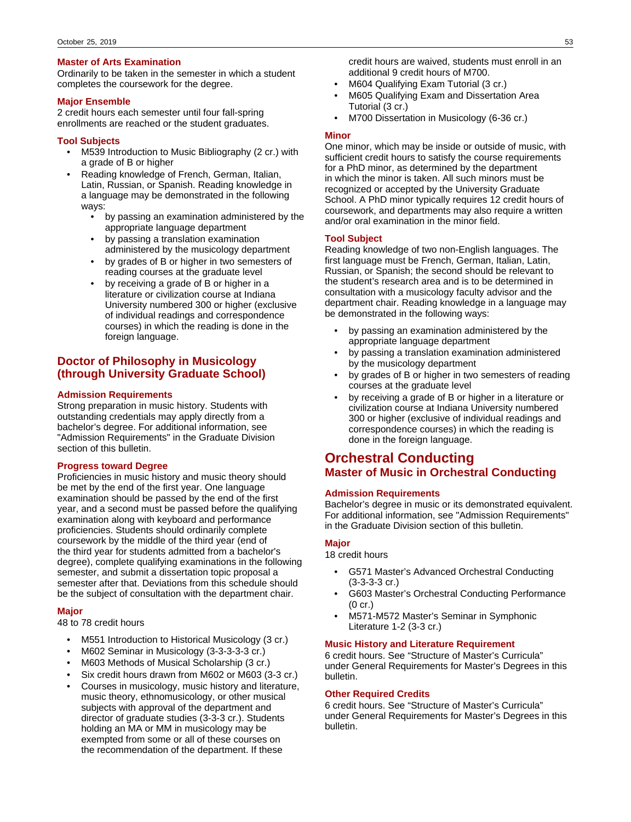## **Master of Arts Examination**

Ordinarily to be taken in the semester in which a student completes the coursework for the degree.

# **Major Ensemble**

2 credit hours each semester until four fall-spring enrollments are reached or the student graduates.

## **Tool Subjects**

- M539 Introduction to Music Bibliography (2 cr.) with a grade of B or higher
- Reading knowledge of French, German, Italian, Latin, Russian, or Spanish. Reading knowledge in a language may be demonstrated in the following ways:
	- by passing an examination administered by the appropriate language department
	- by passing a translation examination administered by the musicology department
	- by grades of B or higher in two semesters of reading courses at the graduate level
	- by receiving a grade of B or higher in a literature or civilization course at Indiana University numbered 300 or higher (exclusive of individual readings and correspondence courses) in which the reading is done in the foreign language.

# **Doctor of Philosophy in Musicology (through University Graduate School)**

## **Admission Requirements**

Strong preparation in music history. Students with outstanding credentials may apply directly from a bachelor's degree. For additional information, see "Admission Requirements" in the Graduate Division section of this bulletin.

# **Progress toward Degree**

Proficiencies in music history and music theory should be met by the end of the first year. One language examination should be passed by the end of the first year, and a second must be passed before the qualifying examination along with keyboard and performance proficiencies. Students should ordinarily complete coursework by the middle of the third year (end of the third year for students admitted from a bachelor's degree), complete qualifying examinations in the following semester, and submit a dissertation topic proposal a semester after that. Deviations from this schedule should be the subject of consultation with the department chair.

# **Major**

48 to 78 credit hours

- M551 Introduction to Historical Musicology (3 cr.)
- M602 Seminar in Musicology (3-3-3-3-3 cr.)
- M603 Methods of Musical Scholarship (3 cr.)
- Six credit hours drawn from M602 or M603 (3-3 cr.)
- Courses in musicology, music history and literature, music theory, ethnomusicology, or other musical subjects with approval of the department and director of graduate studies (3-3-3 cr.). Students holding an MA or MM in musicology may be exempted from some or all of these courses on the recommendation of the department. If these

credit hours are waived, students must enroll in an additional 9 credit hours of M700.

- M604 Qualifying Exam Tutorial (3 cr.)
- M605 Qualifying Exam and Dissertation Area Tutorial (3 cr.)
- M700 Dissertation in Musicology (6-36 cr.)

#### **Minor**

One minor, which may be inside or outside of music, with sufficient credit hours to satisfy the course requirements for a PhD minor, as determined by the department in which the minor is taken. All such minors must be recognized or accepted by the University Graduate School. A PhD minor typically requires 12 credit hours of coursework, and departments may also require a written and/or oral examination in the minor field.

### **Tool Subject**

Reading knowledge of two non-English languages. The first language must be French, German, Italian, Latin, Russian, or Spanish; the second should be relevant to the student's research area and is to be determined in consultation with a musicology faculty advisor and the department chair. Reading knowledge in a language may be demonstrated in the following ways:

- by passing an examination administered by the appropriate language department
- by passing a translation examination administered by the musicology department
- by grades of B or higher in two semesters of reading courses at the graduate level
- by receiving a grade of B or higher in a literature or civilization course at Indiana University numbered 300 or higher (exclusive of individual readings and correspondence courses) in which the reading is done in the foreign language.

# **Orchestral Conducting Master of Music in Orchestral Conducting**

## **Admission Requirements**

Bachelor's degree in music or its demonstrated equivalent. For additional information, see "Admission Requirements" in the Graduate Division section of this bulletin.

## **Major**

18 credit hours

- G571 Master's Advanced Orchestral Conducting (3-3-3-3 cr.)
- G603 Master's Orchestral Conducting Performance (0 cr.)
- M571-M572 Master's Seminar in Symphonic Literature 1-2 (3-3 cr.)

#### **Music History and Literature Requirement**

6 credit hours. See "Structure of Master's Curricula" under General Requirements for Master's Degrees in this bulletin.

### **Other Required Credits**

6 credit hours. See "Structure of Master's Curricula" under General Requirements for Master's Degrees in this bulletin.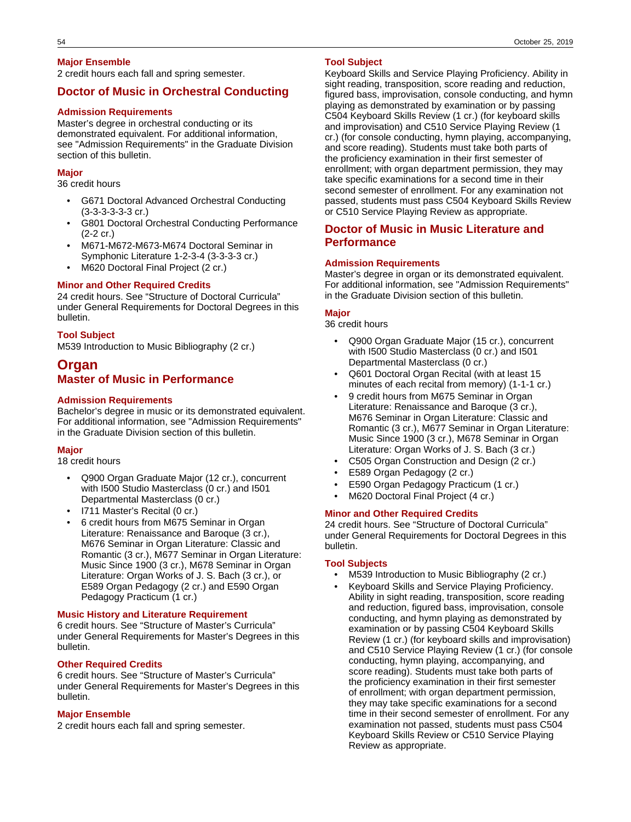#### **Major Ensemble**

2 credit hours each fall and spring semester.

# **Doctor of Music in Orchestral Conducting**

## **Admission Requirements**

Master's degree in orchestral conducting or its demonstrated equivalent. For additional information, see "Admission Requirements" in the Graduate Division section of this bulletin.

#### **Major**

36 credit hours

- G671 Doctoral Advanced Orchestral Conducting (3-3-3-3-3-3 cr.)
- G801 Doctoral Orchestral Conducting Performance (2-2 cr.)
- M671-M672-M673-M674 Doctoral Seminar in Symphonic Literature 1-2-3-4 (3-3-3-3 cr.)
- M620 Doctoral Final Project (2 cr.)

#### **Minor and Other Required Credits**

24 credit hours. See "Structure of Doctoral Curricula" under General Requirements for Doctoral Degrees in this bulletin.

#### **Tool Subject**

M539 Introduction to Music Bibliography (2 cr.)

# **Organ Master of Music in Performance**

#### **Admission Requirements**

Bachelor's degree in music or its demonstrated equivalent. For additional information, see "Admission Requirements" in the Graduate Division section of this bulletin.

### **Major**

18 credit hours

- Q900 Organ Graduate Major (12 cr.), concurrent with I500 Studio Masterclass (0 cr.) and I501 Departmental Masterclass (0 cr.)
- I711 Master's Recital (0 cr.)
- 6 credit hours from M675 Seminar in Organ Literature: Renaissance and Baroque (3 cr.), M676 Seminar in Organ Literature: Classic and Romantic (3 cr.), M677 Seminar in Organ Literature: Music Since 1900 (3 cr.), M678 Seminar in Organ Literature: Organ Works of J. S. Bach (3 cr.), or E589 Organ Pedagogy (2 cr.) and E590 Organ Pedagogy Practicum (1 cr.)

# **Music History and Literature Requirement**

6 credit hours. See "Structure of Master's Curricula" under General Requirements for Master's Degrees in this bulletin.

## **Other Required Credits**

6 credit hours. See "Structure of Master's Curricula" under General Requirements for Master's Degrees in this bulletin.

#### **Major Ensemble**

2 credit hours each fall and spring semester.

#### **Tool Subject**

Keyboard Skills and Service Playing Proficiency. Ability in sight reading, transposition, score reading and reduction, figured bass, improvisation, console conducting, and hymn playing as demonstrated by examination or by passing C504 Keyboard Skills Review (1 cr.) (for keyboard skills and improvisation) and C510 Service Playing Review (1 cr.) (for console conducting, hymn playing, accompanying, and score reading). Students must take both parts of the proficiency examination in their first semester of enrollment; with organ department permission, they may take specific examinations for a second time in their second semester of enrollment. For any examination not passed, students must pass C504 Keyboard Skills Review or C510 Service Playing Review as appropriate.

# **Doctor of Music in Music Literature and Performance**

#### **Admission Requirements**

Master's degree in organ or its demonstrated equivalent. For additional information, see "Admission Requirements" in the Graduate Division section of this bulletin.

# **Major**

36 credit hours

- Q900 Organ Graduate Major (15 cr.), concurrent with I500 Studio Masterclass (0 cr.) and I501 Departmental Masterclass (0 cr.)
- Q601 Doctoral Organ Recital (with at least 15 minutes of each recital from memory) (1-1-1 cr.)
- 9 credit hours from M675 Seminar in Organ Literature: Renaissance and Baroque (3 cr.), M676 Seminar in Organ Literature: Classic and Romantic (3 cr.), M677 Seminar in Organ Literature: Music Since 1900 (3 cr.), M678 Seminar in Organ Literature: Organ Works of J. S. Bach (3 cr.)
- C505 Organ Construction and Design (2 cr.)
- E589 Organ Pedagogy (2 cr.)
- E590 Organ Pedagogy Practicum (1 cr.)
- M620 Doctoral Final Project (4 cr.)

## **Minor and Other Required Credits**

24 credit hours. See "Structure of Doctoral Curricula" under General Requirements for Doctoral Degrees in this bulletin.

# **Tool Subjects**

- M539 Introduction to Music Bibliography (2 cr.)
- Keyboard Skills and Service Playing Proficiency. Ability in sight reading, transposition, score reading and reduction, figured bass, improvisation, console conducting, and hymn playing as demonstrated by examination or by passing C504 Keyboard Skills Review (1 cr.) (for keyboard skills and improvisation) and C510 Service Playing Review (1 cr.) (for console conducting, hymn playing, accompanying, and score reading). Students must take both parts of the proficiency examination in their first semester of enrollment; with organ department permission, they may take specific examinations for a second time in their second semester of enrollment. For any examination not passed, students must pass C504 Keyboard Skills Review or C510 Service Playing Review as appropriate.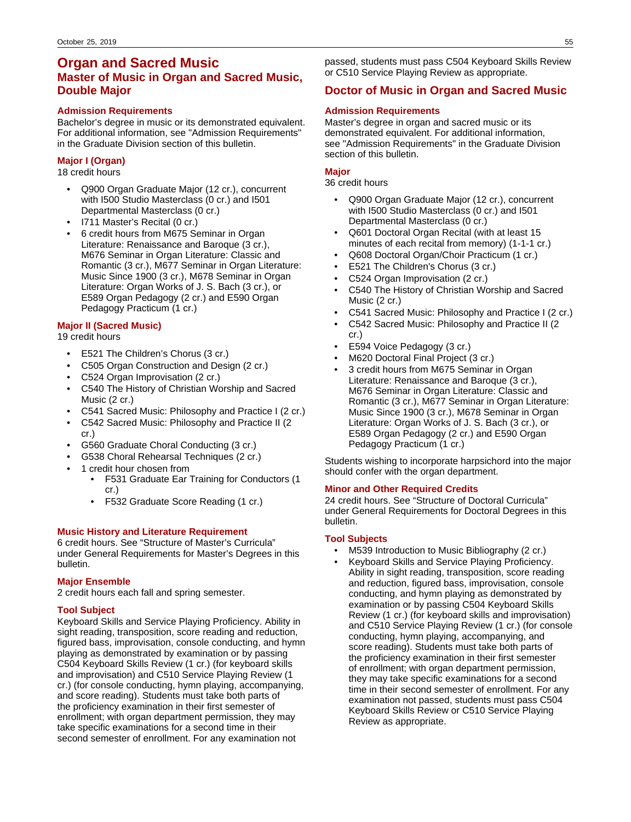# **Organ and Sacred Music Master of Music in Organ and Sacred Music, Double Major**

# **Admission Requirements**

Bachelor's degree in music or its demonstrated equivalent. For additional information, see "Admission Requirements" in the Graduate Division section of this bulletin.

# **Major I (Organ)**

18 credit hours

- Q900 Organ Graduate Major (12 cr.), concurrent with I500 Studio Masterclass (0 cr.) and I501 Departmental Masterclass (0 cr.)
- I711 Master's Recital (0 cr.)
- 6 credit hours from M675 Seminar in Organ Literature: Renaissance and Baroque (3 cr.), M676 Seminar in Organ Literature: Classic and Romantic (3 cr.), M677 Seminar in Organ Literature: Music Since 1900 (3 cr.), M678 Seminar in Organ Literature: Organ Works of J. S. Bach (3 cr.), or E589 Organ Pedagogy (2 cr.) and E590 Organ Pedagogy Practicum (1 cr.)

# **Major II (Sacred Music)**

19 credit hours

- E521 The Children's Chorus (3 cr.)
- C505 Organ Construction and Design (2 cr.)
- C524 Organ Improvisation (2 cr.)
- C540 The History of Christian Worship and Sacred Music (2 cr.)
- C541 Sacred Music: Philosophy and Practice I (2 cr.)
- C542 Sacred Music: Philosophy and Practice II (2 cr.)
- G560 Graduate Choral Conducting (3 cr.)
- G538 Choral Rehearsal Techniques (2 cr.)
- 1 credit hour chosen from
	- F531 Graduate Ear Training for Conductors (1 cr.)
	- F532 Graduate Score Reading (1 cr.)

# **Music History and Literature Requirement**

6 credit hours. See "Structure of Master's Curricula" under General Requirements for Master's Degrees in this bulletin.

# **Major Ensemble**

2 credit hours each fall and spring semester.

# **Tool Subject**

Keyboard Skills and Service Playing Proficiency. Ability in sight reading, transposition, score reading and reduction, figured bass, improvisation, console conducting, and hymn playing as demonstrated by examination or by passing C504 Keyboard Skills Review (1 cr.) (for keyboard skills and improvisation) and C510 Service Playing Review (1 cr.) (for console conducting, hymn playing, accompanying, and score reading). Students must take both parts of the proficiency examination in their first semester of enrollment; with organ department permission, they may take specific examinations for a second time in their second semester of enrollment. For any examination not

passed, students must pass C504 Keyboard Skills Review or C510 Service Playing Review as appropriate.

# **Doctor of Music in Organ and Sacred Music**

# **Admission Requirements**

Master's degree in organ and sacred music or its demonstrated equivalent. For additional information, see "Admission Requirements" in the Graduate Division section of this bulletin.

# **Major**

36 credit hours

- Q900 Organ Graduate Major (12 cr.), concurrent with I500 Studio Masterclass (0 cr.) and I501 Departmental Masterclass (0 cr.)
- Q601 Doctoral Organ Recital (with at least 15 minutes of each recital from memory) (1-1-1 cr.)
- Q608 Doctoral Organ/Choir Practicum (1 cr.)
- E521 The Children's Chorus (3 cr.)
- C524 Organ Improvisation (2 cr.)
- C540 The History of Christian Worship and Sacred Music (2 cr.)
- C541 Sacred Music: Philosophy and Practice I (2 cr.)
- C542 Sacred Music: Philosophy and Practice II (2 cr.)
- E594 Voice Pedagogy (3 cr.)
- M620 Doctoral Final Project (3 cr.)
- 3 credit hours from M675 Seminar in Organ Literature: Renaissance and Baroque (3 cr.), M676 Seminar in Organ Literature: Classic and Romantic (3 cr.), M677 Seminar in Organ Literature: Music Since 1900 (3 cr.), M678 Seminar in Organ Literature: Organ Works of J. S. Bach (3 cr.), or E589 Organ Pedagogy (2 cr.) and E590 Organ Pedagogy Practicum (1 cr.)

Students wishing to incorporate harpsichord into the major should confer with the organ department.

# **Minor and Other Required Credits**

24 credit hours. See "Structure of Doctoral Curricula" under General Requirements for Doctoral Degrees in this bulletin.

# **Tool Subjects**

- M539 Introduction to Music Bibliography (2 cr.)
- Keyboard Skills and Service Playing Proficiency. Ability in sight reading, transposition, score reading and reduction, figured bass, improvisation, console conducting, and hymn playing as demonstrated by examination or by passing C504 Keyboard Skills Review (1 cr.) (for keyboard skills and improvisation) and C510 Service Playing Review (1 cr.) (for console conducting, hymn playing, accompanying, and score reading). Students must take both parts of the proficiency examination in their first semester of enrollment; with organ department permission, they may take specific examinations for a second time in their second semester of enrollment. For any examination not passed, students must pass C504 Keyboard Skills Review or C510 Service Playing Review as appropriate.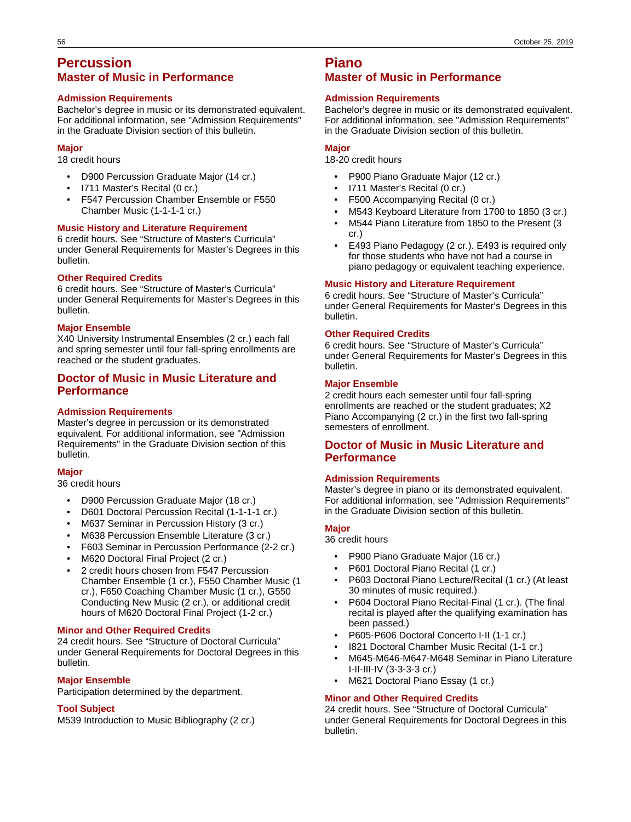# **Percussion Master of Music in Performance**

### **Admission Requirements**

Bachelor's degree in music or its demonstrated equivalent. For additional information, see "Admission Requirements" in the Graduate Division section of this bulletin.

### **Major**

18 credit hours

- D900 Percussion Graduate Major (14 cr.)
- I711 Master's Recital (0 cr.)
- F547 Percussion Chamber Ensemble or F550 Chamber Music (1-1-1-1 cr.)

### **Music History and Literature Requirement**

6 credit hours. See "Structure of Master's Curricula" under General Requirements for Master's Degrees in this bulletin.

## **Other Required Credits**

6 credit hours. See "Structure of Master's Curricula" under General Requirements for Master's Degrees in this bulletin.

#### **Major Ensemble**

X40 University Instrumental Ensembles (2 cr.) each fall and spring semester until four fall-spring enrollments are reached or the student graduates.

# **Doctor of Music in Music Literature and Performance**

## **Admission Requirements**

Master's degree in percussion or its demonstrated equivalent. For additional information, see "Admission Requirements" in the Graduate Division section of this bulletin.

#### **Major**

36 credit hours

- D900 Percussion Graduate Major (18 cr.)
- D601 Doctoral Percussion Recital (1-1-1-1 cr.)
- M637 Seminar in Percussion History (3 cr.)
- M638 Percussion Ensemble Literature (3 cr.)
- F603 Seminar in Percussion Performance (2-2 cr.)
- M620 Doctoral Final Project (2 cr.)
- 2 credit hours chosen from F547 Percussion Chamber Ensemble (1 cr.), F550 Chamber Music (1 cr.), F650 Coaching Chamber Music (1 cr.), G550 Conducting New Music (2 cr.), or additional credit hours of M620 Doctoral Final Project (1-2 cr.)

#### **Minor and Other Required Credits**

24 credit hours. See "Structure of Doctoral Curricula" under General Requirements for Doctoral Degrees in this bulletin.

# **Major Ensemble**

Participation determined by the department.

## **Tool Subject**

M539 Introduction to Music Bibliography (2 cr.)

# **Piano Master of Music in Performance**

### **Admission Requirements**

Bachelor's degree in music or its demonstrated equivalent. For additional information, see "Admission Requirements" in the Graduate Division section of this bulletin.

## **Major**

18-20 credit hours

- P900 Piano Graduate Major (12 cr.)
- I711 Master's Recital (0 cr.)
- F500 Accompanying Recital (0 cr.)
- M543 Keyboard Literature from 1700 to 1850 (3 cr.)
- M544 Piano Literature from 1850 to the Present (3 cr.)
- E493 Piano Pedagogy (2 cr.). E493 is required only for those students who have not had a course in piano pedagogy or equivalent teaching experience.

### **Music History and Literature Requirement**

6 credit hours. See "Structure of Master's Curricula" under General Requirements for Master's Degrees in this bulletin.

#### **Other Required Credits**

6 credit hours. See "Structure of Master's Curricula" under General Requirements for Master's Degrees in this bulletin.

## **Major Ensemble**

2 credit hours each semester until four fall-spring enrollments are reached or the student graduates; X2 Piano Accompanying (2 cr.) in the first two fall-spring semesters of enrollment.

# **Doctor of Music in Music Literature and Performance**

# **Admission Requirements**

Master's degree in piano or its demonstrated equivalent. For additional information, see "Admission Requirements" in the Graduate Division section of this bulletin.

#### **Major**

36 credit hours

- P900 Piano Graduate Major (16 cr.)
- P601 Doctoral Piano Recital (1 cr.)
- P603 Doctoral Piano Lecture/Recital (1 cr.) (At least 30 minutes of music required.)
- P604 Doctoral Piano Recital-Final (1 cr.). (The final recital is played after the qualifying examination has been passed.)
- P605-P606 Doctoral Concerto I-II (1-1 cr.)
- I821 Doctoral Chamber Music Recital (1-1 cr.)
- M645-M646-M647-M648 Seminar in Piano Literature I-II-III-IV (3-3-3-3 cr.)
- M621 Doctoral Piano Essay (1 cr.)

### **Minor and Other Required Credits**

24 credit hours. See "Structure of Doctoral Curricula" under General Requirements for Doctoral Degrees in this bulletin.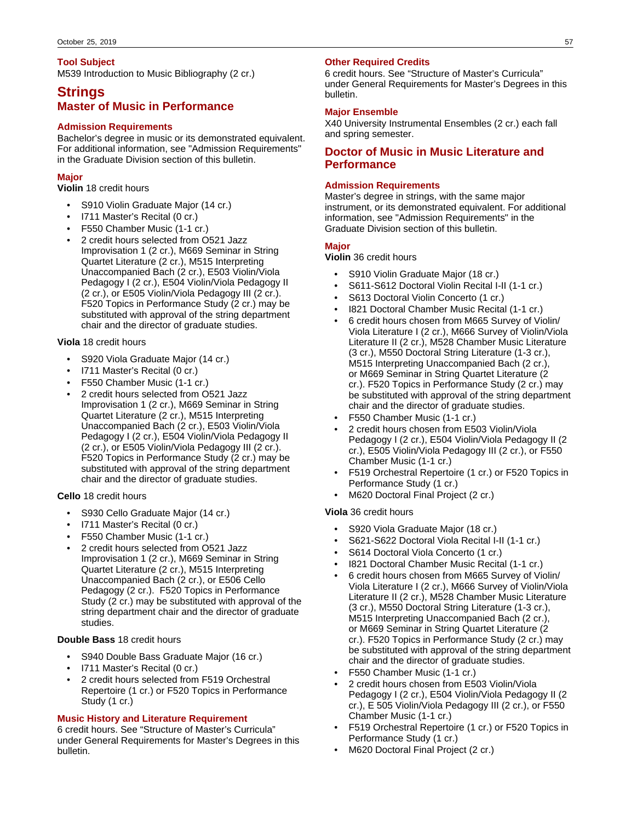## **Tool Subject**

M539 Introduction to Music Bibliography (2 cr.)

# **Strings Master of Music in Performance**

## **Admission Requirements**

Bachelor's degree in music or its demonstrated equivalent. For additional information, see "Admission Requirements" in the Graduate Division section of this bulletin.

# **Major**

**Violin** 18 credit hours

- S910 Violin Graduate Major (14 cr.)
- I711 Master's Recital (0 cr.)
- F550 Chamber Music (1-1 cr.)
- 2 credit hours selected from O521 Jazz Improvisation 1 (2 cr.), M669 Seminar in String Quartet Literature (2 cr.), M515 Interpreting Unaccompanied Bach (2 cr.), E503 Violin/Viola Pedagogy I (2 cr.), E504 Violin/Viola Pedagogy II (2 cr.), or E505 Violin/Viola Pedagogy III (2 cr.). F520 Topics in Performance Study (2 cr.) may be substituted with approval of the string department chair and the director of graduate studies.

**Viola** 18 credit hours

- S920 Viola Graduate Major (14 cr.)
- I711 Master's Recital (0 cr.)
- F550 Chamber Music (1-1 cr.)
- 2 credit hours selected from O521 Jazz Improvisation 1 (2 cr.), M669 Seminar in String Quartet Literature (2 cr.), M515 Interpreting Unaccompanied Bach (2 cr.), E503 Violin/Viola Pedagogy I (2 cr.), E504 Violin/Viola Pedagogy II (2 cr.), or E505 Violin/Viola Pedagogy III (2 cr.). F520 Topics in Performance Study (2 cr.) may be substituted with approval of the string department chair and the director of graduate studies.

**Cello** 18 credit hours

- S930 Cello Graduate Major (14 cr.)
- I711 Master's Recital (0 cr.)
- F550 Chamber Music (1-1 cr.)
- 2 credit hours selected from O521 Jazz Improvisation 1 (2 cr.), M669 Seminar in String Quartet Literature (2 cr.), M515 Interpreting Unaccompanied Bach (2 cr.), or E506 Cello Pedagogy (2 cr.). F520 Topics in Performance Study (2 cr.) may be substituted with approval of the string department chair and the director of graduate studies.

# **Double Bass** 18 credit hours

- S940 Double Bass Graduate Major (16 cr.)
- I711 Master's Recital (0 cr.)
- 2 credit hours selected from F519 Orchestral Repertoire (1 cr.) or F520 Topics in Performance Study (1 cr.)

# **Music History and Literature Requirement**

6 credit hours. See "Structure of Master's Curricula" under General Requirements for Master's Degrees in this bulletin.

## **Other Required Credits**

6 credit hours. See "Structure of Master's Curricula" under General Requirements for Master's Degrees in this bulletin.

## **Major Ensemble**

X40 University Instrumental Ensembles (2 cr.) each fall and spring semester.

# **Doctor of Music in Music Literature and Performance**

## **Admission Requirements**

Master's degree in strings, with the same major instrument, or its demonstrated equivalent. For additional information, see "Admission Requirements" in the Graduate Division section of this bulletin.

## **Major**

**Violin** 36 credit hours

- S910 Violin Graduate Major (18 cr.)
- S611-S612 Doctoral Violin Recital I-II (1-1 cr.)
- S613 Doctoral Violin Concerto (1 cr.)
- I821 Doctoral Chamber Music Recital (1-1 cr.)
- 6 credit hours chosen from M665 Survey of Violin/ Viola Literature I (2 cr.), M666 Survey of Violin/Viola Literature II (2 cr.), M528 Chamber Music Literature (3 cr.), M550 Doctoral String Literature (1-3 cr.), M515 Interpreting Unaccompanied Bach (2 cr.), or M669 Seminar in String Quartet Literature (2 cr.). F520 Topics in Performance Study (2 cr.) may be substituted with approval of the string department chair and the director of graduate studies.
- F550 Chamber Music (1-1 cr.)
- 2 credit hours chosen from E503 Violin/Viola Pedagogy I (2 cr.), E504 Violin/Viola Pedagogy II (2 cr.), E505 Violin/Viola Pedagogy III (2 cr.), or F550 Chamber Music (1-1 cr.)
- F519 Orchestral Repertoire (1 cr.) or F520 Topics in Performance Study (1 cr.)
- M620 Doctoral Final Project (2 cr.)

## **Viola** 36 credit hours

- S920 Viola Graduate Major (18 cr.)
- S621-S622 Doctoral Viola Recital I-II (1-1 cr.)
- S614 Doctoral Viola Concerto (1 cr.)
- I821 Doctoral Chamber Music Recital (1-1 cr.)
- 6 credit hours chosen from M665 Survey of Violin/ Viola Literature I (2 cr.), M666 Survey of Violin/Viola Literature II (2 cr.), M528 Chamber Music Literature (3 cr.), M550 Doctoral String Literature (1-3 cr.), M515 Interpreting Unaccompanied Bach (2 cr.), or M669 Seminar in String Quartet Literature (2 cr.). F520 Topics in Performance Study (2 cr.) may be substituted with approval of the string department chair and the director of graduate studies.
- F550 Chamber Music (1-1 cr.)
- 2 credit hours chosen from E503 Violin/Viola Pedagogy I (2 cr.), E504 Violin/Viola Pedagogy II (2 cr.), E 505 Violin/Viola Pedagogy III (2 cr.), or F550 Chamber Music (1-1 cr.)
- F519 Orchestral Repertoire (1 cr.) or F520 Topics in Performance Study (1 cr.)
- M620 Doctoral Final Project (2 cr.)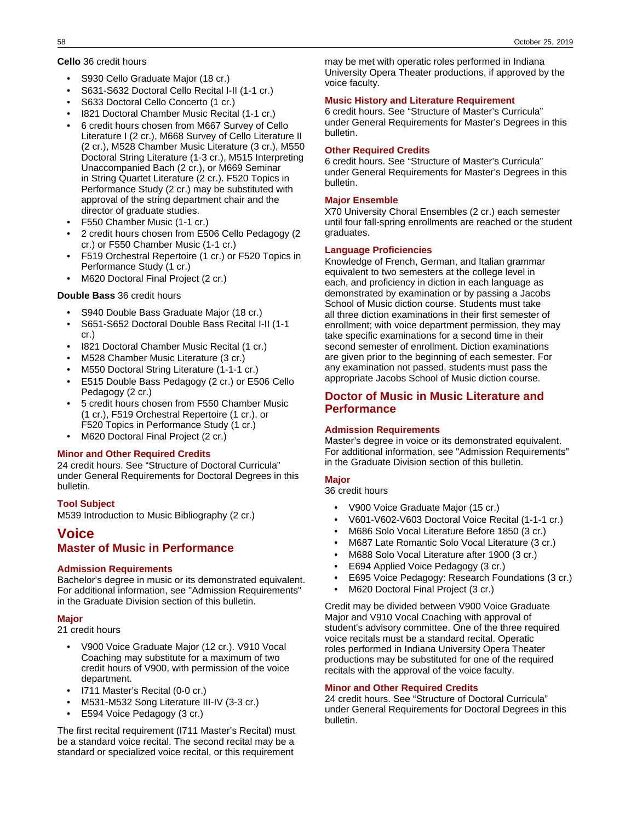#### **Cello** 36 credit hours

- S930 Cello Graduate Major (18 cr.)
- S631-S632 Doctoral Cello Recital I-II (1-1 cr.)
- S633 Doctoral Cello Concerto (1 cr.)
- I821 Doctoral Chamber Music Recital (1-1 cr.)
- 6 credit hours chosen from M667 Survey of Cello Literature I (2 cr.), M668 Survey of Cello Literature II (2 cr.), M528 Chamber Music Literature (3 cr.), M550 Doctoral String Literature (1-3 cr.), M515 Interpreting Unaccompanied Bach (2 cr.), or M669 Seminar in String Quartet Literature (2 cr.). F520 Topics in Performance Study (2 cr.) may be substituted with approval of the string department chair and the director of graduate studies.
- F550 Chamber Music (1-1 cr.)
- 2 credit hours chosen from E506 Cello Pedagogy (2 cr.) or F550 Chamber Music (1-1 cr.)
- F519 Orchestral Repertoire (1 cr.) or F520 Topics in Performance Study (1 cr.)
- M620 Doctoral Final Project (2 cr.)

#### **Double Bass** 36 credit hours

- S940 Double Bass Graduate Major (18 cr.)
- S651-S652 Doctoral Double Bass Recital I-II (1-1 cr.)
- I821 Doctoral Chamber Music Recital (1 cr.)
- M528 Chamber Music Literature (3 cr.)
- M550 Doctoral String Literature (1-1-1 cr.)
- E515 Double Bass Pedagogy (2 cr.) or E506 Cello Pedagogy (2 cr.)
- 5 credit hours chosen from F550 Chamber Music (1 cr.), F519 Orchestral Repertoire (1 cr.), or F520 Topics in Performance Study (1 cr.)
- M620 Doctoral Final Project (2 cr.)

#### **Minor and Other Required Credits**

24 credit hours. See "Structure of Doctoral Curricula" under General Requirements for Doctoral Degrees in this bulletin.

### **Tool Subject**

M539 Introduction to Music Bibliography (2 cr.)

# **Voice**

# **Master of Music in Performance**

#### **Admission Requirements**

Bachelor's degree in music or its demonstrated equivalent. For additional information, see "Admission Requirements" in the Graduate Division section of this bulletin.

#### **Major**

21 credit hours

- V900 Voice Graduate Major (12 cr.). V910 Vocal Coaching may substitute for a maximum of two credit hours of V900, with permission of the voice department.
- I711 Master's Recital (0-0 cr.)
- M531-M532 Song Literature III-IV (3-3 cr.)
- E594 Voice Pedagogy (3 cr.)

The first recital requirement (I711 Master's Recital) must be a standard voice recital. The second recital may be a standard or specialized voice recital, or this requirement

may be met with operatic roles performed in Indiana University Opera Theater productions, if approved by the voice faculty.

## **Music History and Literature Requirement**

6 credit hours. See "Structure of Master's Curricula" under General Requirements for Master's Degrees in this bulletin.

#### **Other Required Credits**

6 credit hours. See "Structure of Master's Curricula" under General Requirements for Master's Degrees in this bulletin.

## **Major Ensemble**

X70 University Choral Ensembles (2 cr.) each semester until four fall-spring enrollments are reached or the student graduates.

#### **Language Proficiencies**

Knowledge of French, German, and Italian grammar equivalent to two semesters at the college level in each, and proficiency in diction in each language as demonstrated by examination or by passing a Jacobs School of Music diction course. Students must take all three diction examinations in their first semester of enrollment; with voice department permission, they may take specific examinations for a second time in their second semester of enrollment. Diction examinations are given prior to the beginning of each semester. For any examination not passed, students must pass the appropriate Jacobs School of Music diction course.

# **Doctor of Music in Music Literature and Performance**

### **Admission Requirements**

Master's degree in voice or its demonstrated equivalent. For additional information, see "Admission Requirements" in the Graduate Division section of this bulletin.

#### **Major**

#### 36 credit hours

- V900 Voice Graduate Major (15 cr.)
- V601-V602-V603 Doctoral Voice Recital (1-1-1 cr.)
- M686 Solo Vocal Literature Before 1850 (3 cr.)
- M687 Late Romantic Solo Vocal Literature (3 cr.)
- M688 Solo Vocal Literature after 1900 (3 cr.)
- E694 Applied Voice Pedagogy (3 cr.)
- E695 Voice Pedagogy: Research Foundations (3 cr.)
- M620 Doctoral Final Project (3 cr.)

Credit may be divided between V900 Voice Graduate Major and V910 Vocal Coaching with approval of student's advisory committee. One of the three required voice recitals must be a standard recital. Operatic roles performed in Indiana University Opera Theater productions may be substituted for one of the required recitals with the approval of the voice faculty.

#### **Minor and Other Required Credits**

24 credit hours. See "Structure of Doctoral Curricula" under General Requirements for Doctoral Degrees in this bulletin.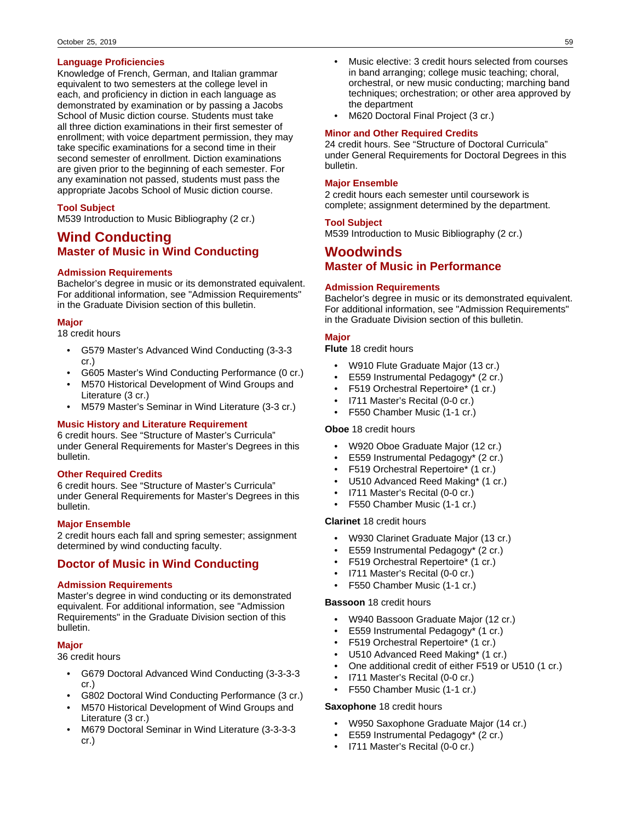# **Language Proficiencies**

Knowledge of French, German, and Italian grammar equivalent to two semesters at the college level in each, and proficiency in diction in each language as demonstrated by examination or by passing a Jacobs School of Music diction course. Students must take all three diction examinations in their first semester of enrollment; with voice department permission, they may take specific examinations for a second time in their second semester of enrollment. Diction examinations are given prior to the beginning of each semester. For any examination not passed, students must pass the appropriate Jacobs School of Music diction course.

# **Tool Subject**

M539 Introduction to Music Bibliography (2 cr.)

# **Wind Conducting Master of Music in Wind Conducting**

## **Admission Requirements**

Bachelor's degree in music or its demonstrated equivalent. For additional information, see "Admission Requirements" in the Graduate Division section of this bulletin.

# **Major**

18 credit hours

- G579 Master's Advanced Wind Conducting (3-3-3 cr.)
- G605 Master's Wind Conducting Performance (0 cr.)
- M570 Historical Development of Wind Groups and Literature (3 cr.)
- M579 Master's Seminar in Wind Literature (3-3 cr.)

# **Music History and Literature Requirement**

6 credit hours. See "Structure of Master's Curricula" under General Requirements for Master's Degrees in this bulletin.

# **Other Required Credits**

6 credit hours. See "Structure of Master's Curricula" under General Requirements for Master's Degrees in this bulletin.

# **Major Ensemble**

2 credit hours each fall and spring semester; assignment determined by wind conducting faculty.

# **Doctor of Music in Wind Conducting**

#### **Admission Requirements**

Master's degree in wind conducting or its demonstrated equivalent. For additional information, see "Admission Requirements" in the Graduate Division section of this bulletin.

# **Major**

36 credit hours

- G679 Doctoral Advanced Wind Conducting (3-3-3-3 cr.)
- G802 Doctoral Wind Conducting Performance (3 cr.)
- M570 Historical Development of Wind Groups and Literature (3 cr.)
- M679 Doctoral Seminar in Wind Literature (3-3-3-3 cr.)
- Music elective: 3 credit hours selected from courses in band arranging; college music teaching; choral, orchestral, or new music conducting; marching band techniques; orchestration; or other area approved by the department
- M620 Doctoral Final Project (3 cr.)

## **Minor and Other Required Credits**

24 credit hours. See "Structure of Doctoral Curricula" under General Requirements for Doctoral Degrees in this bulletin.

## **Major Ensemble**

2 credit hours each semester until coursework is complete; assignment determined by the department.

## **Tool Subject**

M539 Introduction to Music Bibliography (2 cr.)

# **Woodwinds Master of Music in Performance**

## **Admission Requirements**

Bachelor's degree in music or its demonstrated equivalent. For additional information, see "Admission Requirements" in the Graduate Division section of this bulletin.

# **Major**

**Flute** 18 credit hours

- W910 Flute Graduate Major (13 cr.)
- E559 Instrumental Pedagogy\* (2 cr.)
- F519 Orchestral Repertoire\* (1 cr.)
- I711 Master's Recital (0-0 cr.)
- F550 Chamber Music (1-1 cr.)

### **Oboe** 18 credit hours

- W920 Oboe Graduate Major (12 cr.)
- E559 Instrumental Pedagogy\* (2 cr.)
- F519 Orchestral Repertoire\* (1 cr.)
	- U510 Advanced Reed Making\* (1 cr.)
- I711 Master's Recital (0-0 cr.)
- F550 Chamber Music (1-1 cr.)

# **Clarinet** 18 credit hours

- W930 Clarinet Graduate Major (13 cr.)
- E559 Instrumental Pedagogy\* (2 cr.)
- F519 Orchestral Repertoire\* (1 cr.)
- I711 Master's Recital (0-0 cr.)
- F550 Chamber Music (1-1 cr.)

#### **Bassoon** 18 credit hours

- W940 Bassoon Graduate Major (12 cr.)
- E559 Instrumental Pedagogy\* (1 cr.)
- F519 Orchestral Repertoire\* (1 cr.)
- U510 Advanced Reed Making\* (1 cr.)
- One additional credit of either F519 or U510 (1 cr.)
- I711 Master's Recital (0-0 cr.)
- F550 Chamber Music (1-1 cr.)

### **Saxophone** 18 credit hours

- W950 Saxophone Graduate Major (14 cr.)
- E559 Instrumental Pedagogy\* (2 cr.)
- I711 Master's Recital (0-0 cr.)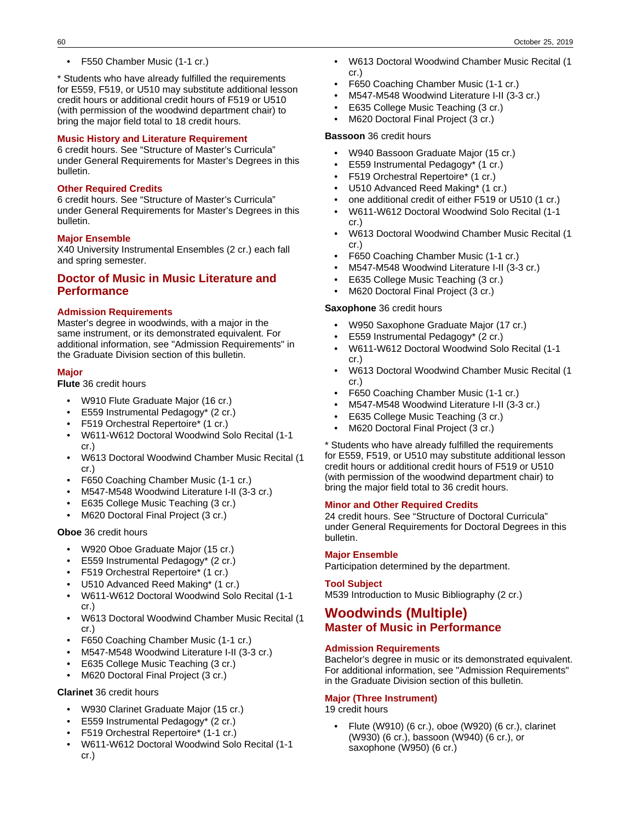• F550 Chamber Music (1-1 cr.)

\* Students who have already fulfilled the requirements for E559, F519, or U510 may substitute additional lesson credit hours or additional credit hours of F519 or U510 (with permission of the woodwind department chair) to bring the major field total to 18 credit hours.

#### **Music History and Literature Requirement**

6 credit hours. See "Structure of Master's Curricula" under General Requirements for Master's Degrees in this bulletin.

#### **Other Required Credits**

6 credit hours. See "Structure of Master's Curricula" under General Requirements for Master's Degrees in this bulletin.

### **Major Ensemble**

X40 University Instrumental Ensembles (2 cr.) each fall and spring semester.

# **Doctor of Music in Music Literature and Performance**

#### **Admission Requirements**

Master's degree in woodwinds, with a major in the same instrument, or its demonstrated equivalent. For additional information, see "Admission Requirements" in the Graduate Division section of this bulletin.

#### **Major**

**Flute** 36 credit hours

- W910 Flute Graduate Major (16 cr.)
- E559 Instrumental Pedagogy\* (2 cr.)
- F519 Orchestral Repertoire\* (1 cr.)
- W611-W612 Doctoral Woodwind Solo Recital (1-1 cr.)
- W613 Doctoral Woodwind Chamber Music Recital (1 cr.)
- F650 Coaching Chamber Music (1-1 cr.)
- M547-M548 Woodwind Literature I-II (3-3 cr.)
- E635 College Music Teaching (3 cr.)
- M620 Doctoral Final Project (3 cr.)

## **Oboe** 36 credit hours

- W920 Oboe Graduate Major (15 cr.)
- E559 Instrumental Pedagogy\* (2 cr.)
- F519 Orchestral Repertoire\* (1 cr.)
- U510 Advanced Reed Making\* (1 cr.)
- W611-W612 Doctoral Woodwind Solo Recital (1-1 cr.)
- W613 Doctoral Woodwind Chamber Music Recital (1 cr.)
- F650 Coaching Chamber Music (1-1 cr.)
- M547-M548 Woodwind Literature I-II (3-3 cr.)
- E635 College Music Teaching (3 cr.)
- M620 Doctoral Final Project (3 cr.)

#### **Clarinet** 36 credit hours

- W930 Clarinet Graduate Major (15 cr.)
- E559 Instrumental Pedagogy\* (2 cr.)
- F519 Orchestral Repertoire\* (1-1 cr.)
- W611-W612 Doctoral Woodwind Solo Recital (1-1 cr.)
- W613 Doctoral Woodwind Chamber Music Recital (1 cr.)
- F650 Coaching Chamber Music (1-1 cr.)
- M547-M548 Woodwind Literature I-II (3-3 cr.)
- E635 College Music Teaching (3 cr.)
- M620 Doctoral Final Project (3 cr.)

# **Bassoon** 36 credit hours

- W940 Bassoon Graduate Major (15 cr.)
- E559 Instrumental Pedagogy\* (1 cr.)
- F519 Orchestral Repertoire\* (1 cr.)
- U510 Advanced Reed Making\* (1 cr.)
- one additional credit of either F519 or U510 (1 cr.)
- W611-W612 Doctoral Woodwind Solo Recital (1-1 cr.)
- W613 Doctoral Woodwind Chamber Music Recital (1 cr.)
- F650 Coaching Chamber Music (1-1 cr.)
- M547-M548 Woodwind Literature I-II (3-3 cr.)
- E635 College Music Teaching (3 cr.)
- M620 Doctoral Final Project (3 cr.)

# **Saxophone** 36 credit hours

- W950 Saxophone Graduate Major (17 cr.)
- E559 Instrumental Pedagogy\* (2 cr.)
- W611-W612 Doctoral Woodwind Solo Recital (1-1 cr.)
- W613 Doctoral Woodwind Chamber Music Recital (1 cr.)
- F650 Coaching Chamber Music (1-1 cr.)
- M547-M548 Woodwind Literature I-II (3-3 cr.)
- E635 College Music Teaching (3 cr.)
- M620 Doctoral Final Project (3 cr.)

\* Students who have already fulfilled the requirements for E559, F519, or U510 may substitute additional lesson credit hours or additional credit hours of F519 or U510 (with permission of the woodwind department chair) to bring the major field total to 36 credit hours.

### **Minor and Other Required Credits**

24 credit hours. See "Structure of Doctoral Curricula" under General Requirements for Doctoral Degrees in this bulletin.

#### **Major Ensemble**

Participation determined by the department.

#### **Tool Subject**

M539 Introduction to Music Bibliography (2 cr.)

# **Woodwinds (Multiple)**

# **Master of Music in Performance**

### **Admission Requirements**

Bachelor's degree in music or its demonstrated equivalent. For additional information, see "Admission Requirements" in the Graduate Division section of this bulletin.

#### **Major (Three Instrument)**

### 19 credit hours

• Flute (W910) (6 cr.), oboe (W920) (6 cr.), clarinet (W930) (6 cr.), bassoon (W940) (6 cr.), or saxophone (W950) (6 cr.)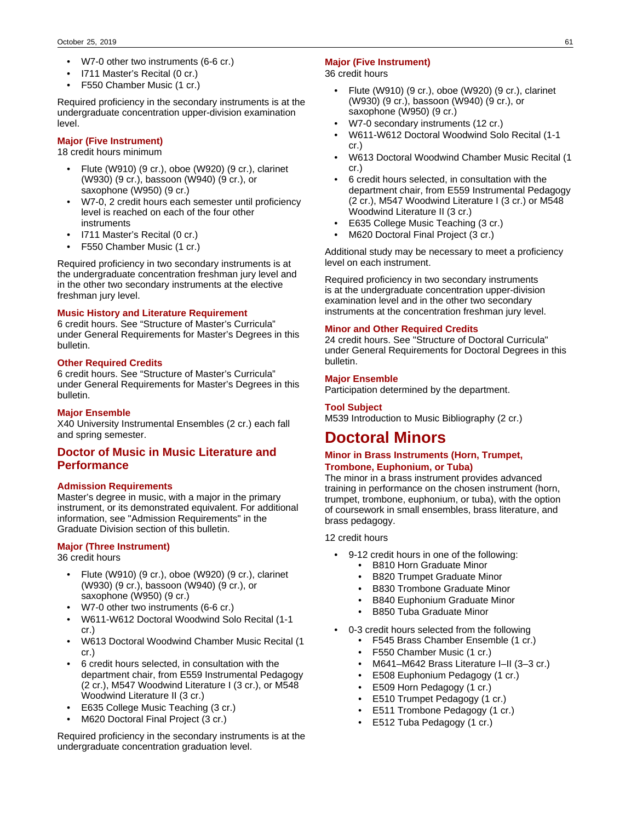- W7-0 other two instruments (6-6 cr.)
- I711 Master's Recital (0 cr.)
- F550 Chamber Music (1 cr.)

Required proficiency in the secondary instruments is at the undergraduate concentration upper-division examination level.

# **Major (Five Instrument)**

18 credit hours minimum

- Flute (W910) (9 cr.), oboe (W920) (9 cr.), clarinet (W930) (9 cr.), bassoon (W940) (9 cr.), or saxophone (W950) (9 cr.)
- W7-0, 2 credit hours each semester until proficiency level is reached on each of the four other instruments
- I711 Master's Recital (0 cr.)
- F550 Chamber Music (1 cr.)

Required proficiency in two secondary instruments is at the undergraduate concentration freshman jury level and in the other two secondary instruments at the elective freshman jury level.

## **Music History and Literature Requirement**

6 credit hours. See "Structure of Master's Curricula" under General Requirements for Master's Degrees in this bulletin.

# **Other Required Credits**

6 credit hours. See "Structure of Master's Curricula" under General Requirements for Master's Degrees in this bulletin.

#### **Major Ensemble**

X40 University Instrumental Ensembles (2 cr.) each fall and spring semester.

# **Doctor of Music in Music Literature and Performance**

## **Admission Requirements**

Master's degree in music, with a major in the primary instrument, or its demonstrated equivalent. For additional information, see "Admission Requirements" in the Graduate Division section of this bulletin.

#### **Major (Three Instrument)**

36 credit hours

- Flute (W910) (9 cr.), oboe (W920) (9 cr.), clarinet (W930) (9 cr.), bassoon (W940) (9 cr.), or saxophone (W950) (9 cr.)
- W7-0 other two instruments (6-6 cr.)
- W611-W612 Doctoral Woodwind Solo Recital (1-1 cr.)
- W613 Doctoral Woodwind Chamber Music Recital (1 cr.)
- 6 credit hours selected, in consultation with the department chair, from E559 Instrumental Pedagogy (2 cr.), M547 Woodwind Literature I (3 cr.), or M548 Woodwind Literature II (3 cr.)
- E635 College Music Teaching (3 cr.)
- M620 Doctoral Final Project (3 cr.)

Required proficiency in the secondary instruments is at the undergraduate concentration graduation level.

## **Major (Five Instrument)**

#### 36 credit hours

- Flute (W910) (9 cr.), oboe (W920) (9 cr.), clarinet (W930) (9 cr.), bassoon (W940) (9 cr.), or saxophone (W950) (9 cr.)
- W7-0 secondary instruments (12 cr.)
- W611-W612 Doctoral Woodwind Solo Recital (1-1 cr.)
- W613 Doctoral Woodwind Chamber Music Recital (1 cr.)
- 6 credit hours selected, in consultation with the department chair, from E559 Instrumental Pedagogy (2 cr.), M547 Woodwind Literature I (3 cr.) or M548 Woodwind Literature II (3 cr.)
- E635 College Music Teaching (3 cr.)
- M620 Doctoral Final Project (3 cr.)

Additional study may be necessary to meet a proficiency level on each instrument.

Required proficiency in two secondary instruments is at the undergraduate concentration upper-division examination level and in the other two secondary instruments at the concentration freshman jury level.

# **Minor and Other Required Credits**

24 credit hours. See "Structure of Doctoral Curricula" under General Requirements for Doctoral Degrees in this bulletin.

# **Major Ensemble**

Participation determined by the department.

# **Tool Subject**

M539 Introduction to Music Bibliography (2 cr.)

# **Doctoral Minors**

## **Minor in Brass Instruments (Horn, Trumpet, Trombone, Euphonium, or Tuba)**

The minor in a brass instrument provides advanced training in performance on the chosen instrument (horn, trumpet, trombone, euphonium, or tuba), with the option of coursework in small ensembles, brass literature, and brass pedagogy.

- 9-12 credit hours in one of the following:
	- B810 Horn Graduate Minor
	- B820 Trumpet Graduate Minor
	- B830 Trombone Graduate Minor
	- B840 Euphonium Graduate Minor
	- B850 Tuba Graduate Minor
- 0-3 credit hours selected from the following
	- F545 Brass Chamber Ensemble (1 cr.)
	- F550 Chamber Music (1 cr.)
	- M641–M642 Brass Literature I–II (3–3 cr.)
	- E508 Euphonium Pedagogy (1 cr.)
	- E509 Horn Pedagogy (1 cr.)
	- E510 Trumpet Pedagogy (1 cr.)
	- E511 Trombone Pedagogy (1 cr.)
	- E512 Tuba Pedagogy (1 cr.)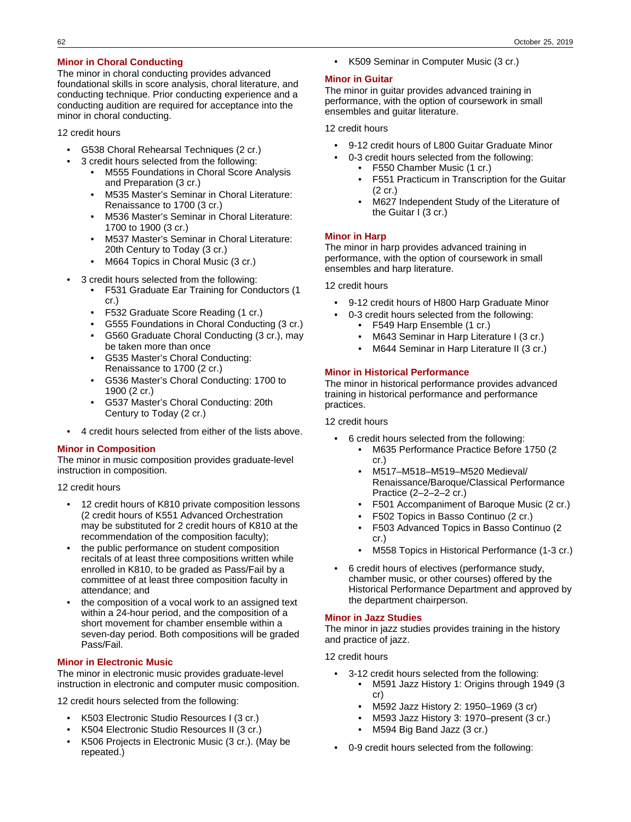# **Minor in Choral Conducting**

The minor in choral conducting provides advanced foundational skills in score analysis, choral literature, and conducting technique. Prior conducting experience and a conducting audition are required for acceptance into the minor in choral conducting.

# 12 credit hours

- G538 Choral Rehearsal Techniques (2 cr.)
	- 3 credit hours selected from the following:
		- M555 Foundations in Choral Score Analysis and Preparation (3 cr.)
		- M535 Master's Seminar in Choral Literature: Renaissance to 1700 (3 cr.)
		- M536 Master's Seminar in Choral Literature: 1700 to 1900 (3 cr.)
		- M537 Master's Seminar in Choral Literature: 20th Century to Today (3 cr.)
		- M664 Topics in Choral Music (3 cr.)
- 3 credit hours selected from the following:
	- F531 Graduate Ear Training for Conductors (1 cr.)
	- F532 Graduate Score Reading (1 cr.)
	- G555 Foundations in Choral Conducting (3 cr.)
	- G560 Graduate Choral Conducting (3 cr.), may be taken more than once
	- G535 Master's Choral Conducting: Renaissance to 1700 (2 cr.)
	- G536 Master's Choral Conducting: 1700 to 1900 (2 cr.)
	- G537 Master's Choral Conducting: 20th Century to Today (2 cr.)
- 4 credit hours selected from either of the lists above.

# **Minor in Composition**

The minor in music composition provides graduate-level instruction in composition.

12 credit hours

- 12 credit hours of K810 private composition lessons (2 credit hours of K551 Advanced Orchestration may be substituted for 2 credit hours of K810 at the recommendation of the composition faculty);
- the public performance on student composition recitals of at least three compositions written while enrolled in K810, to be graded as Pass/Fail by a committee of at least three composition faculty in attendance; and
- the composition of a vocal work to an assigned text within a 24-hour period, and the composition of a short movement for chamber ensemble within a seven-day period. Both compositions will be graded Pass/Fail.

# **Minor in Electronic Music**

The minor in electronic music provides graduate-level instruction in electronic and computer music composition.

12 credit hours selected from the following:

- K503 Electronic Studio Resources I (3 cr.)
- K504 Electronic Studio Resources II (3 cr.)
- K506 Projects in Electronic Music (3 cr.). (May be repeated.)

• K509 Seminar in Computer Music (3 cr.)

# **Minor in Guitar**

The minor in guitar provides advanced training in performance, with the option of coursework in small ensembles and guitar literature.

# 12 credit hours

- 9-12 credit hours of L800 Guitar Graduate Minor
- 0-3 credit hours selected from the following: • F550 Chamber Music (1 cr.)
	- F551 Practicum in Transcription for the Guitar (2 cr.)
	- M627 Independent Study of the Literature of the Guitar I (3 cr.)

# **Minor in Harp**

The minor in harp provides advanced training in performance, with the option of coursework in small ensembles and harp literature.

# 12 credit hours

- 9-12 credit hours of H800 Harp Graduate Minor
- 0-3 credit hours selected from the following:
	- F549 Harp Ensemble (1 cr.)
	- M643 Seminar in Harp Literature I (3 cr.)
	- M644 Seminar in Harp Literature II (3 cr.)

# **Minor in Historical Performance**

The minor in historical performance provides advanced training in historical performance and performance practices.

# 12 credit hours

- 6 credit hours selected from the following:
	- M635 Performance Practice Before 1750 (2 cr.)
	- M517–M518–M519–M520 Medieval/ Renaissance/Baroque/Classical Performance Practice (2–2–2–2 cr.)
	- F501 Accompaniment of Baroque Music (2 cr.)
	- F502 Topics in Basso Continuo (2 cr.)
	- F503 Advanced Topics in Basso Continuo (2 cr.)
	- M558 Topics in Historical Performance (1-3 cr.)
- 6 credit hours of electives (performance study, chamber music, or other courses) offered by the Historical Performance Department and approved by the department chairperson.

# **Minor in Jazz Studies**

The minor in jazz studies provides training in the history and practice of jazz.

- 3-12 credit hours selected from the following:
	- M591 Jazz History 1: Origins through 1949 (3 cr)
	- M592 Jazz History 2: 1950–1969 (3 cr)
	- M593 Jazz History 3: 1970–present (3 cr.)
	- M594 Big Band Jazz (3 cr.)
- 0-9 credit hours selected from the following: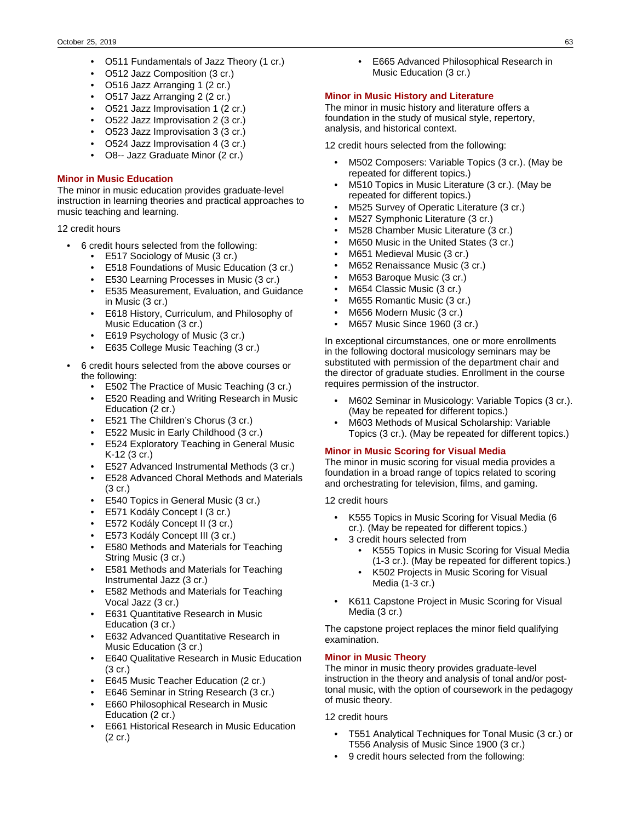- O511 Fundamentals of Jazz Theory (1 cr.)
- O512 Jazz Composition (3 cr.)
- O516 Jazz Arranging 1 (2 cr.)
- O517 Jazz Arranging 2 (2 cr.)
- O521 Jazz Improvisation 1 (2 cr.)
- O522 Jazz Improvisation 2 (3 cr.)
- O523 Jazz Improvisation 3 (3 cr.)
- O524 Jazz Improvisation 4 (3 cr.)
- O8-- Jazz Graduate Minor (2 cr.)

## **Minor in Music Education**

The minor in music education provides graduate-level instruction in learning theories and practical approaches to music teaching and learning.

12 credit hours

- 6 credit hours selected from the following:
	- E517 Sociology of Music (3 cr.)
	- E518 Foundations of Music Education (3 cr.)
	- E530 Learning Processes in Music (3 cr.)
	- E535 Measurement, Evaluation, and Guidance in Music (3 cr.)
	- E618 History, Curriculum, and Philosophy of Music Education (3 cr.)
	- E619 Psychology of Music (3 cr.)
	- E635 College Music Teaching (3 cr.)
- 6 credit hours selected from the above courses or the following:
	- E502 The Practice of Music Teaching (3 cr.)
	- E520 Reading and Writing Research in Music Education (2 cr.)
	- E521 The Children's Chorus (3 cr.)
	- E522 Music in Early Childhood (3 cr.)
	- E524 Exploratory Teaching in General Music K-12 (3 cr.)
	- E527 Advanced Instrumental Methods (3 cr.)
	- E528 Advanced Choral Methods and Materials (3 cr.)
	- E540 Topics in General Music (3 cr.)
	- E571 Kodály Concept I (3 cr.)
	- E572 Kodály Concept II (3 cr.)
	- E573 Kodály Concept III (3 cr.)
	- E580 Methods and Materials for Teaching String Music (3 cr.)
	- E581 Methods and Materials for Teaching Instrumental Jazz (3 cr.)
	- E582 Methods and Materials for Teaching Vocal Jazz (3 cr.)
	- E631 Quantitative Research in Music Education (3 cr.)
	- E632 Advanced Quantitative Research in Music Education (3 cr.)
	- E640 Qualitative Research in Music Education (3 cr.)
	- E645 Music Teacher Education (2 cr.)
	- E646 Seminar in String Research (3 cr.)
	- E660 Philosophical Research in Music Education (2 cr.)
	- E661 Historical Research in Music Education (2 cr.)

• E665 Advanced Philosophical Research in Music Education (3 cr.)

### **Minor in Music History and Literature**

The minor in music history and literature offers a foundation in the study of musical style, repertory, analysis, and historical context.

12 credit hours selected from the following:

- M502 Composers: Variable Topics (3 cr.). (May be repeated for different topics.)
- M510 Topics in Music Literature (3 cr.). (May be repeated for different topics.)
- M525 Survey of Operatic Literature (3 cr.)
- M527 Symphonic Literature (3 cr.)
- M528 Chamber Music Literature (3 cr.)
- M650 Music in the United States (3 cr.)
- M651 Medieval Music (3 cr.)
- M652 Renaissance Music (3 cr.)
- M653 Baroque Music (3 cr.)
- M654 Classic Music (3 cr.)
- M655 Romantic Music (3 cr.)
- M656 Modern Music (3 cr.)
- M657 Music Since 1960 (3 cr.)

In exceptional circumstances, one or more enrollments in the following doctoral musicology seminars may be substituted with permission of the department chair and the director of graduate studies. Enrollment in the course requires permission of the instructor.

- M602 Seminar in Musicology: Variable Topics (3 cr.). (May be repeated for different topics.)
- M603 Methods of Musical Scholarship: Variable Topics (3 cr.). (May be repeated for different topics.)

#### **Minor in Music Scoring for Visual Media**

The minor in music scoring for visual media provides a foundation in a broad range of topics related to scoring and orchestrating for television, films, and gaming.

12 credit hours

- K555 Topics in Music Scoring for Visual Media (6 cr.). (May be repeated for different topics.)
- 3 credit hours selected from
	- K555 Topics in Music Scoring for Visual Media (1-3 cr.). (May be repeated for different topics.)
	- K502 Projects in Music Scoring for Visual Media (1-3 cr.)
- K611 Capstone Project in Music Scoring for Visual Media (3 cr.)

The capstone project replaces the minor field qualifying examination.

#### **Minor in Music Theory**

The minor in music theory provides graduate-level instruction in the theory and analysis of tonal and/or posttonal music, with the option of coursework in the pedagogy of music theory.

- T551 Analytical Techniques for Tonal Music (3 cr.) or T556 Analysis of Music Since 1900 (3 cr.)
- 9 credit hours selected from the following: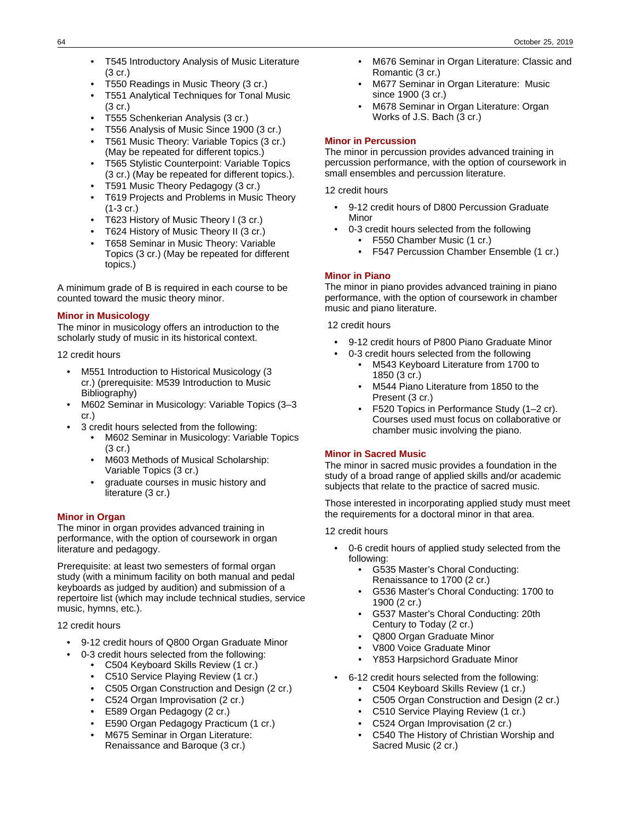- T545 Introductory Analysis of Music Literature (3 cr.)
- T550 Readings in Music Theory (3 cr.)
- T551 Analytical Techniques for Tonal Music (3 cr.)
- T555 Schenkerian Analysis (3 cr.)
- T556 Analysis of Music Since 1900 (3 cr.)
- T561 Music Theory: Variable Topics (3 cr.) (May be repeated for different topics.)
- T565 Stylistic Counterpoint: Variable Topics (3 cr.) (May be repeated for different topics.).
- T591 Music Theory Pedagogy (3 cr.)
- T619 Projects and Problems in Music Theory (1-3 cr.)
- T623 History of Music Theory I (3 cr.)
- T624 History of Music Theory II (3 cr.)
- T658 Seminar in Music Theory: Variable Topics (3 cr.) (May be repeated for different topics.)

A minimum grade of B is required in each course to be counted toward the music theory minor.

# **Minor in Musicology**

The minor in musicology offers an introduction to the scholarly study of music in its historical context.

12 credit hours

- M551 Introduction to Historical Musicology (3 cr.) (prerequisite: M539 Introduction to Music Bibliography)
- M602 Seminar in Musicology: Variable Topics (3–3 cr.)
- 3 credit hours selected from the following:
	- M602 Seminar in Musicology: Variable Topics (3 cr.)
	- M603 Methods of Musical Scholarship: Variable Topics (3 cr.)
	- graduate courses in music history and literature (3 cr.)

# **Minor in Organ**

The minor in organ provides advanced training in performance, with the option of coursework in organ literature and pedagogy.

Prerequisite: at least two semesters of formal organ study (with a minimum facility on both manual and pedal keyboards as judged by audition) and submission of a repertoire list (which may include technical studies, service music, hymns, etc.).

12 credit hours

- 9-12 credit hours of Q800 Organ Graduate Minor
	- 0-3 credit hours selected from the following:
		- C504 Keyboard Skills Review (1 cr.)
		- C510 Service Playing Review (1 cr.)
		- C505 Organ Construction and Design (2 cr.)
		- C524 Organ Improvisation (2 cr.)
		- E589 Organ Pedagogy (2 cr.)
		- E590 Organ Pedagogy Practicum (1 cr.)
		- M675 Seminar in Organ Literature: Renaissance and Baroque (3 cr.)
- M676 Seminar in Organ Literature: Classic and Romantic (3 cr.)
- M677 Seminar in Organ Literature: Music since 1900 (3 cr.)
- M678 Seminar in Organ Literature: Organ Works of J.S. Bach (3 cr.)

# **Minor in Percussion**

The minor in percussion provides advanced training in percussion performance, with the option of coursework in small ensembles and percussion literature.

## 12 credit hours

- 9-12 credit hours of D800 Percussion Graduate Minor
- 0-3 credit hours selected from the following
	- F550 Chamber Music (1 cr.)
	- F547 Percussion Chamber Ensemble (1 cr.)

# **Minor in Piano**

The minor in piano provides advanced training in piano performance, with the option of coursework in chamber music and piano literature.

12 credit hours

- 9-12 credit hours of P800 Piano Graduate Minor
	- 0-3 credit hours selected from the following
		- M543 Keyboard Literature from 1700 to 1850 (3 cr.)
		- M544 Piano Literature from 1850 to the Present (3 cr.)
		- F520 Topics in Performance Study (1–2 cr). Courses used must focus on collaborative or chamber music involving the piano.

# **Minor in Sacred Music**

The minor in sacred music provides a foundation in the study of a broad range of applied skills and/or academic subjects that relate to the practice of sacred music.

Those interested in incorporating applied study must meet the requirements for a doctoral minor in that area.

- 0-6 credit hours of applied study selected from the following:
	- G535 Master's Choral Conducting: Renaissance to 1700 (2 cr.)
	- G536 Master's Choral Conducting: 1700 to 1900 (2 cr.)
	- G537 Master's Choral Conducting: 20th Century to Today (2 cr.)
	- Q800 Organ Graduate Minor
	- V800 Voice Graduate Minor
	- Y853 Harpsichord Graduate Minor
- 6-12 credit hours selected from the following:
	- C504 Keyboard Skills Review (1 cr.)
	- C505 Organ Construction and Design (2 cr.)
	- C510 Service Playing Review (1 cr.)
	- C524 Organ Improvisation (2 cr.)
	- C540 The History of Christian Worship and Sacred Music (2 cr.)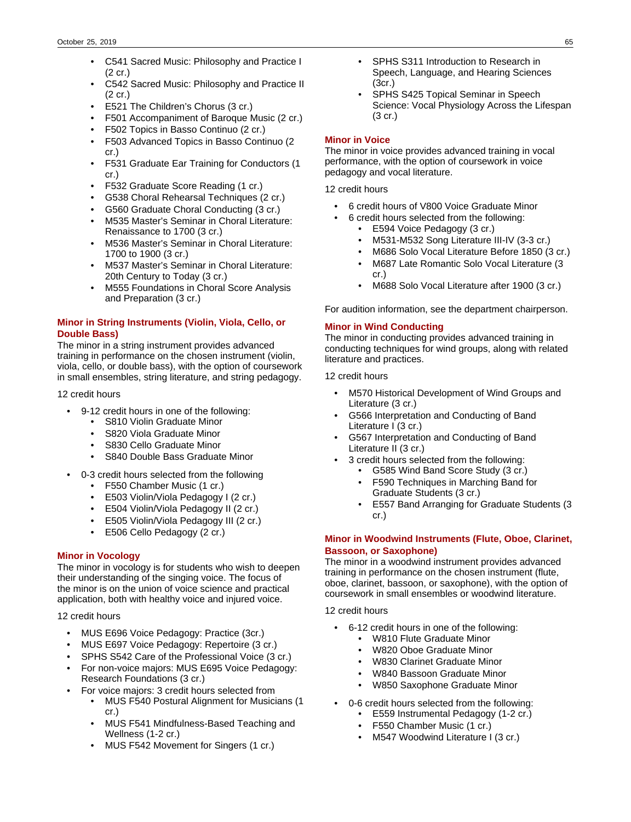- C541 Sacred Music: Philosophy and Practice I (2 cr.)
- C542 Sacred Music: Philosophy and Practice II (2 cr.)
- E521 The Children's Chorus (3 cr.)
- F501 Accompaniment of Baroque Music (2 cr.)
- F502 Topics in Basso Continuo (2 cr.)
- F503 Advanced Topics in Basso Continuo (2 cr.)
- F531 Graduate Ear Training for Conductors (1 cr.)
- F532 Graduate Score Reading (1 cr.)
- G538 Choral Rehearsal Techniques (2 cr.)
- G560 Graduate Choral Conducting (3 cr.)
- M535 Master's Seminar in Choral Literature: Renaissance to 1700 (3 cr.)
- M536 Master's Seminar in Choral Literature: 1700 to 1900 (3 cr.)
- M537 Master's Seminar in Choral Literature: 20th Century to Today (3 cr.)
- M555 Foundations in Choral Score Analysis and Preparation (3 cr.)

# **Minor in String Instruments (Violin, Viola, Cello, or Double Bass)**

The minor in a string instrument provides advanced training in performance on the chosen instrument (violin, viola, cello, or double bass), with the option of coursework in small ensembles, string literature, and string pedagogy.

#### 12 credit hours

- 9-12 credit hours in one of the following:
	- S810 Violin Graduate Minor
	- S820 Viola Graduate Minor
	- S830 Cello Graduate Minor
	- S840 Double Bass Graduate Minor
- 0-3 credit hours selected from the following
	- F550 Chamber Music (1 cr.)
	- E503 Violin/Viola Pedagogy I (2 cr.)
	- E504 Violin/Viola Pedagogy II (2 cr.)
	- E505 Violin/Viola Pedagogy III (2 cr.)
	- E506 Cello Pedagogy (2 cr.)

# **Minor in Vocology**

The minor in vocology is for students who wish to deepen their understanding of the singing voice. The focus of the minor is on the union of voice science and practical application, both with healthy voice and injured voice.

## 12 credit hours

- MUS E696 Voice Pedagogy: Practice (3cr.)
- MUS E697 Voice Pedagogy: Repertoire (3 cr.)
- SPHS S542 Care of the Professional Voice (3 cr.)
- For non-voice majors: MUS E695 Voice Pedagogy: Research Foundations (3 cr.)
- For voice majors: 3 credit hours selected from
	- MUS F540 Postural Alignment for Musicians (1 cr.)
	- MUS F541 Mindfulness-Based Teaching and Wellness (1-2 cr.)
	- MUS F542 Movement for Singers (1 cr.)
- SPHS S311 Introduction to Research in Speech, Language, and Hearing Sciences (3cr.)
- SPHS S425 Topical Seminar in Speech Science: Vocal Physiology Across the Lifespan (3 cr.)

# **Minor in Voice**

The minor in voice provides advanced training in vocal performance, with the option of coursework in voice pedagogy and vocal literature.

12 credit hours

- 6 credit hours of V800 Voice Graduate Minor
	- 6 credit hours selected from the following:
		- E594 Voice Pedagogy (3 cr.)
		- M531-M532 Song Literature III-IV (3-3 cr.)
		- M686 Solo Vocal Literature Before 1850 (3 cr.)
		- M687 Late Romantic Solo Vocal Literature (3 cr.)
		- M688 Solo Vocal Literature after 1900 (3 cr.)

For audition information, see the department chairperson.

#### **Minor in Wind Conducting**

The minor in conducting provides advanced training in conducting techniques for wind groups, along with related literature and practices.

# 12 credit hours

- M570 Historical Development of Wind Groups and Literature (3 cr.)
- G566 Interpretation and Conducting of Band Literature I (3 cr.)
- G567 Interpretation and Conducting of Band Literature II (3 cr.)
	- 3 credit hours selected from the following:
		- G585 Wind Band Score Study (3 cr.)
		- F590 Techniques in Marching Band for Graduate Students (3 cr.)
		- E557 Band Arranging for Graduate Students (3 cr.)

# **Minor in Woodwind Instruments (Flute, Oboe, Clarinet, Bassoon, or Saxophone)**

The minor in a woodwind instrument provides advanced training in performance on the chosen instrument (flute, oboe, clarinet, bassoon, or saxophone), with the option of coursework in small ensembles or woodwind literature.

- 6-12 credit hours in one of the following:
	- W810 Flute Graduate Minor
	- W820 Oboe Graduate Minor
	- W830 Clarinet Graduate Minor
	- W840 Bassoon Graduate Minor
	- W850 Saxophone Graduate Minor
- 0-6 credit hours selected from the following:
	- E559 Instrumental Pedagogy (1-2 cr.)
		- F550 Chamber Music (1 cr.)
		- M547 Woodwind Literature I (3 cr.)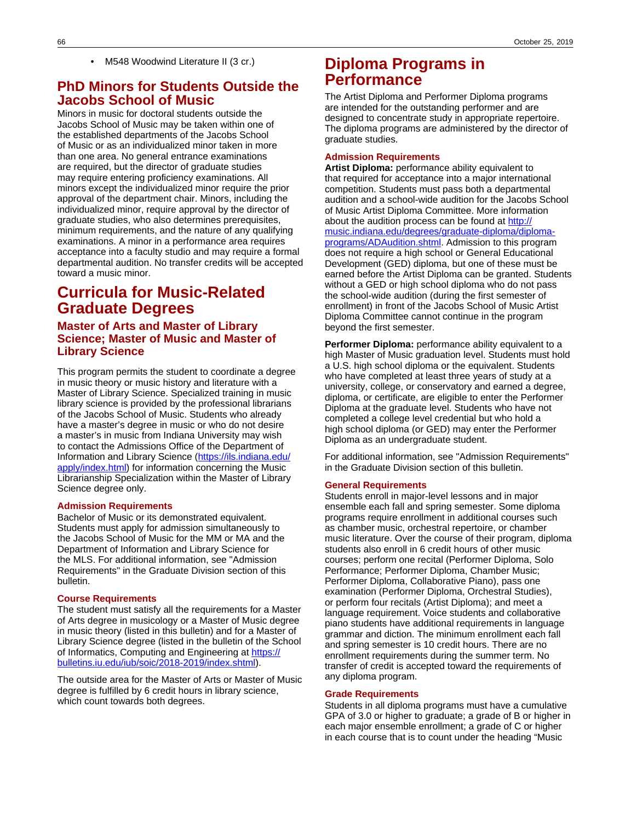• M548 Woodwind Literature II (3 cr.)

# **PhD Minors for Students Outside the Jacobs School of Music**

Minors in music for doctoral students outside the Jacobs School of Music may be taken within one of the established departments of the Jacobs School of Music or as an individualized minor taken in more than one area. No general entrance examinations are required, but the director of graduate studies may require entering proficiency examinations. All minors except the individualized minor require the prior approval of the department chair. Minors, including the individualized minor, require approval by the director of graduate studies, who also determines prerequisites, minimum requirements, and the nature of any qualifying examinations. A minor in a performance area requires acceptance into a faculty studio and may require a formal departmental audition. No transfer credits will be accepted toward a music minor.

# **Curricula for Music-Related Graduate Degrees**

# **Master of Arts and Master of Library Science; Master of Music and Master of Library Science**

This program permits the student to coordinate a degree in music theory or music history and literature with a Master of Library Science. Specialized training in music library science is provided by the professional librarians of the Jacobs School of Music. Students who already have a master's degree in music or who do not desire a master's in music from Indiana University may wish to contact the Admissions Office of the Department of Information and Library Science ([https://ils.indiana.edu/](https://ils.indiana.edu/apply/index.html) [apply/index.html](https://ils.indiana.edu/apply/index.html)) for information concerning the Music Librarianship Specialization within the Master of Library Science degree only.

#### **Admission Requirements**

Bachelor of Music or its demonstrated equivalent. Students must apply for admission simultaneously to the Jacobs School of Music for the MM or MA and the Department of Information and Library Science for the MLS. For additional information, see "Admission Requirements" in the Graduate Division section of this bulletin.

#### **Course Requirements**

The student must satisfy all the requirements for a Master of Arts degree in musicology or a Master of Music degree in music theory (listed in this bulletin) and for a Master of Library Science degree (listed in the bulletin of the School of Informatics, Computing and Engineering at [https://](https://bulletins.iu.edu/iub/soic/2018-2019/index.shtml) [bulletins.iu.edu/iub/soic/2018-2019/index.shtml\)](https://bulletins.iu.edu/iub/soic/2018-2019/index.shtml).

The outside area for the Master of Arts or Master of Music degree is fulfilled by 6 credit hours in library science, which count towards both degrees.

# **Diploma Programs in Performance**

The Artist Diploma and Performer Diploma programs are intended for the outstanding performer and are designed to concentrate study in appropriate repertoire. The diploma programs are administered by the director of graduate studies.

# **Admission Requirements**

Artist Diploma: performance ability equivalent to that required for acceptance into a major international competition. Students must pass both a departmental audition and a school-wide audition for the Jacobs School of Music Artist Diploma Committee. More information about the audition process can be found at [http://](http://music.indiana.edu/degrees/graduate-diploma/diploma-programs/ADAudition.shtml) [music.indiana.edu/degrees/graduate-diploma/diploma](http://music.indiana.edu/degrees/graduate-diploma/diploma-programs/ADAudition.shtml)[programs/ADAudition.shtml.](http://music.indiana.edu/degrees/graduate-diploma/diploma-programs/ADAudition.shtml) Admission to this program does not require a high school or General Educational Development (GED) diploma, but one of these must be earned before the Artist Diploma can be granted. Students without a GED or high school diploma who do not pass the school-wide audition (during the first semester of enrollment) in front of the Jacobs School of Music Artist Diploma Committee cannot continue in the program beyond the first semester.

**Performer Diploma:** performance ability equivalent to a high Master of Music graduation level. Students must hold a U.S. high school diploma or the equivalent. Students who have completed at least three years of study at a university, college, or conservatory and earned a degree, diploma, or certificate, are eligible to enter the Performer Diploma at the graduate level. Students who have not completed a college level credential but who hold a high school diploma (or GED) may enter the Performer Diploma as an undergraduate student.

For additional information, see "Admission Requirements" in the Graduate Division section of this bulletin.

#### **General Requirements**

Students enroll in major-level lessons and in major ensemble each fall and spring semester. Some diploma programs require enrollment in additional courses such as chamber music, orchestral repertoire, or chamber music literature. Over the course of their program, diploma students also enroll in 6 credit hours of other music courses; perform one recital (Performer Diploma, Solo Performance; Performer Diploma, Chamber Music; Performer Diploma, Collaborative Piano), pass one examination (Performer Diploma, Orchestral Studies), or perform four recitals (Artist Diploma); and meet a language requirement. Voice students and collaborative piano students have additional requirements in language grammar and diction. The minimum enrollment each fall and spring semester is 10 credit hours. There are no enrollment requirements during the summer term. No transfer of credit is accepted toward the requirements of any diploma program.

## **Grade Requirements**

Students in all diploma programs must have a cumulative GPA of 3.0 or higher to graduate; a grade of B or higher in each major ensemble enrollment; a grade of C or higher in each course that is to count under the heading "Music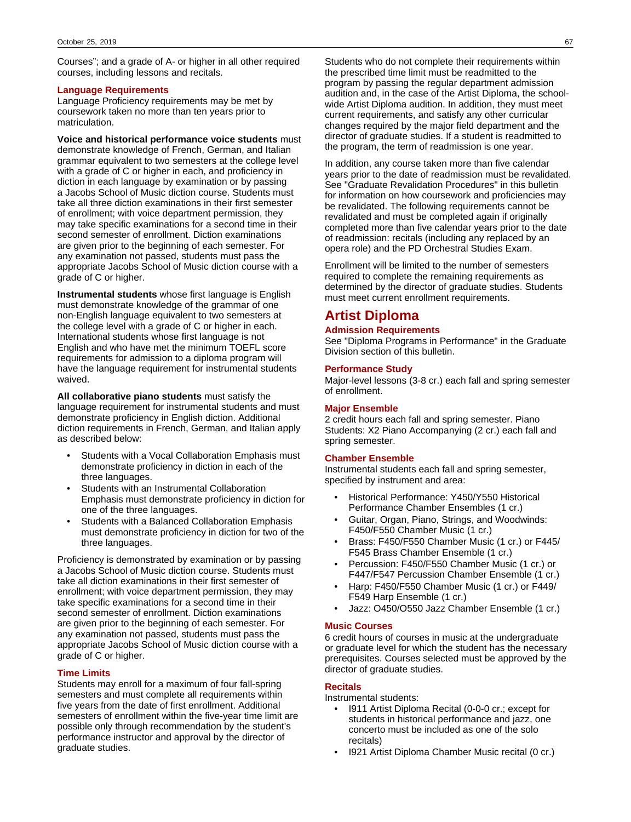Courses"; and a grade of A- or higher in all other required courses, including lessons and recitals.

#### **Language Requirements**

Language Proficiency requirements may be met by coursework taken no more than ten years prior to matriculation.

**Voice and historical performance voice students** must demonstrate knowledge of French, German, and Italian grammar equivalent to two semesters at the college level with a grade of C or higher in each, and proficiency in diction in each language by examination or by passing a Jacobs School of Music diction course. Students must take all three diction examinations in their first semester of enrollment; with voice department permission, they may take specific examinations for a second time in their second semester of enrollment. Diction examinations are given prior to the beginning of each semester. For any examination not passed, students must pass the appropriate Jacobs School of Music diction course with a grade of C or higher.

**Instrumental students** whose first language is English must demonstrate knowledge of the grammar of one non-English language equivalent to two semesters at the college level with a grade of C or higher in each. International students whose first language is not English and who have met the minimum TOEFL score requirements for admission to a diploma program will have the language requirement for instrumental students waived.

**All collaborative piano students** must satisfy the language requirement for instrumental students and must demonstrate proficiency in English diction. Additional diction requirements in French, German, and Italian apply as described below:

- Students with a Vocal Collaboration Emphasis must demonstrate proficiency in diction in each of the three languages.
- Students with an Instrumental Collaboration Emphasis must demonstrate proficiency in diction for one of the three languages.
- Students with a Balanced Collaboration Emphasis must demonstrate proficiency in diction for two of the three languages.

Proficiency is demonstrated by examination or by passing a Jacobs School of Music diction course. Students must take all diction examinations in their first semester of enrollment; with voice department permission, they may take specific examinations for a second time in their second semester of enrollment. Diction examinations are given prior to the beginning of each semester. For any examination not passed, students must pass the appropriate Jacobs School of Music diction course with a grade of C or higher.

#### **Time Limits**

Students may enroll for a maximum of four fall-spring semesters and must complete all requirements within five years from the date of first enrollment. Additional semesters of enrollment within the five-year time limit are possible only through recommendation by the student's performance instructor and approval by the director of graduate studies.

Students who do not complete their requirements within the prescribed time limit must be readmitted to the program by passing the regular department admission audition and, in the case of the Artist Diploma, the schoolwide Artist Diploma audition. In addition, they must meet current requirements, and satisfy any other curricular changes required by the major field department and the director of graduate studies. If a student is readmitted to the program, the term of readmission is one year.

In addition, any course taken more than five calendar years prior to the date of readmission must be revalidated. See "Graduate Revalidation Procedures" in this bulletin for information on how coursework and proficiencies may be revalidated. The following requirements cannot be revalidated and must be completed again if originally completed more than five calendar years prior to the date of readmission: recitals (including any replaced by an opera role) and the PD Orchestral Studies Exam.

Enrollment will be limited to the number of semesters required to complete the remaining requirements as determined by the director of graduate studies. Students must meet current enrollment requirements.

# **Artist Diploma**

## **Admission Requirements**

See "Diploma Programs in Performance" in the Graduate Division section of this bulletin.

#### **Performance Study**

Major-level lessons (3-8 cr.) each fall and spring semester of enrollment.

#### **Major Ensemble**

2 credit hours each fall and spring semester. Piano Students: X2 Piano Accompanying (2 cr.) each fall and spring semester.

#### **Chamber Ensemble**

Instrumental students each fall and spring semester, specified by instrument and area:

- Historical Performance: Y450/Y550 Historical Performance Chamber Ensembles (1 cr.)
- Guitar, Organ, Piano, Strings, and Woodwinds: F450/F550 Chamber Music (1 cr.)
- Brass: F450/F550 Chamber Music (1 cr.) or F445/ F545 Brass Chamber Ensemble (1 cr.)
- Percussion: F450/F550 Chamber Music (1 cr.) or F447/F547 Percussion Chamber Ensemble (1 cr.)
- Harp: F450/F550 Chamber Music (1 cr.) or F449/ F549 Harp Ensemble (1 cr.)
- Jazz: O450/O550 Jazz Chamber Ensemble (1 cr.)

#### **Music Courses**

6 credit hours of courses in music at the undergraduate or graduate level for which the student has the necessary prerequisites. Courses selected must be approved by the director of graduate studies.

#### **Recitals**

Instrumental students:

- I911 Artist Diploma Recital (0-0-0 cr.; except for students in historical performance and jazz, one concerto must be included as one of the solo recitals)
- I921 Artist Diploma Chamber Music recital (0 cr.)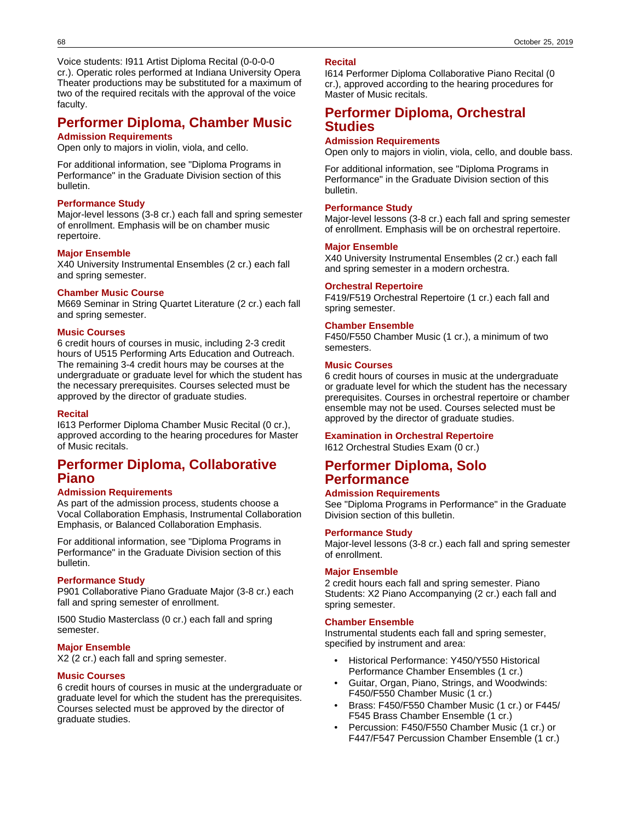Voice students: I911 Artist Diploma Recital (0-0-0-0 cr.). Operatic roles performed at Indiana University Opera Theater productions may be substituted for a maximum of two of the required recitals with the approval of the voice faculty.

# **Performer Diploma, Chamber Music**

# **Admission Requirements**

Open only to majors in violin, viola, and cello.

For additional information, see "Diploma Programs in Performance" in the Graduate Division section of this bulletin.

#### **Performance Study**

Major-level lessons (3-8 cr.) each fall and spring semester of enrollment. Emphasis will be on chamber music repertoire.

#### **Major Ensemble**

X40 University Instrumental Ensembles (2 cr.) each fall and spring semester.

### **Chamber Music Course**

M669 Seminar in String Quartet Literature (2 cr.) each fall and spring semester.

## **Music Courses**

6 credit hours of courses in music, including 2-3 credit hours of U515 Performing Arts Education and Outreach. The remaining 3-4 credit hours may be courses at the undergraduate or graduate level for which the student has the necessary prerequisites. Courses selected must be approved by the director of graduate studies.

#### **Recital**

I613 Performer Diploma Chamber Music Recital (0 cr.), approved according to the hearing procedures for Master of Music recitals.

# **Performer Diploma, Collaborative Piano**

## **Admission Requirements**

As part of the admission process, students choose a Vocal Collaboration Emphasis, Instrumental Collaboration Emphasis, or Balanced Collaboration Emphasis.

For additional information, see "Diploma Programs in Performance" in the Graduate Division section of this bulletin.

### **Performance Study**

P901 Collaborative Piano Graduate Major (3-8 cr.) each fall and spring semester of enrollment.

I500 Studio Masterclass (0 cr.) each fall and spring semester.

### **Major Ensemble**

X2 (2 cr.) each fall and spring semester.

#### **Music Courses**

6 credit hours of courses in music at the undergraduate or graduate level for which the student has the prerequisites. Courses selected must be approved by the director of graduate studies.

#### **Recital**

I614 Performer Diploma Collaborative Piano Recital (0 cr.), approved according to the hearing procedures for Master of Music recitals.

# **Performer Diploma, Orchestral Studies**

# **Admission Requirements**

Open only to majors in violin, viola, cello, and double bass.

For additional information, see "Diploma Programs in Performance" in the Graduate Division section of this bulletin.

#### **Performance Study**

Major-level lessons (3-8 cr.) each fall and spring semester of enrollment. Emphasis will be on orchestral repertoire.

#### **Major Ensemble**

X40 University Instrumental Ensembles (2 cr.) each fall and spring semester in a modern orchestra.

#### **Orchestral Repertoire**

F419/F519 Orchestral Repertoire (1 cr.) each fall and spring semester.

#### **Chamber Ensemble**

F450/F550 Chamber Music (1 cr.), a minimum of two semesters.

#### **Music Courses**

6 credit hours of courses in music at the undergraduate or graduate level for which the student has the necessary prerequisites. Courses in orchestral repertoire or chamber ensemble may not be used. Courses selected must be approved by the director of graduate studies.

#### **Examination in Orchestral Repertoire** I612 Orchestral Studies Exam (0 cr.)

**Performer Diploma, Solo**

# **Performance**

## **Admission Requirements** See "Diploma Programs in Performance" in the Graduate

Division section of this bulletin.

### **Performance Study**

Major-level lessons (3-8 cr.) each fall and spring semester of enrollment.

#### **Major Ensemble**

2 credit hours each fall and spring semester. Piano Students: X2 Piano Accompanying (2 cr.) each fall and spring semester.

## **Chamber Ensemble**

Instrumental students each fall and spring semester, specified by instrument and area:

- Historical Performance: Y450/Y550 Historical Performance Chamber Ensembles (1 cr.)
- Guitar, Organ, Piano, Strings, and Woodwinds: F450/F550 Chamber Music (1 cr.)
- Brass: F450/F550 Chamber Music (1 cr.) or F445/ F545 Brass Chamber Ensemble (1 cr.)
- Percussion: F450/F550 Chamber Music (1 cr.) or F447/F547 Percussion Chamber Ensemble (1 cr.)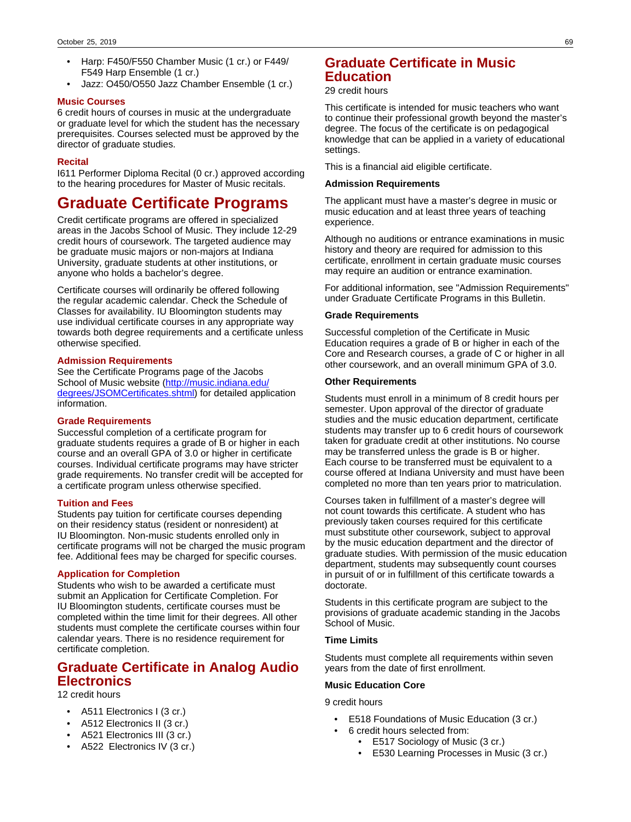- Harp: F450/F550 Chamber Music (1 cr.) or F449/ F549 Harp Ensemble (1 cr.)
- Jazz: O450/O550 Jazz Chamber Ensemble (1 cr.)

#### **Music Courses**

6 credit hours of courses in music at the undergraduate or graduate level for which the student has the necessary prerequisites. Courses selected must be approved by the director of graduate studies.

#### **Recital**

I611 Performer Diploma Recital (0 cr.) approved according to the hearing procedures for Master of Music recitals.

# **Graduate Certificate Programs**

Credit certificate programs are offered in specialized areas in the Jacobs School of Music. They include 12-29 credit hours of coursework. The targeted audience may be graduate music majors or non-majors at Indiana University, graduate students at other institutions, or anyone who holds a bachelor's degree.

Certificate courses will ordinarily be offered following the regular academic calendar. Check the Schedule of Classes for availability. IU Bloomington students may use individual certificate courses in any appropriate way towards both degree requirements and a certificate unless otherwise specified.

#### **Admission Requirements**

See the Certificate Programs page of the Jacobs School of Music website [\(http://music.indiana.edu/](http://music.indiana.edu/degrees/JSOMCertificates.shtml) [degrees/JSOMCertificates.shtml](http://music.indiana.edu/degrees/JSOMCertificates.shtml)) for detailed application information.

#### **Grade Requirements**

Successful completion of a certificate program for graduate students requires a grade of B or higher in each course and an overall GPA of 3.0 or higher in certificate courses. Individual certificate programs may have stricter grade requirements. No transfer credit will be accepted for a certificate program unless otherwise specified.

#### **Tuition and Fees**

Students pay tuition for certificate courses depending on their residency status (resident or nonresident) at IU Bloomington. Non-music students enrolled only in certificate programs will not be charged the music program fee. Additional fees may be charged for specific courses.

#### **Application for Completion**

Students who wish to be awarded a certificate must submit an Application for Certificate Completion. For IU Bloomington students, certificate courses must be completed within the time limit for their degrees. All other students must complete the certificate courses within four calendar years. There is no residence requirement for certificate completion.

# **Graduate Certificate in Analog Audio Electronics**

12 credit hours

- A511 Electronics I (3 cr.)
- A512 Electronics II (3 cr.)
- A521 Electronics III (3 cr.)
- A522 Electronics IV (3 cr.)

# **Graduate Certificate in Music Education**

29 credit hours

This certificate is intended for music teachers who want to continue their professional growth beyond the master's degree. The focus of the certificate is on pedagogical knowledge that can be applied in a variety of educational settings.

This is a financial aid eligible certificate.

#### **Admission Requirements**

The applicant must have a master's degree in music or music education and at least three years of teaching experience.

Although no auditions or entrance examinations in music history and theory are required for admission to this certificate, enrollment in certain graduate music courses may require an audition or entrance examination.

For additional information, see "Admission Requirements" under Graduate Certificate Programs in this Bulletin.

#### **Grade Requirements**

Successful completion of the Certificate in Music Education requires a grade of B or higher in each of the Core and Research courses, a grade of C or higher in all other coursework, and an overall minimum GPA of 3.0.

## **Other Requirements**

Students must enroll in a minimum of 8 credit hours per semester. Upon approval of the director of graduate studies and the music education department, certificate students may transfer up to 6 credit hours of coursework taken for graduate credit at other institutions. No course may be transferred unless the grade is B or higher. Each course to be transferred must be equivalent to a course offered at Indiana University and must have been completed no more than ten years prior to matriculation.

Courses taken in fulfillment of a master's degree will not count towards this certificate. A student who has previously taken courses required for this certificate must substitute other coursework, subject to approval by the music education department and the director of graduate studies. With permission of the music education department, students may subsequently count courses in pursuit of or in fulfillment of this certificate towards a doctorate.

Students in this certificate program are subject to the provisions of graduate academic standing in the Jacobs School of Music.

### **Time Limits**

Students must complete all requirements within seven years from the date of first enrollment.

# **Music Education Core**

- E518 Foundations of Music Education (3 cr.)
	- 6 credit hours selected from:
		- E517 Sociology of Music (3 cr.)
		- E530 Learning Processes in Music (3 cr.)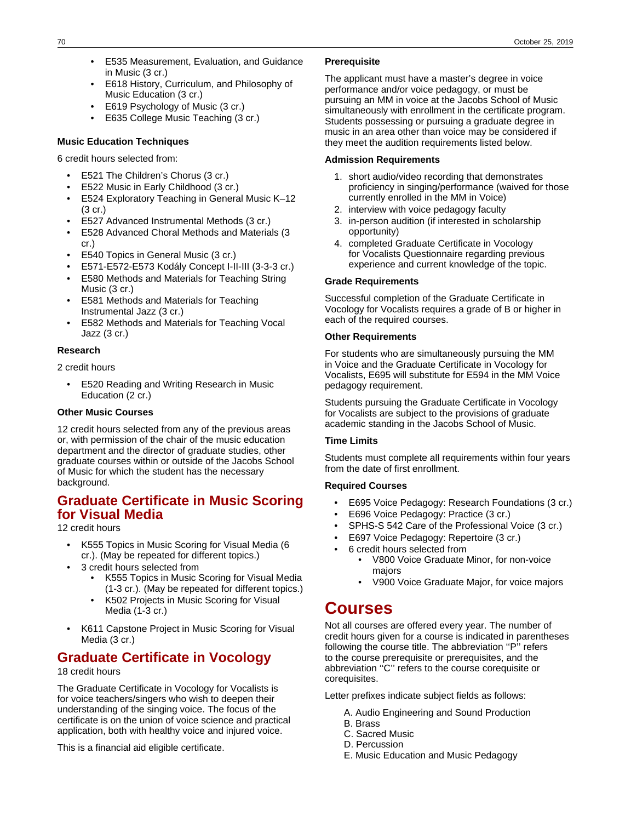- E535 Measurement, Evaluation, and Guidance in Music (3 cr.)
- E618 History, Curriculum, and Philosophy of Music Education (3 cr.)
- E619 Psychology of Music (3 cr.)
- E635 College Music Teaching (3 cr.)

# **Music Education Techniques**

6 credit hours selected from:

- E521 The Children's Chorus (3 cr.)
- E522 Music in Early Childhood (3 cr.)
- E524 Exploratory Teaching in General Music K–12 (3 cr.)
- E527 Advanced Instrumental Methods (3 cr.)
- E528 Advanced Choral Methods and Materials (3 cr.)
- E540 Topics in General Music (3 cr.)
- E571-E572-E573 Kodály Concept I-II-III (3-3-3 cr.)
- E580 Methods and Materials for Teaching String Music (3 cr.)
- E581 Methods and Materials for Teaching Instrumental Jazz (3 cr.)
- E582 Methods and Materials for Teaching Vocal Jazz (3 cr.)

# **Research**

2 credit hours

• E520 Reading and Writing Research in Music Education (2 cr.)

# **Other Music Courses**

12 credit hours selected from any of the previous areas or, with permission of the chair of the music education department and the director of graduate studies, other graduate courses within or outside of the Jacobs School of Music for which the student has the necessary background.

# **Graduate Certificate in Music Scoring for Visual Media**

12 credit hours

- K555 Topics in Music Scoring for Visual Media (6 cr.). (May be repeated for different topics.)
- 3 credit hours selected from
	- K555 Topics in Music Scoring for Visual Media (1-3 cr.). (May be repeated for different topics.)
	- K502 Projects in Music Scoring for Visual Media (1-3 cr.)
- K611 Capstone Project in Music Scoring for Visual Media (3 cr.)

# **Graduate Certificate in Vocology**

# 18 credit hours

The Graduate Certificate in Vocology for Vocalists is for voice teachers/singers who wish to deepen their understanding of the singing voice. The focus of the certificate is on the union of voice science and practical application, both with healthy voice and injured voice.

This is a financial aid eligible certificate.

# **Prerequisite**

The applicant must have a master's degree in voice performance and/or voice pedagogy, or must be pursuing an MM in voice at the Jacobs School of Music simultaneously with enrollment in the certificate program. Students possessing or pursuing a graduate degree in music in an area other than voice may be considered if they meet the audition requirements listed below.

# **Admission Requirements**

- 1. short audio/video recording that demonstrates proficiency in singing/performance (waived for those currently enrolled in the MM in Voice)
- 2. interview with voice pedagogy faculty
- 3. in-person audition (if interested in scholarship opportunity)
- 4. completed Graduate Certificate in Vocology for Vocalists Questionnaire regarding previous experience and current knowledge of the topic.

# **Grade Requirements**

Successful completion of the Graduate Certificate in Vocology for Vocalists requires a grade of B or higher in each of the required courses.

# **Other Requirements**

For students who are simultaneously pursuing the MM in Voice and the Graduate Certificate in Vocology for Vocalists, E695 will substitute for E594 in the MM Voice pedagogy requirement.

Students pursuing the Graduate Certificate in Vocology for Vocalists are subject to the provisions of graduate academic standing in the Jacobs School of Music.

# **Time Limits**

Students must complete all requirements within four years from the date of first enrollment.

# **Required Courses**

- E695 Voice Pedagogy: Research Foundations (3 cr.)
- E696 Voice Pedagogy: Practice (3 cr.)
- SPHS-S 542 Care of the Professional Voice (3 cr.)
- E697 Voice Pedagogy: Repertoire (3 cr.)
- 6 credit hours selected from
	- V800 Voice Graduate Minor, for non-voice majors
	- V900 Voice Graduate Major, for voice majors

# **Courses**

Not all courses are offered every year. The number of credit hours given for a course is indicated in parentheses following the course title. The abbreviation ''P'' refers to the course prerequisite or prerequisites, and the abbreviation ''C'' refers to the course corequisite or corequisites.

Letter prefixes indicate subject fields as follows:

- A. Audio Engineering and Sound Production
- B. Brass
- C. Sacred Music
- D. Percussion
- E. Music Education and Music Pedagogy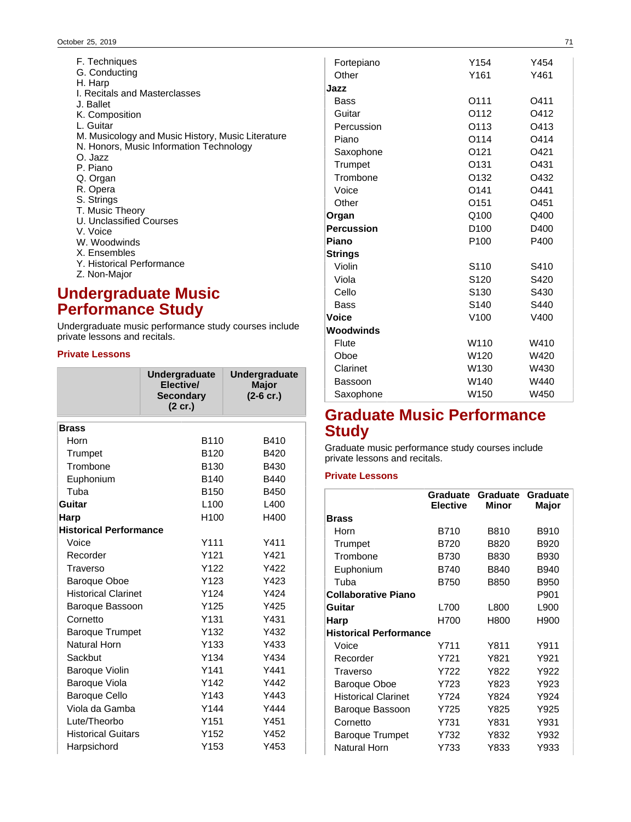| F. Techniques                                     |
|---------------------------------------------------|
| G. Conducting                                     |
| H. Harp                                           |
| I. Recitals and Masterclasses                     |
| J. Ballet                                         |
| K. Composition                                    |
| L. Guitar                                         |
| M. Musicology and Music History, Music Literature |
| N. Honors, Music Information Technology           |
| O. Jazz                                           |
| P. Piano                                          |
| Q. Organ                                          |
| R. Opera                                          |
| S. Strings                                        |
| T. Music Theory                                   |
| U. Unclassified Courses                           |
| V. Voice                                          |
| W. Woodwinds                                      |
| X. Ensembles                                      |
| Y. Historical Performance                         |
| Z. Non-Major                                      |
|                                                   |

# **Undergraduate Music Performance Study**

Undergraduate music performance study courses include private lessons and recitals.

# **Private Lessons**

|                               | Undergraduate<br>Elective/<br><b>Secondary</b><br>(2 cr.) | Undergraduate<br><b>Major</b><br>$(2-6 \text{ cr.})$ |
|-------------------------------|-----------------------------------------------------------|------------------------------------------------------|
| <b>Brass</b>                  |                                                           |                                                      |
| Horn                          | <b>B110</b>                                               | B410                                                 |
| Trumpet                       | B <sub>120</sub>                                          | B420                                                 |
| Trombone                      | B <sub>130</sub>                                          | B430                                                 |
| Euphonium                     | B <sub>140</sub>                                          | B440                                                 |
| Tuba                          | <b>B150</b>                                               | B450                                                 |
| Guitar                        | L <sub>100</sub>                                          | L400                                                 |
| Harp                          | H <sub>100</sub>                                          | H400                                                 |
| <b>Historical Performance</b> |                                                           |                                                      |
| Voice                         | Y111                                                      | Y411                                                 |
| Recorder                      | Y121                                                      | Y421                                                 |
| Traverso                      | Y122                                                      | Y422                                                 |
| <b>Baroque Oboe</b>           | Y123                                                      | Y423                                                 |
| <b>Historical Clarinet</b>    | Y124                                                      | Y424                                                 |
| Baroque Bassoon               | Y125                                                      | Y425                                                 |
| Cornetto                      | Y131                                                      | Y431                                                 |
| <b>Baroque Trumpet</b>        | Y132                                                      | Y432                                                 |
| Natural Horn                  | Y133                                                      | Y433                                                 |
| Sackbut                       | Y134                                                      | Y434                                                 |
| <b>Baroque Violin</b>         | Y141                                                      | Y441                                                 |
| <b>Baroque Viola</b>          | Y142                                                      | Y442                                                 |
| <b>Baroque Cello</b>          | Y143                                                      | Y443                                                 |
| Viola da Gamba                | Y144                                                      | Y444                                                 |
| Lute/Theorbo                  | Y151                                                      | Y451                                                 |
| <b>Historical Guitars</b>     | Y152                                                      | Y452                                                 |
| Harpsichord                   | Y153                                                      | Y453                                                 |

| Fortepiano     | Y154             | Y454 |
|----------------|------------------|------|
| Other          | Y161             | Y461 |
| Jazz           |                  |      |
| Bass           | O <sub>111</sub> | O411 |
| Guitar         | O112             | O412 |
| Percussion     | O <sub>113</sub> | O413 |
| Piano          | O114             | O414 |
| Saxophone      | 0121             | O421 |
| Trumpet        | O <sub>131</sub> | O431 |
| Trombone       | O <sub>132</sub> | O432 |
| Voice          | O <sub>141</sub> | O441 |
| Other          | O <sub>151</sub> | O451 |
| Organ          | Q100             | Q400 |
| Percussion     | D <sub>100</sub> | D400 |
| Piano          | P <sub>100</sub> | P400 |
| <b>Strings</b> |                  |      |
| Violin         | S110             | S410 |
| Viola          | S <sub>120</sub> | S420 |
| Cello          | S <sub>130</sub> | S430 |
| Bass           | S <sub>140</sub> | S440 |
| Voice          | V <sub>100</sub> | V400 |
| Woodwinds      |                  |      |
| Flute          | W110             | W410 |
| Oboe           | W <sub>120</sub> | W420 |
| Clarinet       | W130             | W430 |
| Bassoon        | W140             | W440 |
| Saxophone      | W150             | W450 |

# **Graduate Music Performance Study**

Graduate music performance study courses include private lessons and recitals.

# **Private Lessons**

|                               | Graduate<br><b>Elective</b> | Graduate<br>Minor | <b>Graduate</b><br><b>Major</b> |
|-------------------------------|-----------------------------|-------------------|---------------------------------|
| <b>Brass</b>                  |                             |                   |                                 |
| Horn                          | B710                        | B810              | B910                            |
| Trumpet                       | B720                        | B820              | B920                            |
| Trombone                      | B730                        | B830              | <b>B930</b>                     |
| Euphonium                     | B740                        | B840              | B940                            |
| Tuba                          | B750                        | B850              | B950                            |
| <b>Collaborative Piano</b>    |                             |                   | P901                            |
| Guitar                        | L700                        | L800              | L900                            |
| Harp                          | H700                        | H800              | H900                            |
| <b>Historical Performance</b> |                             |                   |                                 |
| Voice                         | Y711                        | Y811              | Y911                            |
| Recorder                      | Y721                        | Y821              | Y921                            |
| Traverso                      | Y722                        | Y822              | Y922                            |
| Baroque Oboe                  | Y723                        | Y823              | Y923                            |
| <b>Historical Clarinet</b>    | Y724                        | Y824              | Y924                            |
| Baroque Bassoon               | Y725                        | Y825              | Y925                            |
| Cornetto                      | Y731                        | Y831              | Y931                            |
| <b>Baroque Trumpet</b>        | Y732                        | Y832              | Y932                            |
| Natural Horn                  | Y733                        | Y833              | Y933                            |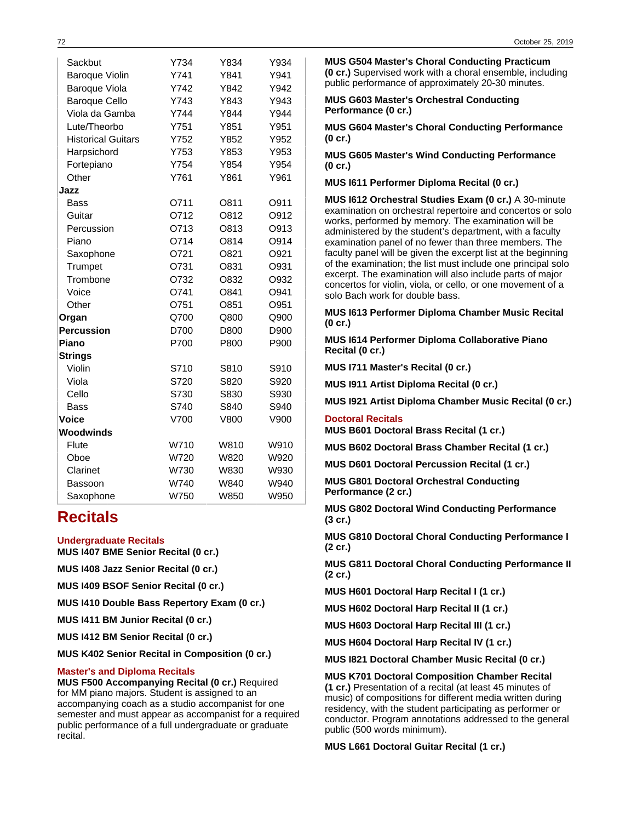| Sackbut                   | Y734 | Y834 | Y934 |
|---------------------------|------|------|------|
| <b>Baroque Violin</b>     | Y741 | Y841 | Y941 |
| Baroque Viola             | Y742 | Y842 | Y942 |
| <b>Baroque Cello</b>      | Y743 | Y843 | Y943 |
| Viola da Gamba            | Y744 | Y844 | Y944 |
| Lute/Theorbo              | Y751 | Y851 | Y951 |
| <b>Historical Guitars</b> | Y752 | Y852 | Y952 |
| Harpsichord               | Y753 | Y853 | Y953 |
| Fortepiano                | Y754 | Y854 | Y954 |
| Other                     | Y761 | Y861 | Y961 |
| Jazz                      |      |      |      |
| Bass                      | O711 | O811 | O911 |
| Guitar                    | O712 | O812 | O912 |
| Percussion                | O713 | O813 | O913 |
| Piano                     | O714 | O814 | O914 |
| Saxophone                 | O721 | O821 | O921 |
| Trumpet                   | O731 | O831 | O931 |
| Trombone                  | O732 | O832 | O932 |
| Voice                     | O741 | O841 | O941 |
| Other                     | O751 | O851 | O951 |
| Organ                     | Q700 | Q800 | Q900 |
| Percussion                | D700 | D800 | D900 |
| Piano                     | P700 | P800 | P900 |
| Strings                   |      |      |      |
| Violin                    | S710 | S810 | S910 |
| Viola                     | S720 | S820 | S920 |
| Cello                     | S730 | S830 | S930 |
| <b>Bass</b>               | S740 | S840 | S940 |
| Voice                     | V700 | V800 | V900 |
| Woodwinds                 |      |      |      |
| Flute                     | W710 | W810 | W910 |
| Oboe                      | W720 | W820 | W920 |
| Clarinet                  | W730 | W830 | W930 |
| Bassoon                   | W740 | W840 | W940 |
| Saxophone                 | W750 | W850 | W950 |

# **Recitals**

### **Undergraduate Recitals**

**MUS I407 BME Senior Recital (0 cr.)**

**MUS I408 Jazz Senior Recital (0 cr.)**

**MUS I409 BSOF Senior Recital (0 cr.)**

**MUS I410 Double Bass Repertory Exam (0 cr.)**

- **MUS I411 BM Junior Recital (0 cr.)**
- **MUS I412 BM Senior Recital (0 cr.)**
- **MUS K402 Senior Recital in Composition (0 cr.)**

#### **Master's and Diploma Recitals**

**MUS F500 Accompanying Recital (0 cr.)** Required for MM piano majors. Student is assigned to an accompanying coach as a studio accompanist for one semester and must appear as accompanist for a required public performance of a full undergraduate or graduate recital.

**MUS G504 Master's Choral Conducting Practicum (0 cr.)** Supervised work with a choral ensemble, including public performance of approximately 20-30 minutes.

#### **MUS G603 Master's Orchestral Conducting Performance (0 cr.)**

**MUS G604 Master's Choral Conducting Performance (0 cr.)**

**MUS G605 Master's Wind Conducting Performance (0 cr.)**

**MUS I611 Performer Diploma Recital (0 cr.)**

**MUS I612 Orchestral Studies Exam (0 cr.)** A 30-minute examination on orchestral repertoire and concertos or solo works, performed by memory. The examination will be administered by the student's department, with a faculty examination panel of no fewer than three members. The faculty panel will be given the excerpt list at the beginning of the examination; the list must include one principal solo excerpt. The examination will also include parts of major concertos for violin, viola, or cello, or one movement of a solo Bach work for double bass.

**MUS I613 Performer Diploma Chamber Music Recital (0 cr.)**

**MUS I614 Performer Diploma Collaborative Piano Recital (0 cr.)**

**MUS I711 Master's Recital (0 cr.)**

**MUS I911 Artist Diploma Recital (0 cr.)**

**MUS I921 Artist Diploma Chamber Music Recital (0 cr.)**

#### **Doctoral Recitals**

**MUS B601 Doctoral Brass Recital (1 cr.)**

**MUS B602 Doctoral Brass Chamber Recital (1 cr.)**

**MUS D601 Doctoral Percussion Recital (1 cr.)**

**MUS G801 Doctoral Orchestral Conducting Performance (2 cr.)**

**MUS G802 Doctoral Wind Conducting Performance (3 cr.)**

**MUS G810 Doctoral Choral Conducting Performance I (2 cr.)**

**MUS G811 Doctoral Choral Conducting Performance II (2 cr.)**

**MUS H601 Doctoral Harp Recital I (1 cr.)**

**MUS H602 Doctoral Harp Recital II (1 cr.)**

**MUS H603 Doctoral Harp Recital III (1 cr.)**

**MUS H604 Doctoral Harp Recital IV (1 cr.)**

**MUS I821 Doctoral Chamber Music Recital (0 cr.)**

**MUS K701 Doctoral Composition Chamber Recital (1 cr.)** Presentation of a recital (at least 45 minutes of music) of compositions for different media written during residency, with the student participating as performer or conductor. Program annotations addressed to the general public (500 words minimum).

**MUS L661 Doctoral Guitar Recital (1 cr.)**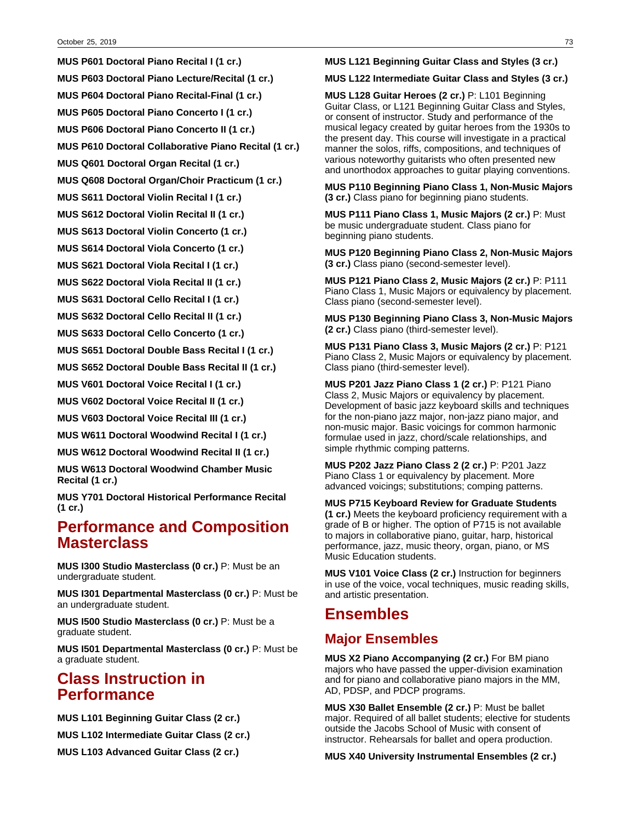**MUS P601 Doctoral Piano Recital I (1 cr.)**

**MUS P603 Doctoral Piano Lecture/Recital (1 cr.)**

**MUS P604 Doctoral Piano Recital-Final (1 cr.)**

**MUS P605 Doctoral Piano Concerto I (1 cr.)**

**MUS P606 Doctoral Piano Concerto II (1 cr.)**

**MUS P610 Doctoral Collaborative Piano Recital (1 cr.)**

**MUS Q601 Doctoral Organ Recital (1 cr.)**

**MUS Q608 Doctoral Organ/Choir Practicum (1 cr.)**

**MUS S611 Doctoral Violin Recital I (1 cr.)**

**MUS S612 Doctoral Violin Recital II (1 cr.)**

**MUS S613 Doctoral Violin Concerto (1 cr.)**

**MUS S614 Doctoral Viola Concerto (1 cr.)**

**MUS S621 Doctoral Viola Recital I (1 cr.)**

**MUS S622 Doctoral Viola Recital II (1 cr.)**

**MUS S631 Doctoral Cello Recital I (1 cr.)**

**MUS S632 Doctoral Cello Recital II (1 cr.)**

**MUS S633 Doctoral Cello Concerto (1 cr.)**

**MUS S651 Doctoral Double Bass Recital I (1 cr.)**

**MUS S652 Doctoral Double Bass Recital II (1 cr.)**

**MUS V601 Doctoral Voice Recital I (1 cr.)**

**MUS V602 Doctoral Voice Recital II (1 cr.)**

**MUS V603 Doctoral Voice Recital III (1 cr.)**

**MUS W611 Doctoral Woodwind Recital I (1 cr.)**

**MUS W612 Doctoral Woodwind Recital II (1 cr.)**

**MUS W613 Doctoral Woodwind Chamber Music Recital (1 cr.)**

**MUS Y701 Doctoral Historical Performance Recital (1 cr.)**

# **Performance and Composition Masterclass**

**MUS I300 Studio Masterclass (0 cr.)** P: Must be an undergraduate student.

**MUS I301 Departmental Masterclass (0 cr.)** P: Must be an undergraduate student.

**MUS I500 Studio Masterclass (0 cr.)** P: Must be a graduate student.

**MUS I501 Departmental Masterclass (0 cr.)** P: Must be a graduate student.

# **Class Instruction in Performance**

**MUS L101 Beginning Guitar Class (2 cr.)**

**MUS L102 Intermediate Guitar Class (2 cr.)**

**MUS L103 Advanced Guitar Class (2 cr.)**

### **MUS L121 Beginning Guitar Class and Styles (3 cr.)**

**MUS L122 Intermediate Guitar Class and Styles (3 cr.)**

**MUS L128 Guitar Heroes (2 cr.)** P: L101 Beginning Guitar Class, or L121 Beginning Guitar Class and Styles, or consent of instructor. Study and performance of the musical legacy created by guitar heroes from the 1930s to the present day. This course will investigate in a practical manner the solos, riffs, compositions, and techniques of various noteworthy guitarists who often presented new and unorthodox approaches to guitar playing conventions.

**MUS P110 Beginning Piano Class 1, Non-Music Majors (3 cr.)** Class piano for beginning piano students.

**MUS P111 Piano Class 1, Music Majors (2 cr.)** P: Must be music undergraduate student. Class piano for beginning piano students.

**MUS P120 Beginning Piano Class 2, Non-Music Majors (3 cr.)** Class piano (second-semester level).

**MUS P121 Piano Class 2, Music Majors (2 cr.)** P: P111 Piano Class 1, Music Majors or equivalency by placement. Class piano (second-semester level).

**MUS P130 Beginning Piano Class 3, Non-Music Majors (2 cr.)** Class piano (third-semester level).

**MUS P131 Piano Class 3, Music Majors (2 cr.)** P: P121 Piano Class 2, Music Majors or equivalency by placement. Class piano (third-semester level).

**MUS P201 Jazz Piano Class 1 (2 cr.)** P: P121 Piano Class 2, Music Majors or equivalency by placement. Development of basic jazz keyboard skills and techniques for the non-piano jazz major, non-jazz piano major, and non-music major. Basic voicings for common harmonic formulae used in jazz, chord/scale relationships, and simple rhythmic comping patterns.

**MUS P202 Jazz Piano Class 2 (2 cr.)** P: P201 Jazz Piano Class 1 or equivalency by placement. More advanced voicings; substitutions; comping patterns.

**MUS P715 Keyboard Review for Graduate Students (1 cr.)** Meets the keyboard proficiency requirement with a grade of B or higher. The option of P715 is not available to majors in collaborative piano, guitar, harp, historical performance, jazz, music theory, organ, piano, or MS Music Education students.

**MUS V101 Voice Class (2 cr.)** Instruction for beginners in use of the voice, vocal techniques, music reading skills, and artistic presentation.

# **Ensembles**

## **Major Ensembles**

**MUS X2 Piano Accompanying (2 cr.)** For BM piano majors who have passed the upper-division examination and for piano and collaborative piano majors in the MM, AD, PDSP, and PDCP programs.

**MUS X30 Ballet Ensemble (2 cr.)** P: Must be ballet major. Required of all ballet students; elective for students outside the Jacobs School of Music with consent of instructor. Rehearsals for ballet and opera production.

**MUS X40 University Instrumental Ensembles (2 cr.)**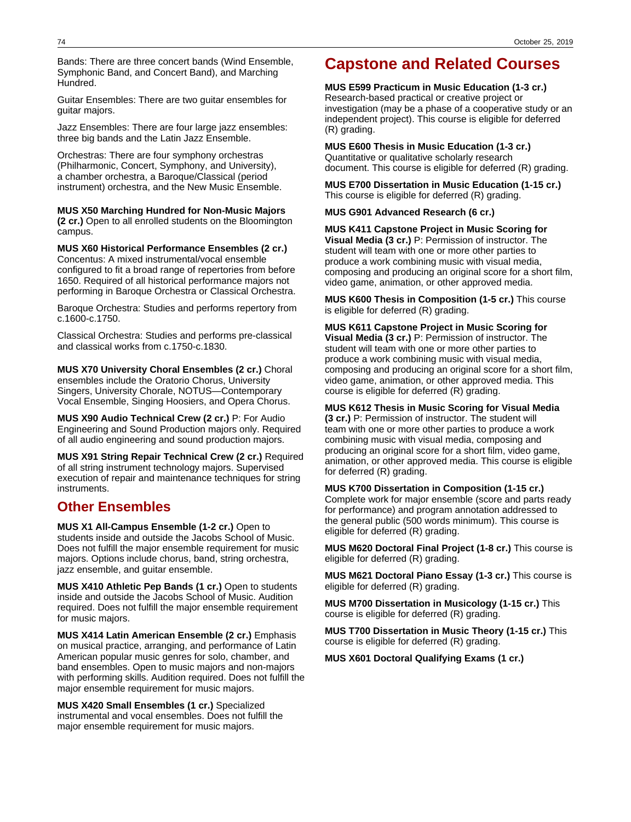Bands: There are three concert bands (Wind Ensemble, Symphonic Band, and Concert Band), and Marching Hundred.

Guitar Ensembles: There are two guitar ensembles for guitar majors.

Jazz Ensembles: There are four large jazz ensembles: three big bands and the Latin Jazz Ensemble.

Orchestras: There are four symphony orchestras (Philharmonic, Concert, Symphony, and University), a chamber orchestra, a Baroque/Classical (period instrument) orchestra, and the New Music Ensemble.

**MUS X50 Marching Hundred for Non-Music Majors**

**(2 cr.)** Open to all enrolled students on the Bloomington campus.

**MUS X60 Historical Performance Ensembles (2 cr.)** Concentus: A mixed instrumental/vocal ensemble configured to fit a broad range of repertories from before 1650. Required of all historical performance majors not performing in Baroque Orchestra or Classical Orchestra.

Baroque Orchestra: Studies and performs repertory from c.1600-c.1750.

Classical Orchestra: Studies and performs pre-classical and classical works from c.1750-c.1830.

**MUS X70 University Choral Ensembles (2 cr.)** Choral ensembles include the Oratorio Chorus, University Singers, University Chorale, NOTUS—Contemporary Vocal Ensemble, Singing Hoosiers, and Opera Chorus.

**MUS X90 Audio Technical Crew (2 cr.)** P: For Audio Engineering and Sound Production majors only. Required of all audio engineering and sound production majors.

**MUS X91 String Repair Technical Crew (2 cr.)** Required of all string instrument technology majors. Supervised execution of repair and maintenance techniques for string instruments.

## **Other Ensembles**

**MUS X1 All-Campus Ensemble (1-2 cr.)** Open to students inside and outside the Jacobs School of Music. Does not fulfill the major ensemble requirement for music majors. Options include chorus, band, string orchestra, jazz ensemble, and guitar ensemble.

**MUS X410 Athletic Pep Bands (1 cr.)** Open to students inside and outside the Jacobs School of Music. Audition required. Does not fulfill the major ensemble requirement for music majors.

**MUS X414 Latin American Ensemble (2 cr.)** Emphasis on musical practice, arranging, and performance of Latin American popular music genres for solo, chamber, and band ensembles. Open to music majors and non-majors with performing skills. Audition required. Does not fulfill the major ensemble requirement for music majors.

**MUS X420 Small Ensembles (1 cr.)** Specialized instrumental and vocal ensembles. Does not fulfill the major ensemble requirement for music majors.

# **Capstone and Related Courses**

**MUS E599 Practicum in Music Education (1-3 cr.)** Research-based practical or creative project or investigation (may be a phase of a cooperative study or an independent project). This course is eligible for deferred (R) grading.

**MUS E600 Thesis in Music Education (1-3 cr.)**

Quantitative or qualitative scholarly research document. This course is eligible for deferred (R) grading.

**MUS E700 Dissertation in Music Education (1-15 cr.)** This course is eligible for deferred (R) grading.

#### **MUS G901 Advanced Research (6 cr.)**

**MUS K411 Capstone Project in Music Scoring for Visual Media (3 cr.)** P: Permission of instructor. The student will team with one or more other parties to produce a work combining music with visual media, composing and producing an original score for a short film, video game, animation, or other approved media.

**MUS K600 Thesis in Composition (1-5 cr.)** This course is eligible for deferred (R) grading.

**MUS K611 Capstone Project in Music Scoring for Visual Media (3 cr.)** P: Permission of instructor. The student will team with one or more other parties to produce a work combining music with visual media, composing and producing an original score for a short film, video game, animation, or other approved media. This course is eligible for deferred (R) grading.

### **MUS K612 Thesis in Music Scoring for Visual Media**

**(3 cr.)** P: Permission of instructor. The student will team with one or more other parties to produce a work combining music with visual media, composing and producing an original score for a short film, video game, animation, or other approved media. This course is eligible for deferred (R) grading.

**MUS K700 Dissertation in Composition (1-15 cr.)** Complete work for major ensemble (score and parts ready for performance) and program annotation addressed to the general public (500 words minimum). This course is eligible for deferred (R) grading.

**MUS M620 Doctoral Final Project (1-8 cr.)** This course is eligible for deferred (R) grading.

**MUS M621 Doctoral Piano Essay (1-3 cr.)** This course is eligible for deferred (R) grading.

**MUS M700 Dissertation in Musicology (1-15 cr.)** This course is eligible for deferred (R) grading.

**MUS T700 Dissertation in Music Theory (1-15 cr.)** This course is eligible for deferred (R) grading.

**MUS X601 Doctoral Qualifying Exams (1 cr.)**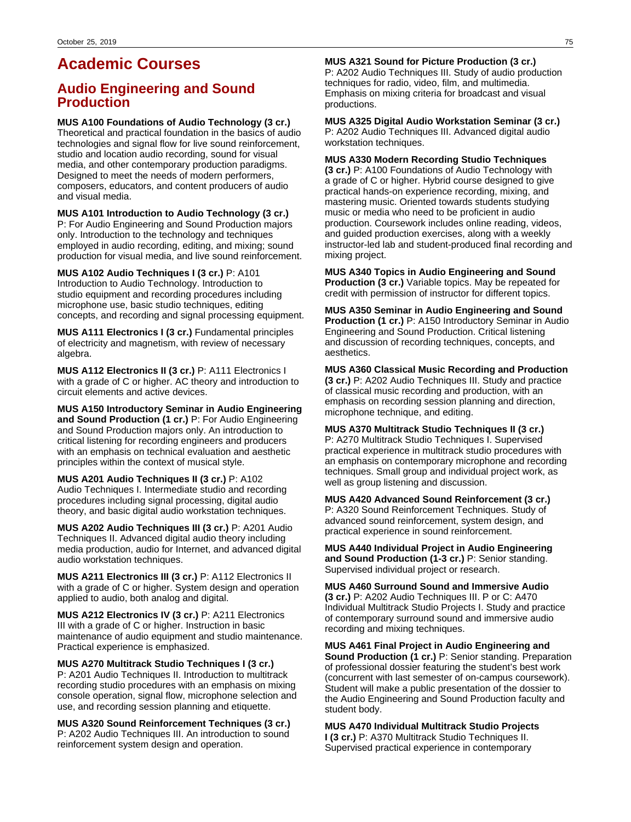# **Academic Courses**

# **Audio Engineering and Sound Production**

### **MUS A100 Foundations of Audio Technology (3 cr.)**

Theoretical and practical foundation in the basics of audio technologies and signal flow for live sound reinforcement, studio and location audio recording, sound for visual media, and other contemporary production paradigms. Designed to meet the needs of modern performers, composers, educators, and content producers of audio and visual media.

**MUS A101 Introduction to Audio Technology (3 cr.)** P: For Audio Engineering and Sound Production majors only. Introduction to the technology and techniques employed in audio recording, editing, and mixing; sound production for visual media, and live sound reinforcement.

**MUS A102 Audio Techniques I (3 cr.)** P: A101 Introduction to Audio Technology. Introduction to studio equipment and recording procedures including microphone use, basic studio techniques, editing concepts, and recording and signal processing equipment.

**MUS A111 Electronics I (3 cr.)** Fundamental principles of electricity and magnetism, with review of necessary algebra.

**MUS A112 Electronics II (3 cr.)** P: A111 Electronics I with a grade of C or higher. AC theory and introduction to circuit elements and active devices.

**MUS A150 Introductory Seminar in Audio Engineering and Sound Production (1 cr.)** P: For Audio Engineering and Sound Production majors only. An introduction to critical listening for recording engineers and producers with an emphasis on technical evaluation and aesthetic principles within the context of musical style.

**MUS A201 Audio Techniques II (3 cr.)** P: A102 Audio Techniques I. Intermediate studio and recording procedures including signal processing, digital audio theory, and basic digital audio workstation techniques.

**MUS A202 Audio Techniques III (3 cr.)** P: A201 Audio Techniques II. Advanced digital audio theory including media production, audio for Internet, and advanced digital audio workstation techniques.

**MUS A211 Electronics III (3 cr.)** P: A112 Electronics II with a grade of C or higher. System design and operation applied to audio, both analog and digital.

**MUS A212 Electronics IV (3 cr.)** P: A211 Electronics III with a grade of C or higher. Instruction in basic maintenance of audio equipment and studio maintenance. Practical experience is emphasized.

**MUS A270 Multitrack Studio Techniques I (3 cr.)** P: A201 Audio Techniques II. Introduction to multitrack recording studio procedures with an emphasis on mixing console operation, signal flow, microphone selection and use, and recording session planning and etiquette.

**MUS A320 Sound Reinforcement Techniques (3 cr.)** P: A202 Audio Techniques III. An introduction to sound reinforcement system design and operation.

#### **MUS A321 Sound for Picture Production (3 cr.)**

P: A202 Audio Techniques III. Study of audio production techniques for radio, video, film, and multimedia. Emphasis on mixing criteria for broadcast and visual productions.

**MUS A325 Digital Audio Workstation Seminar (3 cr.)** P: A202 Audio Techniques III. Advanced digital audio workstation techniques.

**MUS A330 Modern Recording Studio Techniques**

**(3 cr.)** P: A100 Foundations of Audio Technology with a grade of C or higher. Hybrid course designed to give practical hands-on experience recording, mixing, and mastering music. Oriented towards students studying music or media who need to be proficient in audio production. Coursework includes online reading, videos, and guided production exercises, along with a weekly instructor-led lab and student-produced final recording and mixing project.

**MUS A340 Topics in Audio Engineering and Sound Production (3 cr.)** Variable topics. May be repeated for credit with permission of instructor for different topics.

**MUS A350 Seminar in Audio Engineering and Sound Production (1 cr.)** P: A150 Introductory Seminar in Audio Engineering and Sound Production. Critical listening and discussion of recording techniques, concepts, and aesthetics.

**MUS A360 Classical Music Recording and Production (3 cr.)** P: A202 Audio Techniques III. Study and practice of classical music recording and production, with an emphasis on recording session planning and direction, microphone technique, and editing.

**MUS A370 Multitrack Studio Techniques II (3 cr.)** P: A270 Multitrack Studio Techniques I. Supervised practical experience in multitrack studio procedures with an emphasis on contemporary microphone and recording techniques. Small group and individual project work, as well as group listening and discussion.

**MUS A420 Advanced Sound Reinforcement (3 cr.)** P: A320 Sound Reinforcement Techniques. Study of advanced sound reinforcement, system design, and practical experience in sound reinforcement.

**MUS A440 Individual Project in Audio Engineering and Sound Production (1-3 cr.)** P: Senior standing. Supervised individual project or research.

**MUS A460 Surround Sound and Immersive Audio (3 cr.)** P: A202 Audio Techniques III. P or C: A470 Individual Multitrack Studio Projects I. Study and practice of contemporary surround sound and immersive audio recording and mixing techniques.

**MUS A461 Final Project in Audio Engineering and Sound Production (1 cr.)** P: Senior standing. Preparation of professional dossier featuring the student's best work (concurrent with last semester of on-campus coursework). Student will make a public presentation of the dossier to the Audio Engineering and Sound Production faculty and student body.

**MUS A470 Individual Multitrack Studio Projects I (3 cr.)** P: A370 Multitrack Studio Techniques II. Supervised practical experience in contemporary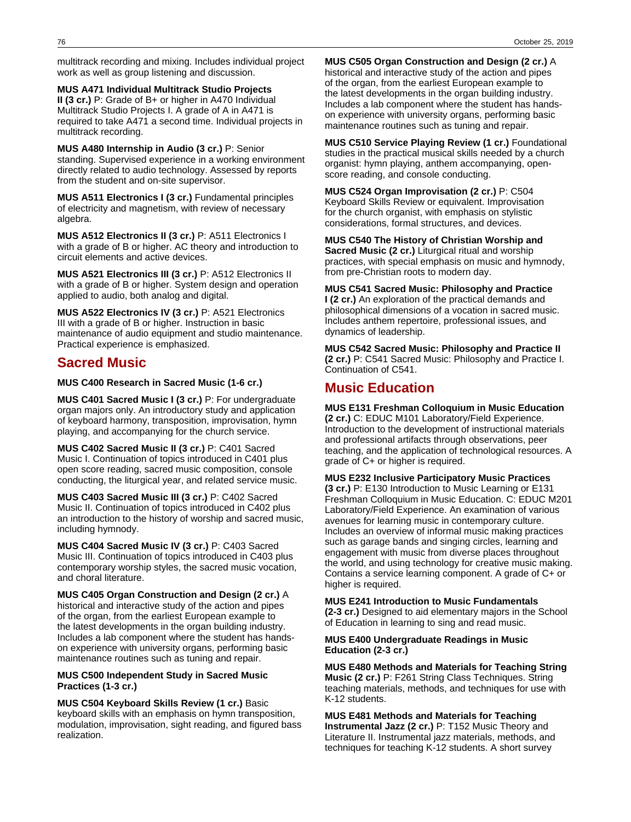multitrack recording and mixing. Includes individual project work as well as group listening and discussion.

**MUS A471 Individual Multitrack Studio Projects II (3 cr.)** P: Grade of B+ or higher in A470 Individual Multitrack Studio Projects I. A grade of A in A471 is required to take A471 a second time. Individual projects in multitrack recording.

**MUS A480 Internship in Audio (3 cr.)** P: Senior standing. Supervised experience in a working environment directly related to audio technology. Assessed by reports from the student and on-site supervisor.

**MUS A511 Electronics I (3 cr.)** Fundamental principles of electricity and magnetism, with review of necessary algebra.

**MUS A512 Electronics II (3 cr.)** P: A511 Electronics I with a grade of B or higher. AC theory and introduction to circuit elements and active devices.

**MUS A521 Electronics III (3 cr.)** P: A512 Electronics II with a grade of B or higher. System design and operation applied to audio, both analog and digital.

**MUS A522 Electronics IV (3 cr.)** P: A521 Electronics III with a grade of B or higher. Instruction in basic maintenance of audio equipment and studio maintenance. Practical experience is emphasized.

## **Sacred Music**

**MUS C400 Research in Sacred Music (1-6 cr.)**

**MUS C401 Sacred Music I (3 cr.)** P: For undergraduate organ majors only. An introductory study and application of keyboard harmony, transposition, improvisation, hymn playing, and accompanying for the church service.

**MUS C402 Sacred Music II (3 cr.)** P: C401 Sacred Music I. Continuation of topics introduced in C401 plus open score reading, sacred music composition, console conducting, the liturgical year, and related service music.

**MUS C403 Sacred Music III (3 cr.)** P: C402 Sacred Music II. Continuation of topics introduced in C402 plus an introduction to the history of worship and sacred music, including hymnody.

**MUS C404 Sacred Music IV (3 cr.)** P: C403 Sacred Music III. Continuation of topics introduced in C403 plus contemporary worship styles, the sacred music vocation, and choral literature.

**MUS C405 Organ Construction and Design (2 cr.)** A historical and interactive study of the action and pipes of the organ, from the earliest European example to the latest developments in the organ building industry. Includes a lab component where the student has handson experience with university organs, performing basic maintenance routines such as tuning and repair.

### **MUS C500 Independent Study in Sacred Music Practices (1-3 cr.)**

**MUS C504 Keyboard Skills Review (1 cr.)** Basic keyboard skills with an emphasis on hymn transposition, modulation, improvisation, sight reading, and figured bass realization.

**MUS C505 Organ Construction and Design (2 cr.)** A historical and interactive study of the action and pipes of the organ, from the earliest European example to the latest developments in the organ building industry. Includes a lab component where the student has handson experience with university organs, performing basic maintenance routines such as tuning and repair.

**MUS C510 Service Playing Review (1 cr.)** Foundational studies in the practical musical skills needed by a church organist: hymn playing, anthem accompanying, openscore reading, and console conducting.

**MUS C524 Organ Improvisation (2 cr.)** P: C504 Keyboard Skills Review or equivalent. Improvisation for the church organist, with emphasis on stylistic considerations, formal structures, and devices.

**MUS C540 The History of Christian Worship and Sacred Music (2 cr.)** Liturgical ritual and worship practices, with special emphasis on music and hymnody, from pre-Christian roots to modern day.

**MUS C541 Sacred Music: Philosophy and Practice I (2 cr.)** An exploration of the practical demands and philosophical dimensions of a vocation in sacred music. Includes anthem repertoire, professional issues, and dynamics of leadership.

**MUS C542 Sacred Music: Philosophy and Practice II (2 cr.)** P: C541 Sacred Music: Philosophy and Practice I. Continuation of C541.

## **Music Education**

**MUS E131 Freshman Colloquium in Music Education (2 cr.)** C: EDUC M101 Laboratory/Field Experience. Introduction to the development of instructional materials and professional artifacts through observations, peer teaching, and the application of technological resources. A grade of C+ or higher is required.

**MUS E232 Inclusive Participatory Music Practices (3 cr.)** P: E130 Introduction to Music Learning or E131 Freshman Colloquium in Music Education. C: EDUC M201 Laboratory/Field Experience. An examination of various avenues for learning music in contemporary culture. Includes an overview of informal music making practices such as garage bands and singing circles, learning and engagement with music from diverse places throughout the world, and using technology for creative music making. Contains a service learning component. A grade of C+ or higher is required.

**MUS E241 Introduction to Music Fundamentals (2-3 cr.)** Designed to aid elementary majors in the School of Education in learning to sing and read music.

### **MUS E400 Undergraduate Readings in Music Education (2-3 cr.)**

**MUS E480 Methods and Materials for Teaching String Music (2 cr.)** P: F261 String Class Techniques. String teaching materials, methods, and techniques for use with K-12 students.

**MUS E481 Methods and Materials for Teaching Instrumental Jazz (2 cr.)** P: T152 Music Theory and Literature II. Instrumental jazz materials, methods, and techniques for teaching K-12 students. A short survey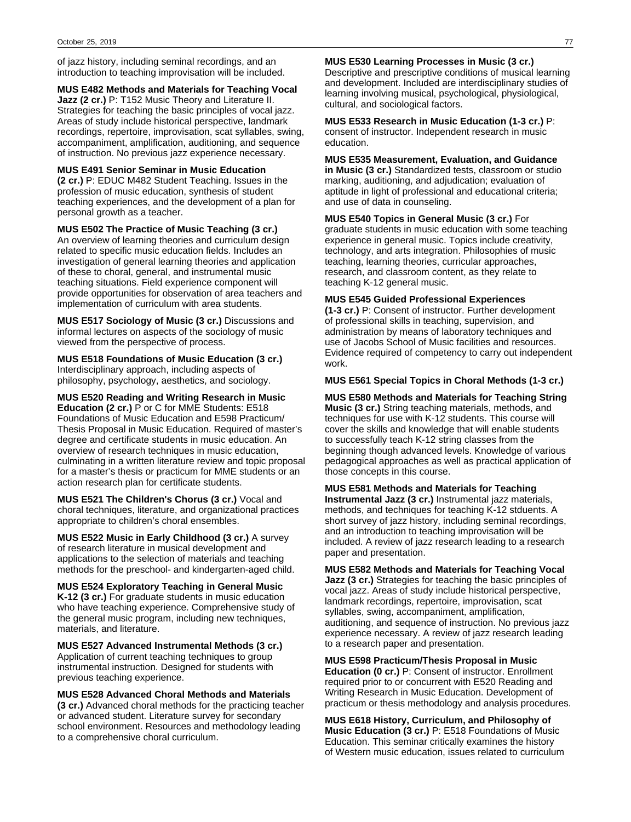of jazz history, including seminal recordings, and an introduction to teaching improvisation will be included.

**MUS E482 Methods and Materials for Teaching Vocal Jazz (2 cr.)** P: T152 Music Theory and Literature II. Strategies for teaching the basic principles of vocal jazz. Areas of study include historical perspective, landmark recordings, repertoire, improvisation, scat syllables, swing, accompaniment, amplification, auditioning, and sequence of instruction. No previous jazz experience necessary.

### **MUS E491 Senior Seminar in Music Education**

**(2 cr.)** P: EDUC M482 Student Teaching. Issues in the profession of music education, synthesis of student teaching experiences, and the development of a plan for personal growth as a teacher.

**MUS E502 The Practice of Music Teaching (3 cr.)** An overview of learning theories and curriculum design related to specific music education fields. Includes an investigation of general learning theories and application of these to choral, general, and instrumental music teaching situations. Field experience component will provide opportunities for observation of area teachers and implementation of curriculum with area students.

**MUS E517 Sociology of Music (3 cr.)** Discussions and informal lectures on aspects of the sociology of music viewed from the perspective of process.

**MUS E518 Foundations of Music Education (3 cr.)** Interdisciplinary approach, including aspects of philosophy, psychology, aesthetics, and sociology.

**MUS E520 Reading and Writing Research in Music Education (2 cr.)** P or C for MME Students: E518 Foundations of Music Education and E598 Practicum/ Thesis Proposal in Music Education. Required of master's degree and certificate students in music education. An overview of research techniques in music education, culminating in a written literature review and topic proposal for a master's thesis or practicum for MME students or an action research plan for certificate students.

**MUS E521 The Children's Chorus (3 cr.)** Vocal and choral techniques, literature, and organizational practices appropriate to children's choral ensembles.

**MUS E522 Music in Early Childhood (3 cr.)** A survey of research literature in musical development and applications to the selection of materials and teaching methods for the preschool- and kindergarten-aged child.

**MUS E524 Exploratory Teaching in General Music K-12 (3 cr.)** For graduate students in music education who have teaching experience. Comprehensive study of the general music program, including new techniques, materials, and literature.

**MUS E527 Advanced Instrumental Methods (3 cr.)** Application of current teaching techniques to group instrumental instruction. Designed for students with previous teaching experience.

**MUS E528 Advanced Choral Methods and Materials (3 cr.)** Advanced choral methods for the practicing teacher or advanced student. Literature survey for secondary school environment. Resources and methodology leading to a comprehensive choral curriculum.

**MUS E530 Learning Processes in Music (3 cr.)** Descriptive and prescriptive conditions of musical learning and development. Included are interdisciplinary studies of learning involving musical, psychological, physiological, cultural, and sociological factors.

**MUS E533 Research in Music Education (1-3 cr.)** P: consent of instructor. Independent research in music education.

**MUS E535 Measurement, Evaluation, and Guidance in Music (3 cr.)** Standardized tests, classroom or studio marking, auditioning, and adjudication; evaluation of aptitude in light of professional and educational criteria; and use of data in counseling.

**MUS E540 Topics in General Music (3 cr.)** For graduate students in music education with some teaching experience in general music. Topics include creativity, technology, and arts integration. Philosophies of music teaching, learning theories, curricular approaches, research, and classroom content, as they relate to teaching K-12 general music.

### **MUS E545 Guided Professional Experiences**

**(1-3 cr.)** P: Consent of instructor. Further development of professional skills in teaching, supervision, and administration by means of laboratory techniques and use of Jacobs School of Music facilities and resources. Evidence required of competency to carry out independent work.

#### **MUS E561 Special Topics in Choral Methods (1-3 cr.)**

**MUS E580 Methods and Materials for Teaching String Music (3 cr.)** String teaching materials, methods, and techniques for use with K-12 students. This course will cover the skills and knowledge that will enable students to successfully teach K-12 string classes from the beginning though advanced levels. Knowledge of various pedagogical approaches as well as practical application of those concepts in this course.

**MUS E581 Methods and Materials for Teaching Instrumental Jazz (3 cr.)** Instrumental jazz materials, methods, and techniques for teaching K-12 stduents. A short survey of jazz history, including seminal recordings, and an introduction to teaching improvisation will be included. A review of jazz research leading to a research paper and presentation.

**MUS E582 Methods and Materials for Teaching Vocal Jazz (3 cr.)** Strategies for teaching the basic principles of vocal jazz. Areas of study include historical perspective, landmark recordings, repertoire, improvisation, scat syllables, swing, accompaniment, amplification, auditioning, and sequence of instruction. No previous jazz experience necessary. A review of jazz research leading to a research paper and presentation.

**MUS E598 Practicum/Thesis Proposal in Music Education (0 cr.)** P: Consent of instructor. Enrollment required prior to or concurrent with E520 Reading and Writing Research in Music Education. Development of practicum or thesis methodology and analysis procedures.

**MUS E618 History, Curriculum, and Philosophy of Music Education (3 cr.)** P: E518 Foundations of Music Education. This seminar critically examines the history of Western music education, issues related to curriculum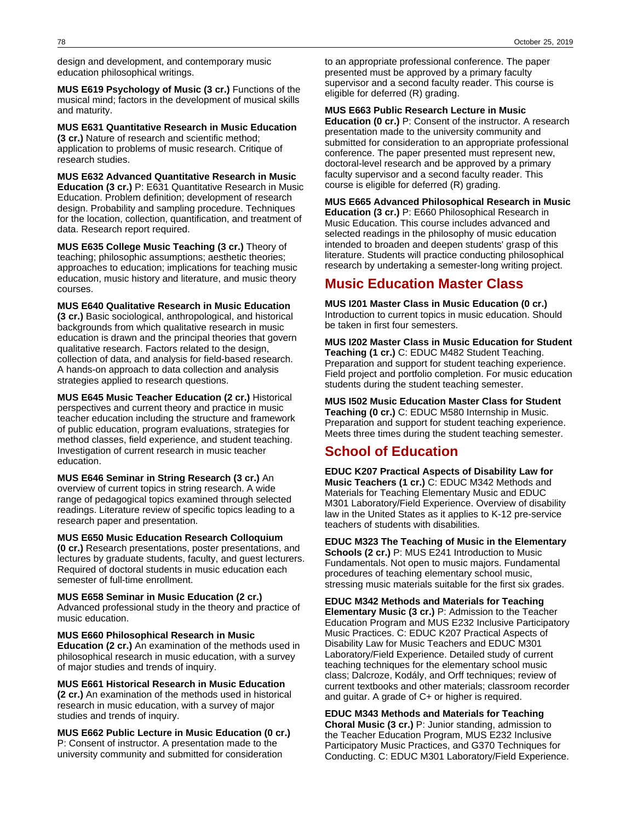design and development, and contemporary music education philosophical writings.

**MUS E619 Psychology of Music (3 cr.)** Functions of the musical mind; factors in the development of musical skills and maturity.

**MUS E631 Quantitative Research in Music Education (3 cr.)** Nature of research and scientific method; application to problems of music research. Critique of research studies.

**MUS E632 Advanced Quantitative Research in Music Education (3 cr.)** P: E631 Quantitative Research in Music Education. Problem definition; development of research design. Probability and sampling procedure. Techniques for the location, collection, quantification, and treatment of data. Research report required.

**MUS E635 College Music Teaching (3 cr.)** Theory of teaching; philosophic assumptions; aesthetic theories; approaches to education; implications for teaching music education, music history and literature, and music theory courses.

**MUS E640 Qualitative Research in Music Education (3 cr.)** Basic sociological, anthropological, and historical backgrounds from which qualitative research in music education is drawn and the principal theories that govern qualitative research. Factors related to the design, collection of data, and analysis for field-based research. A hands-on approach to data collection and analysis strategies applied to research questions.

**MUS E645 Music Teacher Education (2 cr.)** Historical perspectives and current theory and practice in music teacher education including the structure and framework of public education, program evaluations, strategies for method classes, field experience, and student teaching. Investigation of current research in music teacher education.

**MUS E646 Seminar in String Research (3 cr.)** An overview of current topics in string research. A wide range of pedagogical topics examined through selected readings. Literature review of specific topics leading to a research paper and presentation.

**MUS E650 Music Education Research Colloquium (0 cr.)** Research presentations, poster presentations, and lectures by graduate students, faculty, and guest lecturers. Required of doctoral students in music education each semester of full-time enrollment.

**MUS E658 Seminar in Music Education (2 cr.)** Advanced professional study in the theory and practice of music education.

**MUS E660 Philosophical Research in Music Education (2 cr.)** An examination of the methods used in philosophical research in music education, with a survey of major studies and trends of inquiry.

**MUS E661 Historical Research in Music Education (2 cr.)** An examination of the methods used in historical research in music education, with a survey of major studies and trends of inquiry.

**MUS E662 Public Lecture in Music Education (0 cr.)** P: Consent of instructor. A presentation made to the university community and submitted for consideration

to an appropriate professional conference. The paper presented must be approved by a primary faculty supervisor and a second faculty reader. This course is eligible for deferred (R) grading.

### **MUS E663 Public Research Lecture in Music**

**Education (0 cr.)** P: Consent of the instructor. A research presentation made to the university community and submitted for consideration to an appropriate professional conference. The paper presented must represent new, doctoral-level research and be approved by a primary faculty supervisor and a second faculty reader. This course is eligible for deferred (R) grading.

**MUS E665 Advanced Philosophical Research in Music Education (3 cr.)** P: E660 Philosophical Research in Music Education. This course includes advanced and selected readings in the philosophy of music education intended to broaden and deepen students' grasp of this literature. Students will practice conducting philosophical research by undertaking a semester-long writing project.

## **Music Education Master Class**

**MUS I201 Master Class in Music Education (0 cr.)** Introduction to current topics in music education. Should be taken in first four semesters.

**MUS I202 Master Class in Music Education for Student Teaching (1 cr.)** C: EDUC M482 Student Teaching. Preparation and support for student teaching experience. Field project and portfolio completion. For music education students during the student teaching semester.

**MUS I502 Music Education Master Class for Student Teaching (0 cr.)** C: EDUC M580 Internship in Music. Preparation and support for student teaching experience. Meets three times during the student teaching semester.

## **School of Education**

**EDUC K207 Practical Aspects of Disability Law for Music Teachers (1 cr.)** C: EDUC M342 Methods and Materials for Teaching Elementary Music and EDUC M301 Laboratory/Field Experience. Overview of disability law in the United States as it applies to K-12 pre-service teachers of students with disabilities.

**EDUC M323 The Teaching of Music in the Elementary Schools (2 cr.)** P: MUS E241 Introduction to Music Fundamentals. Not open to music majors. Fundamental procedures of teaching elementary school music, stressing music materials suitable for the first six grades.

**EDUC M342 Methods and Materials for Teaching Elementary Music (3 cr.)** P: Admission to the Teacher Education Program and MUS E232 Inclusive Participatory Music Practices. C: EDUC K207 Practical Aspects of Disability Law for Music Teachers and EDUC M301 Laboratory/Field Experience. Detailed study of current teaching techniques for the elementary school music class; Dalcroze, Kodály, and Orff techniques; review of current textbooks and other materials; classroom recorder and guitar. A grade of C+ or higher is required.

**EDUC M343 Methods and Materials for Teaching Choral Music (3 cr.)** P: Junior standing, admission to the Teacher Education Program, MUS E232 Inclusive Participatory Music Practices, and G370 Techniques for Conducting. C: EDUC M301 Laboratory/Field Experience.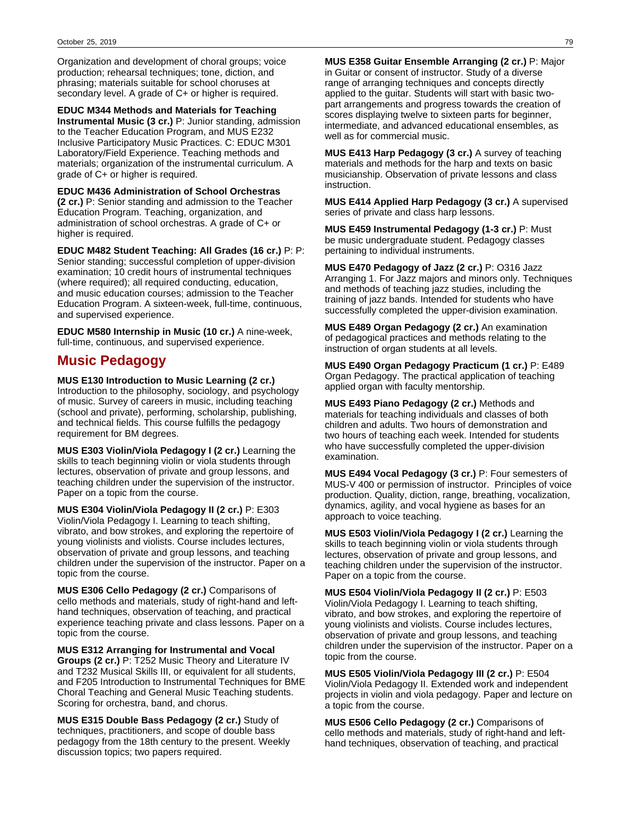Organization and development of choral groups; voice production; rehearsal techniques; tone, diction, and phrasing; materials suitable for school choruses at secondary level. A grade of C+ or higher is required.

**EDUC M344 Methods and Materials for Teaching Instrumental Music (3 cr.)** P: Junior standing, admission to the Teacher Education Program, and MUS E232 Inclusive Participatory Music Practices. C: EDUC M301 Laboratory/Field Experience. Teaching methods and materials; organization of the instrumental curriculum. A grade of C+ or higher is required.

**EDUC M436 Administration of School Orchestras (2 cr.)** P: Senior standing and admission to the Teacher Education Program. Teaching, organization, and administration of school orchestras. A grade of C+ or higher is required.

**EDUC M482 Student Teaching: All Grades (16 cr.)** P: P: Senior standing; successful completion of upper-division examination; 10 credit hours of instrumental techniques (where required); all required conducting, education, and music education courses; admission to the Teacher Education Program. A sixteen-week, full-time, continuous, and supervised experience.

**EDUC M580 Internship in Music (10 cr.)** A nine-week, full-time, continuous, and supervised experience.

## **Music Pedagogy**

**MUS E130 Introduction to Music Learning (2 cr.)** Introduction to the philosophy, sociology, and psychology of music. Survey of careers in music, including teaching (school and private), performing, scholarship, publishing, and technical fields. This course fulfills the pedagogy requirement for BM degrees.

**MUS E303 Violin/Viola Pedagogy I (2 cr.)** Learning the skills to teach beginning violin or viola students through lectures, observation of private and group lessons, and teaching children under the supervision of the instructor. Paper on a topic from the course.

**MUS E304 Violin/Viola Pedagogy II (2 cr.)** P: E303 Violin/Viola Pedagogy I. Learning to teach shifting, vibrato, and bow strokes, and exploring the repertoire of young violinists and violists. Course includes lectures, observation of private and group lessons, and teaching children under the supervision of the instructor. Paper on a topic from the course.

**MUS E306 Cello Pedagogy (2 cr.)** Comparisons of cello methods and materials, study of right-hand and lefthand techniques, observation of teaching, and practical experience teaching private and class lessons. Paper on a topic from the course.

**MUS E312 Arranging for Instrumental and Vocal Groups (2 cr.)** P: T252 Music Theory and Literature IV and T232 Musical Skills III, or equivalent for all students, and F205 Introduction to Instrumental Techniques for BME Choral Teaching and General Music Teaching students. Scoring for orchestra, band, and chorus.

**MUS E315 Double Bass Pedagogy (2 cr.)** Study of techniques, practitioners, and scope of double bass pedagogy from the 18th century to the present. Weekly discussion topics; two papers required.

**MUS E358 Guitar Ensemble Arranging (2 cr.)** P: Major in Guitar or consent of instructor. Study of a diverse range of arranging techniques and concepts directly applied to the guitar. Students will start with basic twopart arrangements and progress towards the creation of scores displaying twelve to sixteen parts for beginner, intermediate, and advanced educational ensembles, as well as for commercial music.

**MUS E413 Harp Pedagogy (3 cr.)** A survey of teaching materials and methods for the harp and texts on basic musicianship. Observation of private lessons and class instruction.

**MUS E414 Applied Harp Pedagogy (3 cr.)** A supervised series of private and class harp lessons.

**MUS E459 Instrumental Pedagogy (1-3 cr.)** P: Must be music undergraduate student. Pedagogy classes pertaining to individual instruments.

**MUS E470 Pedagogy of Jazz (2 cr.)** P: O316 Jazz Arranging 1. For Jazz majors and minors only. Techniques and methods of teaching jazz studies, including the training of jazz bands. Intended for students who have successfully completed the upper-division examination.

**MUS E489 Organ Pedagogy (2 cr.)** An examination of pedagogical practices and methods relating to the instruction of organ students at all levels.

**MUS E490 Organ Pedagogy Practicum (1 cr.)** P: E489 Organ Pedagogy. The practical application of teaching applied organ with faculty mentorship.

**MUS E493 Piano Pedagogy (2 cr.)** Methods and materials for teaching individuals and classes of both children and adults. Two hours of demonstration and two hours of teaching each week. Intended for students who have successfully completed the upper-division examination.

**MUS E494 Vocal Pedagogy (3 cr.)** P: Four semesters of MUS-V 400 or permission of instructor. Principles of voice production. Quality, diction, range, breathing, vocalization, dynamics, agility, and vocal hygiene as bases for an approach to voice teaching.

**MUS E503 Violin/Viola Pedagogy I (2 cr.)** Learning the skills to teach beginning violin or viola students through lectures, observation of private and group lessons, and teaching children under the supervision of the instructor. Paper on a topic from the course.

**MUS E504 Violin/Viola Pedagogy II (2 cr.)** P: E503 Violin/Viola Pedagogy I. Learning to teach shifting, vibrato, and bow strokes, and exploring the repertoire of young violinists and violists. Course includes lectures, observation of private and group lessons, and teaching children under the supervision of the instructor. Paper on a topic from the course.

**MUS E505 Violin/Viola Pedagogy III (2 cr.)** P: E504 Violin/Viola Pedagogy II. Extended work and independent projects in violin and viola pedagogy. Paper and lecture on a topic from the course.

**MUS E506 Cello Pedagogy (2 cr.)** Comparisons of cello methods and materials, study of right-hand and lefthand techniques, observation of teaching, and practical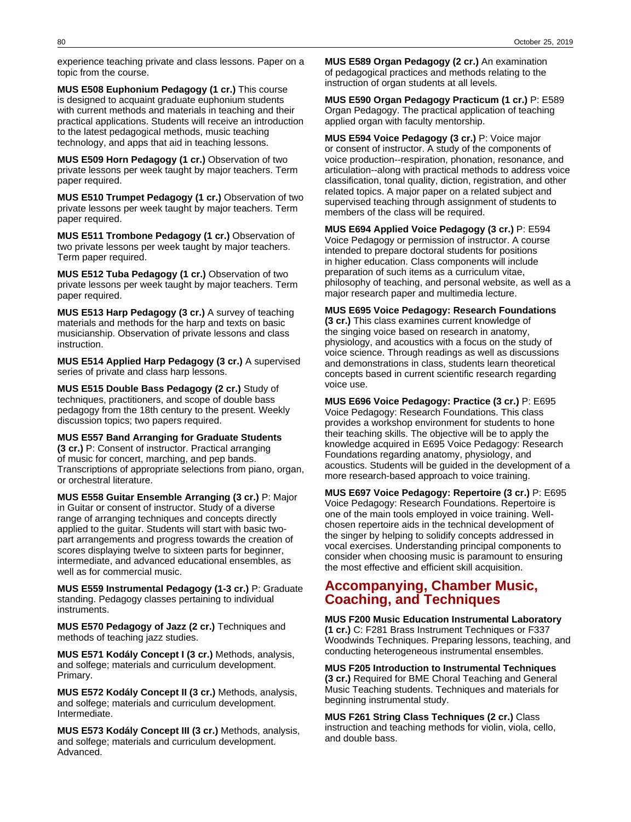experience teaching private and class lessons. Paper on a topic from the course.

**MUS E508 Euphonium Pedagogy (1 cr.)** This course is designed to acquaint graduate euphonium students with current methods and materials in teaching and their practical applications. Students will receive an introduction to the latest pedagogical methods, music teaching technology, and apps that aid in teaching lessons.

**MUS E509 Horn Pedagogy (1 cr.)** Observation of two private lessons per week taught by major teachers. Term paper required.

**MUS E510 Trumpet Pedagogy (1 cr.)** Observation of two private lessons per week taught by major teachers. Term paper required.

**MUS E511 Trombone Pedagogy (1 cr.)** Observation of two private lessons per week taught by major teachers. Term paper required.

**MUS E512 Tuba Pedagogy (1 cr.)** Observation of two private lessons per week taught by major teachers. Term paper required.

**MUS E513 Harp Pedagogy (3 cr.)** A survey of teaching materials and methods for the harp and texts on basic musicianship. Observation of private lessons and class instruction.

**MUS E514 Applied Harp Pedagogy (3 cr.)** A supervised series of private and class harp lessons.

**MUS E515 Double Bass Pedagogy (2 cr.)** Study of techniques, practitioners, and scope of double bass pedagogy from the 18th century to the present. Weekly discussion topics; two papers required.

**MUS E557 Band Arranging for Graduate Students (3 cr.)** P: Consent of instructor. Practical arranging of music for concert, marching, and pep bands. Transcriptions of appropriate selections from piano, organ, or orchestral literature.

**MUS E558 Guitar Ensemble Arranging (3 cr.)** P: Major in Guitar or consent of instructor. Study of a diverse range of arranging techniques and concepts directly applied to the guitar. Students will start with basic twopart arrangements and progress towards the creation of scores displaying twelve to sixteen parts for beginner, intermediate, and advanced educational ensembles, as well as for commercial music.

**MUS E559 Instrumental Pedagogy (1-3 cr.)** P: Graduate standing. Pedagogy classes pertaining to individual instruments.

**MUS E570 Pedagogy of Jazz (2 cr.)** Techniques and methods of teaching jazz studies.

**MUS E571 Kodály Concept I (3 cr.)** Methods, analysis, and solfege; materials and curriculum development. Primary.

**MUS E572 Kodály Concept II (3 cr.)** Methods, analysis, and solfege; materials and curriculum development. Intermediate.

**MUS E573 Kodály Concept III (3 cr.)** Methods, analysis, and solfege; materials and curriculum development. Advanced.

**MUS E589 Organ Pedagogy (2 cr.)** An examination of pedagogical practices and methods relating to the instruction of organ students at all levels.

**MUS E590 Organ Pedagogy Practicum (1 cr.)** P: E589 Organ Pedagogy. The practical application of teaching applied organ with faculty mentorship.

**MUS E594 Voice Pedagogy (3 cr.)** P: Voice major or consent of instructor. A study of the components of voice production--respiration, phonation, resonance, and articulation--along with practical methods to address voice classification, tonal quality, diction, registration, and other related topics. A major paper on a related subject and supervised teaching through assignment of students to members of the class will be required.

**MUS E694 Applied Voice Pedagogy (3 cr.)** P: E594 Voice Pedagogy or permission of instructor. A course intended to prepare doctoral students for positions in higher education. Class components will include preparation of such items as a curriculum vitae, philosophy of teaching, and personal website, as well as a major research paper and multimedia lecture.

**MUS E695 Voice Pedagogy: Research Foundations (3 cr.)** This class examines current knowledge of the singing voice based on research in anatomy, physiology, and acoustics with a focus on the study of voice science. Through readings as well as discussions and demonstrations in class, students learn theoretical concepts based in current scientific research regarding voice use.

**MUS E696 Voice Pedagogy: Practice (3 cr.)** P: E695 Voice Pedagogy: Research Foundations. This class provides a workshop environment for students to hone their teaching skills. The objective will be to apply the knowledge acquired in E695 Voice Pedagogy: Research Foundations regarding anatomy, physiology, and acoustics. Students will be guided in the development of a more research-based approach to voice training.

**MUS E697 Voice Pedagogy: Repertoire (3 cr.)** P: E695 Voice Pedagogy: Research Foundations. Repertoire is one of the main tools employed in voice training. Wellchosen repertoire aids in the technical development of the singer by helping to solidify concepts addressed in vocal exercises. Understanding principal components to consider when choosing music is paramount to ensuring the most effective and efficient skill acquisition.

## **Accompanying, Chamber Music, Coaching, and Techniques**

**MUS F200 Music Education Instrumental Laboratory (1 cr.)** C: F281 Brass Instrument Techniques or F337 Woodwinds Techniques. Preparing lessons, teaching, and conducting heterogeneous instrumental ensembles.

**MUS F205 Introduction to Instrumental Techniques (3 cr.)** Required for BME Choral Teaching and General Music Teaching students. Techniques and materials for beginning instrumental study.

**MUS F261 String Class Techniques (2 cr.)** Class instruction and teaching methods for violin, viola, cello, and double bass.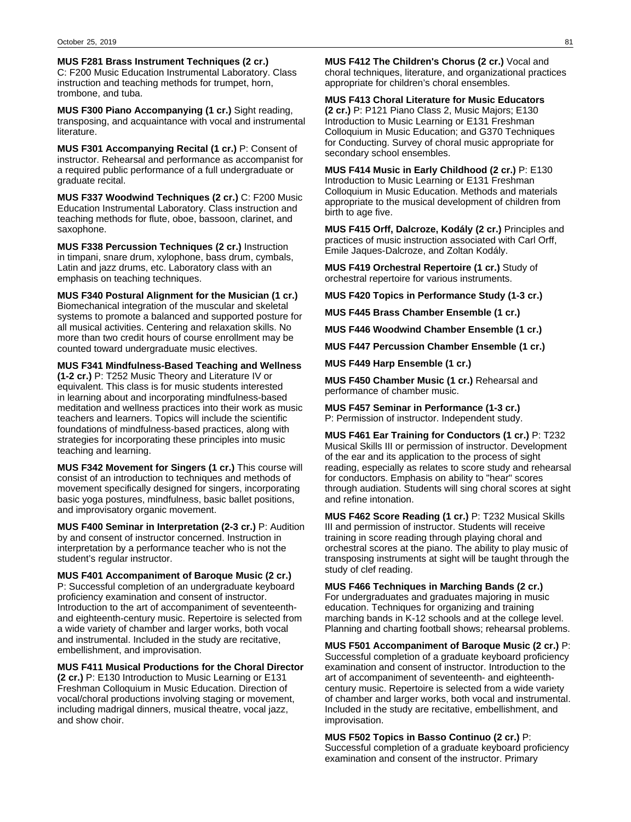**MUS F281 Brass Instrument Techniques (2 cr.)** C: F200 Music Education Instrumental Laboratory. Class instruction and teaching methods for trumpet, horn, trombone, and tuba.

**MUS F300 Piano Accompanying (1 cr.)** Sight reading, transposing, and acquaintance with vocal and instrumental literature.

**MUS F301 Accompanying Recital (1 cr.)** P: Consent of instructor. Rehearsal and performance as accompanist for a required public performance of a full undergraduate or graduate recital.

**MUS F337 Woodwind Techniques (2 cr.)** C: F200 Music Education Instrumental Laboratory. Class instruction and teaching methods for flute, oboe, bassoon, clarinet, and saxophone.

**MUS F338 Percussion Techniques (2 cr.)** Instruction in timpani, snare drum, xylophone, bass drum, cymbals, Latin and jazz drums, etc. Laboratory class with an emphasis on teaching techniques.

**MUS F340 Postural Alignment for the Musician (1 cr.)** Biomechanical integration of the muscular and skeletal systems to promote a balanced and supported posture for all musical activities. Centering and relaxation skills. No more than two credit hours of course enrollment may be counted toward undergraduate music electives.

**MUS F341 Mindfulness-Based Teaching and Wellness**

**(1-2 cr.)** P: T252 Music Theory and Literature IV or equivalent. This class is for music students interested in learning about and incorporating mindfulness-based meditation and wellness practices into their work as music teachers and learners. Topics will include the scientific foundations of mindfulness-based practices, along with strategies for incorporating these principles into music teaching and learning.

**MUS F342 Movement for Singers (1 cr.)** This course will consist of an introduction to techniques and methods of movement specifically designed for singers, incorporating basic yoga postures, mindfulness, basic ballet positions, and improvisatory organic movement.

**MUS F400 Seminar in Interpretation (2-3 cr.)** P: Audition by and consent of instructor concerned. Instruction in interpretation by a performance teacher who is not the student's regular instructor.

**MUS F401 Accompaniment of Baroque Music (2 cr.)** P: Successful completion of an undergraduate keyboard proficiency examination and consent of instructor. Introduction to the art of accompaniment of seventeenthand eighteenth-century music. Repertoire is selected from a wide variety of chamber and larger works, both vocal and instrumental. Included in the study are recitative, embellishment, and improvisation.

**MUS F411 Musical Productions for the Choral Director (2 cr.)** P: E130 Introduction to Music Learning or E131 Freshman Colloquium in Music Education. Direction of vocal/choral productions involving staging or movement, including madrigal dinners, musical theatre, vocal jazz, and show choir.

**MUS F412 The Children's Chorus (2 cr.)** Vocal and choral techniques, literature, and organizational practices appropriate for children's choral ensembles.

**MUS F413 Choral Literature for Music Educators (2 cr.)** P: P121 Piano Class 2, Music Majors; E130 Introduction to Music Learning or E131 Freshman Colloquium in Music Education; and G370 Techniques for Conducting. Survey of choral music appropriate for secondary school ensembles.

**MUS F414 Music in Early Childhood (2 cr.)** P: E130 Introduction to Music Learning or E131 Freshman Colloquium in Music Education. Methods and materials appropriate to the musical development of children from birth to age five.

**MUS F415 Orff, Dalcroze, Kodály (2 cr.)** Principles and practices of music instruction associated with Carl Orff, Emile Jaques-Dalcroze, and Zoltan Kodály.

**MUS F419 Orchestral Repertoire (1 cr.)** Study of orchestral repertoire for various instruments.

**MUS F420 Topics in Performance Study (1-3 cr.)**

**MUS F445 Brass Chamber Ensemble (1 cr.)**

**MUS F446 Woodwind Chamber Ensemble (1 cr.)**

**MUS F447 Percussion Chamber Ensemble (1 cr.)**

**MUS F449 Harp Ensemble (1 cr.)**

**MUS F450 Chamber Music (1 cr.)** Rehearsal and performance of chamber music.

**MUS F457 Seminar in Performance (1-3 cr.)** P: Permission of instructor. Independent study.

**MUS F461 Ear Training for Conductors (1 cr.)** P: T232 Musical Skills III or permission of instructor. Development of the ear and its application to the process of sight reading, especially as relates to score study and rehearsal for conductors. Emphasis on ability to "hear" scores through audiation. Students will sing choral scores at sight and refine intonation.

**MUS F462 Score Reading (1 cr.)** P: T232 Musical Skills III and permission of instructor. Students will receive training in score reading through playing choral and orchestral scores at the piano. The ability to play music of transposing instruments at sight will be taught through the study of clef reading.

**MUS F466 Techniques in Marching Bands (2 cr.)** For undergraduates and graduates majoring in music education. Techniques for organizing and training marching bands in K-12 schools and at the college level. Planning and charting football shows; rehearsal problems.

**MUS F501 Accompaniment of Baroque Music (2 cr.)** P: Successful completion of a graduate keyboard proficiency examination and consent of instructor. Introduction to the art of accompaniment of seventeenth- and eighteenthcentury music. Repertoire is selected from a wide variety of chamber and larger works, both vocal and instrumental. Included in the study are recitative, embellishment, and improvisation.

**MUS F502 Topics in Basso Continuo (2 cr.)** P: Successful completion of a graduate keyboard proficiency examination and consent of the instructor. Primary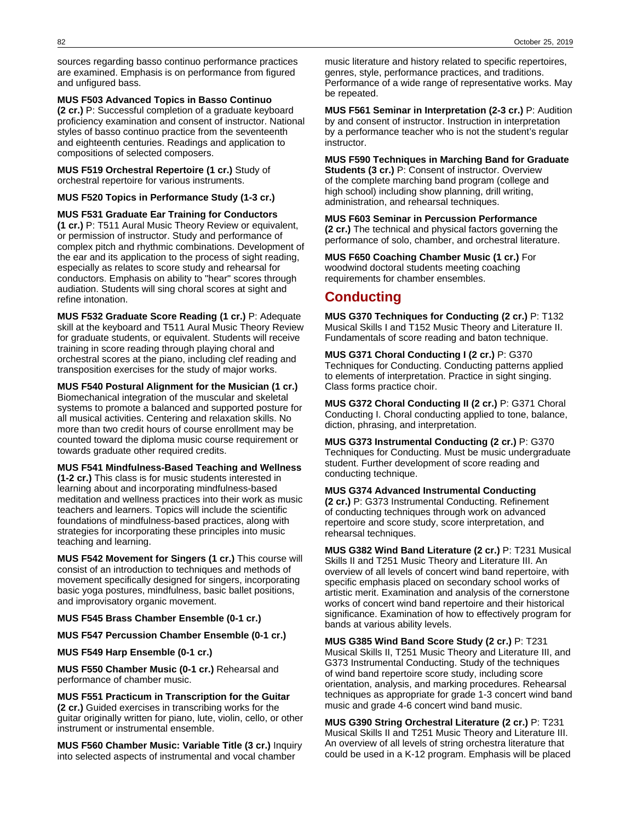sources regarding basso continuo performance practices are examined. Emphasis is on performance from figured and unfigured bass.

#### **MUS F503 Advanced Topics in Basso Continuo**

**(2 cr.)** P: Successful completion of a graduate keyboard proficiency examination and consent of instructor. National styles of basso continuo practice from the seventeenth and eighteenth centuries. Readings and application to compositions of selected composers.

**MUS F519 Orchestral Repertoire (1 cr.)** Study of orchestral repertoire for various instruments.

**MUS F520 Topics in Performance Study (1-3 cr.)**

**MUS F531 Graduate Ear Training for Conductors (1 cr.)** P: T511 Aural Music Theory Review or equivalent, or permission of instructor. Study and performance of complex pitch and rhythmic combinations. Development of the ear and its application to the process of sight reading, especially as relates to score study and rehearsal for conductors. Emphasis on ability to "hear" scores through audiation. Students will sing choral scores at sight and refine intonation.

**MUS F532 Graduate Score Reading (1 cr.)** P: Adequate skill at the keyboard and T511 Aural Music Theory Review for graduate students, or equivalent. Students will receive training in score reading through playing choral and orchestral scores at the piano, including clef reading and transposition exercises for the study of major works.

**MUS F540 Postural Alignment for the Musician (1 cr.)** Biomechanical integration of the muscular and skeletal systems to promote a balanced and supported posture for all musical activities. Centering and relaxation skills. No more than two credit hours of course enrollment may be counted toward the diploma music course requirement or towards graduate other required credits.

**MUS F541 Mindfulness-Based Teaching and Wellness (1-2 cr.)** This class is for music students interested in learning about and incorporating mindfulness-based meditation and wellness practices into their work as music teachers and learners. Topics will include the scientific foundations of mindfulness-based practices, along with strategies for incorporating these principles into music teaching and learning.

**MUS F542 Movement for Singers (1 cr.)** This course will consist of an introduction to techniques and methods of movement specifically designed for singers, incorporating basic yoga postures, mindfulness, basic ballet positions, and improvisatory organic movement.

**MUS F545 Brass Chamber Ensemble (0-1 cr.)**

**MUS F547 Percussion Chamber Ensemble (0-1 cr.)**

**MUS F549 Harp Ensemble (0-1 cr.)**

**MUS F550 Chamber Music (0-1 cr.)** Rehearsal and performance of chamber music.

**MUS F551 Practicum in Transcription for the Guitar (2 cr.)** Guided exercises in transcribing works for the guitar originally written for piano, lute, violin, cello, or other instrument or instrumental ensemble.

**MUS F560 Chamber Music: Variable Title (3 cr.)** Inquiry into selected aspects of instrumental and vocal chamber

music literature and history related to specific repertoires, genres, style, performance practices, and traditions. Performance of a wide range of representative works. May be repeated.

**MUS F561 Seminar in Interpretation (2-3 cr.)** P: Audition by and consent of instructor. Instruction in interpretation by a performance teacher who is not the student's regular instructor.

**MUS F590 Techniques in Marching Band for Graduate Students (3 cr.)** P: Consent of instructor. Overview of the complete marching band program (college and high school) including show planning, drill writing, administration, and rehearsal techniques.

**MUS F603 Seminar in Percussion Performance**

**(2 cr.)** The technical and physical factors governing the performance of solo, chamber, and orchestral literature.

**MUS F650 Coaching Chamber Music (1 cr.)** For woodwind doctoral students meeting coaching requirements for chamber ensembles.

# **Conducting**

**MUS G370 Techniques for Conducting (2 cr.)** P: T132 Musical Skills I and T152 Music Theory and Literature II. Fundamentals of score reading and baton technique.

**MUS G371 Choral Conducting I (2 cr.)** P: G370 Techniques for Conducting. Conducting patterns applied to elements of interpretation. Practice in sight singing. Class forms practice choir.

**MUS G372 Choral Conducting II (2 cr.)** P: G371 Choral Conducting I. Choral conducting applied to tone, balance, diction, phrasing, and interpretation.

**MUS G373 Instrumental Conducting (2 cr.)** P: G370 Techniques for Conducting. Must be music undergraduate student. Further development of score reading and conducting technique.

**MUS G374 Advanced Instrumental Conducting (2 cr.)** P: G373 Instrumental Conducting. Refinement of conducting techniques through work on advanced repertoire and score study, score interpretation, and rehearsal techniques.

**MUS G382 Wind Band Literature (2 cr.)** P: T231 Musical Skills II and T251 Music Theory and Literature III. An overview of all levels of concert wind band repertoire, with specific emphasis placed on secondary school works of artistic merit. Examination and analysis of the cornerstone works of concert wind band repertoire and their historical significance. Examination of how to effectively program for bands at various ability levels.

**MUS G385 Wind Band Score Study (2 cr.)** P: T231 Musical Skills II, T251 Music Theory and Literature III, and G373 Instrumental Conducting. Study of the techniques of wind band repertoire score study, including score orientation, analysis, and marking procedures. Rehearsal techniques as appropriate for grade 1-3 concert wind band music and grade 4-6 concert wind band music.

**MUS G390 String Orchestral Literature (2 cr.)** P: T231 Musical Skills II and T251 Music Theory and Literature III. An overview of all levels of string orchestra literature that could be used in a K-12 program. Emphasis will be placed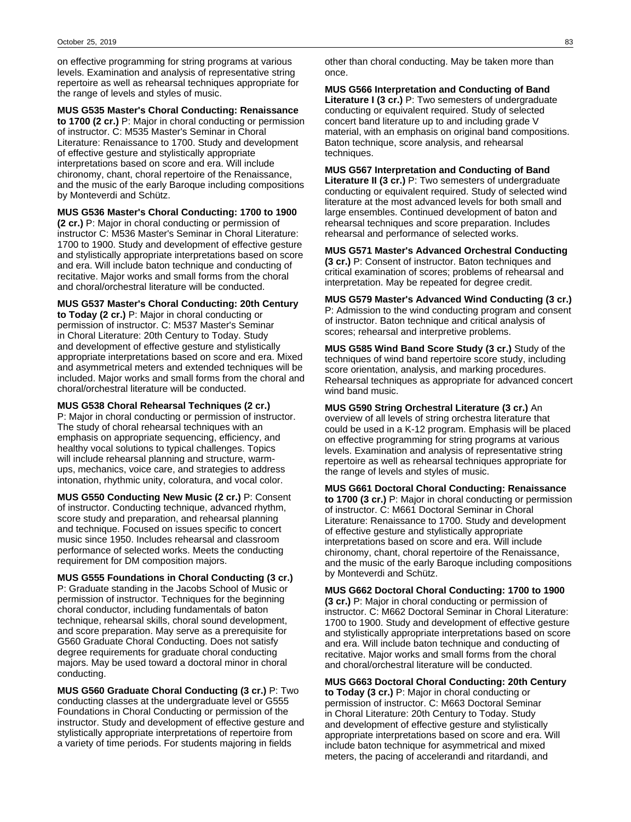on effective programming for string programs at various levels. Examination and analysis of representative string repertoire as well as rehearsal techniques appropriate for the range of levels and styles of music.

**MUS G535 Master's Choral Conducting: Renaissance to 1700 (2 cr.)** P: Major in choral conducting or permission of instructor. C: M535 Master's Seminar in Choral Literature: Renaissance to 1700. Study and development of effective gesture and stylistically appropriate interpretations based on score and era. Will include chironomy, chant, choral repertoire of the Renaissance, and the music of the early Baroque including compositions by Monteverdi and Schütz.

**MUS G536 Master's Choral Conducting: 1700 to 1900 (2 cr.)** P: Major in choral conducting or permission of instructor C: M536 Master's Seminar in Choral Literature: 1700 to 1900. Study and development of effective gesture and stylistically appropriate interpretations based on score and era. Will include baton technique and conducting of recitative. Major works and small forms from the choral and choral/orchestral literature will be conducted.

**MUS G537 Master's Choral Conducting: 20th Century to Today (2 cr.)** P: Major in choral conducting or permission of instructor. C: M537 Master's Seminar in Choral Literature: 20th Century to Today. Study and development of effective gesture and stylistically appropriate interpretations based on score and era. Mixed and asymmetrical meters and extended techniques will be included. Major works and small forms from the choral and choral/orchestral literature will be conducted.

**MUS G538 Choral Rehearsal Techniques (2 cr.)** P: Major in choral conducting or permission of instructor. The study of choral rehearsal techniques with an emphasis on appropriate sequencing, efficiency, and healthy vocal solutions to typical challenges. Topics will include rehearsal planning and structure, warmups, mechanics, voice care, and strategies to address intonation, rhythmic unity, coloratura, and vocal color.

**MUS G550 Conducting New Music (2 cr.)** P: Consent of instructor. Conducting technique, advanced rhythm, score study and preparation, and rehearsal planning and technique. Focused on issues specific to concert music since 1950. Includes rehearsal and classroom performance of selected works. Meets the conducting requirement for DM composition majors.

**MUS G555 Foundations in Choral Conducting (3 cr.)** P: Graduate standing in the Jacobs School of Music or permission of instructor. Techniques for the beginning choral conductor, including fundamentals of baton technique, rehearsal skills, choral sound development, and score preparation. May serve as a prerequisite for G560 Graduate Choral Conducting. Does not satisfy degree requirements for graduate choral conducting majors. May be used toward a doctoral minor in choral conducting.

**MUS G560 Graduate Choral Conducting (3 cr.)** P: Two conducting classes at the undergraduate level or G555 Foundations in Choral Conducting or permission of the instructor. Study and development of effective gesture and stylistically appropriate interpretations of repertoire from a variety of time periods. For students majoring in fields

other than choral conducting. May be taken more than once.

**MUS G566 Interpretation and Conducting of Band Literature I (3 cr.)** P: Two semesters of undergraduate conducting or equivalent required. Study of selected concert band literature up to and including grade V material, with an emphasis on original band compositions. Baton technique, score analysis, and rehearsal techniques.

**MUS G567 Interpretation and Conducting of Band Literature II (3 cr.)** P: Two semesters of undergraduate conducting or equivalent required. Study of selected wind literature at the most advanced levels for both small and large ensembles. Continued development of baton and rehearsal techniques and score preparation. Includes rehearsal and performance of selected works.

**MUS G571 Master's Advanced Orchestral Conducting (3 cr.)** P: Consent of instructor. Baton techniques and critical examination of scores; problems of rehearsal and interpretation. May be repeated for degree credit.

**MUS G579 Master's Advanced Wind Conducting (3 cr.)** P: Admission to the wind conducting program and consent of instructor. Baton technique and critical analysis of scores; rehearsal and interpretive problems.

**MUS G585 Wind Band Score Study (3 cr.)** Study of the techniques of wind band repertoire score study, including score orientation, analysis, and marking procedures. Rehearsal techniques as appropriate for advanced concert wind band music.

**MUS G590 String Orchestral Literature (3 cr.)** An overview of all levels of string orchestra literature that could be used in a K-12 program. Emphasis will be placed on effective programming for string programs at various levels. Examination and analysis of representative string repertoire as well as rehearsal techniques appropriate for the range of levels and styles of music.

**MUS G661 Doctoral Choral Conducting: Renaissance to 1700 (3 cr.)** P: Major in choral conducting or permission of instructor. C: M661 Doctoral Seminar in Choral Literature: Renaissance to 1700. Study and development of effective gesture and stylistically appropriate interpretations based on score and era. Will include chironomy, chant, choral repertoire of the Renaissance, and the music of the early Baroque including compositions by Monteverdi and Schütz.

**MUS G662 Doctoral Choral Conducting: 1700 to 1900 (3 cr.)** P: Major in choral conducting or permission of instructor. C: M662 Doctoral Seminar in Choral Literature: 1700 to 1900. Study and development of effective gesture and stylistically appropriate interpretations based on score and era. Will include baton technique and conducting of recitative. Major works and small forms from the choral and choral/orchestral literature will be conducted.

**MUS G663 Doctoral Choral Conducting: 20th Century to Today (3 cr.)** P: Major in choral conducting or permission of instructor. C: M663 Doctoral Seminar in Choral Literature: 20th Century to Today. Study and development of effective gesture and stylistically appropriate interpretations based on score and era. Will include baton technique for asymmetrical and mixed meters, the pacing of accelerandi and ritardandi, and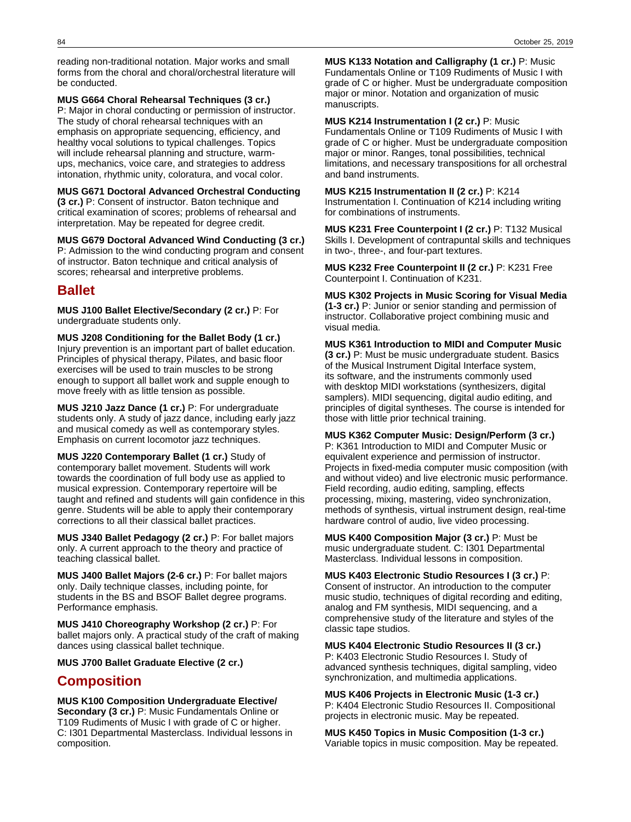reading non-traditional notation. Major works and small forms from the choral and choral/orchestral literature will be conducted.

**MUS G664 Choral Rehearsal Techniques (3 cr.)** P: Major in choral conducting or permission of instructor. The study of choral rehearsal techniques with an emphasis on appropriate sequencing, efficiency, and healthy vocal solutions to typical challenges. Topics will include rehearsal planning and structure, warmups, mechanics, voice care, and strategies to address intonation, rhythmic unity, coloratura, and vocal color.

**MUS G671 Doctoral Advanced Orchestral Conducting (3 cr.)** P: Consent of instructor. Baton technique and critical examination of scores; problems of rehearsal and interpretation. May be repeated for degree credit.

#### **MUS G679 Doctoral Advanced Wind Conducting (3 cr.)**

P: Admission to the wind conducting program and consent of instructor. Baton technique and critical analysis of scores; rehearsal and interpretive problems.

## **Ballet**

**MUS J100 Ballet Elective/Secondary (2 cr.)** P: For undergraduate students only.

**MUS J208 Conditioning for the Ballet Body (1 cr.)** Injury prevention is an important part of ballet education. Principles of physical therapy, Pilates, and basic floor exercises will be used to train muscles to be strong enough to support all ballet work and supple enough to move freely with as little tension as possible.

**MUS J210 Jazz Dance (1 cr.)** P: For undergraduate students only. A study of jazz dance, including early jazz and musical comedy as well as contemporary styles. Emphasis on current locomotor jazz techniques.

**MUS J220 Contemporary Ballet (1 cr.)** Study of contemporary ballet movement. Students will work towards the coordination of full body use as applied to musical expression. Contemporary repertoire will be taught and refined and students will gain confidence in this genre. Students will be able to apply their contemporary corrections to all their classical ballet practices.

**MUS J340 Ballet Pedagogy (2 cr.)** P: For ballet majors only. A current approach to the theory and practice of teaching classical ballet.

**MUS J400 Ballet Majors (2-6 cr.)** P: For ballet majors only. Daily technique classes, including pointe, for students in the BS and BSOF Ballet degree programs. Performance emphasis.

**MUS J410 Choreography Workshop (2 cr.)** P: For ballet majors only. A practical study of the craft of making dances using classical ballet technique.

#### **MUS J700 Ballet Graduate Elective (2 cr.)**

## **Composition**

**MUS K100 Composition Undergraduate Elective/ Secondary (3 cr.)** P: Music Fundamentals Online or T109 Rudiments of Music I with grade of C or higher. C: I301 Departmental Masterclass. Individual lessons in composition.

**MUS K133 Notation and Calligraphy (1 cr.)** P: Music Fundamentals Online or T109 Rudiments of Music I with grade of C or higher. Must be undergraduate composition major or minor. Notation and organization of music manuscripts.

**MUS K214 Instrumentation I (2 cr.)** P: Music Fundamentals Online or T109 Rudiments of Music I with grade of C or higher. Must be undergraduate composition major or minor. Ranges, tonal possibilities, technical limitations, and necessary transpositions for all orchestral and band instruments.

**MUS K215 Instrumentation II (2 cr.)** P: K214 Instrumentation I. Continuation of K214 including writing for combinations of instruments.

**MUS K231 Free Counterpoint I (2 cr.)** P: T132 Musical Skills I. Development of contrapuntal skills and techniques in two-, three-, and four-part textures.

**MUS K232 Free Counterpoint II (2 cr.)** P: K231 Free Counterpoint I. Continuation of K231.

**MUS K302 Projects in Music Scoring for Visual Media (1-3 cr.)** P: Junior or senior standing and permission of instructor. Collaborative project combining music and visual media.

**MUS K361 Introduction to MIDI and Computer Music (3 cr.)** P: Must be music undergraduate student. Basics of the Musical Instrument Digital Interface system, its software, and the instruments commonly used with desktop MIDI workstations (synthesizers, digital samplers). MIDI sequencing, digital audio editing, and principles of digital syntheses. The course is intended for those with little prior technical training.

**MUS K362 Computer Music: Design/Perform (3 cr.)** P: K361 Introduction to MIDI and Computer Music or equivalent experience and permission of instructor. Projects in fixed-media computer music composition (with and without video) and live electronic music performance. Field recording, audio editing, sampling, effects processing, mixing, mastering, video synchronization, methods of synthesis, virtual instrument design, real-time hardware control of audio, live video processing.

**MUS K400 Composition Major (3 cr.)** P: Must be music undergraduate student. C: I301 Departmental Masterclass. Individual lessons in composition.

**MUS K403 Electronic Studio Resources I (3 cr.)** P: Consent of instructor. An introduction to the computer music studio, techniques of digital recording and editing, analog and FM synthesis, MIDI sequencing, and a comprehensive study of the literature and styles of the classic tape studios.

**MUS K404 Electronic Studio Resources II (3 cr.)** P: K403 Electronic Studio Resources I. Study of advanced synthesis techniques, digital sampling, video synchronization, and multimedia applications.

**MUS K406 Projects in Electronic Music (1-3 cr.)** P: K404 Electronic Studio Resources II. Compositional projects in electronic music. May be repeated.

**MUS K450 Topics in Music Composition (1-3 cr.)** Variable topics in music composition. May be repeated.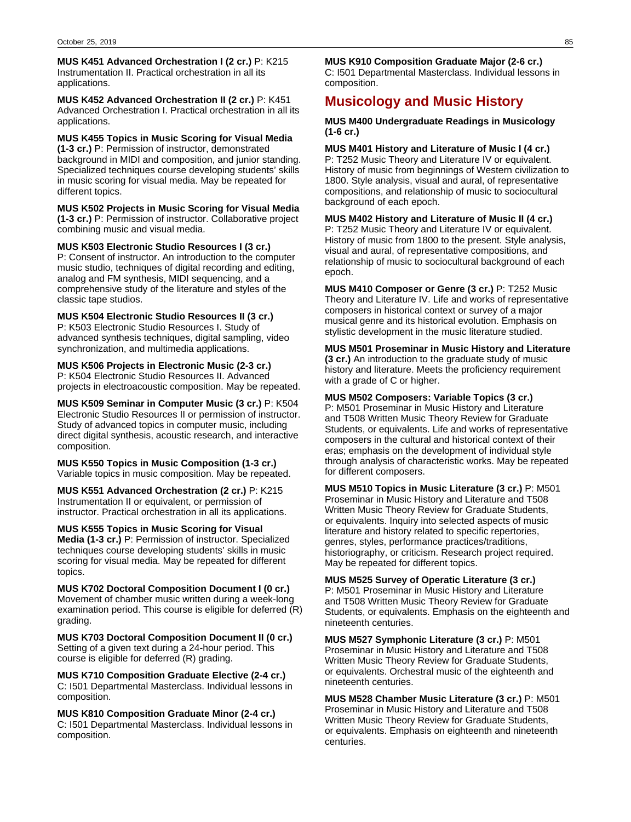**MUS K451 Advanced Orchestration I (2 cr.)** P: K215 Instrumentation II. Practical orchestration in all its applications.

**MUS K452 Advanced Orchestration II (2 cr.)** P: K451 Advanced Orchestration I. Practical orchestration in all its applications.

**MUS K455 Topics in Music Scoring for Visual Media (1-3 cr.)** P: Permission of instructor, demonstrated background in MIDI and composition, and junior standing. Specialized techniques course developing students' skills in music scoring for visual media. May be repeated for different topics.

**MUS K502 Projects in Music Scoring for Visual Media (1-3 cr.)** P: Permission of instructor. Collaborative project combining music and visual media.

**MUS K503 Electronic Studio Resources I (3 cr.)** P: Consent of instructor. An introduction to the computer music studio, techniques of digital recording and editing, analog and FM synthesis, MIDI sequencing, and a comprehensive study of the literature and styles of the classic tape studios.

**MUS K504 Electronic Studio Resources II (3 cr.)** P: K503 Electronic Studio Resources I. Study of advanced synthesis techniques, digital sampling, video synchronization, and multimedia applications.

**MUS K506 Projects in Electronic Music (2-3 cr.)** P: K504 Electronic Studio Resources II. Advanced projects in electroacoustic composition. May be repeated.

**MUS K509 Seminar in Computer Music (3 cr.)** P: K504 Electronic Studio Resources II or permission of instructor. Study of advanced topics in computer music, including direct digital synthesis, acoustic research, and interactive composition.

**MUS K550 Topics in Music Composition (1-3 cr.)** Variable topics in music composition. May be repeated.

**MUS K551 Advanced Orchestration (2 cr.)** P: K215 Instrumentation II or equivalent, or permission of instructor. Practical orchestration in all its applications.

**MUS K555 Topics in Music Scoring for Visual Media (1-3 cr.)** P: Permission of instructor. Specialized techniques course developing students' skills in music scoring for visual media. May be repeated for different topics.

**MUS K702 Doctoral Composition Document I (0 cr.)** Movement of chamber music written during a week-long examination period. This course is eligible for deferred (R) grading.

**MUS K703 Doctoral Composition Document II (0 cr.)** Setting of a given text during a 24-hour period. This course is eligible for deferred (R) grading.

**MUS K710 Composition Graduate Elective (2-4 cr.)** C: I501 Departmental Masterclass. Individual lessons in composition.

**MUS K810 Composition Graduate Minor (2-4 cr.)** C: I501 Departmental Masterclass. Individual lessons in composition.

**MUS K910 Composition Graduate Major (2-6 cr.)** C: I501 Departmental Masterclass. Individual lessons in composition.

# **Musicology and Music History**

### **MUS M400 Undergraduate Readings in Musicology (1-6 cr.)**

**MUS M401 History and Literature of Music I (4 cr.)** P: T252 Music Theory and Literature IV or equivalent. History of music from beginnings of Western civilization to 1800. Style analysis, visual and aural, of representative compositions, and relationship of music to sociocultural background of each epoch.

**MUS M402 History and Literature of Music II (4 cr.)** P: T252 Music Theory and Literature IV or equivalent. History of music from 1800 to the present. Style analysis, visual and aural, of representative compositions, and relationship of music to sociocultural background of each epoch.

**MUS M410 Composer or Genre (3 cr.)** P: T252 Music Theory and Literature IV. Life and works of representative composers in historical context or survey of a major musical genre and its historical evolution. Emphasis on stylistic development in the music literature studied.

**MUS M501 Proseminar in Music History and Literature (3 cr.)** An introduction to the graduate study of music history and literature. Meets the proficiency requirement with a grade of C or higher.

**MUS M502 Composers: Variable Topics (3 cr.)** P: M501 Proseminar in Music History and Literature and T508 Written Music Theory Review for Graduate Students, or equivalents. Life and works of representative composers in the cultural and historical context of their eras; emphasis on the development of individual style through analysis of characteristic works. May be repeated for different composers.

**MUS M510 Topics in Music Literature (3 cr.)** P: M501 Proseminar in Music History and Literature and T508 Written Music Theory Review for Graduate Students, or equivalents. Inquiry into selected aspects of music literature and history related to specific repertories, genres, styles, performance practices/traditions, historiography, or criticism. Research project required. May be repeated for different topics.

**MUS M525 Survey of Operatic Literature (3 cr.)** P: M501 Proseminar in Music History and Literature and T508 Written Music Theory Review for Graduate Students, or equivalents. Emphasis on the eighteenth and nineteenth centuries.

**MUS M527 Symphonic Literature (3 cr.)** P: M501 Proseminar in Music History and Literature and T508 Written Music Theory Review for Graduate Students, or equivalents. Orchestral music of the eighteenth and nineteenth centuries.

**MUS M528 Chamber Music Literature (3 cr.)** P: M501 Proseminar in Music History and Literature and T508 Written Music Theory Review for Graduate Students, or equivalents. Emphasis on eighteenth and nineteenth centuries.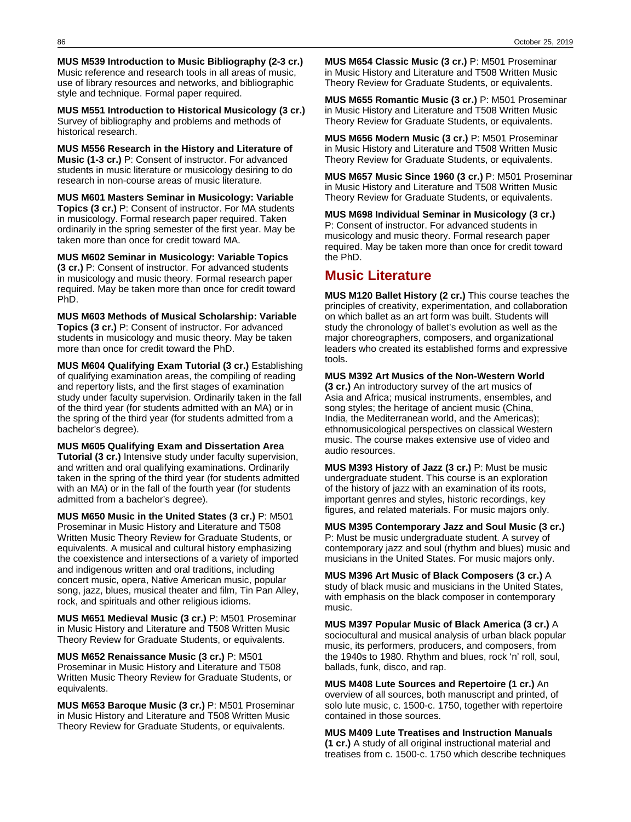**MUS M539 Introduction to Music Bibliography (2-3 cr.)** Music reference and research tools in all areas of music, use of library resources and networks, and bibliographic style and technique. Formal paper required.

**MUS M551 Introduction to Historical Musicology (3 cr.)** Survey of bibliography and problems and methods of historical research.

**MUS M556 Research in the History and Literature of Music (1-3 cr.)** P: Consent of instructor. For advanced students in music literature or musicology desiring to do research in non-course areas of music literature.

**MUS M601 Masters Seminar in Musicology: Variable Topics (3 cr.)** P: Consent of instructor. For MA students in musicology. Formal research paper required. Taken ordinarily in the spring semester of the first year. May be taken more than once for credit toward MA.

**MUS M602 Seminar in Musicology: Variable Topics (3 cr.)** P: Consent of instructor. For advanced students in musicology and music theory. Formal research paper required. May be taken more than once for credit toward PhD.

**MUS M603 Methods of Musical Scholarship: Variable Topics (3 cr.)** P: Consent of instructor. For advanced students in musicology and music theory. May be taken more than once for credit toward the PhD.

**MUS M604 Qualifying Exam Tutorial (3 cr.)** Establishing of qualifying examination areas, the compiling of reading and repertory lists, and the first stages of examination study under faculty supervision. Ordinarily taken in the fall of the third year (for students admitted with an MA) or in the spring of the third year (for students admitted from a bachelor's degree).

**MUS M605 Qualifying Exam and Dissertation Area Tutorial (3 cr.)** Intensive study under faculty supervision, and written and oral qualifying examinations. Ordinarily taken in the spring of the third year (for students admitted with an MA) or in the fall of the fourth year (for students admitted from a bachelor's degree).

**MUS M650 Music in the United States (3 cr.)** P: M501 Proseminar in Music History and Literature and T508 Written Music Theory Review for Graduate Students, or equivalents. A musical and cultural history emphasizing the coexistence and intersections of a variety of imported and indigenous written and oral traditions, including concert music, opera, Native American music, popular song, jazz, blues, musical theater and film, Tin Pan Alley, rock, and spirituals and other religious idioms.

**MUS M651 Medieval Music (3 cr.)** P: M501 Proseminar in Music History and Literature and T508 Written Music Theory Review for Graduate Students, or equivalents.

**MUS M652 Renaissance Music (3 cr.)** P: M501 Proseminar in Music History and Literature and T508 Written Music Theory Review for Graduate Students, or equivalents.

**MUS M653 Baroque Music (3 cr.)** P: M501 Proseminar in Music History and Literature and T508 Written Music Theory Review for Graduate Students, or equivalents.

**MUS M654 Classic Music (3 cr.)** P: M501 Proseminar in Music History and Literature and T508 Written Music Theory Review for Graduate Students, or equivalents.

**MUS M655 Romantic Music (3 cr.)** P: M501 Proseminar in Music History and Literature and T508 Written Music Theory Review for Graduate Students, or equivalents.

**MUS M656 Modern Music (3 cr.)** P: M501 Proseminar in Music History and Literature and T508 Written Music Theory Review for Graduate Students, or equivalents.

**MUS M657 Music Since 1960 (3 cr.)** P: M501 Proseminar in Music History and Literature and T508 Written Music Theory Review for Graduate Students, or equivalents.

**MUS M698 Individual Seminar in Musicology (3 cr.)** P: Consent of instructor. For advanced students in musicology and music theory. Formal research paper required. May be taken more than once for credit toward the PhD.

## **Music Literature**

**MUS M120 Ballet History (2 cr.)** This course teaches the principles of creativity, experimentation, and collaboration on which ballet as an art form was built. Students will study the chronology of ballet's evolution as well as the major choreographers, composers, and organizational leaders who created its established forms and expressive tools.

**MUS M392 Art Musics of the Non-Western World (3 cr.)** An introductory survey of the art musics of Asia and Africa; musical instruments, ensembles, and song styles; the heritage of ancient music (China, India, the Mediterranean world, and the Americas); ethnomusicological perspectives on classical Western music. The course makes extensive use of video and audio resources.

**MUS M393 History of Jazz (3 cr.)** P: Must be music undergraduate student. This course is an exploration of the history of jazz with an examination of its roots, important genres and styles, historic recordings, key figures, and related materials. For music majors only.

**MUS M395 Contemporary Jazz and Soul Music (3 cr.)** P: Must be music undergraduate student. A survey of contemporary jazz and soul (rhythm and blues) music and musicians in the United States. For music majors only.

**MUS M396 Art Music of Black Composers (3 cr.)** A study of black music and musicians in the United States, with emphasis on the black composer in contemporary music.

**MUS M397 Popular Music of Black America (3 cr.)** A sociocultural and musical analysis of urban black popular music, its performers, producers, and composers, from the 1940s to 1980. Rhythm and blues, rock 'n' roll, soul, ballads, funk, disco, and rap.

**MUS M408 Lute Sources and Repertoire (1 cr.)** An overview of all sources, both manuscript and printed, of solo lute music, c. 1500-c. 1750, together with repertoire contained in those sources.

**MUS M409 Lute Treatises and Instruction Manuals (1 cr.)** A study of all original instructional material and treatises from c. 1500-c. 1750 which describe techniques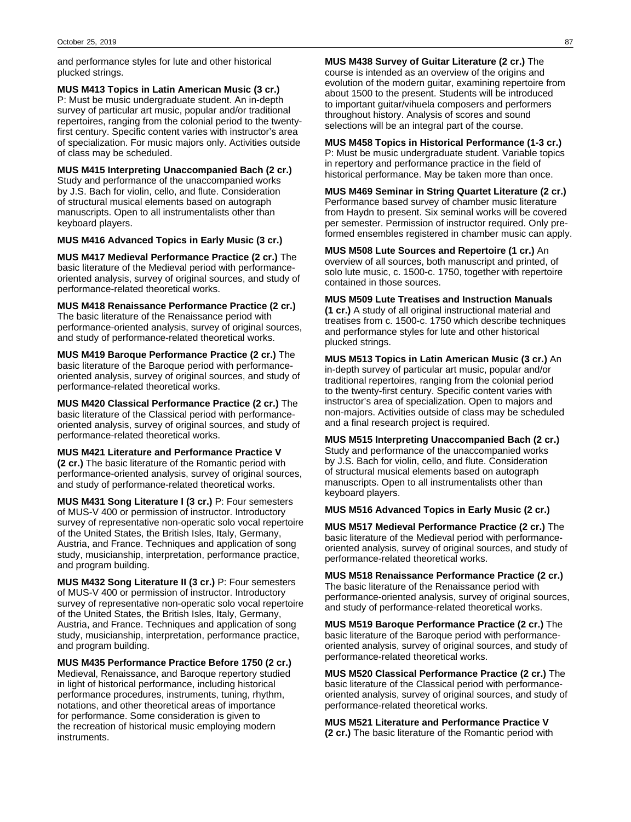and performance styles for lute and other historical plucked strings.

**MUS M413 Topics in Latin American Music (3 cr.)** P: Must be music undergraduate student. An in-depth survey of particular art music, popular and/or traditional repertoires, ranging from the colonial period to the twentyfirst century. Specific content varies with instructor's area of specialization. For music majors only. Activities outside of class may be scheduled.

**MUS M415 Interpreting Unaccompanied Bach (2 cr.)** Study and performance of the unaccompanied works by J.S. Bach for violin, cello, and flute. Consideration of structural musical elements based on autograph manuscripts. Open to all instrumentalists other than keyboard players.

**MUS M416 Advanced Topics in Early Music (3 cr.)**

**MUS M417 Medieval Performance Practice (2 cr.)** The basic literature of the Medieval period with performanceoriented analysis, survey of original sources, and study of performance-related theoretical works.

**MUS M418 Renaissance Performance Practice (2 cr.)** The basic literature of the Renaissance period with performance-oriented analysis, survey of original sources, and study of performance-related theoretical works.

**MUS M419 Baroque Performance Practice (2 cr.)** The basic literature of the Baroque period with performanceoriented analysis, survey of original sources, and study of performance-related theoretical works.

**MUS M420 Classical Performance Practice (2 cr.)** The basic literature of the Classical period with performanceoriented analysis, survey of original sources, and study of performance-related theoretical works.

**MUS M421 Literature and Performance Practice V (2 cr.)** The basic literature of the Romantic period with performance-oriented analysis, survey of original sources, and study of performance-related theoretical works.

**MUS M431 Song Literature I (3 cr.)** P: Four semesters of MUS-V 400 or permission of instructor. Introductory survey of representative non-operatic solo vocal repertoire of the United States, the British Isles, Italy, Germany, Austria, and France. Techniques and application of song study, musicianship, interpretation, performance practice, and program building.

**MUS M432 Song Literature II (3 cr.)** P: Four semesters of MUS-V 400 or permission of instructor. Introductory survey of representative non-operatic solo vocal repertoire of the United States, the British Isles, Italy, Germany, Austria, and France. Techniques and application of song study, musicianship, interpretation, performance practice, and program building.

**MUS M435 Performance Practice Before 1750 (2 cr.)** Medieval, Renaissance, and Baroque repertory studied in light of historical performance, including historical performance procedures, instruments, tuning, rhythm, notations, and other theoretical areas of importance for performance. Some consideration is given to the recreation of historical music employing modern instruments.

**MUS M438 Survey of Guitar Literature (2 cr.)** The course is intended as an overview of the origins and evolution of the modern guitar, examining repertoire from about 1500 to the present. Students will be introduced to important guitar/vihuela composers and performers throughout history. Analysis of scores and sound selections will be an integral part of the course.

**MUS M458 Topics in Historical Performance (1-3 cr.)** P: Must be music undergraduate student. Variable topics in repertory and performance practice in the field of historical performance. May be taken more than once.

**MUS M469 Seminar in String Quartet Literature (2 cr.)** Performance based survey of chamber music literature from Haydn to present. Six seminal works will be covered per semester. Permission of instructor required. Only preformed ensembles registered in chamber music can apply.

**MUS M508 Lute Sources and Repertoire (1 cr.)** An overview of all sources, both manuscript and printed, of solo lute music, c. 1500-c. 1750, together with repertoire contained in those sources.

**MUS M509 Lute Treatises and Instruction Manuals (1 cr.)** A study of all original instructional material and treatises from c. 1500-c. 1750 which describe techniques and performance styles for lute and other historical plucked strings.

**MUS M513 Topics in Latin American Music (3 cr.)** An in-depth survey of particular art music, popular and/or traditional repertoires, ranging from the colonial period to the twenty-first century. Specific content varies with instructor's area of specialization. Open to majors and non-majors. Activities outside of class may be scheduled and a final research project is required.

**MUS M515 Interpreting Unaccompanied Bach (2 cr.)** Study and performance of the unaccompanied works by J.S. Bach for violin, cello, and flute. Consideration of structural musical elements based on autograph manuscripts. Open to all instrumentalists other than keyboard players.

### **MUS M516 Advanced Topics in Early Music (2 cr.)**

**MUS M517 Medieval Performance Practice (2 cr.)** The basic literature of the Medieval period with performanceoriented analysis, survey of original sources, and study of performance-related theoretical works.

**MUS M518 Renaissance Performance Practice (2 cr.)** The basic literature of the Renaissance period with performance-oriented analysis, survey of original sources, and study of performance-related theoretical works.

**MUS M519 Baroque Performance Practice (2 cr.)** The basic literature of the Baroque period with performanceoriented analysis, survey of original sources, and study of performance-related theoretical works.

**MUS M520 Classical Performance Practice (2 cr.)** The basic literature of the Classical period with performanceoriented analysis, survey of original sources, and study of performance-related theoretical works.

**MUS M521 Literature and Performance Practice V (2 cr.)** The basic literature of the Romantic period with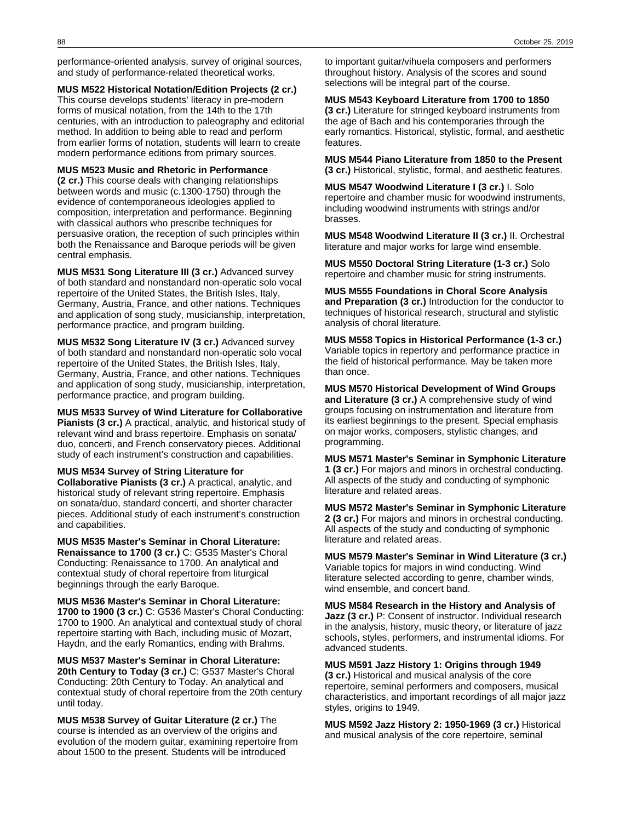performance-oriented analysis, survey of original sources, and study of performance-related theoretical works.

**MUS M522 Historical Notation/Edition Projects (2 cr.)** This course develops students' literacy in pre-modern forms of musical notation, from the 14th to the 17th centuries, with an introduction to paleography and editorial method. In addition to being able to read and perform from earlier forms of notation, students will learn to create modern performance editions from primary sources.

**MUS M523 Music and Rhetoric in Performance**

**(2 cr.)** This course deals with changing relationships between words and music (c.1300-1750) through the evidence of contemporaneous ideologies applied to composition, interpretation and performance. Beginning with classical authors who prescribe techniques for persuasive oration, the reception of such principles within both the Renaissance and Baroque periods will be given central emphasis.

**MUS M531 Song Literature III (3 cr.)** Advanced survey of both standard and nonstandard non-operatic solo vocal repertoire of the United States, the British Isles, Italy, Germany, Austria, France, and other nations. Techniques and application of song study, musicianship, interpretation, performance practice, and program building.

**MUS M532 Song Literature IV (3 cr.)** Advanced survey of both standard and nonstandard non-operatic solo vocal repertoire of the United States, the British Isles, Italy, Germany, Austria, France, and other nations. Techniques and application of song study, musicianship, interpretation, performance practice, and program building.

**MUS M533 Survey of Wind Literature for Collaborative Pianists (3 cr.)** A practical, analytic, and historical study of relevant wind and brass repertoire. Emphasis on sonata/ duo, concerti, and French conservatory pieces. Additional study of each instrument's construction and capabilities.

**MUS M534 Survey of String Literature for**

**Collaborative Pianists (3 cr.)** A practical, analytic, and historical study of relevant string repertoire. Emphasis on sonata/duo, standard concerti, and shorter character pieces. Additional study of each instrument's construction and capabilities.

**MUS M535 Master's Seminar in Choral Literature: Renaissance to 1700 (3 cr.)** C: G535 Master's Choral Conducting: Renaissance to 1700. An analytical and contextual study of choral repertoire from liturgical beginnings through the early Baroque.

**MUS M536 Master's Seminar in Choral Literature: 1700 to 1900 (3 cr.)** C: G536 Master's Choral Conducting: 1700 to 1900. An analytical and contextual study of choral repertoire starting with Bach, including music of Mozart, Haydn, and the early Romantics, ending with Brahms.

**MUS M537 Master's Seminar in Choral Literature: 20th Century to Today (3 cr.)** C: G537 Master's Choral Conducting: 20th Century to Today. An analytical and contextual study of choral repertoire from the 20th century until today.

**MUS M538 Survey of Guitar Literature (2 cr.)** The course is intended as an overview of the origins and evolution of the modern guitar, examining repertoire from about 1500 to the present. Students will be introduced

to important guitar/vihuela composers and performers throughout history. Analysis of the scores and sound selections will be integral part of the course.

**MUS M543 Keyboard Literature from 1700 to 1850 (3 cr.)** Literature for stringed keyboard instruments from the age of Bach and his contemporaries through the early romantics. Historical, stylistic, formal, and aesthetic features.

**MUS M544 Piano Literature from 1850 to the Present (3 cr.)** Historical, stylistic, formal, and aesthetic features.

**MUS M547 Woodwind Literature I (3 cr.)** I. Solo repertoire and chamber music for woodwind instruments, including woodwind instruments with strings and/or brasses.

**MUS M548 Woodwind Literature II (3 cr.)** II. Orchestral literature and major works for large wind ensemble.

**MUS M550 Doctoral String Literature (1-3 cr.)** Solo repertoire and chamber music for string instruments.

**MUS M555 Foundations in Choral Score Analysis and Preparation (3 cr.)** Introduction for the conductor to techniques of historical research, structural and stylistic analysis of choral literature.

**MUS M558 Topics in Historical Performance (1-3 cr.)** Variable topics in repertory and performance practice in the field of historical performance. May be taken more than once.

**MUS M570 Historical Development of Wind Groups and Literature (3 cr.)** A comprehensive study of wind groups focusing on instrumentation and literature from its earliest beginnings to the present. Special emphasis on major works, composers, stylistic changes, and programming.

**MUS M571 Master's Seminar in Symphonic Literature 1 (3 cr.)** For majors and minors in orchestral conducting. All aspects of the study and conducting of symphonic literature and related areas.

**MUS M572 Master's Seminar in Symphonic Literature 2 (3 cr.)** For majors and minors in orchestral conducting. All aspects of the study and conducting of symphonic literature and related areas.

**MUS M579 Master's Seminar in Wind Literature (3 cr.)** Variable topics for majors in wind conducting. Wind literature selected according to genre, chamber winds, wind ensemble, and concert band.

**MUS M584 Research in the History and Analysis of Jazz (3 cr.)** P: Consent of instructor. Individual research in the analysis, history, music theory, or literature of jazz schools, styles, performers, and instrumental idioms. For advanced students.

**MUS M591 Jazz History 1: Origins through 1949 (3 cr.)** Historical and musical analysis of the core repertoire, seminal performers and composers, musical characteristics, and important recordings of all major jazz styles, origins to 1949.

**MUS M592 Jazz History 2: 1950-1969 (3 cr.)** Historical and musical analysis of the core repertoire, seminal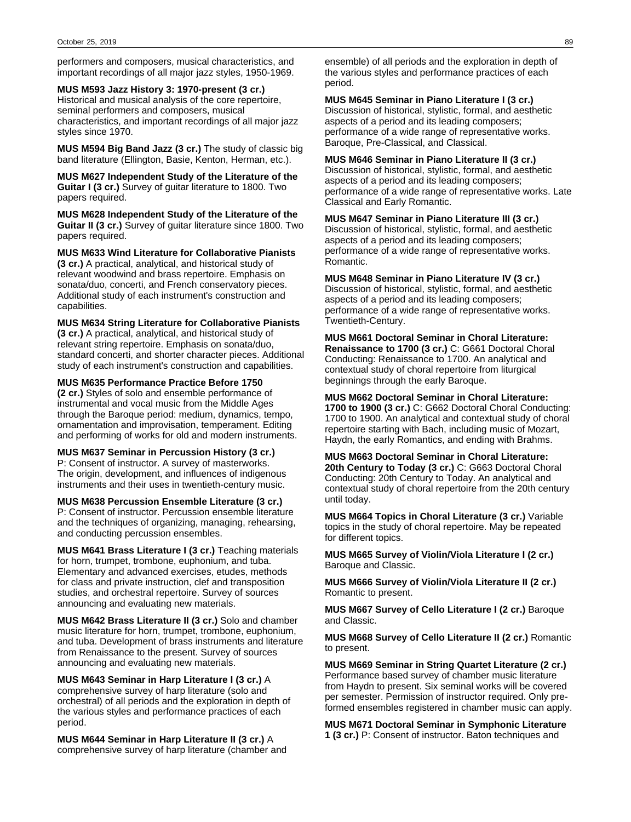performers and composers, musical characteristics, and important recordings of all major jazz styles, 1950-1969.

**MUS M593 Jazz History 3: 1970-present (3 cr.)** Historical and musical analysis of the core repertoire, seminal performers and composers, musical characteristics, and important recordings of all major jazz styles since 1970.

**MUS M594 Big Band Jazz (3 cr.)** The study of classic big band literature (Ellington, Basie, Kenton, Herman, etc.).

**MUS M627 Independent Study of the Literature of the Guitar I (3 cr.)** Survey of guitar literature to 1800. Two papers required.

**MUS M628 Independent Study of the Literature of the Guitar II (3 cr.)** Survey of guitar literature since 1800. Two papers required.

**MUS M633 Wind Literature for Collaborative Pianists (3 cr.)** A practical, analytical, and historical study of relevant woodwind and brass repertoire. Emphasis on sonata/duo, concerti, and French conservatory pieces. Additional study of each instrument's construction and capabilities.

**MUS M634 String Literature for Collaborative Pianists (3 cr.)** A practical, analytical, and historical study of relevant string repertoire. Emphasis on sonata/duo, standard concerti, and shorter character pieces. Additional study of each instrument's construction and capabilities.

**MUS M635 Performance Practice Before 1750**

**(2 cr.)** Styles of solo and ensemble performance of instrumental and vocal music from the Middle Ages through the Baroque period: medium, dynamics, tempo, ornamentation and improvisation, temperament. Editing and performing of works for old and modern instruments.

**MUS M637 Seminar in Percussion History (3 cr.)** P: Consent of instructor. A survey of masterworks. The origin, development, and influences of indigenous instruments and their uses in twentieth-century music.

**MUS M638 Percussion Ensemble Literature (3 cr.)** P: Consent of instructor. Percussion ensemble literature and the techniques of organizing, managing, rehearsing, and conducting percussion ensembles.

**MUS M641 Brass Literature I (3 cr.)** Teaching materials for horn, trumpet, trombone, euphonium, and tuba. Elementary and advanced exercises, etudes, methods for class and private instruction, clef and transposition studies, and orchestral repertoire. Survey of sources announcing and evaluating new materials.

**MUS M642 Brass Literature II (3 cr.)** Solo and chamber music literature for horn, trumpet, trombone, euphonium, and tuba. Development of brass instruments and literature from Renaissance to the present. Survey of sources announcing and evaluating new materials.

**MUS M643 Seminar in Harp Literature I (3 cr.)** A comprehensive survey of harp literature (solo and orchestral) of all periods and the exploration in depth of the various styles and performance practices of each period.

**MUS M644 Seminar in Harp Literature II (3 cr.)** A comprehensive survey of harp literature (chamber and

ensemble) of all periods and the exploration in depth of the various styles and performance practices of each period.

**MUS M645 Seminar in Piano Literature I (3 cr.)**

Discussion of historical, stylistic, formal, and aesthetic aspects of a period and its leading composers; performance of a wide range of representative works. Baroque, Pre-Classical, and Classical.

**MUS M646 Seminar in Piano Literature II (3 cr.)** Discussion of historical, stylistic, formal, and aesthetic aspects of a period and its leading composers; performance of a wide range of representative works. Late Classical and Early Romantic.

**MUS M647 Seminar in Piano Literature III (3 cr.)** Discussion of historical, stylistic, formal, and aesthetic aspects of a period and its leading composers; performance of a wide range of representative works. Romantic.

**MUS M648 Seminar in Piano Literature IV (3 cr.)** Discussion of historical, stylistic, formal, and aesthetic aspects of a period and its leading composers; performance of a wide range of representative works. Twentieth-Century.

**MUS M661 Doctoral Seminar in Choral Literature: Renaissance to 1700 (3 cr.)** C: G661 Doctoral Choral Conducting: Renaissance to 1700. An analytical and contextual study of choral repertoire from liturgical beginnings through the early Baroque.

**MUS M662 Doctoral Seminar in Choral Literature: 1700 to 1900 (3 cr.)** C: G662 Doctoral Choral Conducting: 1700 to 1900. An analytical and contextual study of choral repertoire starting with Bach, including music of Mozart, Haydn, the early Romantics, and ending with Brahms.

**MUS M663 Doctoral Seminar in Choral Literature: 20th Century to Today (3 cr.)** C: G663 Doctoral Choral Conducting: 20th Century to Today. An analytical and contextual study of choral repertoire from the 20th century until today.

**MUS M664 Topics in Choral Literature (3 cr.)** Variable topics in the study of choral repertoire. May be repeated for different topics.

**MUS M665 Survey of Violin/Viola Literature I (2 cr.)** Baroque and Classic.

**MUS M666 Survey of Violin/Viola Literature II (2 cr.)** Romantic to present.

**MUS M667 Survey of Cello Literature I (2 cr.)** Baroque and Classic.

**MUS M668 Survey of Cello Literature II (2 cr.)** Romantic to present.

**MUS M669 Seminar in String Quartet Literature (2 cr.)** Performance based survey of chamber music literature from Haydn to present. Six seminal works will be covered per semester. Permission of instructor required. Only preformed ensembles registered in chamber music can apply.

**MUS M671 Doctoral Seminar in Symphonic Literature 1 (3 cr.)** P: Consent of instructor. Baton techniques and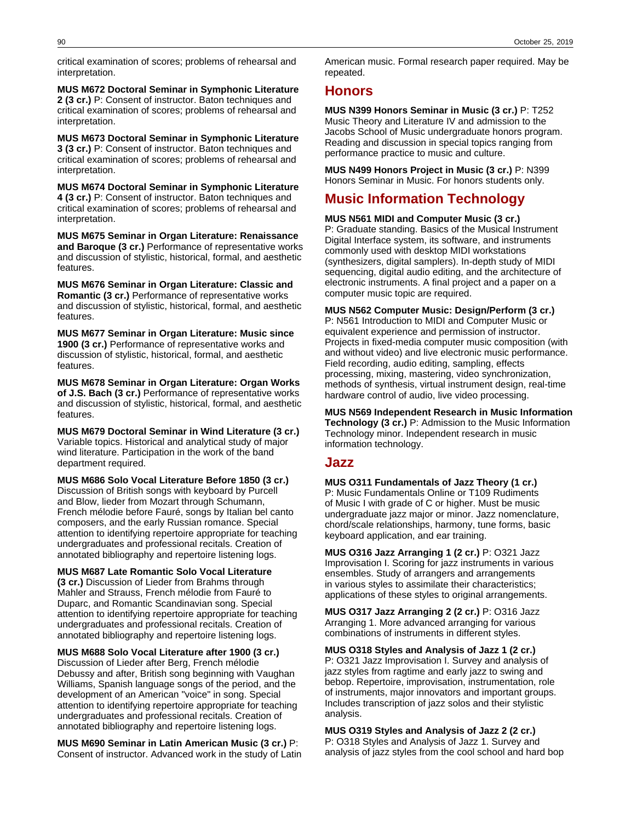critical examination of scores; problems of rehearsal and interpretation.

**MUS M672 Doctoral Seminar in Symphonic Literature 2 (3 cr.)** P: Consent of instructor. Baton techniques and critical examination of scores; problems of rehearsal and interpretation.

**MUS M673 Doctoral Seminar in Symphonic Literature 3 (3 cr.)** P: Consent of instructor. Baton techniques and critical examination of scores; problems of rehearsal and interpretation.

**MUS M674 Doctoral Seminar in Symphonic Literature 4 (3 cr.)** P: Consent of instructor. Baton techniques and critical examination of scores; problems of rehearsal and interpretation.

**MUS M675 Seminar in Organ Literature: Renaissance and Baroque (3 cr.)** Performance of representative works and discussion of stylistic, historical, formal, and aesthetic features.

**MUS M676 Seminar in Organ Literature: Classic and Romantic (3 cr.)** Performance of representative works and discussion of stylistic, historical, formal, and aesthetic features.

**MUS M677 Seminar in Organ Literature: Music since 1900 (3 cr.)** Performance of representative works and discussion of stylistic, historical, formal, and aesthetic features.

**MUS M678 Seminar in Organ Literature: Organ Works of J.S. Bach (3 cr.)** Performance of representative works and discussion of stylistic, historical, formal, and aesthetic features.

**MUS M679 Doctoral Seminar in Wind Literature (3 cr.)** Variable topics. Historical and analytical study of major wind literature. Participation in the work of the band department required.

**MUS M686 Solo Vocal Literature Before 1850 (3 cr.)** Discussion of British songs with keyboard by Purcell and Blow, lieder from Mozart through Schumann, French mélodie before Fauré, songs by Italian bel canto composers, and the early Russian romance. Special attention to identifying repertoire appropriate for teaching undergraduates and professional recitals. Creation of annotated bibliography and repertoire listening logs.

**MUS M687 Late Romantic Solo Vocal Literature (3 cr.)** Discussion of Lieder from Brahms through Mahler and Strauss, French mélodie from Fauré to Duparc, and Romantic Scandinavian song. Special attention to identifying repertoire appropriate for teaching undergraduates and professional recitals. Creation of annotated bibliography and repertoire listening logs.

**MUS M688 Solo Vocal Literature after 1900 (3 cr.)** Discussion of Lieder after Berg, French mélodie Debussy and after, British song beginning with Vaughan Williams, Spanish language songs of the period, and the development of an American "voice" in song. Special attention to identifying repertoire appropriate for teaching undergraduates and professional recitals. Creation of annotated bibliography and repertoire listening logs.

**MUS M690 Seminar in Latin American Music (3 cr.)** P: Consent of instructor. Advanced work in the study of Latin

American music. Formal research paper required. May be repeated.

## **Honors**

**MUS N399 Honors Seminar in Music (3 cr.)** P: T252 Music Theory and Literature IV and admission to the Jacobs School of Music undergraduate honors program. Reading and discussion in special topics ranging from performance practice to music and culture.

**MUS N499 Honors Project in Music (3 cr.)** P: N399 Honors Seminar in Music. For honors students only.

# **Music Information Technology**

**MUS N561 MIDI and Computer Music (3 cr.)** P: Graduate standing. Basics of the Musical Instrument Digital Interface system, its software, and instruments commonly used with desktop MIDI workstations (synthesizers, digital samplers). In-depth study of MIDI sequencing, digital audio editing, and the architecture of electronic instruments. A final project and a paper on a computer music topic are required.

**MUS N562 Computer Music: Design/Perform (3 cr.)**

P: N561 Introduction to MIDI and Computer Music or equivalent experience and permission of instructor. Projects in fixed-media computer music composition (with and without video) and live electronic music performance. Field recording, audio editing, sampling, effects processing, mixing, mastering, video synchronization, methods of synthesis, virtual instrument design, real-time hardware control of audio, live video processing.

**MUS N569 Independent Research in Music Information Technology (3 cr.)** P: Admission to the Music Information Technology minor. Independent research in music information technology.

## **Jazz**

**MUS O311 Fundamentals of Jazz Theory (1 cr.)** P: Music Fundamentals Online or T109 Rudiments of Music I with grade of C or higher. Must be music undergraduate jazz major or minor. Jazz nomenclature, chord/scale relationships, harmony, tune forms, basic keyboard application, and ear training.

**MUS O316 Jazz Arranging 1 (2 cr.)** P: O321 Jazz Improvisation I. Scoring for jazz instruments in various ensembles. Study of arrangers and arrangements in various styles to assimilate their characteristics; applications of these styles to original arrangements.

**MUS O317 Jazz Arranging 2 (2 cr.)** P: O316 Jazz Arranging 1. More advanced arranging for various combinations of instruments in different styles.

**MUS O318 Styles and Analysis of Jazz 1 (2 cr.)** P: O321 Jazz Improvisation I. Survey and analysis of jazz styles from ragtime and early jazz to swing and bebop. Repertoire, improvisation, instrumentation, role of instruments, major innovators and important groups. Includes transcription of jazz solos and their stylistic analysis.

**MUS O319 Styles and Analysis of Jazz 2 (2 cr.)** P: O318 Styles and Analysis of Jazz 1. Survey and analysis of jazz styles from the cool school and hard bop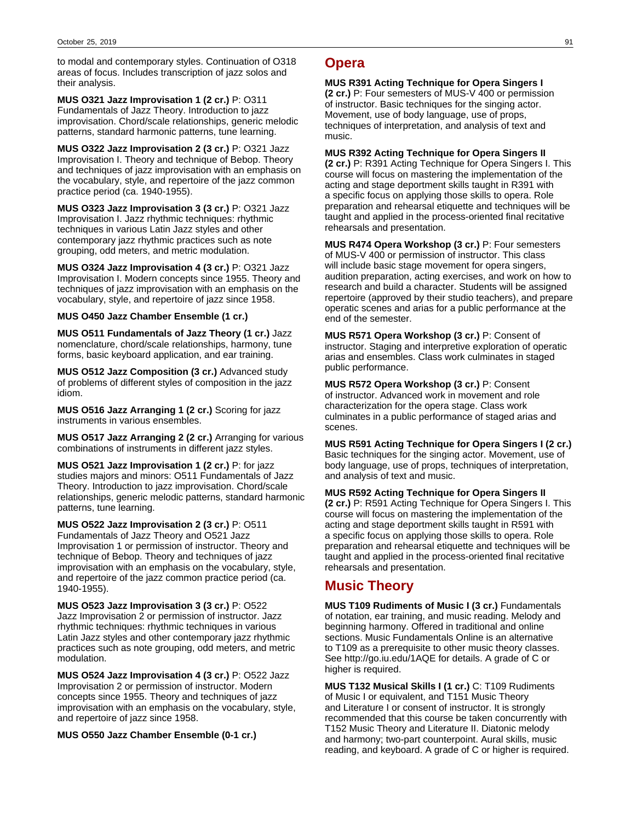to modal and contemporary styles. Continuation of O318 areas of focus. Includes transcription of jazz solos and their analysis.

**MUS O321 Jazz Improvisation 1 (2 cr.)** P: O311 Fundamentals of Jazz Theory. Introduction to jazz improvisation. Chord/scale relationships, generic melodic patterns, standard harmonic patterns, tune learning.

**MUS O322 Jazz Improvisation 2 (3 cr.)** P: O321 Jazz Improvisation I. Theory and technique of Bebop. Theory and techniques of jazz improvisation with an emphasis on the vocabulary, style, and repertoire of the jazz common practice period (ca. 1940-1955).

**MUS O323 Jazz Improvisation 3 (3 cr.)** P: O321 Jazz Improvisation I. Jazz rhythmic techniques: rhythmic techniques in various Latin Jazz styles and other contemporary jazz rhythmic practices such as note grouping, odd meters, and metric modulation.

**MUS O324 Jazz Improvisation 4 (3 cr.)** P: O321 Jazz Improvisation I. Modern concepts since 1955. Theory and techniques of jazz improvisation with an emphasis on the vocabulary, style, and repertoire of jazz since 1958.

**MUS O450 Jazz Chamber Ensemble (1 cr.)**

**MUS O511 Fundamentals of Jazz Theory (1 cr.)** Jazz nomenclature, chord/scale relationships, harmony, tune forms, basic keyboard application, and ear training.

**MUS O512 Jazz Composition (3 cr.)** Advanced study of problems of different styles of composition in the jazz idiom.

**MUS O516 Jazz Arranging 1 (2 cr.)** Scoring for jazz instruments in various ensembles.

**MUS O517 Jazz Arranging 2 (2 cr.)** Arranging for various combinations of instruments in different jazz styles.

**MUS O521 Jazz Improvisation 1 (2 cr.)** P: for jazz studies majors and minors: O511 Fundamentals of Jazz Theory. Introduction to jazz improvisation. Chord/scale relationships, generic melodic patterns, standard harmonic patterns, tune learning.

**MUS O522 Jazz Improvisation 2 (3 cr.)** P: O511 Fundamentals of Jazz Theory and O521 Jazz Improvisation 1 or permission of instructor. Theory and technique of Bebop. Theory and techniques of jazz improvisation with an emphasis on the vocabulary, style, and repertoire of the jazz common practice period (ca. 1940-1955).

**MUS O523 Jazz Improvisation 3 (3 cr.)** P: O522 Jazz Improvisation 2 or permission of instructor. Jazz rhythmic techniques: rhythmic techniques in various Latin Jazz styles and other contemporary jazz rhythmic practices such as note grouping, odd meters, and metric modulation.

**MUS O524 Jazz Improvisation 4 (3 cr.)** P: O522 Jazz Improvisation 2 or permission of instructor. Modern concepts since 1955. Theory and techniques of jazz improvisation with an emphasis on the vocabulary, style, and repertoire of jazz since 1958.

**MUS O550 Jazz Chamber Ensemble (0-1 cr.)**

## **Opera**

**MUS R391 Acting Technique for Opera Singers I**

**(2 cr.)** P: Four semesters of MUS-V 400 or permission of instructor. Basic techniques for the singing actor. Movement, use of body language, use of props, techniques of interpretation, and analysis of text and music.

**MUS R392 Acting Technique for Opera Singers II (2 cr.)** P: R391 Acting Technique for Opera Singers I. This course will focus on mastering the implementation of the acting and stage deportment skills taught in R391 with a specific focus on applying those skills to opera. Role preparation and rehearsal etiquette and techniques will be taught and applied in the process-oriented final recitative rehearsals and presentation.

**MUS R474 Opera Workshop (3 cr.)** P: Four semesters of MUS-V 400 or permission of instructor. This class will include basic stage movement for opera singers, audition preparation, acting exercises, and work on how to research and build a character. Students will be assigned repertoire (approved by their studio teachers), and prepare operatic scenes and arias for a public performance at the end of the semester.

**MUS R571 Opera Workshop (3 cr.)** P: Consent of instructor. Staging and interpretive exploration of operatic arias and ensembles. Class work culminates in staged public performance.

**MUS R572 Opera Workshop (3 cr.)** P: Consent of instructor. Advanced work in movement and role characterization for the opera stage. Class work culminates in a public performance of staged arias and scenes.

**MUS R591 Acting Technique for Opera Singers I (2 cr.)** Basic techniques for the singing actor. Movement, use of body language, use of props, techniques of interpretation, and analysis of text and music.

**MUS R592 Acting Technique for Opera Singers II (2 cr.)** P: R591 Acting Technique for Opera Singers I. This course will focus on mastering the implementation of the acting and stage deportment skills taught in R591 with a specific focus on applying those skills to opera. Role preparation and rehearsal etiquette and techniques will be taught and applied in the process-oriented final recitative rehearsals and presentation.

# **Music Theory**

**MUS T109 Rudiments of Music I (3 cr.)** Fundamentals of notation, ear training, and music reading. Melody and beginning harmony. Offered in traditional and online sections. Music Fundamentals Online is an alternative to T109 as a prerequisite to other music theory classes. See http://go.iu.edu/1AQE for details. A grade of C or higher is required.

**MUS T132 Musical Skills I (1 cr.)** C: T109 Rudiments of Music I or equivalent, and T151 Music Theory and Literature I or consent of instructor. It is strongly recommended that this course be taken concurrently with T152 Music Theory and Literature II. Diatonic melody and harmony; two-part counterpoint. Aural skills, music reading, and keyboard. A grade of C or higher is required.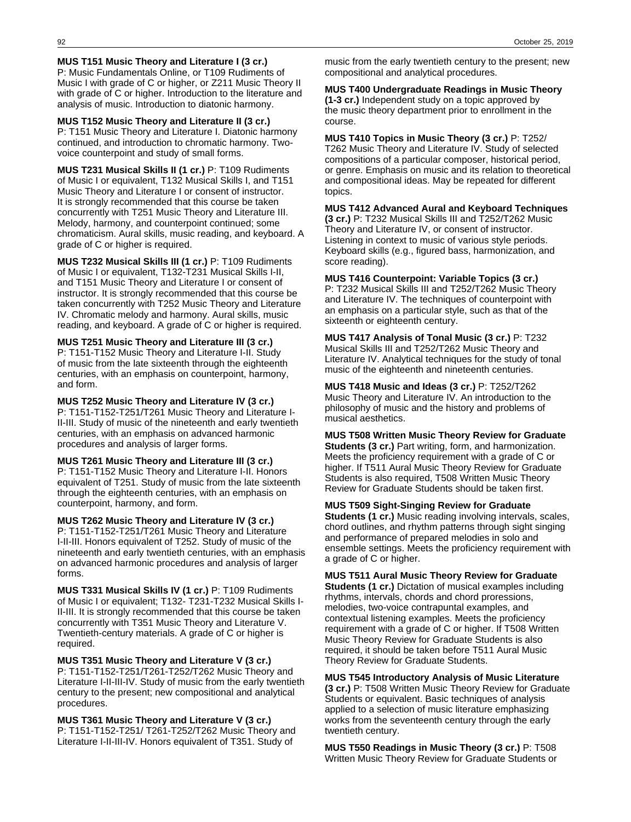**MUS T151 Music Theory and Literature I (3 cr.)** P: Music Fundamentals Online, or T109 Rudiments of Music I with grade of C or higher, or Z211 Music Theory II with grade of C or higher. Introduction to the literature and analysis of music. Introduction to diatonic harmony.

**MUS T152 Music Theory and Literature II (3 cr.)** P: T151 Music Theory and Literature I. Diatonic harmony continued, and introduction to chromatic harmony. Twovoice counterpoint and study of small forms.

**MUS T231 Musical Skills II (1 cr.)** P: T109 Rudiments of Music I or equivalent, T132 Musical Skills I, and T151 Music Theory and Literature I or consent of instructor. It is strongly recommended that this course be taken concurrently with T251 Music Theory and Literature III. Melody, harmony, and counterpoint continued; some chromaticism. Aural skills, music reading, and keyboard. A grade of C or higher is required.

**MUS T232 Musical Skills III (1 cr.)** P: T109 Rudiments of Music I or equivalent, T132-T231 Musical Skills I-II, and T151 Music Theory and Literature I or consent of instructor. It is strongly recommended that this course be taken concurrently with T252 Music Theory and Literature IV. Chromatic melody and harmony. Aural skills, music reading, and keyboard. A grade of C or higher is required.

### **MUS T251 Music Theory and Literature III (3 cr.)**

P: T151-T152 Music Theory and Literature I-II. Study of music from the late sixteenth through the eighteenth centuries, with an emphasis on counterpoint, harmony, and form.

**MUS T252 Music Theory and Literature IV (3 cr.)** P: T151-T152-T251/T261 Music Theory and Literature I-

II-III. Study of music of the nineteenth and early twentieth centuries, with an emphasis on advanced harmonic procedures and analysis of larger forms.

**MUS T261 Music Theory and Literature III (3 cr.)**

P: T151-T152 Music Theory and Literature I-II. Honors equivalent of T251. Study of music from the late sixteenth through the eighteenth centuries, with an emphasis on counterpoint, harmony, and form.

**MUS T262 Music Theory and Literature IV (3 cr.)** P: T151-T152-T251/T261 Music Theory and Literature I-II-III. Honors equivalent of T252. Study of music of the nineteenth and early twentieth centuries, with an emphasis on advanced harmonic procedures and analysis of larger forms.

**MUS T331 Musical Skills IV (1 cr.)** P: T109 Rudiments of Music I or equivalent; T132- T231-T232 Musical Skills I-II-III. It is strongly recommended that this course be taken concurrently with T351 Music Theory and Literature V. Twentieth-century materials. A grade of C or higher is required.

**MUS T351 Music Theory and Literature V (3 cr.)** P: T151-T152-T251/T261-T252/T262 Music Theory and Literature I-II-III-IV. Study of music from the early twentieth century to the present; new compositional and analytical procedures.

**MUS T361 Music Theory and Literature V (3 cr.)** P: T151-T152-T251/ T261-T252/T262 Music Theory and Literature I-II-III-IV. Honors equivalent of T351. Study of

music from the early twentieth century to the present; new compositional and analytical procedures.

**MUS T400 Undergraduate Readings in Music Theory (1-3 cr.)** Independent study on a topic approved by the music theory department prior to enrollment in the course.

**MUS T410 Topics in Music Theory (3 cr.)** P: T252/ T262 Music Theory and Literature IV. Study of selected compositions of a particular composer, historical period, or genre. Emphasis on music and its relation to theoretical and compositional ideas. May be repeated for different topics.

**MUS T412 Advanced Aural and Keyboard Techniques**

**(3 cr.)** P: T232 Musical Skills III and T252/T262 Music Theory and Literature IV, or consent of instructor. Listening in context to music of various style periods. Keyboard skills (e.g., figured bass, harmonization, and score reading).

**MUS T416 Counterpoint: Variable Topics (3 cr.)** P: T232 Musical Skills III and T252/T262 Music Theory and Literature IV. The techniques of counterpoint with an emphasis on a particular style, such as that of the sixteenth or eighteenth century.

**MUS T417 Analysis of Tonal Music (3 cr.)** P: T232 Musical Skills III and T252/T262 Music Theory and Literature IV. Analytical techniques for the study of tonal music of the eighteenth and nineteenth centuries.

**MUS T418 Music and Ideas (3 cr.)** P: T252/T262 Music Theory and Literature IV. An introduction to the philosophy of music and the history and problems of musical aesthetics.

**MUS T508 Written Music Theory Review for Graduate Students (3 cr.)** Part writing, form, and harmonization. Meets the proficiency requirement with a grade of C or higher. If T511 Aural Music Theory Review for Graduate Students is also required, T508 Written Music Theory Review for Graduate Students should be taken first.

**MUS T509 Sight-Singing Review for Graduate Students (1 cr.)** Music reading involving intervals, scales, chord outlines, and rhythm patterns through sight singing and performance of prepared melodies in solo and ensemble settings. Meets the proficiency requirement with a grade of C or higher.

**MUS T511 Aural Music Theory Review for Graduate Students (1 cr.)** Dictation of musical examples including rhythms, intervals, chords and chord proressions, melodies, two-voice contrapuntal examples, and contextual listening examples. Meets the proficiency requirement with a grade of C or higher. If T508 Written Music Theory Review for Graduate Students is also required, it should be taken before T511 Aural Music Theory Review for Graduate Students.

**MUS T545 Introductory Analysis of Music Literature (3 cr.)** P: T508 Written Music Theory Review for Graduate Students or equivalent. Basic techniques of analysis applied to a selection of music literature emphasizing works from the seventeenth century through the early twentieth century.

**MUS T550 Readings in Music Theory (3 cr.)** P: T508 Written Music Theory Review for Graduate Students or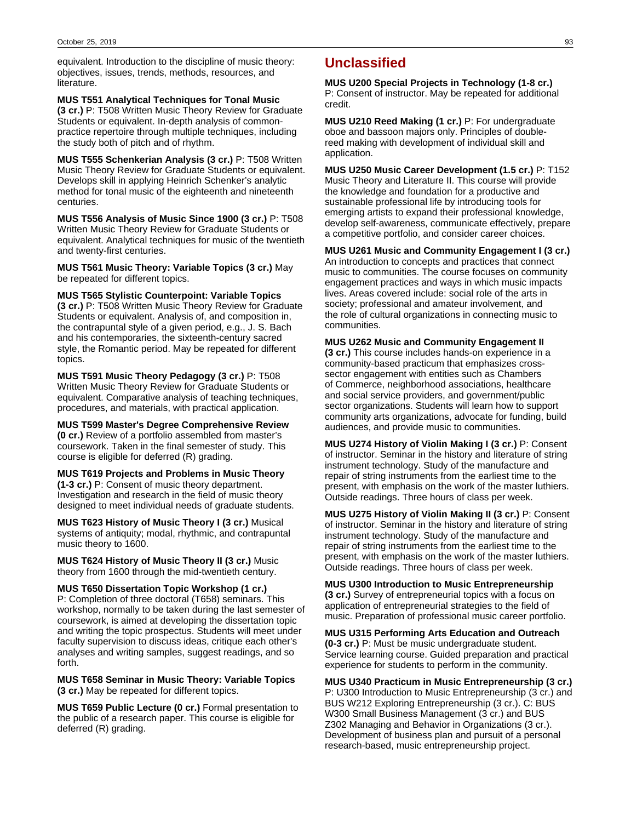equivalent. Introduction to the discipline of music theory: objectives, issues, trends, methods, resources, and literature.

**MUS T551 Analytical Techniques for Tonal Music (3 cr.)** P: T508 Written Music Theory Review for Graduate Students or equivalent. In-depth analysis of commonpractice repertoire through multiple techniques, including the study both of pitch and of rhythm.

**MUS T555 Schenkerian Analysis (3 cr.)** P: T508 Written Music Theory Review for Graduate Students or equivalent. Develops skill in applying Heinrich Schenker's analytic method for tonal music of the eighteenth and nineteenth centuries.

**MUS T556 Analysis of Music Since 1900 (3 cr.)** P: T508 Written Music Theory Review for Graduate Students or equivalent. Analytical techniques for music of the twentieth and twenty-first centuries.

**MUS T561 Music Theory: Variable Topics (3 cr.)** May be repeated for different topics.

**MUS T565 Stylistic Counterpoint: Variable Topics (3 cr.)** P: T508 Written Music Theory Review for Graduate Students or equivalent. Analysis of, and composition in, the contrapuntal style of a given period, e.g., J. S. Bach and his contemporaries, the sixteenth-century sacred style, the Romantic period. May be repeated for different topics.

**MUS T591 Music Theory Pedagogy (3 cr.)** P: T508 Written Music Theory Review for Graduate Students or equivalent. Comparative analysis of teaching techniques, procedures, and materials, with practical application.

**MUS T599 Master's Degree Comprehensive Review (0 cr.)** Review of a portfolio assembled from master's coursework. Taken in the final semester of study. This course is eligible for deferred (R) grading.

**MUS T619 Projects and Problems in Music Theory (1-3 cr.)** P: Consent of music theory department. Investigation and research in the field of music theory designed to meet individual needs of graduate students.

**MUS T623 History of Music Theory I (3 cr.)** Musical systems of antiquity; modal, rhythmic, and contrapuntal music theory to 1600.

**MUS T624 History of Music Theory II (3 cr.)** Music theory from 1600 through the mid-twentieth century.

**MUS T650 Dissertation Topic Workshop (1 cr.)** P: Completion of three doctoral (T658) seminars. This workshop, normally to be taken during the last semester of coursework, is aimed at developing the dissertation topic and writing the topic prospectus. Students will meet under faculty supervision to discuss ideas, critique each other's analyses and writing samples, suggest readings, and so forth.

**MUS T658 Seminar in Music Theory: Variable Topics (3 cr.)** May be repeated for different topics.

**MUS T659 Public Lecture (0 cr.)** Formal presentation to the public of a research paper. This course is eligible for deferred (R) grading.

# **Unclassified**

**MUS U200 Special Projects in Technology (1-8 cr.)** P: Consent of instructor. May be repeated for additional credit.

**MUS U210 Reed Making (1 cr.)** P: For undergraduate oboe and bassoon majors only. Principles of doublereed making with development of individual skill and application.

**MUS U250 Music Career Development (1.5 cr.)** P: T152 Music Theory and Literature II. This course will provide the knowledge and foundation for a productive and sustainable professional life by introducing tools for emerging artists to expand their professional knowledge, develop self-awareness, communicate effectively, prepare a competitive portfolio, and consider career choices.

**MUS U261 Music and Community Engagement I (3 cr.)** An introduction to concepts and practices that connect music to communities. The course focuses on community engagement practices and ways in which music impacts lives. Areas covered include: social role of the arts in society; professional and amateur involvement, and the role of cultural organizations in connecting music to communities.

**MUS U262 Music and Community Engagement II (3 cr.)** This course includes hands-on experience in a community-based practicum that emphasizes crosssector engagement with entities such as Chambers of Commerce, neighborhood associations, healthcare and social service providers, and government/public sector organizations. Students will learn how to support community arts organizations, advocate for funding, build audiences, and provide music to communities.

**MUS U274 History of Violin Making I (3 cr.)** P: Consent of instructor. Seminar in the history and literature of string instrument technology. Study of the manufacture and repair of string instruments from the earliest time to the present, with emphasis on the work of the master luthiers. Outside readings. Three hours of class per week.

**MUS U275 History of Violin Making II (3 cr.)** P: Consent of instructor. Seminar in the history and literature of string instrument technology. Study of the manufacture and repair of string instruments from the earliest time to the present, with emphasis on the work of the master luthiers. Outside readings. Three hours of class per week.

**MUS U300 Introduction to Music Entrepreneurship (3 cr.)** Survey of entrepreneurial topics with a focus on application of entrepreneurial strategies to the field of music. Preparation of professional music career portfolio.

**MUS U315 Performing Arts Education and Outreach (0-3 cr.)** P: Must be music undergraduate student. Service learning course. Guided preparation and practical experience for students to perform in the community.

**MUS U340 Practicum in Music Entrepreneurship (3 cr.)** P: U300 Introduction to Music Entrepreneurship (3 cr.) and BUS W212 Exploring Entrepreneurship (3 cr.). C: BUS W300 Small Business Management (3 cr.) and BUS Z302 Managing and Behavior in Organizations (3 cr.). Development of business plan and pursuit of a personal research-based, music entrepreneurship project.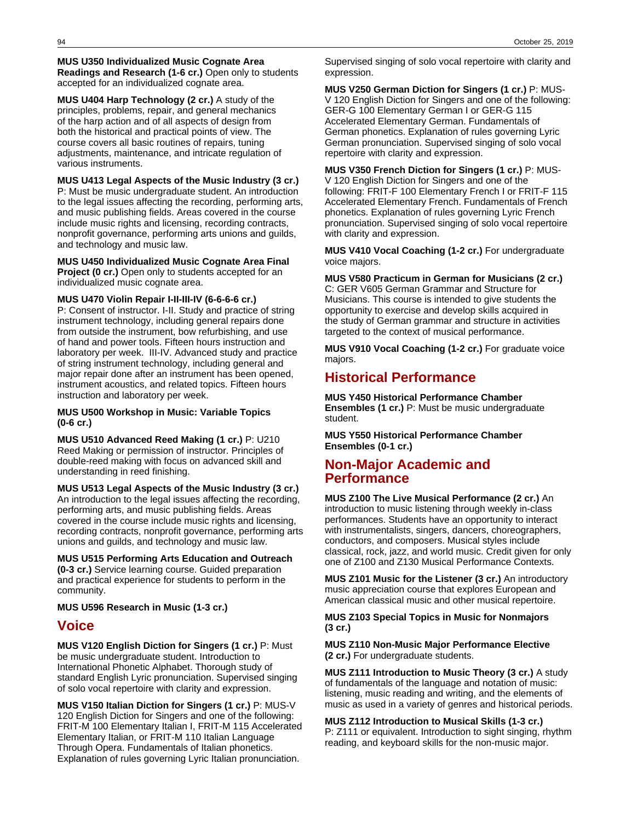**MUS U350 Individualized Music Cognate Area Readings and Research (1-6 cr.)** Open only to students accepted for an individualized cognate area.

**MUS U404 Harp Technology (2 cr.)** A study of the principles, problems, repair, and general mechanics of the harp action and of all aspects of design from both the historical and practical points of view. The course covers all basic routines of repairs, tuning adjustments, maintenance, and intricate regulation of various instruments.

**MUS U413 Legal Aspects of the Music Industry (3 cr.)**

P: Must be music undergraduate student. An introduction to the legal issues affecting the recording, performing arts, and music publishing fields. Areas covered in the course include music rights and licensing, recording contracts, nonprofit governance, performing arts unions and guilds, and technology and music law.

**MUS U450 Individualized Music Cognate Area Final Project (0 cr.)** Open only to students accepted for an individualized music cognate area.

### **MUS U470 Violin Repair I-II-III-IV (6-6-6-6 cr.)**

P: Consent of instructor. I-II. Study and practice of string instrument technology, including general repairs done from outside the instrument, bow refurbishing, and use of hand and power tools. Fifteen hours instruction and laboratory per week. III-IV. Advanced study and practice of string instrument technology, including general and major repair done after an instrument has been opened, instrument acoustics, and related topics. Fifteen hours instruction and laboratory per week.

#### **MUS U500 Workshop in Music: Variable Topics (0-6 cr.)**

**MUS U510 Advanced Reed Making (1 cr.)** P: U210 Reed Making or permission of instructor. Principles of double-reed making with focus on advanced skill and understanding in reed finishing.

**MUS U513 Legal Aspects of the Music Industry (3 cr.)** An introduction to the legal issues affecting the recording, performing arts, and music publishing fields. Areas covered in the course include music rights and licensing, recording contracts, nonprofit governance, performing arts unions and guilds, and technology and music law.

**MUS U515 Performing Arts Education and Outreach (0-3 cr.)** Service learning course. Guided preparation and practical experience for students to perform in the community.

**MUS U596 Research in Music (1-3 cr.)**

## **Voice**

**MUS V120 English Diction for Singers (1 cr.)** P: Must be music undergraduate student. Introduction to International Phonetic Alphabet. Thorough study of standard English Lyric pronunciation. Supervised singing of solo vocal repertoire with clarity and expression.

**MUS V150 Italian Diction for Singers (1 cr.)** P: MUS-V 120 English Diction for Singers and one of the following: FRIT-M 100 Elementary Italian I, FRIT-M 115 Accelerated Elementary Italian, or FRIT-M 110 Italian Language Through Opera. Fundamentals of Italian phonetics. Explanation of rules governing Lyric Italian pronunciation.

Supervised singing of solo vocal repertoire with clarity and expression.

**MUS V250 German Diction for Singers (1 cr.)** P: MUS-V 120 English Diction for Singers and one of the following: GER-G 100 Elementary German I or GER-G 115 Accelerated Elementary German. Fundamentals of German phonetics. Explanation of rules governing Lyric German pronunciation. Supervised singing of solo vocal repertoire with clarity and expression.

**MUS V350 French Diction for Singers (1 cr.)** P: MUS-V 120 English Diction for Singers and one of the following: FRIT-F 100 Elementary French I or FRIT-F 115 Accelerated Elementary French. Fundamentals of French phonetics. Explanation of rules governing Lyric French pronunciation. Supervised singing of solo vocal repertoire with clarity and expression.

**MUS V410 Vocal Coaching (1-2 cr.)** For undergraduate voice majors.

### **MUS V580 Practicum in German for Musicians (2 cr.)**

C: GER V605 German Grammar and Structure for Musicians. This course is intended to give students the opportunity to exercise and develop skills acquired in the study of German grammar and structure in activities targeted to the context of musical performance.

**MUS V910 Vocal Coaching (1-2 cr.)** For graduate voice majors.

## **Historical Performance**

**MUS Y450 Historical Performance Chamber Ensembles (1 cr.)** P: Must be music undergraduate student.

**MUS Y550 Historical Performance Chamber Ensembles (0-1 cr.)**

## **Non-Major Academic and Performance**

**MUS Z100 The Live Musical Performance (2 cr.)** An introduction to music listening through weekly in-class performances. Students have an opportunity to interact with instrumentalists, singers, dancers, choreographers, conductors, and composers. Musical styles include classical, rock, jazz, and world music. Credit given for only one of Z100 and Z130 Musical Performance Contexts.

**MUS Z101 Music for the Listener (3 cr.)** An introductory music appreciation course that explores European and American classical music and other musical repertoire.

**MUS Z103 Special Topics in Music for Nonmajors (3 cr.)**

**MUS Z110 Non-Music Major Performance Elective (2 cr.)** For undergraduate students.

**MUS Z111 Introduction to Music Theory (3 cr.)** A study of fundamentals of the language and notation of music: listening, music reading and writing, and the elements of music as used in a variety of genres and historical periods.

**MUS Z112 Introduction to Musical Skills (1-3 cr.)** P: Z111 or equivalent. Introduction to sight singing, rhythm reading, and keyboard skills for the non-music major.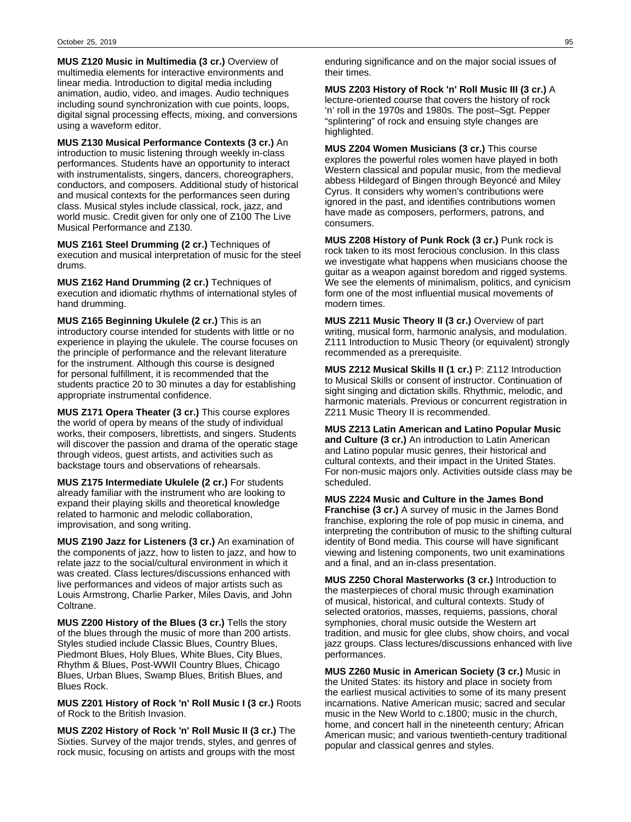**MUS Z120 Music in Multimedia (3 cr.)** Overview of multimedia elements for interactive environments and linear media. Introduction to digital media including animation, audio, video, and images. Audio techniques including sound synchronization with cue points, loops, digital signal processing effects, mixing, and conversions using a waveform editor.

**MUS Z130 Musical Performance Contexts (3 cr.)** An introduction to music listening through weekly in-class performances. Students have an opportunity to interact with instrumentalists, singers, dancers, choreographers, conductors, and composers. Additional study of historical and musical contexts for the performances seen during class. Musical styles include classical, rock, jazz, and world music. Credit given for only one of Z100 The Live Musical Performance and Z130.

**MUS Z161 Steel Drumming (2 cr.)** Techniques of execution and musical interpretation of music for the steel drums.

**MUS Z162 Hand Drumming (2 cr.)** Techniques of execution and idiomatic rhythms of international styles of hand drumming.

**MUS Z165 Beginning Ukulele (2 cr.)** This is an introductory course intended for students with little or no experience in playing the ukulele. The course focuses on the principle of performance and the relevant literature for the instrument. Although this course is designed for personal fulfillment, it is recommended that the students practice 20 to 30 minutes a day for establishing appropriate instrumental confidence.

**MUS Z171 Opera Theater (3 cr.)** This course explores the world of opera by means of the study of individual works, their composers, librettists, and singers. Students will discover the passion and drama of the operatic stage through videos, guest artists, and activities such as backstage tours and observations of rehearsals.

**MUS Z175 Intermediate Ukulele (2 cr.)** For students already familiar with the instrument who are looking to expand their playing skills and theoretical knowledge related to harmonic and melodic collaboration, improvisation, and song writing.

**MUS Z190 Jazz for Listeners (3 cr.)** An examination of the components of jazz, how to listen to jazz, and how to relate jazz to the social/cultural environment in which it was created. Class lectures/discussions enhanced with live performances and videos of major artists such as Louis Armstrong, Charlie Parker, Miles Davis, and John Coltrane.

**MUS Z200 History of the Blues (3 cr.)** Tells the story of the blues through the music of more than 200 artists. Styles studied include Classic Blues, Country Blues, Piedmont Blues, Holy Blues, White Blues, City Blues, Rhythm & Blues, Post-WWII Country Blues, Chicago Blues, Urban Blues, Swamp Blues, British Blues, and Blues Rock.

**MUS Z201 History of Rock 'n' Roll Music I (3 cr.)** Roots of Rock to the British Invasion.

**MUS Z202 History of Rock 'n' Roll Music II (3 cr.)** The Sixties. Survey of the major trends, styles, and genres of rock music, focusing on artists and groups with the most

enduring significance and on the major social issues of their times.

**MUS Z203 History of Rock 'n' Roll Music III (3 cr.)** A lecture-oriented course that covers the history of rock 'n' roll in the 1970s and 1980s. The post–Sgt. Pepper "splintering" of rock and ensuing style changes are highlighted.

**MUS Z204 Women Musicians (3 cr.)** This course explores the powerful roles women have played in both Western classical and popular music, from the medieval abbess Hildegard of Bingen through Beyoncé and Miley Cyrus. It considers why women's contributions were ignored in the past, and identifies contributions women have made as composers, performers, patrons, and consumers.

**MUS Z208 History of Punk Rock (3 cr.)** Punk rock is rock taken to its most ferocious conclusion. In this class we investigate what happens when musicians choose the guitar as a weapon against boredom and rigged systems. We see the elements of minimalism, politics, and cynicism form one of the most influential musical movements of modern times.

**MUS Z211 Music Theory II (3 cr.)** Overview of part writing, musical form, harmonic analysis, and modulation. Z111 Introduction to Music Theory (or equivalent) strongly recommended as a prerequisite.

**MUS Z212 Musical Skills II (1 cr.)** P: Z112 Introduction to Musical Skills or consent of instructor. Continuation of sight singing and dictation skills. Rhythmic, melodic, and harmonic materials. Previous or concurrent registration in Z211 Music Theory II is recommended.

**MUS Z213 Latin American and Latino Popular Music and Culture (3 cr.)** An introduction to Latin American and Latino popular music genres, their historical and cultural contexts, and their impact in the United States. For non-music majors only. Activities outside class may be scheduled.

**MUS Z224 Music and Culture in the James Bond Franchise (3 cr.)** A survey of music in the James Bond franchise, exploring the role of pop music in cinema, and interpreting the contribution of music to the shifting cultural identity of Bond media. This course will have significant viewing and listening components, two unit examinations and a final, and an in-class presentation.

**MUS Z250 Choral Masterworks (3 cr.)** Introduction to the masterpieces of choral music through examination of musical, historical, and cultural contexts. Study of selected oratorios, masses, requiems, passions, choral symphonies, choral music outside the Western art tradition, and music for glee clubs, show choirs, and vocal jazz groups. Class lectures/discussions enhanced with live performances.

**MUS Z260 Music in American Society (3 cr.)** Music in the United States: its history and place in society from the earliest musical activities to some of its many present incarnations. Native American music; sacred and secular music in the New World to c.1800; music in the church, home, and concert hall in the nineteenth century; African American music; and various twentieth-century traditional popular and classical genres and styles.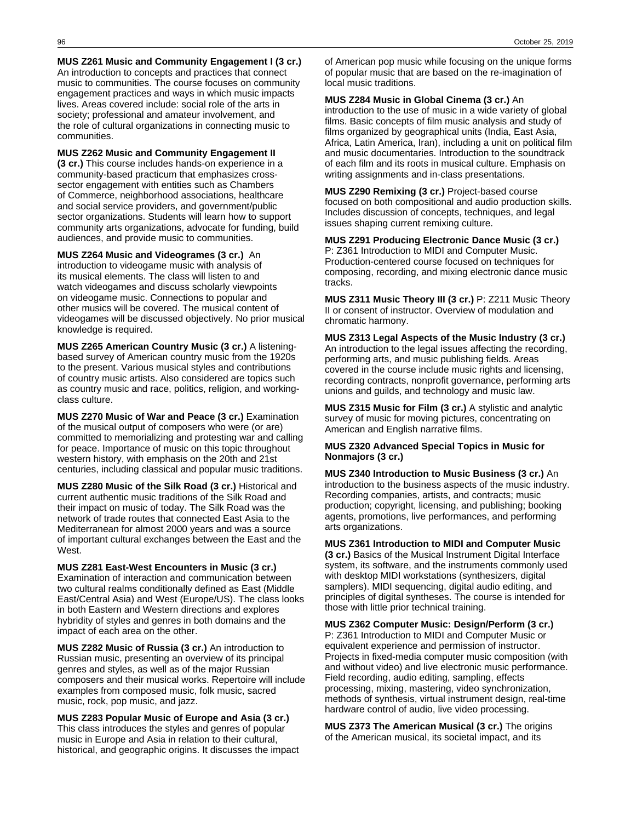**MUS Z261 Music and Community Engagement I (3 cr.)** An introduction to concepts and practices that connect music to communities. The course focuses on community engagement practices and ways in which music impacts lives. Areas covered include: social role of the arts in society; professional and amateur involvement, and the role of cultural organizations in connecting music to communities.

**MUS Z262 Music and Community Engagement II (3 cr.)** This course includes hands-on experience in a community-based practicum that emphasizes crosssector engagement with entities such as Chambers of Commerce, neighborhood associations, healthcare and social service providers, and government/public sector organizations. Students will learn how to support community arts organizations, advocate for funding, build audiences, and provide music to communities.

**MUS Z264 Music and Videogrames (3 cr.)** An introduction to videogame music with analysis of its musical elements. The class will listen to and watch videogames and discuss scholarly viewpoints on videogame music. Connections to popular and other musics will be covered. The musical content of videogames will be discussed objectively. No prior musical knowledge is required.

**MUS Z265 American Country Music (3 cr.)** A listeningbased survey of American country music from the 1920s to the present. Various musical styles and contributions of country music artists. Also considered are topics such as country music and race, politics, religion, and workingclass culture.

**MUS Z270 Music of War and Peace (3 cr.)** Examination of the musical output of composers who were (or are) committed to memorializing and protesting war and calling for peace. Importance of music on this topic throughout western history, with emphasis on the 20th and 21st centuries, including classical and popular music traditions.

**MUS Z280 Music of the Silk Road (3 cr.)** Historical and current authentic music traditions of the Silk Road and their impact on music of today. The Silk Road was the network of trade routes that connected East Asia to the Mediterranean for almost 2000 years and was a source of important cultural exchanges between the East and the West.

**MUS Z281 East-West Encounters in Music (3 cr.)** Examination of interaction and communication between two cultural realms conditionally defined as East (Middle East/Central Asia) and West (Europe/US). The class looks in both Eastern and Western directions and explores hybridity of styles and genres in both domains and the impact of each area on the other.

**MUS Z282 Music of Russia (3 cr.)** An introduction to Russian music, presenting an overview of its principal genres and styles, as well as of the major Russian composers and their musical works. Repertoire will include examples from composed music, folk music, sacred music, rock, pop music, and jazz.

**MUS Z283 Popular Music of Europe and Asia (3 cr.)** This class introduces the styles and genres of popular music in Europe and Asia in relation to their cultural, historical, and geographic origins. It discusses the impact

of American pop music while focusing on the unique forms of popular music that are based on the re-imagination of local music traditions.

**MUS Z284 Music in Global Cinema (3 cr.)** An introduction to the use of music in a wide variety of global films. Basic concepts of film music analysis and study of films organized by geographical units (India, East Asia, Africa, Latin America, Iran), including a unit on political film and music documentaries. Introduction to the soundtrack of each film and its roots in musical culture. Emphasis on writing assignments and in-class presentations.

**MUS Z290 Remixing (3 cr.)** Project-based course focused on both compositional and audio production skills. Includes discussion of concepts, techniques, and legal issues shaping current remixing culture.

**MUS Z291 Producing Electronic Dance Music (3 cr.)** P: Z361 Introduction to MIDI and Computer Music. Production-centered course focused on techniques for composing, recording, and mixing electronic dance music tracks.

**MUS Z311 Music Theory III (3 cr.)** P: Z211 Music Theory II or consent of instructor. Overview of modulation and chromatic harmony.

**MUS Z313 Legal Aspects of the Music Industry (3 cr.)** An introduction to the legal issues affecting the recording, performing arts, and music publishing fields. Areas covered in the course include music rights and licensing, recording contracts, nonprofit governance, performing arts unions and guilds, and technology and music law.

**MUS Z315 Music for Film (3 cr.)** A stylistic and analytic survey of music for moving pictures, concentrating on American and English narrative films.

### **MUS Z320 Advanced Special Topics in Music for Nonmajors (3 cr.)**

**MUS Z340 Introduction to Music Business (3 cr.)** An introduction to the business aspects of the music industry. Recording companies, artists, and contracts; music production; copyright, licensing, and publishing; booking agents, promotions, live performances, and performing arts organizations.

**MUS Z361 Introduction to MIDI and Computer Music (3 cr.)** Basics of the Musical Instrument Digital Interface system, its software, and the instruments commonly used with desktop MIDI workstations (synthesizers, digital samplers). MIDI sequencing, digital audio editing, and principles of digital syntheses. The course is intended for those with little prior technical training.

**MUS Z362 Computer Music: Design/Perform (3 cr.)** P: Z361 Introduction to MIDI and Computer Music or equivalent experience and permission of instructor. Projects in fixed-media computer music composition (with and without video) and live electronic music performance. Field recording, audio editing, sampling, effects processing, mixing, mastering, video synchronization, methods of synthesis, virtual instrument design, real-time hardware control of audio, live video processing.

**MUS Z373 The American Musical (3 cr.)** The origins of the American musical, its societal impact, and its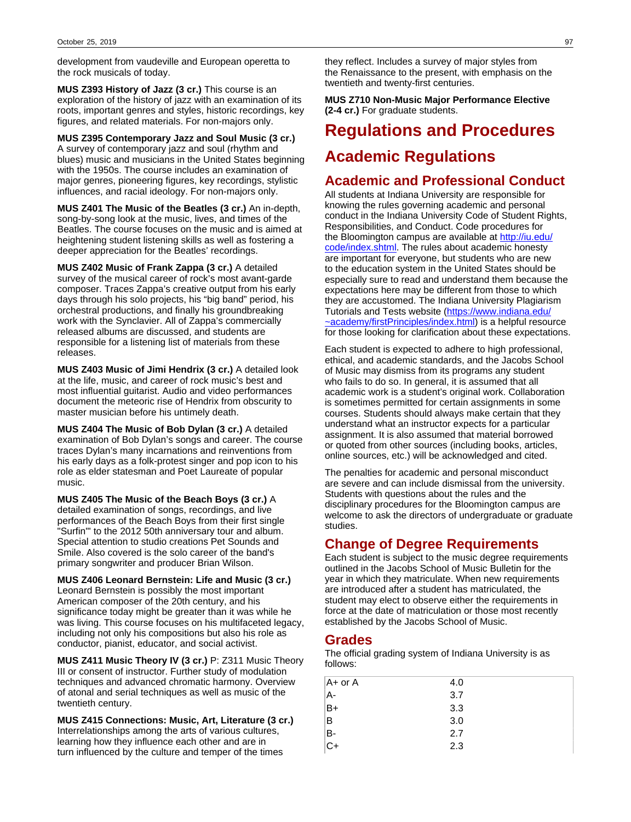development from vaudeville and European operetta to the rock musicals of today.

**MUS Z393 History of Jazz (3 cr.)** This course is an exploration of the history of jazz with an examination of its roots, important genres and styles, historic recordings, key figures, and related materials. For non-majors only.

**MUS Z395 Contemporary Jazz and Soul Music (3 cr.)** A survey of contemporary jazz and soul (rhythm and blues) music and musicians in the United States beginning with the 1950s. The course includes an examination of major genres, pioneering figures, key recordings, stylistic influences, and racial ideology. For non-majors only.

**MUS Z401 The Music of the Beatles (3 cr.)** An in-depth, song-by-song look at the music, lives, and times of the Beatles. The course focuses on the music and is aimed at heightening student listening skills as well as fostering a deeper appreciation for the Beatles' recordings.

**MUS Z402 Music of Frank Zappa (3 cr.)** A detailed survey of the musical career of rock's most avant-garde composer. Traces Zappa's creative output from his early days through his solo projects, his "big band" period, his orchestral productions, and finally his groundbreaking work with the Synclavier. All of Zappa's commercially released albums are discussed, and students are responsible for a listening list of materials from these releases.

**MUS Z403 Music of Jimi Hendrix (3 cr.)** A detailed look at the life, music, and career of rock music's best and most influential guitarist. Audio and video performances document the meteoric rise of Hendrix from obscurity to master musician before his untimely death.

**MUS Z404 The Music of Bob Dylan (3 cr.)** A detailed examination of Bob Dylan's songs and career. The course traces Dylan's many incarnations and reinventions from his early days as a folk-protest singer and pop icon to his role as elder statesman and Poet Laureate of popular music.

**MUS Z405 The Music of the Beach Boys (3 cr.)** A detailed examination of songs, recordings, and live performances of the Beach Boys from their first single "Surfin'" to the 2012 50th anniversary tour and album. Special attention to studio creations Pet Sounds and Smile. Also covered is the solo career of the band's primary songwriter and producer Brian Wilson.

**MUS Z406 Leonard Bernstein: Life and Music (3 cr.)** Leonard Bernstein is possibly the most important American composer of the 20th century, and his significance today might be greater than it was while he was living. This course focuses on his multifaceted legacy, including not only his compositions but also his role as conductor, pianist, educator, and social activist.

**MUS Z411 Music Theory IV (3 cr.)** P: Z311 Music Theory III or consent of instructor. Further study of modulation techniques and advanced chromatic harmony. Overview of atonal and serial techniques as well as music of the twentieth century.

**MUS Z415 Connections: Music, Art, Literature (3 cr.)** Interrelationships among the arts of various cultures, learning how they influence each other and are in turn influenced by the culture and temper of the times

they reflect. Includes a survey of major styles from the Renaissance to the present, with emphasis on the twentieth and twenty-first centuries.

**MUS Z710 Non-Music Major Performance Elective (2-4 cr.)** For graduate students.

# **Regulations and Procedures Academic Regulations**

## **Academic and Professional Conduct**

All students at Indiana University are responsible for knowing the rules governing academic and personal conduct in the Indiana University Code of Student Rights, Responsibilities, and Conduct. Code procedures for the Bloomington campus are available at [http://iu.edu/](http://www.iu.edu/~code/index.shtml) [code/index.shtml.](http://www.iu.edu/~code/index.shtml) The rules about academic honesty are important for everyone, but students who are new to the education system in the United States should be especially sure to read and understand them because the expectations here may be different from those to which they are accustomed. The Indiana University Plagiarism Tutorials and Tests website [\(https://www.indiana.edu/](https://www.indiana.edu/~academy/firstPrinciples/index.html) [~academy/firstPrinciples/index.html](https://www.indiana.edu/~academy/firstPrinciples/index.html)) is a helpful resource for those looking for clarification about these expectations.

Each student is expected to adhere to high professional, ethical, and academic standards, and the Jacobs School of Music may dismiss from its programs any student who fails to do so. In general, it is assumed that all academic work is a student's original work. Collaboration is sometimes permitted for certain assignments in some courses. Students should always make certain that they understand what an instructor expects for a particular assignment. It is also assumed that material borrowed or quoted from other sources (including books, articles, online sources, etc.) will be acknowledged and cited.

The penalties for academic and personal misconduct are severe and can include dismissal from the university. Students with questions about the rules and the disciplinary procedures for the Bloomington campus are welcome to ask the directors of undergraduate or graduate studies.

## **Change of Degree Requirements**

Each student is subject to the music degree requirements outlined in the Jacobs School of Music Bulletin for the year in which they matriculate. When new requirements are introduced after a student has matriculated, the student may elect to observe either the requirements in force at the date of matriculation or those most recently established by the Jacobs School of Music.

## **Grades**

The official grading system of Indiana University is as follows:

| ∣A+ or A | 4.0 |
|----------|-----|
| A-       | 3.7 |
| $B+$     | 3.3 |
|          | 3.0 |
| B-<br>C+ | 2.7 |
|          | 2.3 |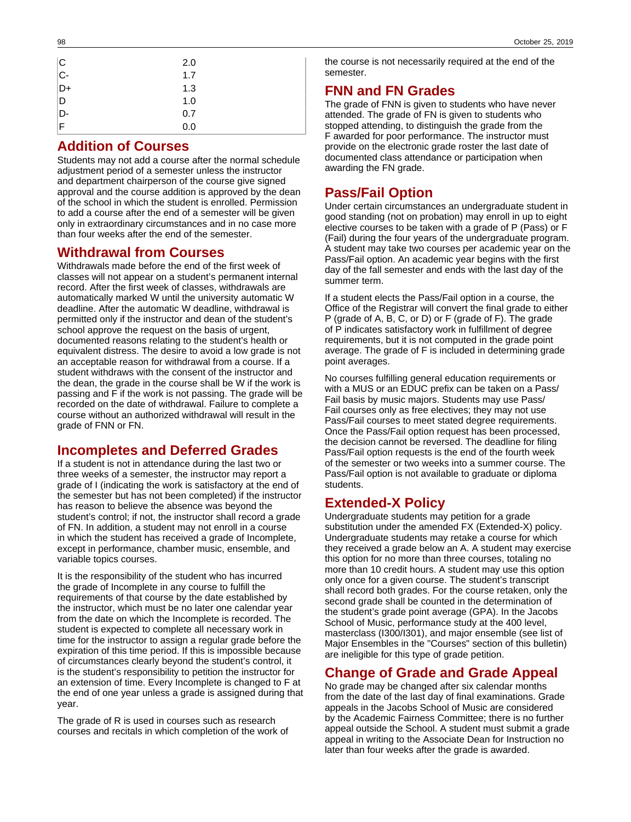|                         | 2.0 |  |
|-------------------------|-----|--|
| $\Big _{\rm C}^{\rm C}$ | 1.7 |  |
| $\overline{D}$          | 1.3 |  |
| D                       | 1.0 |  |
| D-                      | 0.7 |  |
| F                       | 0.0 |  |

## **Addition of Courses**

Students may not add a course after the normal schedule adjustment period of a semester unless the instructor and department chairperson of the course give signed approval and the course addition is approved by the dean of the school in which the student is enrolled. Permission to add a course after the end of a semester will be given only in extraordinary circumstances and in no case more than four weeks after the end of the semester.

# **Withdrawal from Courses**

Withdrawals made before the end of the first week of classes will not appear on a student's permanent internal record. After the first week of classes, withdrawals are automatically marked W until the university automatic W deadline. After the automatic W deadline, withdrawal is permitted only if the instructor and dean of the student's school approve the request on the basis of urgent, documented reasons relating to the student's health or equivalent distress. The desire to avoid a low grade is not an acceptable reason for withdrawal from a course. If a student withdraws with the consent of the instructor and the dean, the grade in the course shall be W if the work is passing and F if the work is not passing. The grade will be recorded on the date of withdrawal. Failure to complete a course without an authorized withdrawal will result in the grade of FNN or FN.

# **Incompletes and Deferred Grades**

If a student is not in attendance during the last two or three weeks of a semester, the instructor may report a grade of I (indicating the work is satisfactory at the end of the semester but has not been completed) if the instructor has reason to believe the absence was beyond the student's control; if not, the instructor shall record a grade of FN. In addition, a student may not enroll in a course in which the student has received a grade of Incomplete, except in performance, chamber music, ensemble, and variable topics courses.

It is the responsibility of the student who has incurred the grade of Incomplete in any course to fulfill the requirements of that course by the date established by the instructor, which must be no later one calendar year from the date on which the Incomplete is recorded. The student is expected to complete all necessary work in time for the instructor to assign a regular grade before the expiration of this time period. If this is impossible because of circumstances clearly beyond the student's control, it is the student's responsibility to petition the instructor for an extension of time. Every Incomplete is changed to F at the end of one year unless a grade is assigned during that year.

The grade of R is used in courses such as research courses and recitals in which completion of the work of the course is not necessarily required at the end of the semester.

# **FNN and FN Grades**

The grade of FNN is given to students who have never attended. The grade of FN is given to students who stopped attending, to distinguish the grade from the F awarded for poor performance. The instructor must provide on the electronic grade roster the last date of documented class attendance or participation when awarding the FN grade.

# **Pass/Fail Option**

Under certain circumstances an undergraduate student in good standing (not on probation) may enroll in up to eight elective courses to be taken with a grade of P (Pass) or F (Fail) during the four years of the undergraduate program. A student may take two courses per academic year on the Pass/Fail option. An academic year begins with the first day of the fall semester and ends with the last day of the summer term.

If a student elects the Pass/Fail option in a course, the Office of the Registrar will convert the final grade to either P (grade of A, B, C, or D) or F (grade of F). The grade of P indicates satisfactory work in fulfillment of degree requirements, but it is not computed in the grade point average. The grade of F is included in determining grade point averages.

No courses fulfilling general education requirements or with a MUS or an EDUC prefix can be taken on a Pass/ Fail basis by music majors. Students may use Pass/ Fail courses only as free electives; they may not use Pass/Fail courses to meet stated degree requirements. Once the Pass/Fail option request has been processed, the decision cannot be reversed. The deadline for filing Pass/Fail option requests is the end of the fourth week of the semester or two weeks into a summer course. The Pass/Fail option is not available to graduate or diploma students.

# **Extended-X Policy**

Undergraduate students may petition for a grade substitution under the amended FX (Extended-X) policy. Undergraduate students may retake a course for which they received a grade below an A. A student may exercise this option for no more than three courses, totaling no more than 10 credit hours. A student may use this option only once for a given course. The student's transcript shall record both grades. For the course retaken, only the second grade shall be counted in the determination of the student's grade point average (GPA). In the Jacobs School of Music, performance study at the 400 level, masterclass (I300/I301), and major ensemble (see list of Major Ensembles in the "Courses" section of this bulletin) are ineligible for this type of grade petition.

# **Change of Grade and Grade Appeal**

No grade may be changed after six calendar months from the date of the last day of final examinations. Grade appeals in the Jacobs School of Music are considered by the Academic Fairness Committee; there is no further appeal outside the School. A student must submit a grade appeal in writing to the Associate Dean for Instruction no later than four weeks after the grade is awarded.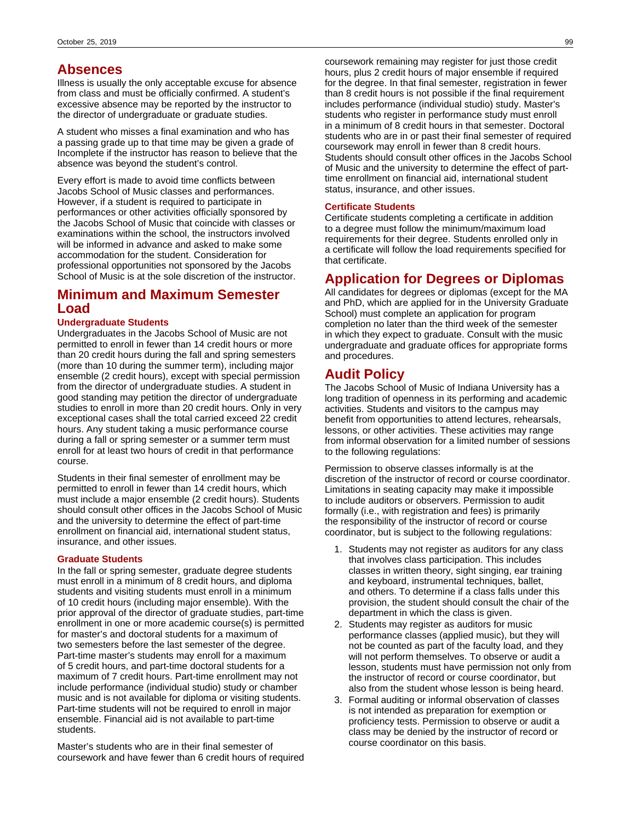## **Absences**

Illness is usually the only acceptable excuse for absence from class and must be officially confirmed. A student's excessive absence may be reported by the instructor to the director of undergraduate or graduate studies.

A student who misses a final examination and who has a passing grade up to that time may be given a grade of Incomplete if the instructor has reason to believe that the absence was beyond the student's control.

Every effort is made to avoid time conflicts between Jacobs School of Music classes and performances. However, if a student is required to participate in performances or other activities officially sponsored by the Jacobs School of Music that coincide with classes or examinations within the school, the instructors involved will be informed in advance and asked to make some accommodation for the student. Consideration for professional opportunities not sponsored by the Jacobs School of Music is at the sole discretion of the instructor.

## **Minimum and Maximum Semester Load**

#### **Undergraduate Students**

Undergraduates in the Jacobs School of Music are not permitted to enroll in fewer than 14 credit hours or more than 20 credit hours during the fall and spring semesters (more than 10 during the summer term), including major ensemble (2 credit hours), except with special permission from the director of undergraduate studies. A student in good standing may petition the director of undergraduate studies to enroll in more than 20 credit hours. Only in very exceptional cases shall the total carried exceed 22 credit hours. Any student taking a music performance course during a fall or spring semester or a summer term must enroll for at least two hours of credit in that performance course.

Students in their final semester of enrollment may be permitted to enroll in fewer than 14 credit hours, which must include a major ensemble (2 credit hours). Students should consult other offices in the Jacobs School of Music and the university to determine the effect of part-time enrollment on financial aid, international student status, insurance, and other issues.

#### **Graduate Students**

In the fall or spring semester, graduate degree students must enroll in a minimum of 8 credit hours, and diploma students and visiting students must enroll in a minimum of 10 credit hours (including major ensemble). With the prior approval of the director of graduate studies, part-time enrollment in one or more academic course(s) is permitted for master's and doctoral students for a maximum of two semesters before the last semester of the degree. Part-time master's students may enroll for a maximum of 5 credit hours, and part-time doctoral students for a maximum of 7 credit hours. Part-time enrollment may not include performance (individual studio) study or chamber music and is not available for diploma or visiting students. Part-time students will not be required to enroll in major ensemble. Financial aid is not available to part-time students.

Master's students who are in their final semester of coursework and have fewer than 6 credit hours of required

coursework remaining may register for just those credit hours, plus 2 credit hours of major ensemble if required for the degree. In that final semester, registration in fewer than 8 credit hours is not possible if the final requirement includes performance (individual studio) study. Master's students who register in performance study must enroll in a minimum of 8 credit hours in that semester. Doctoral students who are in or past their final semester of required coursework may enroll in fewer than 8 credit hours. Students should consult other offices in the Jacobs School of Music and the university to determine the effect of parttime enrollment on financial aid, international student status, insurance, and other issues.

#### **Certificate Students**

Certificate students completing a certificate in addition to a degree must follow the minimum/maximum load requirements for their degree. Students enrolled only in a certificate will follow the load requirements specified for that certificate.

## **Application for Degrees or Diplomas**

All candidates for degrees or diplomas (except for the MA and PhD, which are applied for in the University Graduate School) must complete an application for program completion no later than the third week of the semester in which they expect to graduate. Consult with the music undergraduate and graduate offices for appropriate forms and procedures.

## **Audit Policy**

The Jacobs School of Music of Indiana University has a long tradition of openness in its performing and academic activities. Students and visitors to the campus may benefit from opportunities to attend lectures, rehearsals, lessons, or other activities. These activities may range from informal observation for a limited number of sessions to the following regulations:

Permission to observe classes informally is at the discretion of the instructor of record or course coordinator. Limitations in seating capacity may make it impossible to include auditors or observers. Permission to audit formally (i.e., with registration and fees) is primarily the responsibility of the instructor of record or course coordinator, but is subject to the following regulations:

- 1. Students may not register as auditors for any class that involves class participation. This includes classes in written theory, sight singing, ear training and keyboard, instrumental techniques, ballet, and others. To determine if a class falls under this provision, the student should consult the chair of the department in which the class is given.
- 2. Students may register as auditors for music performance classes (applied music), but they will not be counted as part of the faculty load, and they will not perform themselves. To observe or audit a lesson, students must have permission not only from the instructor of record or course coordinator, but also from the student whose lesson is being heard.
- 3. Formal auditing or informal observation of classes is not intended as preparation for exemption or proficiency tests. Permission to observe or audit a class may be denied by the instructor of record or course coordinator on this basis.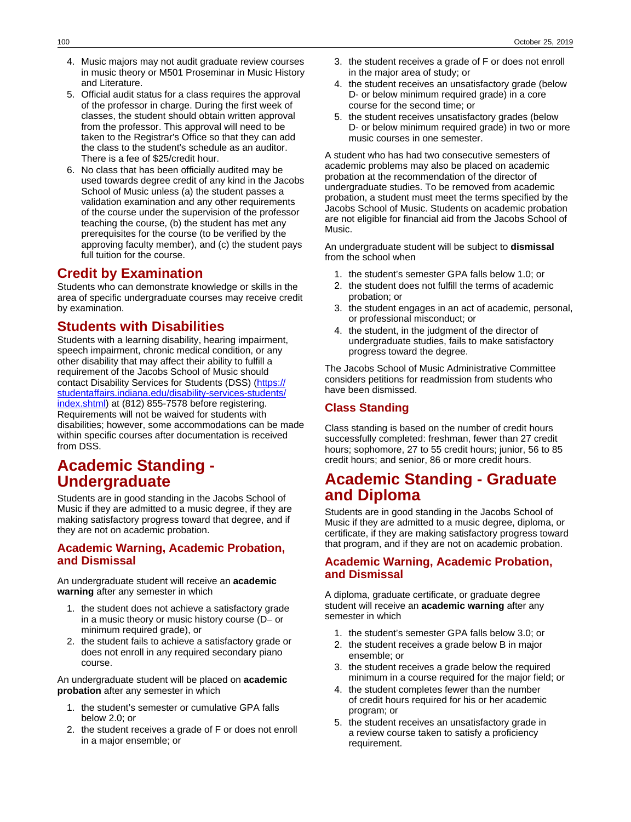- 4. Music majors may not audit graduate review courses in music theory or M501 Proseminar in Music History and Literature.
- 5. Official audit status for a class requires the approval of the professor in charge. During the first week of classes, the student should obtain written approval from the professor. This approval will need to be taken to the Registrar's Office so that they can add the class to the student's schedule as an auditor. There is a fee of \$25/credit hour.
- 6. No class that has been officially audited may be used towards degree credit of any kind in the Jacobs School of Music unless (a) the student passes a validation examination and any other requirements of the course under the supervision of the professor teaching the course, (b) the student has met any prerequisites for the course (to be verified by the approving faculty member), and (c) the student pays full tuition for the course.

## **Credit by Examination**

Students who can demonstrate knowledge or skills in the area of specific undergraduate courses may receive credit by examination.

## **Students with Disabilities**

Students with a learning disability, hearing impairment, speech impairment, chronic medical condition, or any other disability that may affect their ability to fulfill a requirement of the Jacobs School of Music should contact Disability Services for Students (DSS) [\(https://](https://studentaffairs.indiana.edu/disability-services-students/index.shtml) [studentaffairs.indiana.edu/disability-services-students/](https://studentaffairs.indiana.edu/disability-services-students/index.shtml) [index.shtml\)](https://studentaffairs.indiana.edu/disability-services-students/index.shtml) at (812) 855-7578 before registering. Requirements will not be waived for students with disabilities; however, some accommodations can be made within specific courses after documentation is received from DSS.

# **Academic Standing - Undergraduate**

Students are in good standing in the Jacobs School of Music if they are admitted to a music degree, if they are making satisfactory progress toward that degree, and if they are not on academic probation.

### **Academic Warning, Academic Probation, and Dismissal**

An undergraduate student will receive an **academic warning** after any semester in which

- 1. the student does not achieve a satisfactory grade in a music theory or music history course (D– or minimum required grade), or
- 2. the student fails to achieve a satisfactory grade or does not enroll in any required secondary piano course.

An undergraduate student will be placed on **academic probation** after any semester in which

- 1. the student's semester or cumulative GPA falls below 2.0; or
- 2. the student receives a grade of F or does not enroll in a major ensemble; or
- 3. the student receives a grade of F or does not enroll in the major area of study; or
- 4. the student receives an unsatisfactory grade (below D- or below minimum required grade) in a core course for the second time; or
- 5. the student receives unsatisfactory grades (below D- or below minimum required grade) in two or more music courses in one semester.

A student who has had two consecutive semesters of academic problems may also be placed on academic probation at the recommendation of the director of undergraduate studies. To be removed from academic probation, a student must meet the terms specified by the Jacobs School of Music. Students on academic probation are not eligible for financial aid from the Jacobs School of Music.

An undergraduate student will be subject to **dismissal** from the school when

- 1. the student's semester GPA falls below 1.0; or
- 2. the student does not fulfill the terms of academic probation; or
- 3. the student engages in an act of academic, personal, or professional misconduct; or
- 4. the student, in the judgment of the director of undergraduate studies, fails to make satisfactory progress toward the degree.

The Jacobs School of Music Administrative Committee considers petitions for readmission from students who have been dismissed.

## **Class Standing**

Class standing is based on the number of credit hours successfully completed: freshman, fewer than 27 credit hours; sophomore, 27 to 55 credit hours; junior, 56 to 85 credit hours; and senior, 86 or more credit hours.

# **Academic Standing - Graduate and Diploma**

Students are in good standing in the Jacobs School of Music if they are admitted to a music degree, diploma, or certificate, if they are making satisfactory progress toward that program, and if they are not on academic probation.

## **Academic Warning, Academic Probation, and Dismissal**

A diploma, graduate certificate, or graduate degree student will receive an **academic warning** after any semester in which

- 1. the student's semester GPA falls below 3.0; or
- 2. the student receives a grade below B in major ensemble; or
- 3. the student receives a grade below the required minimum in a course required for the major field; or
- 4. the student completes fewer than the number of credit hours required for his or her academic program; or
- 5. the student receives an unsatisfactory grade in a review course taken to satisfy a proficiency requirement.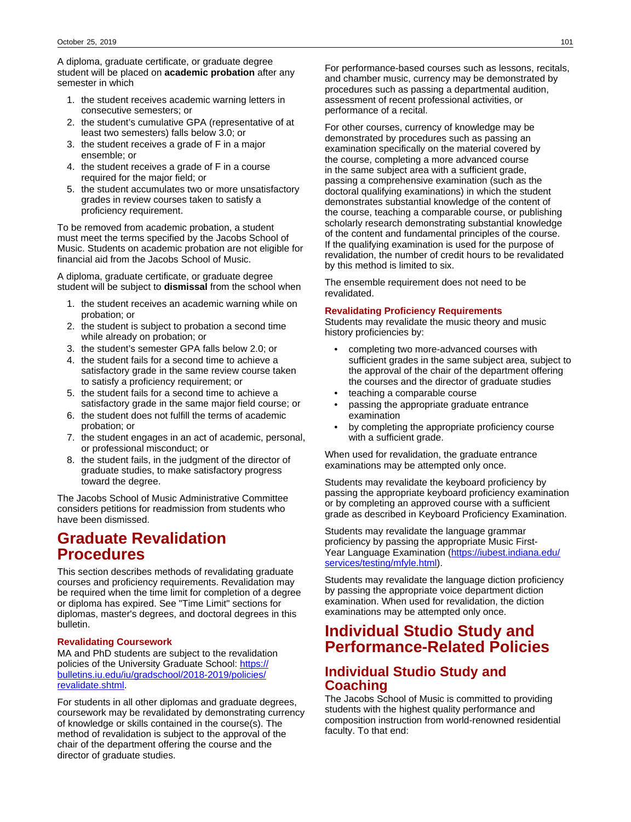A diploma, graduate certificate, or graduate degree student will be placed on **academic probation** after any semester in which

- 1. the student receives academic warning letters in consecutive semesters; or
- 2. the student's cumulative GPA (representative of at least two semesters) falls below 3.0; or
- 3. the student receives a grade of F in a major ensemble; or
- 4. the student receives a grade of F in a course required for the major field; or
- 5. the student accumulates two or more unsatisfactory grades in review courses taken to satisfy a proficiency requirement.

To be removed from academic probation, a student must meet the terms specified by the Jacobs School of Music. Students on academic probation are not eligible for financial aid from the Jacobs School of Music.

A diploma, graduate certificate, or graduate degree student will be subject to **dismissal** from the school when

- 1. the student receives an academic warning while on probation; or
- 2. the student is subject to probation a second time while already on probation; or
- 3. the student's semester GPA falls below 2.0; or
- 4. the student fails for a second time to achieve a satisfactory grade in the same review course taken to satisfy a proficiency requirement; or
- 5. the student fails for a second time to achieve a satisfactory grade in the same major field course; or
- 6. the student does not fulfill the terms of academic probation; or
- 7. the student engages in an act of academic, personal, or professional misconduct; or
- 8. the student fails, in the judgment of the director of graduate studies, to make satisfactory progress toward the degree.

The Jacobs School of Music Administrative Committee considers petitions for readmission from students who have been dismissed.

# **Graduate Revalidation Procedures**

This section describes methods of revalidating graduate courses and proficiency requirements. Revalidation may be required when the time limit for completion of a degree or diploma has expired. See "Time Limit" sections for diplomas, master's degrees, and doctoral degrees in this bulletin.

### **Revalidating Coursework**

MA and PhD students are subject to the revalidation policies of the University Graduate School: [https://](https://bulletins.iu.edu/iu/gradschool/2018-2019/policies/revalidate.shtml) [bulletins.iu.edu/iu/gradschool/2018-2019/policies/](https://bulletins.iu.edu/iu/gradschool/2018-2019/policies/revalidate.shtml) [revalidate.shtml](https://bulletins.iu.edu/iu/gradschool/2018-2019/policies/revalidate.shtml).

For students in all other diplomas and graduate degrees, coursework may be revalidated by demonstrating currency of knowledge or skills contained in the course(s). The method of revalidation is subject to the approval of the chair of the department offering the course and the director of graduate studies.

For performance-based courses such as lessons, recitals, and chamber music, currency may be demonstrated by procedures such as passing a departmental audition, assessment of recent professional activities, or performance of a recital.

For other courses, currency of knowledge may be demonstrated by procedures such as passing an examination specifically on the material covered by the course, completing a more advanced course in the same subject area with a sufficient grade, passing a comprehensive examination (such as the doctoral qualifying examinations) in which the student demonstrates substantial knowledge of the content of the course, teaching a comparable course, or publishing scholarly research demonstrating substantial knowledge of the content and fundamental principles of the course. If the qualifying examination is used for the purpose of revalidation, the number of credit hours to be revalidated by this method is limited to six.

The ensemble requirement does not need to be revalidated.

#### **Revalidating Proficiency Requirements**

Students may revalidate the music theory and music history proficiencies by:

- completing two more-advanced courses with sufficient grades in the same subject area, subject to the approval of the chair of the department offering the courses and the director of graduate studies
- teaching a comparable course
- passing the appropriate graduate entrance examination
- by completing the appropriate proficiency course with a sufficient grade.

When used for revalidation, the graduate entrance examinations may be attempted only once.

Students may revalidate the keyboard proficiency by passing the appropriate keyboard proficiency examination or by completing an approved course with a sufficient grade as described in Keyboard Proficiency Examination.

Students may revalidate the language grammar proficiency by passing the appropriate Music First-Year Language Examination [\(https://iubest.indiana.edu/](https://iubest.indiana.edu/services/testing/mfyle.html) [services/testing/mfyle.html\)](https://iubest.indiana.edu/services/testing/mfyle.html).

Students may revalidate the language diction proficiency by passing the appropriate voice department diction examination. When used for revalidation, the diction examinations may be attempted only once.

# **Individual Studio Study and Performance-Related Policies**

## **Individual Studio Study and Coaching**

The Jacobs School of Music is committed to providing students with the highest quality performance and composition instruction from world-renowned residential faculty. To that end: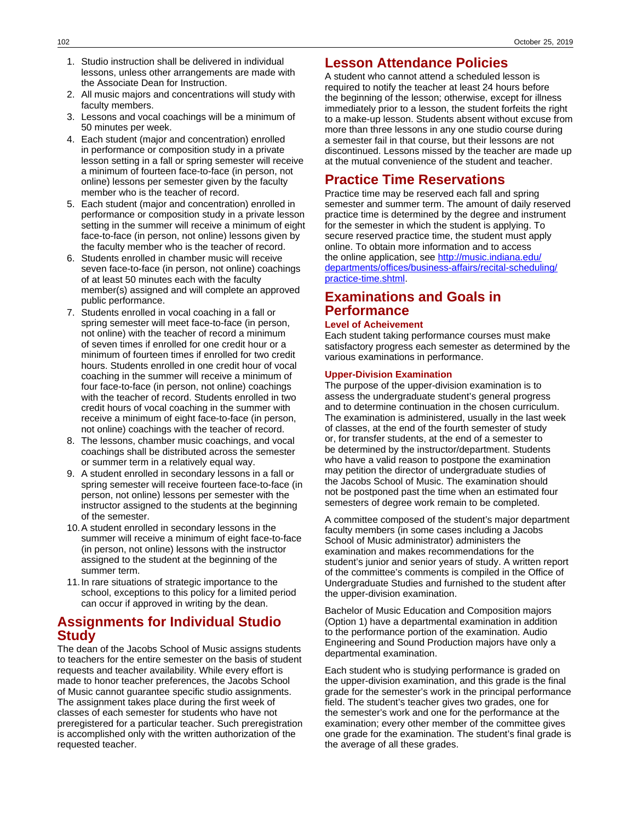- 1. Studio instruction shall be delivered in individual lessons, unless other arrangements are made with the Associate Dean for Instruction.
- 2. All music majors and concentrations will study with faculty members.
- 3. Lessons and vocal coachings will be a minimum of 50 minutes per week.
- 4. Each student (major and concentration) enrolled in performance or composition study in a private lesson setting in a fall or spring semester will receive a minimum of fourteen face-to-face (in person, not online) lessons per semester given by the faculty member who is the teacher of record.
- 5. Each student (major and concentration) enrolled in performance or composition study in a private lesson setting in the summer will receive a minimum of eight face-to-face (in person, not online) lessons given by the faculty member who is the teacher of record.
- 6. Students enrolled in chamber music will receive seven face-to-face (in person, not online) coachings of at least 50 minutes each with the faculty member(s) assigned and will complete an approved public performance.
- 7. Students enrolled in vocal coaching in a fall or spring semester will meet face-to-face (in person, not online) with the teacher of record a minimum of seven times if enrolled for one credit hour or a minimum of fourteen times if enrolled for two credit hours. Students enrolled in one credit hour of vocal coaching in the summer will receive a minimum of four face-to-face (in person, not online) coachings with the teacher of record. Students enrolled in two credit hours of vocal coaching in the summer with receive a minimum of eight face-to-face (in person, not online) coachings with the teacher of record.
- 8. The lessons, chamber music coachings, and vocal coachings shall be distributed across the semester or summer term in a relatively equal way.
- 9. A student enrolled in secondary lessons in a fall or spring semester will receive fourteen face-to-face (in person, not online) lessons per semester with the instructor assigned to the students at the beginning of the semester.
- 10.A student enrolled in secondary lessons in the summer will receive a minimum of eight face-to-face (in person, not online) lessons with the instructor assigned to the student at the beginning of the summer term.
- 11.In rare situations of strategic importance to the school, exceptions to this policy for a limited period can occur if approved in writing by the dean.

## **Assignments for Individual Studio Study**

The dean of the Jacobs School of Music assigns students to teachers for the entire semester on the basis of student requests and teacher availability. While every effort is made to honor teacher preferences, the Jacobs School of Music cannot guarantee specific studio assignments. The assignment takes place during the first week of classes of each semester for students who have not preregistered for a particular teacher. Such preregistration is accomplished only with the written authorization of the requested teacher.

## **Lesson Attendance Policies**

A student who cannot attend a scheduled lesson is required to notify the teacher at least 24 hours before the beginning of the lesson; otherwise, except for illness immediately prior to a lesson, the student forfeits the right to a make-up lesson. Students absent without excuse from more than three lessons in any one studio course during a semester fail in that course, but their lessons are not discontinued. Lessons missed by the teacher are made up at the mutual convenience of the student and teacher.

# **Practice Time Reservations**

Practice time may be reserved each fall and spring semester and summer term. The amount of daily reserved practice time is determined by the degree and instrument for the semester in which the student is applying. To secure reserved practice time, the student must apply online. To obtain more information and to access the online application, see [http://music.indiana.edu/](http://music.indiana.edu/departments/offices/business-affairs/recital-scheduling/practice-time.shtml) [departments/offices/business-affairs/recital-scheduling/](http://music.indiana.edu/departments/offices/business-affairs/recital-scheduling/practice-time.shtml) [practice-time.shtml.](http://music.indiana.edu/departments/offices/business-affairs/recital-scheduling/practice-time.shtml)

# **Examinations and Goals in Performance**

### **Level of Acheivement**

Each student taking performance courses must make satisfactory progress each semester as determined by the various examinations in performance.

### **Upper-Division Examination**

The purpose of the upper-division examination is to assess the undergraduate student's general progress and to determine continuation in the chosen curriculum. The examination is administered, usually in the last week of classes, at the end of the fourth semester of study or, for transfer students, at the end of a semester to be determined by the instructor/department. Students who have a valid reason to postpone the examination may petition the director of undergraduate studies of the Jacobs School of Music. The examination should not be postponed past the time when an estimated four semesters of degree work remain to be completed.

A committee composed of the student's major department faculty members (in some cases including a Jacobs School of Music administrator) administers the examination and makes recommendations for the student's junior and senior years of study. A written report of the committee's comments is compiled in the Office of Undergraduate Studies and furnished to the student after the upper-division examination.

Bachelor of Music Education and Composition majors (Option 1) have a departmental examination in addition to the performance portion of the examination. Audio Engineering and Sound Production majors have only a departmental examination.

Each student who is studying performance is graded on the upper-division examination, and this grade is the final grade for the semester's work in the principal performance field. The student's teacher gives two grades, one for the semester's work and one for the performance at the examination; every other member of the committee gives one grade for the examination. The student's final grade is the average of all these grades.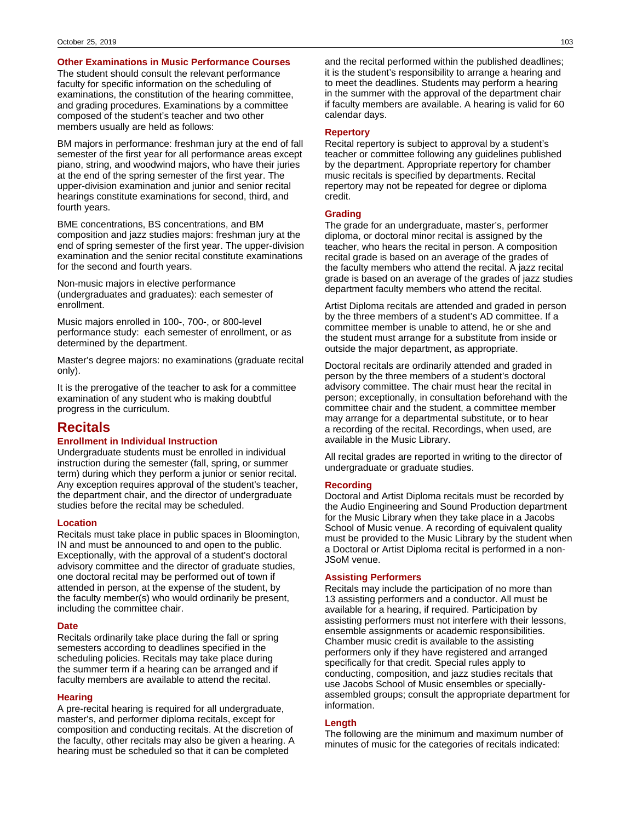#### **Other Examinations in Music Performance Courses**

The student should consult the relevant performance faculty for specific information on the scheduling of examinations, the constitution of the hearing committee, and grading procedures. Examinations by a committee composed of the student's teacher and two other members usually are held as follows:

BM majors in performance: freshman jury at the end of fall semester of the first year for all performance areas except piano, string, and woodwind majors, who have their juries at the end of the spring semester of the first year. The upper-division examination and junior and senior recital hearings constitute examinations for second, third, and fourth years.

BME concentrations, BS concentrations, and BM composition and jazz studies majors: freshman jury at the end of spring semester of the first year. The upper-division examination and the senior recital constitute examinations for the second and fourth years.

Non-music majors in elective performance (undergraduates and graduates): each semester of enrollment.

Music majors enrolled in 100-, 700-, or 800-level performance study: each semester of enrollment, or as determined by the department.

Master's degree majors: no examinations (graduate recital only).

It is the prerogative of the teacher to ask for a committee examination of any student who is making doubtful progress in the curriculum.

## **Recitals**

### **Enrollment in Individual Instruction**

Undergraduate students must be enrolled in individual instruction during the semester (fall, spring, or summer term) during which they perform a junior or senior recital. Any exception requires approval of the student's teacher, the department chair, and the director of undergraduate studies before the recital may be scheduled.

#### **Location**

Recitals must take place in public spaces in Bloomington, IN and must be announced to and open to the public. Exceptionally, with the approval of a student's doctoral advisory committee and the director of graduate studies, one doctoral recital may be performed out of town if attended in person, at the expense of the student, by the faculty member(s) who would ordinarily be present, including the committee chair.

#### **Date**

Recitals ordinarily take place during the fall or spring semesters according to deadlines specified in the scheduling policies. Recitals may take place during the summer term if a hearing can be arranged and if faculty members are available to attend the recital.

#### **Hearing**

A pre-recital hearing is required for all undergraduate, master's, and performer diploma recitals, except for composition and conducting recitals. At the discretion of the faculty, other recitals may also be given a hearing. A hearing must be scheduled so that it can be completed

and the recital performed within the published deadlines; it is the student's responsibility to arrange a hearing and to meet the deadlines. Students may perform a hearing in the summer with the approval of the department chair if faculty members are available. A hearing is valid for 60 calendar days.

#### **Repertory**

Recital repertory is subject to approval by a student's teacher or committee following any guidelines published by the department. Appropriate repertory for chamber music recitals is specified by departments. Recital repertory may not be repeated for degree or diploma credit.

### **Grading**

The grade for an undergraduate, master's, performer diploma, or doctoral minor recital is assigned by the teacher, who hears the recital in person. A composition recital grade is based on an average of the grades of the faculty members who attend the recital. A jazz recital grade is based on an average of the grades of jazz studies department faculty members who attend the recital.

Artist Diploma recitals are attended and graded in person by the three members of a student's AD committee. If a committee member is unable to attend, he or she and the student must arrange for a substitute from inside or outside the major department, as appropriate.

Doctoral recitals are ordinarily attended and graded in person by the three members of a student's doctoral advisory committee. The chair must hear the recital in person; exceptionally, in consultation beforehand with the committee chair and the student, a committee member may arrange for a departmental substitute, or to hear a recording of the recital. Recordings, when used, are available in the Music Library.

All recital grades are reported in writing to the director of undergraduate or graduate studies.

#### **Recording**

Doctoral and Artist Diploma recitals must be recorded by the Audio Engineering and Sound Production department for the Music Library when they take place in a Jacobs School of Music venue. A recording of equivalent quality must be provided to the Music Library by the student when a Doctoral or Artist Diploma recital is performed in a non-JSoM venue.

#### **Assisting Performers**

Recitals may include the participation of no more than 13 assisting performers and a conductor. All must be available for a hearing, if required. Participation by assisting performers must not interfere with their lessons, ensemble assignments or academic responsibilities. Chamber music credit is available to the assisting performers only if they have registered and arranged specifically for that credit. Special rules apply to conducting, composition, and jazz studies recitals that use Jacobs School of Music ensembles or speciallyassembled groups; consult the appropriate department for information.

#### **Length**

The following are the minimum and maximum number of minutes of music for the categories of recitals indicated: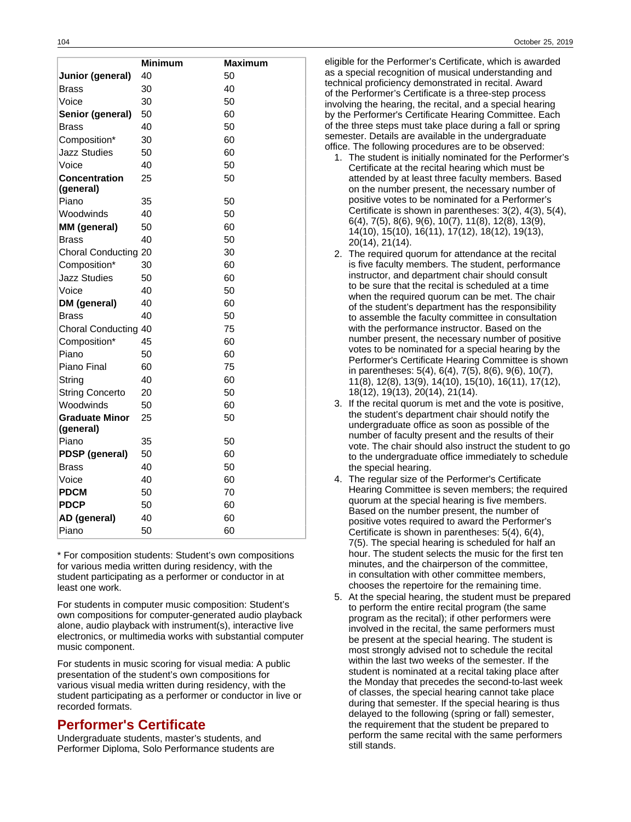|                       | Minimum | Maximum |
|-----------------------|---------|---------|
| Junior (general)      | 40      | 50      |
| <b>Brass</b>          | 30      | 40      |
| Voice                 | 30      | 50      |
| Senior (general)      | 50      | 60      |
| <b>Brass</b>          | 40      | 50      |
| Composition*          | 30      | 60      |
| Jazz Studies          | 50      | 60      |
| Voice                 | 40      | 50      |
| Concentration         | 25      | 50      |
| (general)             |         |         |
| Piano                 | 35      | 50      |
| Woodwinds             | 40      | 50      |
| <b>MM</b> (general)   | 50      | 60      |
| <b>Brass</b>          | 40      | 50      |
| Choral Conducting 20  |         | 30      |
| Composition*          | 30      | 60      |
| <b>Jazz Studies</b>   | 50      | 60      |
| Voice                 | 40      | 50      |
| DM (general)          | 40      | 60      |
| <b>Brass</b>          | 40      | 50      |
| Choral Conducting 40  |         | 75      |
| Composition*          | 45      | 60      |
| Piano                 | 50      | 60      |
| Piano Final           | 60      | 75      |
| String                | 40      | 60      |
| String Concerto       | 20      | 50      |
| Woodwinds             | 50      | 60      |
| <b>Graduate Minor</b> | 25      | 50      |
| (general)             |         |         |
| Piano                 | 35      | 50      |
| PDSP (general)        | 50      | 60      |
| Brass                 | 40      | 50      |
| Voice                 | 40      | 60      |
| <b>PDCM</b>           | 50      | 70      |
| <b>PDCP</b>           | 50      | 60      |
| AD (general)          | 40      | 60      |
| Piano                 | 50      | 60      |

\* For composition students: Student's own compositions for various media written during residency, with the student participating as a performer or conductor in at least one work.

For students in computer music composition: Student's own compositions for computer-generated audio playback alone, audio playback with instrument(s), interactive live electronics, or multimedia works with substantial computer music component.

For students in music scoring for visual media: A public presentation of the student's own compositions for various visual media written during residency, with the student participating as a performer or conductor in live or recorded formats.

## **Performer's Certificate**

Undergraduate students, master's students, and Performer Diploma, Solo Performance students are

eligible for the Performer's Certificate, which is awarded as a special recognition of musical understanding and technical proficiency demonstrated in recital. Award of the Performer's Certificate is a three-step process involving the hearing, the recital, and a special hearing by the Performer's Certificate Hearing Committee. Each of the three steps must take place during a fall or spring semester. Details are available in the undergraduate office. The following procedures are to be observed:

- 1. The student is initially nominated for the Performer's Certificate at the recital hearing which must be attended by at least three faculty members. Based on the number present, the necessary number of positive votes to be nominated for a Performer's Certificate is shown in parentheses: 3(2), 4(3), 5(4), 6(4), 7(5), 8(6), 9(6), 10(7), 11(8), 12(8), 13(9), 14(10), 15(10), 16(11), 17(12), 18(12), 19(13), 20(14), 21(14).
- 2. The required quorum for attendance at the recital is five faculty members. The student, performance instructor, and department chair should consult to be sure that the recital is scheduled at a time when the required quorum can be met. The chair of the student's department has the responsibility to assemble the faculty committee in consultation with the performance instructor. Based on the number present, the necessary number of positive votes to be nominated for a special hearing by the Performer's Certificate Hearing Committee is shown in parentheses: 5(4), 6(4), 7(5), 8(6), 9(6), 10(7), 11(8), 12(8), 13(9), 14(10), 15(10), 16(11), 17(12), 18(12), 19(13), 20(14), 21(14).
- 3. If the recital quorum is met and the vote is positive, the student's department chair should notify the undergraduate office as soon as possible of the number of faculty present and the results of their vote. The chair should also instruct the student to go to the undergraduate office immediately to schedule the special hearing.
- 4. The regular size of the Performer's Certificate Hearing Committee is seven members; the required quorum at the special hearing is five members. Based on the number present, the number of positive votes required to award the Performer's Certificate is shown in parentheses: 5(4), 6(4), 7(5). The special hearing is scheduled for half an hour. The student selects the music for the first ten minutes, and the chairperson of the committee, in consultation with other committee members, chooses the repertoire for the remaining time.
- 5. At the special hearing, the student must be prepared to perform the entire recital program (the same program as the recital); if other performers were involved in the recital, the same performers must be present at the special hearing. The student is most strongly advised not to schedule the recital within the last two weeks of the semester. If the student is nominated at a recital taking place after the Monday that precedes the second-to-last week of classes, the special hearing cannot take place during that semester. If the special hearing is thus delayed to the following (spring or fall) semester, the requirement that the student be prepared to perform the same recital with the same performers still stands.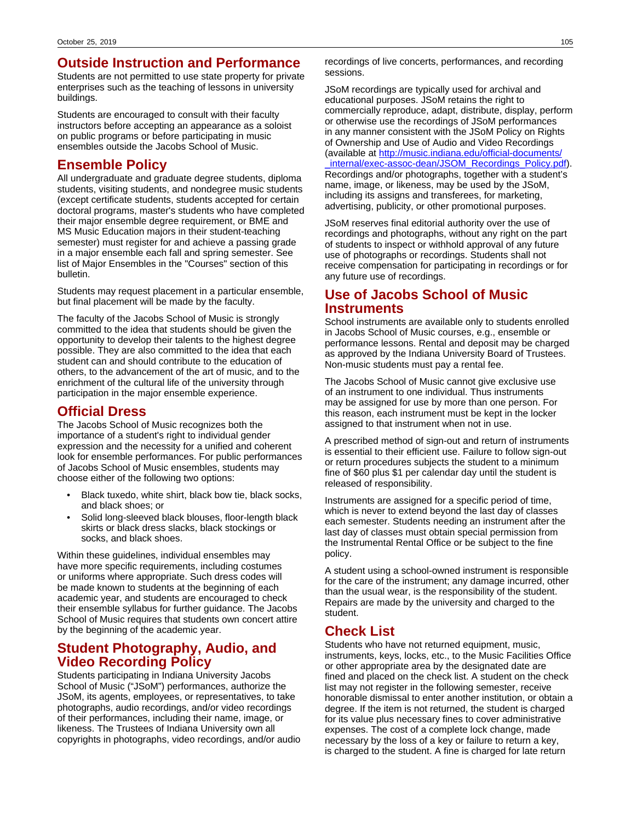## **Outside Instruction and Performance**

Students are not permitted to use state property for private enterprises such as the teaching of lessons in university buildings.

Students are encouraged to consult with their faculty instructors before accepting an appearance as a soloist on public programs or before participating in music ensembles outside the Jacobs School of Music.

## **Ensemble Policy**

All undergraduate and graduate degree students, diploma students, visiting students, and nondegree music students (except certificate students, students accepted for certain doctoral programs, master's students who have completed their major ensemble degree requirement, or BME and MS Music Education majors in their student-teaching semester) must register for and achieve a passing grade in a major ensemble each fall and spring semester. See list of Major Ensembles in the "Courses" section of this bulletin.

Students may request placement in a particular ensemble, but final placement will be made by the faculty.

The faculty of the Jacobs School of Music is strongly committed to the idea that students should be given the opportunity to develop their talents to the highest degree possible. They are also committed to the idea that each student can and should contribute to the education of others, to the advancement of the art of music, and to the enrichment of the cultural life of the university through participation in the major ensemble experience.

## **Official Dress**

The Jacobs School of Music recognizes both the importance of a student's right to individual gender expression and the necessity for a unified and coherent look for ensemble performances. For public performances of Jacobs School of Music ensembles, students may choose either of the following two options:

- Black tuxedo, white shirt, black bow tie, black socks, and black shoes; or
- Solid long-sleeved black blouses, floor-length black skirts or black dress slacks, black stockings or socks, and black shoes.

Within these guidelines, individual ensembles may have more specific requirements, including costumes or uniforms where appropriate. Such dress codes will be made known to students at the beginning of each academic year, and students are encouraged to check their ensemble syllabus for further guidance. The Jacobs School of Music requires that students own concert attire by the beginning of the academic year.

## **Student Photography, Audio, and Video Recording Policy**

Students participating in Indiana University Jacobs School of Music ("JSoM") performances, authorize the JSoM, its agents, employees, or representatives, to take photographs, audio recordings, and/or video recordings of their performances, including their name, image, or likeness. The Trustees of Indiana University own all copyrights in photographs, video recordings, and/or audio recordings of live concerts, performances, and recording sessions.

JSoM recordings are typically used for archival and educational purposes. JSoM retains the right to commercially reproduce, adapt, distribute, display, perform or otherwise use the recordings of JSoM performances in any manner consistent with the JSoM Policy on Rights of Ownership and Use of Audio and Video Recordings (available at [http://music.indiana.edu/official-documents/](http://music.indiana.edu/official-documents/_internal/exec-assoc-dean/JSOM_Recordings_Policy.pdf) internal/exec-assoc-dean/JSOM\_Recordings\_Policy.pdf). Recordings and/or photographs, together with a student's name, image, or likeness, may be used by the JSoM, including its assigns and transferees, for marketing, advertising, publicity, or other promotional purposes.

JSoM reserves final editorial authority over the use of recordings and photographs, without any right on the part of students to inspect or withhold approval of any future use of photographs or recordings. Students shall not receive compensation for participating in recordings or for any future use of recordings.

## **Use of Jacobs School of Music Instruments**

School instruments are available only to students enrolled in Jacobs School of Music courses, e.g., ensemble or performance lessons. Rental and deposit may be charged as approved by the Indiana University Board of Trustees. Non-music students must pay a rental fee.

The Jacobs School of Music cannot give exclusive use of an instrument to one individual. Thus instruments may be assigned for use by more than one person. For this reason, each instrument must be kept in the locker assigned to that instrument when not in use.

A prescribed method of sign-out and return of instruments is essential to their efficient use. Failure to follow sign-out or return procedures subjects the student to a minimum fine of \$60 plus \$1 per calendar day until the student is released of responsibility.

Instruments are assigned for a specific period of time, which is never to extend beyond the last day of classes each semester. Students needing an instrument after the last day of classes must obtain special permission from the Instrumental Rental Office or be subject to the fine policy.

A student using a school-owned instrument is responsible for the care of the instrument; any damage incurred, other than the usual wear, is the responsibility of the student. Repairs are made by the university and charged to the student.

## **Check List**

Students who have not returned equipment, music, instruments, keys, locks, etc., to the Music Facilities Office or other appropriate area by the designated date are fined and placed on the check list. A student on the check list may not register in the following semester, receive honorable dismissal to enter another institution, or obtain a degree. If the item is not returned, the student is charged for its value plus necessary fines to cover administrative expenses. The cost of a complete lock change, made necessary by the loss of a key or failure to return a key, is charged to the student. A fine is charged for late return